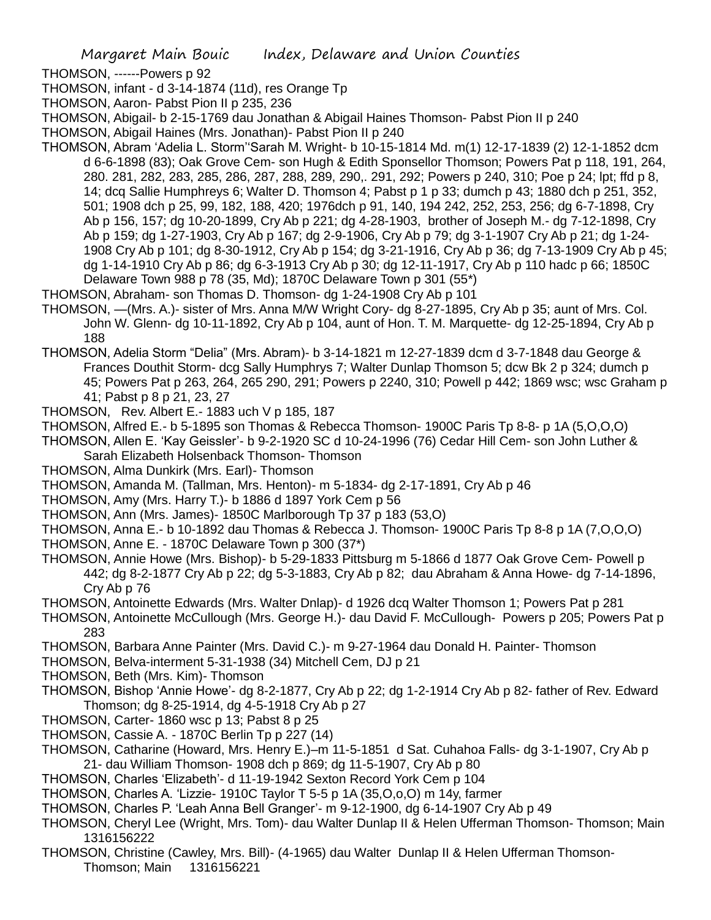- THOMSON, ------Powers p 92
- THOMSON, infant d 3-14-1874 (11d), res Orange Tp
- THOMSON, Aaron- Pabst Pion II p 235, 236
- THOMSON, Abigail- b 2-15-1769 dau Jonathan & Abigail Haines Thomson- Pabst Pion II p 240
- THOMSON, Abigail Haines (Mrs. Jonathan)- Pabst Pion II p 240
- THOMSON, Abram 'Adelia L. Storm''Sarah M. Wright- b 10-15-1814 Md. m(1) 12-17-1839 (2) 12-1-1852 dcm d 6-6-1898 (83); Oak Grove Cem- son Hugh & Edith Sponsellor Thomson; Powers Pat p 118, 191, 264, 280. 281, 282, 283, 285, 286, 287, 288, 289, 290,. 291, 292; Powers p 240, 310; Poe p 24; lpt; ffd p 8, 14; dcq Sallie Humphreys 6; Walter D. Thomson 4; Pabst p 1 p 33; dumch p 43; 1880 dch p 251, 352, 501; 1908 dch p 25, 99, 182, 188, 420; 1976dch p 91, 140, 194 242, 252, 253, 256; dg 6-7-1898, Cry Ab p 156, 157; dg 10-20-1899, Cry Ab p 221; dg 4-28-1903, brother of Joseph M.- dg 7-12-1898, Cry Ab p 159; dg 1-27-1903, Cry Ab p 167; dg 2-9-1906, Cry Ab p 79; dg 3-1-1907 Cry Ab p 21; dg 1-24- 1908 Cry Ab p 101; dg 8-30-1912, Cry Ab p 154; dg 3-21-1916, Cry Ab p 36; dg 7-13-1909 Cry Ab p 45; dg 1-14-1910 Cry Ab p 86; dg 6-3-1913 Cry Ab p 30; dg 12-11-1917, Cry Ab p 110 hadc p 66; 1850C Delaware Town 988 p 78 (35, Md); 1870C Delaware Town p 301 (55\*)
- THOMSON, Abraham- son Thomas D. Thomson- dg 1-24-1908 Cry Ab p 101
- THOMSON, —(Mrs. A.)- sister of Mrs. Anna M/W Wright Cory- dg 8-27-1895, Cry Ab p 35; aunt of Mrs. Col. John W. Glenn- dg 10-11-1892, Cry Ab p 104, aunt of Hon. T. M. Marquette- dg 12-25-1894, Cry Ab p 188
- THOMSON, Adelia Storm "Delia" (Mrs. Abram)- b 3-14-1821 m 12-27-1839 dcm d 3-7-1848 dau George & Frances Douthit Storm- dcg Sally Humphrys 7; Walter Dunlap Thomson 5; dcw Bk 2 p 324; dumch p 45; Powers Pat p 263, 264, 265 290, 291; Powers p 2240, 310; Powell p 442; 1869 wsc; wsc Graham p 41; Pabst p 8 p 21, 23, 27
- THOMSON, Rev. Albert E.- 1883 uch V p 185, 187
- THOMSON, Alfred E.- b 5-1895 son Thomas & Rebecca Thomson- 1900C Paris Tp 8-8- p 1A (5,O,O,O)
- THOMSON, Allen E. 'Kay Geissler'- b 9-2-1920 SC d 10-24-1996 (76) Cedar Hill Cem- son John Luther & Sarah Elizabeth Holsenback Thomson- Thomson
- THOMSON, Alma Dunkirk (Mrs. Earl)- Thomson
- THOMSON, Amanda M. (Tallman, Mrs. Henton)- m 5-1834- dg 2-17-1891, Cry Ab p 46
- THOMSON, Amy (Mrs. Harry T.)- b 1886 d 1897 York Cem p 56
- THOMSON, Ann (Mrs. James)- 1850C Marlborough Tp 37 p 183 (53,O)
- THOMSON, Anna E.- b 10-1892 dau Thomas & Rebecca J. Thomson- 1900C Paris Tp 8-8 p 1A (7,O,O,O)
- THOMSON, Anne E. 1870C Delaware Town p 300 (37\*)
- THOMSON, Annie Howe (Mrs. Bishop)- b 5-29-1833 Pittsburg m 5-1866 d 1877 Oak Grove Cem- Powell p 442; dg 8-2-1877 Cry Ab p 22; dg 5-3-1883, Cry Ab p 82; dau Abraham & Anna Howe- dg 7-14-1896, Cry Ab p 76
- THOMSON, Antoinette Edwards (Mrs. Walter Dnlap)- d 1926 dcq Walter Thomson 1; Powers Pat p 281
- THOMSON, Antoinette McCullough (Mrs. George H.)- dau David F. McCullough- Powers p 205; Powers Pat p 283
- THOMSON, Barbara Anne Painter (Mrs. David C.)- m 9-27-1964 dau Donald H. Painter- Thomson
- THOMSON, Belva-interment 5-31-1938 (34) Mitchell Cem, DJ p 21
- THOMSON, Beth (Mrs. Kim)- Thomson
- THOMSON, Bishop 'Annie Howe'- dg 8-2-1877, Cry Ab p 22; dg 1-2-1914 Cry Ab p 82- father of Rev. Edward Thomson; dg 8-25-1914, dg 4-5-1918 Cry Ab p 27
- THOMSON, Carter- 1860 wsc p 13; Pabst 8 p 25
- THOMSON, Cassie A. 1870C Berlin Tp p 227 (14)
- THOMSON, Catharine (Howard, Mrs. Henry E.)–m 11-5-1851 d Sat. Cuhahoa Falls- dg 3-1-1907, Cry Ab p 21- dau William Thomson- 1908 dch p 869; dg 11-5-1907, Cry Ab p 80
- THOMSON, Charles 'Elizabeth'- d 11-19-1942 Sexton Record York Cem p 104
- THOMSON, Charles A. 'Lizzie- 1910C Taylor T 5-5 p 1A (35,O,o,O) m 14y, farmer
- THOMSON, Charles P. 'Leah Anna Bell Granger'- m 9-12-1900, dg 6-14-1907 Cry Ab p 49
- THOMSON, Cheryl Lee (Wright, Mrs. Tom)- dau Walter Dunlap II & Helen Ufferman Thomson- Thomson; Main 1316156222
- THOMSON, Christine (Cawley, Mrs. Bill)- (4-1965) dau Walter Dunlap II & Helen Ufferman Thomson-Thomson; Main 1316156221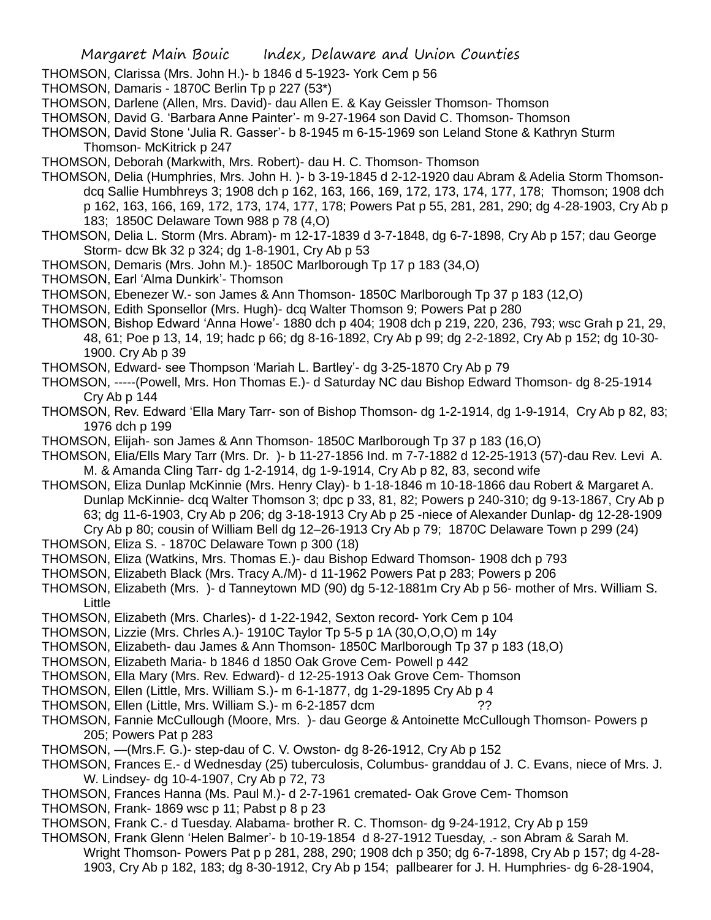- THOMSON, Clarissa (Mrs. John H.)- b 1846 d 5-1923- York Cem p 56
- THOMSON, Damaris 1870C Berlin Tp p 227 (53\*)
- THOMSON, Darlene (Allen, Mrs. David)- dau Allen E. & Kay Geissler Thomson- Thomson
- THOMSON, David G. 'Barbara Anne Painter'- m 9-27-1964 son David C. Thomson- Thomson
- THOMSON, David Stone 'Julia R. Gasser'- b 8-1945 m 6-15-1969 son Leland Stone & Kathryn Sturm Thomson- McKitrick p 247
- THOMSON, Deborah (Markwith, Mrs. Robert)- dau H. C. Thomson- Thomson
- THOMSON, Delia (Humphries, Mrs. John H. )- b 3-19-1845 d 2-12-1920 dau Abram & Adelia Storm Thomsondcq Sallie Humbhreys 3; 1908 dch p 162, 163, 166, 169, 172, 173, 174, 177, 178; Thomson; 1908 dch p 162, 163, 166, 169, 172, 173, 174, 177, 178; Powers Pat p 55, 281, 281, 290; dg 4-28-1903, Cry Ab p 183; 1850C Delaware Town 988 p 78 (4,O)
- THOMSON, Delia L. Storm (Mrs. Abram)- m 12-17-1839 d 3-7-1848, dg 6-7-1898, Cry Ab p 157; dau George Storm- dcw Bk 32 p 324; dg 1-8-1901, Cry Ab p 53
- THOMSON, Demaris (Mrs. John M.)- 1850C Marlborough Tp 17 p 183 (34,O)
- THOMSON, Earl 'Alma Dunkirk'- Thomson
- THOMSON, Ebenezer W.- son James & Ann Thomson- 1850C Marlborough Tp 37 p 183 (12,O)
- THOMSON, Edith Sponsellor (Mrs. Hugh)- dcq Walter Thomson 9; Powers Pat p 280
- THOMSON, Bishop Edward 'Anna Howe'- 1880 dch p 404; 1908 dch p 219, 220, 236, 793; wsc Grah p 21, 29, 48, 61; Poe p 13, 14, 19; hadc p 66; dg 8-16-1892, Cry Ab p 99; dg 2-2-1892, Cry Ab p 152; dg 10-30- 1900. Cry Ab p 39
- THOMSON, Edward- see Thompson 'Mariah L. Bartley'- dg 3-25-1870 Cry Ab p 79
- THOMSON, -----(Powell, Mrs. Hon Thomas E.)- d Saturday NC dau Bishop Edward Thomson- dg 8-25-1914 Cry Ab p 144
- THOMSON, Rev. Edward 'Ella Mary Tarr- son of Bishop Thomson- dg 1-2-1914, dg 1-9-1914, Cry Ab p 82, 83; 1976 dch p 199
- THOMSON, Elijah- son James & Ann Thomson- 1850C Marlborough Tp 37 p 183 (16,O)
- THOMSON, Elia/Ells Mary Tarr (Mrs. Dr. )- b 11-27-1856 Ind. m 7-7-1882 d 12-25-1913 (57)-dau Rev. Levi A. M. & Amanda Cling Tarr- dg 1-2-1914, dg 1-9-1914, Cry Ab p 82, 83, second wife
- THOMSON, Eliza Dunlap McKinnie (Mrs. Henry Clay)- b 1-18-1846 m 10-18-1866 dau Robert & Margaret A. Dunlap McKinnie- dcq Walter Thomson 3; dpc p 33, 81, 82; Powers p 240-310; dg 9-13-1867, Cry Ab p 63; dg 11-6-1903, Cry Ab p 206; dg 3-18-1913 Cry Ab p 25 -niece of Alexander Dunlap- dg 12-28-1909 Cry Ab p 80; cousin of William Bell dg 12–26-1913 Cry Ab p 79; 1870C Delaware Town p 299 (24)
- THOMSON, Eliza S. 1870C Delaware Town p 300 (18)
- THOMSON, Eliza (Watkins, Mrs. Thomas E.)- dau Bishop Edward Thomson- 1908 dch p 793
- THOMSON, Elizabeth Black (Mrs. Tracy A./M)- d 11-1962 Powers Pat p 283; Powers p 206
- THOMSON, Elizabeth (Mrs. )- d Tanneytown MD (90) dg 5-12-1881m Cry Ab p 56- mother of Mrs. William S. Little
- THOMSON, Elizabeth (Mrs. Charles)- d 1-22-1942, Sexton record- York Cem p 104
- THOMSON, Lizzie (Mrs. Chrles A.)- 1910C Taylor Tp 5-5 p 1A (30,O,O,O) m 14y
- THOMSON, Elizabeth- dau James & Ann Thomson- 1850C Marlborough Tp 37 p 183 (18,O)
- THOMSON, Elizabeth Maria- b 1846 d 1850 Oak Grove Cem- Powell p 442
- THOMSON, Ella Mary (Mrs. Rev. Edward)- d 12-25-1913 Oak Grove Cem- Thomson
- THOMSON, Ellen (Little, Mrs. William S.)- m 6-1-1877, dg 1-29-1895 Cry Ab p 4
- THOMSON, Ellen (Little, Mrs. William S.) m 6-2-1857 dcm
- THOMSON, Fannie McCullough (Moore, Mrs. )- dau George & Antoinette McCullough Thomson- Powers p 205; Powers Pat p 283
- THOMSON, —(Mrs.F. G.)- step-dau of C. V. Owston- dg 8-26-1912, Cry Ab p 152
- THOMSON, Frances E.- d Wednesday (25) tuberculosis, Columbus- granddau of J. C. Evans, niece of Mrs. J. W. Lindsey- dg 10-4-1907, Cry Ab p 72, 73
- THOMSON, Frances Hanna (Ms. Paul M.)- d 2-7-1961 cremated- Oak Grove Cem- Thomson
- THOMSON, Frank- 1869 wsc p 11; Pabst p 8 p 23
- THOMSON, Frank C.- d Tuesday. Alabama- brother R. C. Thomson- dg 9-24-1912, Cry Ab p 159
- THOMSON, Frank Glenn 'Helen Balmer'- b 10-19-1854 d 8-27-1912 Tuesday, .- son Abram & Sarah M. Wright Thomson- Powers Pat p p 281, 288, 290; 1908 dch p 350; dg 6-7-1898, Cry Ab p 157; dg 4-28- 1903, Cry Ab p 182, 183; dg 8-30-1912, Cry Ab p 154; pallbearer for J. H. Humphries- dg 6-28-1904,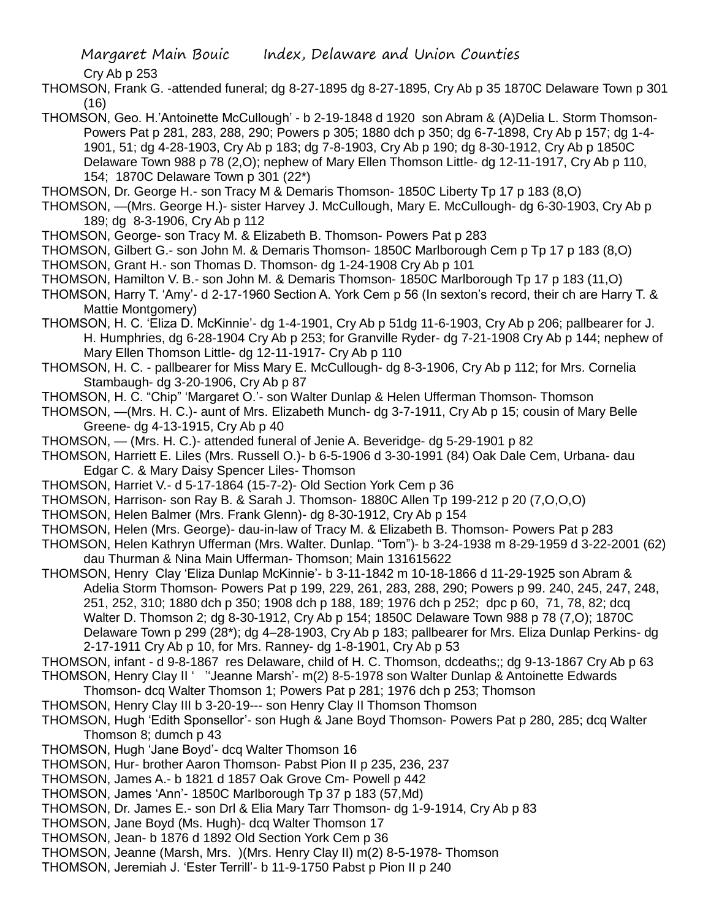Cry Ab p 253

THOMSON, Frank G. -attended funeral; dg 8-27-1895 dg 8-27-1895, Cry Ab p 35 1870C Delaware Town p 301 (16)

- THOMSON, Geo. H.'Antoinette McCullough' b 2-19-1848 d 1920 son Abram & (A)Delia L. Storm Thomson-Powers Pat p 281, 283, 288, 290; Powers p 305; 1880 dch p 350; dg 6-7-1898, Cry Ab p 157; dg 1-4- 1901, 51; dg 4-28-1903, Cry Ab p 183; dg 7-8-1903, Cry Ab p 190; dg 8-30-1912, Cry Ab p 1850C Delaware Town 988 p 78 (2,O); nephew of Mary Ellen Thomson Little- dg 12-11-1917, Cry Ab p 110, 154; 1870C Delaware Town p 301 (22\*)
- THOMSON, Dr. George H.- son Tracy M & Demaris Thomson- 1850C Liberty Tp 17 p 183 (8,O)
- THOMSON, —(Mrs. George H.)- sister Harvey J. McCullough, Mary E. McCullough- dg 6-30-1903, Cry Ab p 189; dg 8-3-1906, Cry Ab p 112
- THOMSON, George- son Tracy M. & Elizabeth B. Thomson- Powers Pat p 283
- THOMSON, Gilbert G.- son John M. & Demaris Thomson- 1850C Marlborough Cem p Tp 17 p 183 (8,O)
- THOMSON, Grant H.- son Thomas D. Thomson- dg 1-24-1908 Cry Ab p 101
- THOMSON, Hamilton V. B.- son John M. & Demaris Thomson- 1850C Marlborough Tp 17 p 183 (11,O)
- THOMSON, Harry T. 'Amy'- d 2-17-1960 Section A. York Cem p 56 (In sexton's record, their ch are Harry T. & Mattie Montgomery)
- THOMSON, H. C. 'Eliza D. McKinnie'- dg 1-4-1901, Cry Ab p 51dg 11-6-1903, Cry Ab p 206; pallbearer for J. H. Humphries, dg 6-28-1904 Cry Ab p 253; for Granville Ryder- dg 7-21-1908 Cry Ab p 144; nephew of Mary Ellen Thomson Little- dg 12-11-1917- Cry Ab p 110
- THOMSON, H. C. pallbearer for Miss Mary E. McCullough- dg 8-3-1906, Cry Ab p 112; for Mrs. Cornelia Stambaugh- dg 3-20-1906, Cry Ab p 87
- THOMSON, H. C. "Chip" 'Margaret O.'- son Walter Dunlap & Helen Ufferman Thomson- Thomson
- THOMSON, —(Mrs. H. C.)- aunt of Mrs. Elizabeth Munch- dg 3-7-1911, Cry Ab p 15; cousin of Mary Belle Greene- dg 4-13-1915, Cry Ab p 40
- THOMSON, (Mrs. H. C.)- attended funeral of Jenie A. Beveridge- dg 5-29-1901 p 82
- THOMSON, Harriett E. Liles (Mrs. Russell O.)- b 6-5-1906 d 3-30-1991 (84) Oak Dale Cem, Urbana- dau Edgar C. & Mary Daisy Spencer Liles- Thomson
- THOMSON, Harriet V.- d 5-17-1864 (15-7-2)- Old Section York Cem p 36
- THOMSON, Harrison- son Ray B. & Sarah J. Thomson- 1880C Allen Tp 199-212 p 20 (7,O,O,O)
- THOMSON, Helen Balmer (Mrs. Frank Glenn)- dg 8-30-1912, Cry Ab p 154
- THOMSON, Helen (Mrs. George)- dau-in-law of Tracy M. & Elizabeth B. Thomson- Powers Pat p 283
- THOMSON, Helen Kathryn Ufferman (Mrs. Walter. Dunlap. "Tom")- b 3-24-1938 m 8-29-1959 d 3-22-2001 (62) dau Thurman & Nina Main Ufferman- Thomson; Main 131615622
- THOMSON, Henry Clay 'Eliza Dunlap McKinnie'- b 3-11-1842 m 10-18-1866 d 11-29-1925 son Abram & Adelia Storm Thomson- Powers Pat p 199, 229, 261, 283, 288, 290; Powers p 99. 240, 245, 247, 248, 251, 252, 310; 1880 dch p 350; 1908 dch p 188, 189; 1976 dch p 252; dpc p 60, 71, 78, 82; dcq Walter D. Thomson 2; dg 8-30-1912, Cry Ab p 154; 1850C Delaware Town 988 p 78 (7,O); 1870C Delaware Town p 299 (28\*); dg 4–28-1903, Cry Ab p 183; pallbearer for Mrs. Eliza Dunlap Perkins- dg 2-17-1911 Cry Ab p 10, for Mrs. Ranney- dg 1-8-1901, Cry Ab p 53
- THOMSON, infant d 9-8-1867 res Delaware, child of H. C. Thomson, dcdeaths;; dg 9-13-1867 Cry Ab p 63 THOMSON, Henry Clay II ' ''Jeanne Marsh'- m(2) 8-5-1978 son Walter Dunlap & Antoinette Edwards
- Thomson- dcq Walter Thomson 1; Powers Pat p 281; 1976 dch p 253; Thomson
- THOMSON, Henry Clay III b 3-20-19--- son Henry Clay II Thomson Thomson
- THOMSON, Hugh 'Edith Sponsellor'- son Hugh & Jane Boyd Thomson- Powers Pat p 280, 285; dcq Walter Thomson 8; dumch p 43
- THOMSON, Hugh 'Jane Boyd'- dcq Walter Thomson 16
- THOMSON, Hur- brother Aaron Thomson- Pabst Pion II p 235, 236, 237
- THOMSON, James A.- b 1821 d 1857 Oak Grove Cm- Powell p 442
- THOMSON, James 'Ann'- 1850C Marlborough Tp 37 p 183 (57,Md)
- THOMSON, Dr. James E.- son Drl & Elia Mary Tarr Thomson- dg 1-9-1914, Cry Ab p 83
- THOMSON, Jane Boyd (Ms. Hugh)- dcq Walter Thomson 17
- THOMSON, Jean- b 1876 d 1892 Old Section York Cem p 36
- THOMSON, Jeanne (Marsh, Mrs. )(Mrs. Henry Clay II) m(2) 8-5-1978- Thomson
- THOMSON, Jeremiah J. 'Ester Terrill'- b 11-9-1750 Pabst p Pion II p 240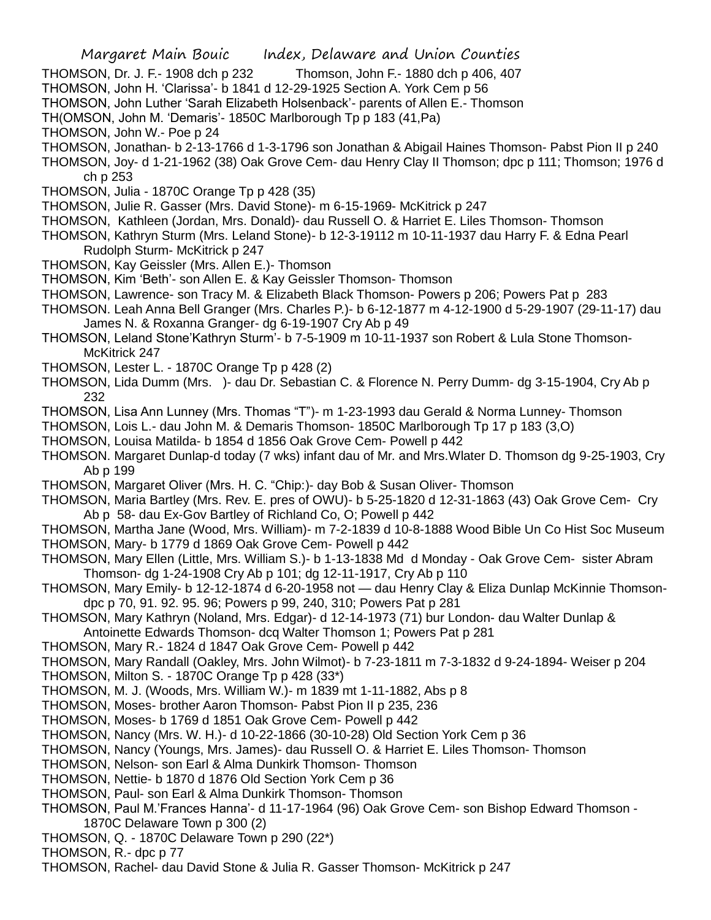- Margaret Main Bouic Index, Delaware and Union Counties
- THOMSON, Dr. J. F.- 1908 dch p 232 Thomson, John F.- 1880 dch p 406, 407
- THOMSON, John H. 'Clarissa'- b 1841 d 12-29-1925 Section A. York Cem p 56
- THOMSON, John Luther 'Sarah Elizabeth Holsenback'- parents of Allen E.- Thomson
- TH(OMSON, John M. 'Demaris'- 1850C Marlborough Tp p 183 (41,Pa)
- THOMSON, John W.- Poe p 24
- THOMSON, Jonathan- b 2-13-1766 d 1-3-1796 son Jonathan & Abigail Haines Thomson- Pabst Pion II p 240
- THOMSON, Joy- d 1-21-1962 (38) Oak Grove Cem- dau Henry Clay II Thomson; dpc p 111; Thomson; 1976 d ch p 253
- THOMSON, Julia 1870C Orange Tp p 428 (35)
- THOMSON, Julie R. Gasser (Mrs. David Stone)- m 6-15-1969- McKitrick p 247
- THOMSON, Kathleen (Jordan, Mrs. Donald)- dau Russell O. & Harriet E. Liles Thomson- Thomson
- THOMSON, Kathryn Sturm (Mrs. Leland Stone)- b 12-3-19112 m 10-11-1937 dau Harry F. & Edna Pearl Rudolph Sturm- McKitrick p 247
- THOMSON, Kay Geissler (Mrs. Allen E.)- Thomson
- THOMSON, Kim 'Beth'- son Allen E. & Kay Geissler Thomson- Thomson
- THOMSON, Lawrence- son Tracy M. & Elizabeth Black Thomson- Powers p 206; Powers Pat p 283
- THOMSON. Leah Anna Bell Granger (Mrs. Charles P.)- b 6-12-1877 m 4-12-1900 d 5-29-1907 (29-11-17) dau James N. & Roxanna Granger- dg 6-19-1907 Cry Ab p 49
- THOMSON, Leland Stone'Kathryn Sturm'- b 7-5-1909 m 10-11-1937 son Robert & Lula Stone Thomson-McKitrick 247
- THOMSON, Lester L. 1870C Orange Tp p 428 (2)
- THOMSON, Lida Dumm (Mrs. )- dau Dr. Sebastian C. & Florence N. Perry Dumm- dg 3-15-1904, Cry Ab p 232
- THOMSON, Lisa Ann Lunney (Mrs. Thomas "T")- m 1-23-1993 dau Gerald & Norma Lunney- Thomson
- THOMSON, Lois L.- dau John M. & Demaris Thomson- 1850C Marlborough Tp 17 p 183 (3,O)
- THOMSON, Louisa Matilda- b 1854 d 1856 Oak Grove Cem- Powell p 442
- THOMSON. Margaret Dunlap-d today (7 wks) infant dau of Mr. and Mrs.Wlater D. Thomson dg 9-25-1903, Cry Ab p 199
- THOMSON, Margaret Oliver (Mrs. H. C. "Chip:)- day Bob & Susan Oliver- Thomson
- THOMSON, Maria Bartley (Mrs. Rev. E. pres of OWU)- b 5-25-1820 d 12-31-1863 (43) Oak Grove Cem- Cry Ab p 58- dau Ex-Gov Bartley of Richland Co, O; Powell p 442
- THOMSON, Martha Jane (Wood, Mrs. William)- m 7-2-1839 d 10-8-1888 Wood Bible Un Co Hist Soc Museum THOMSON, Mary- b 1779 d 1869 Oak Grove Cem- Powell p 442
- THOMSON, Mary Ellen (Little, Mrs. William S.)- b 1-13-1838 Md d Monday Oak Grove Cem- sister Abram Thomson- dg 1-24-1908 Cry Ab p 101; dg 12-11-1917, Cry Ab p 110
- THOMSON, Mary Emily- b 12-12-1874 d 6-20-1958 not dau Henry Clay & Eliza Dunlap McKinnie Thomsondpc p 70, 91. 92. 95. 96; Powers p 99, 240, 310; Powers Pat p 281
- THOMSON, Mary Kathryn (Noland, Mrs. Edgar)- d 12-14-1973 (71) bur London- dau Walter Dunlap & Antoinette Edwards Thomson- dcq Walter Thomson 1; Powers Pat p 281
- THOMSON, Mary R.- 1824 d 1847 Oak Grove Cem- Powell p 442
- THOMSON, Mary Randall (Oakley, Mrs. John Wilmot)- b 7-23-1811 m 7-3-1832 d 9-24-1894- Weiser p 204
- THOMSON, Milton S. 1870C Orange Tp p 428 (33\*)
- THOMSON, M. J. (Woods, Mrs. William W.)- m 1839 mt 1-11-1882, Abs p 8
- THOMSON, Moses- brother Aaron Thomson- Pabst Pion II p 235, 236
- THOMSON, Moses- b 1769 d 1851 Oak Grove Cem- Powell p 442
- THOMSON, Nancy (Mrs. W. H.)- d 10-22-1866 (30-10-28) Old Section York Cem p 36
- THOMSON, Nancy (Youngs, Mrs. James)- dau Russell O. & Harriet E. Liles Thomson- Thomson
- THOMSON, Nelson- son Earl & Alma Dunkirk Thomson- Thomson
- THOMSON, Nettie- b 1870 d 1876 Old Section York Cem p 36
- THOMSON, Paul- son Earl & Alma Dunkirk Thomson- Thomson
- THOMSON, Paul M.'Frances Hanna'- d 11-17-1964 (96) Oak Grove Cem- son Bishop Edward Thomson 1870C Delaware Town p 300 (2)
- THOMSON, Q. 1870C Delaware Town p 290 (22\*)
- THOMSON, R.- dpc p 77
- THOMSON, Rachel- dau David Stone & Julia R. Gasser Thomson- McKitrick p 247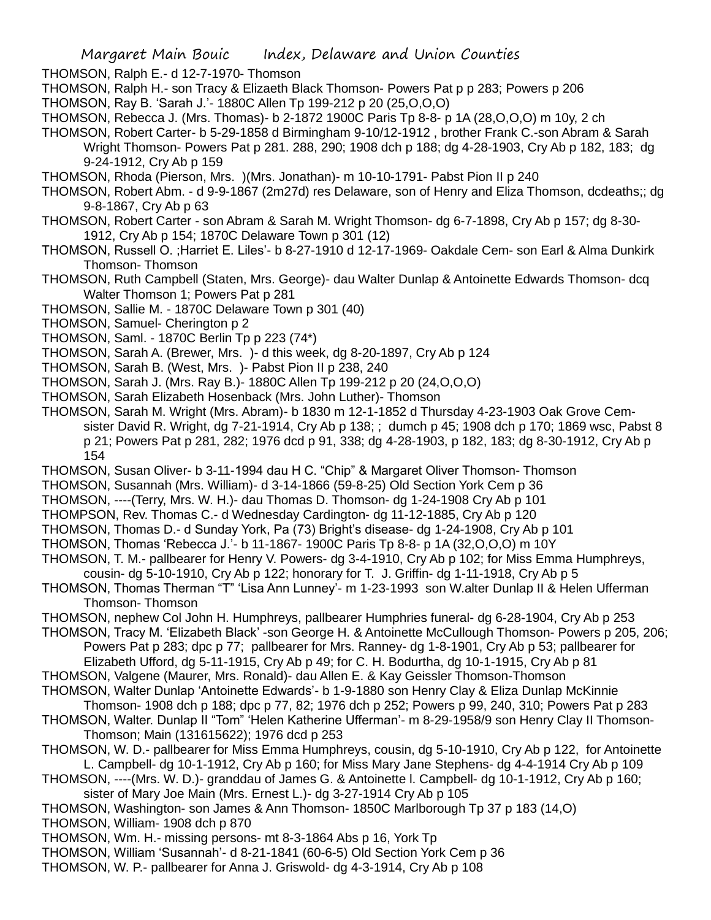THOMSON, Ralph E.- d 12-7-1970- Thomson

THOMSON, Ralph H.- son Tracy & Elizaeth Black Thomson- Powers Pat p p 283; Powers p 206

- THOMSON, Ray B. 'Sarah J.'- 1880C Allen Tp 199-212 p 20 (25,O,O,O)
- THOMSON, Rebecca J. (Mrs. Thomas)- b 2-1872 1900C Paris Tp 8-8- p 1A (28,O,O,O) m 10y, 2 ch
- THOMSON, Robert Carter- b 5-29-1858 d Birmingham 9-10/12-1912 , brother Frank C.-son Abram & Sarah Wright Thomson- Powers Pat p 281. 288, 290; 1908 dch p 188; dg 4-28-1903, Cry Ab p 182, 183; dg 9-24-1912, Cry Ab p 159
- THOMSON, Rhoda (Pierson, Mrs. )(Mrs. Jonathan)- m 10-10-1791- Pabst Pion II p 240
- THOMSON, Robert Abm. d 9-9-1867 (2m27d) res Delaware, son of Henry and Eliza Thomson, dcdeaths;; dg 9-8-1867, Cry Ab p 63
- THOMSON, Robert Carter son Abram & Sarah M. Wright Thomson- dg 6-7-1898, Cry Ab p 157; dg 8-30- 1912, Cry Ab p 154; 1870C Delaware Town p 301 (12)
- THOMSON, Russell O. ;Harriet E. Liles'- b 8-27-1910 d 12-17-1969- Oakdale Cem- son Earl & Alma Dunkirk Thomson- Thomson
- THOMSON, Ruth Campbell (Staten, Mrs. George)- dau Walter Dunlap & Antoinette Edwards Thomson- dcq Walter Thomson 1; Powers Pat p 281
- THOMSON, Sallie M. 1870C Delaware Town p 301 (40)
- THOMSON, Samuel- Cherington p 2
- THOMSON, Saml. 1870C Berlin Tp p 223 (74\*)
- THOMSON, Sarah A. (Brewer, Mrs. )- d this week, dg 8-20-1897, Cry Ab p 124
- THOMSON, Sarah B. (West, Mrs. )- Pabst Pion II p 238, 240
- THOMSON, Sarah J. (Mrs. Ray B.)- 1880C Allen Tp 199-212 p 20 (24,O,O,O)
- THOMSON, Sarah Elizabeth Hosenback (Mrs. John Luther)- Thomson
- THOMSON, Sarah M. Wright (Mrs. Abram)- b 1830 m 12-1-1852 d Thursday 4-23-1903 Oak Grove Cemsister David R. Wright, dg 7-21-1914, Cry Ab p 138; ; dumch p 45; 1908 dch p 170; 1869 wsc, Pabst 8 p 21; Powers Pat p 281, 282; 1976 dcd p 91, 338; dg 4-28-1903, p 182, 183; dg 8-30-1912, Cry Ab p 154
- THOMSON, Susan Oliver- b 3-11-1994 dau H C. "Chip" & Margaret Oliver Thomson- Thomson
- THOMSON, Susannah (Mrs. William)- d 3-14-1866 (59-8-25) Old Section York Cem p 36
- THOMSON, ----(Terry, Mrs. W. H.)- dau Thomas D. Thomson- dg 1-24-1908 Cry Ab p 101
- THOMPSON, Rev. Thomas C.- d Wednesday Cardington- dg 11-12-1885, Cry Ab p 120
- THOMSON, Thomas D.- d Sunday York, Pa (73) Bright's disease- dg 1-24-1908, Cry Ab p 101
- THOMSON, Thomas 'Rebecca J.'- b 11-1867- 1900C Paris Tp 8-8- p 1A (32,O,O,O) m 10Y
- THOMSON, T. M.- pallbearer for Henry V. Powers- dg 3-4-1910, Cry Ab p 102; for Miss Emma Humphreys,
- cousin- dg 5-10-1910, Cry Ab p 122; honorary for T. J. Griffin- dg 1-11-1918, Cry Ab p 5
- THOMSON, Thomas Therman "T" 'Lisa Ann Lunney'- m 1-23-1993 son W.alter Dunlap II & Helen Ufferman Thomson- Thomson
- THOMSON, nephew Col John H. Humphreys, pallbearer Humphries funeral- dg 6-28-1904, Cry Ab p 253
- THOMSON, Tracy M. 'Elizabeth Black' -son George H. & Antoinette McCullough Thomson- Powers p 205, 206; Powers Pat p 283; dpc p 77; pallbearer for Mrs. Ranney- dg 1-8-1901, Cry Ab p 53; pallbearer for
	- Elizabeth Ufford, dg 5-11-1915, Cry Ab p 49; for C. H. Bodurtha, dg 10-1-1915, Cry Ab p 81
- THOMSON, Valgene (Maurer, Mrs. Ronald)- dau Allen E. & Kay Geissler Thomson-Thomson THOMSON, Walter Dunlap 'Antoinette Edwards'- b 1-9-1880 son Henry Clay & Eliza Dunlap McKinnie
- Thomson- 1908 dch p 188; dpc p 77, 82; 1976 dch p 252; Powers p 99, 240, 310; Powers Pat p 283 THOMSON, Walter. Dunlap II "Tom" 'Helen Katherine Ufferman'- m 8-29-1958/9 son Henry Clay II Thomson-Thomson; Main (131615622); 1976 dcd p 253
- THOMSON, W. D.- pallbearer for Miss Emma Humphreys, cousin, dg 5-10-1910, Cry Ab p 122, for Antoinette L. Campbell- dg 10-1-1912, Cry Ab p 160; for Miss Mary Jane Stephens- dg 4-4-1914 Cry Ab p 109
- THOMSON, ----(Mrs. W. D.)- granddau of James G. & Antoinette l. Campbell- dg 10-1-1912, Cry Ab p 160; sister of Mary Joe Main (Mrs. Ernest L.)- dg 3-27-1914 Cry Ab p 105
- THOMSON, Washington- son James & Ann Thomson- 1850C Marlborough Tp 37 p 183 (14,O)
- THOMSON, William- 1908 dch p 870
- THOMSON, Wm. H.- missing persons- mt 8-3-1864 Abs p 16, York Tp
- THOMSON, William 'Susannah'- d 8-21-1841 (60-6-5) Old Section York Cem p 36
- THOMSON, W. P.- pallbearer for Anna J. Griswold- dg 4-3-1914, Cry Ab p 108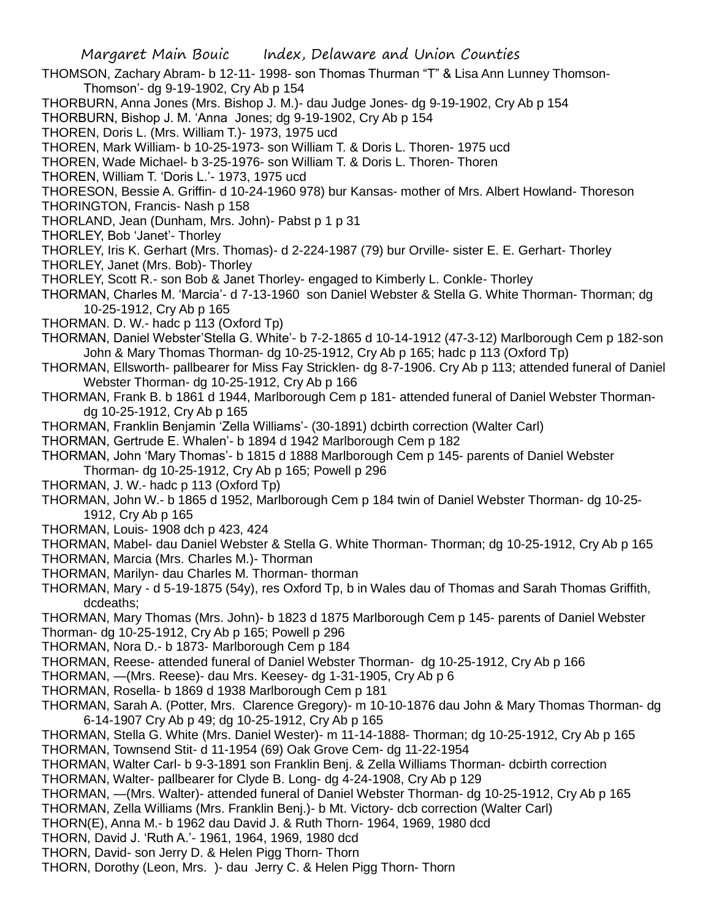- THOMSON, Zachary Abram- b 12-11- 1998- son Thomas Thurman "T" & Lisa Ann Lunney Thomson-Thomson'- dg 9-19-1902, Cry Ab p 154
- THORBURN, Anna Jones (Mrs. Bishop J. M.)- dau Judge Jones- dg 9-19-1902, Cry Ab p 154
- THORBURN, Bishop J. M. 'Anna Jones; dg 9-19-1902, Cry Ab p 154

THOREN, Doris L. (Mrs. William T.)- 1973, 1975 ucd

THOREN, Mark William- b 10-25-1973- son William T. & Doris L. Thoren- 1975 ucd

THOREN, Wade Michael- b 3-25-1976- son William T. & Doris L. Thoren- Thoren

THOREN, William T. 'Doris L.'- 1973, 1975 ucd

THORESON, Bessie A. Griffin- d 10-24-1960 978) bur Kansas- mother of Mrs. Albert Howland- Thoreson

THORINGTON, Francis- Nash p 158

THORLAND, Jean (Dunham, Mrs. John)- Pabst p 1 p 31

- THORLEY, Bob 'Janet'- Thorley
- THORLEY, Iris K. Gerhart (Mrs. Thomas)- d 2-224-1987 (79) bur Orville- sister E. E. Gerhart- Thorley
- THORLEY, Janet (Mrs. Bob)- Thorley
- THORLEY, Scott R.- son Bob & Janet Thorley- engaged to Kimberly L. Conkle- Thorley
- THORMAN, Charles M. 'Marcia'- d 7-13-1960 son Daniel Webster & Stella G. White Thorman- Thorman; dg 10-25-1912, Cry Ab p 165
- THORMAN. D. W.- hadc p 113 (Oxford Tp)
- THORMAN, Daniel Webster'Stella G. White'- b 7-2-1865 d 10-14-1912 (47-3-12) Marlborough Cem p 182-son John & Mary Thomas Thorman- dg 10-25-1912, Cry Ab p 165; hadc p 113 (Oxford Tp)
- THORMAN, Ellsworth- pallbearer for Miss Fay Stricklen- dg 8-7-1906. Cry Ab p 113; attended funeral of Daniel Webster Thorman- dg 10-25-1912, Cry Ab p 166
- THORMAN, Frank B. b 1861 d 1944, Marlborough Cem p 181- attended funeral of Daniel Webster Thormandg 10-25-1912, Cry Ab p 165
- THORMAN, Franklin Benjamin 'Zella Williams'- (30-1891) dcbirth correction (Walter Carl)
- THORMAN, Gertrude E. Whalen'- b 1894 d 1942 Marlborough Cem p 182
- THORMAN, John 'Mary Thomas'- b 1815 d 1888 Marlborough Cem p 145- parents of Daniel Webster
- Thorman- dg 10-25-1912, Cry Ab p 165; Powell p 296
- THORMAN, J. W.- hadc p 113 (Oxford Tp)
- THORMAN, John W.- b 1865 d 1952, Marlborough Cem p 184 twin of Daniel Webster Thorman- dg 10-25- 1912, Cry Ab p 165
- THORMAN, Louis- 1908 dch p 423, 424
- THORMAN, Mabel- dau Daniel Webster & Stella G. White Thorman- Thorman; dg 10-25-1912, Cry Ab p 165
- THORMAN, Marcia (Mrs. Charles M.)- Thorman
- THORMAN, Marilyn- dau Charles M. Thorman- thorman
- THORMAN, Mary d 5-19-1875 (54y), res Oxford Tp, b in Wales dau of Thomas and Sarah Thomas Griffith, dcdeaths;
- THORMAN, Mary Thomas (Mrs. John)- b 1823 d 1875 Marlborough Cem p 145- parents of Daniel Webster
- Thorman- dg 10-25-1912, Cry Ab p 165; Powell p 296
- THORMAN, Nora D.- b 1873- Marlborough Cem p 184
- THORMAN, Reese- attended funeral of Daniel Webster Thorman- dg 10-25-1912, Cry Ab p 166
- THORMAN, —(Mrs. Reese)- dau Mrs. Keesey- dg 1-31-1905, Cry Ab p 6
- THORMAN, Rosella- b 1869 d 1938 Marlborough Cem p 181
- THORMAN, Sarah A. (Potter, Mrs. Clarence Gregory)- m 10-10-1876 dau John & Mary Thomas Thorman- dg 6-14-1907 Cry Ab p 49; dg 10-25-1912, Cry Ab p 165
- THORMAN, Stella G. White (Mrs. Daniel Wester)- m 11-14-1888- Thorman; dg 10-25-1912, Cry Ab p 165
- THORMAN, Townsend Stit- d 11-1954 (69) Oak Grove Cem- dg 11-22-1954
- THORMAN, Walter Carl- b 9-3-1891 son Franklin Benj. & Zella Williams Thorman- dcbirth correction
- THORMAN, Walter- pallbearer for Clyde B. Long- dg 4-24-1908, Cry Ab p 129
- THORMAN, —(Mrs. Walter)- attended funeral of Daniel Webster Thorman- dg 10-25-1912, Cry Ab p 165
- THORMAN, Zella Williams (Mrs. Franklin Benj.)- b Mt. Victory- dcb correction (Walter Carl)
- THORN(E), Anna M.- b 1962 dau David J. & Ruth Thorn- 1964, 1969, 1980 dcd
- THORN, David J. 'Ruth A.'- 1961, 1964, 1969, 1980 dcd
- THORN, David- son Jerry D. & Helen Pigg Thorn- Thorn
- THORN, Dorothy (Leon, Mrs. )- dau Jerry C. & Helen Pigg Thorn- Thorn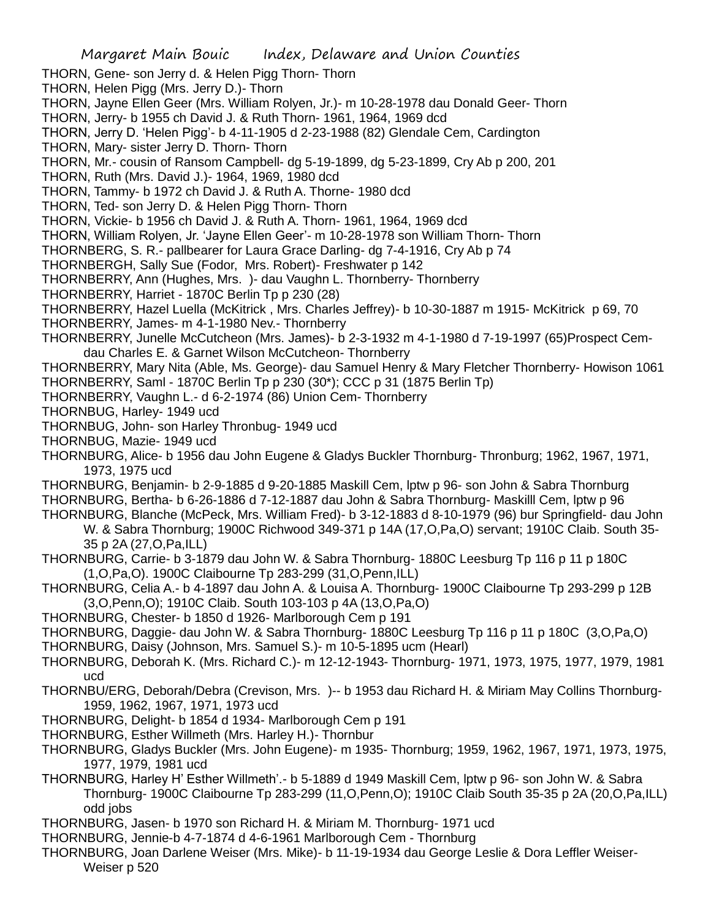THORN, Gene- son Jerry d. & Helen Pigg Thorn- Thorn THORN, Helen Pigg (Mrs. Jerry D.)- Thorn THORN, Jayne Ellen Geer (Mrs. William Rolyen, Jr.)- m 10-28-1978 dau Donald Geer- Thorn THORN, Jerry- b 1955 ch David J. & Ruth Thorn- 1961, 1964, 1969 dcd THORN, Jerry D. 'Helen Pigg'- b 4-11-1905 d 2-23-1988 (82) Glendale Cem, Cardington THORN, Mary- sister Jerry D. Thorn- Thorn THORN, Mr.- cousin of Ransom Campbell- dg 5-19-1899, dg 5-23-1899, Cry Ab p 200, 201 THORN, Ruth (Mrs. David J.)- 1964, 1969, 1980 dcd THORN, Tammy- b 1972 ch David J. & Ruth A. Thorne- 1980 dcd THORN, Ted- son Jerry D. & Helen Pigg Thorn- Thorn THORN, Vickie- b 1956 ch David J. & Ruth A. Thorn- 1961, 1964, 1969 dcd THORN, William Rolyen, Jr. 'Jayne Ellen Geer'- m 10-28-1978 son William Thorn- Thorn THORNBERG, S. R.- pallbearer for Laura Grace Darling- dg 7-4-1916, Cry Ab p 74 THORNBERGH, Sally Sue (Fodor, Mrs. Robert)- Freshwater p 142 THORNBERRY, Ann (Hughes, Mrs. )- dau Vaughn L. Thornberry- Thornberry THORNBERRY, Harriet - 1870C Berlin Tp p 230 (28) THORNBERRY, Hazel Luella (McKitrick , Mrs. Charles Jeffrey)- b 10-30-1887 m 1915- McKitrick p 69, 70 THORNBERRY, James- m 4-1-1980 Nev.- Thornberry THORNBERRY, Junelle McCutcheon (Mrs. James)- b 2-3-1932 m 4-1-1980 d 7-19-1997 (65)Prospect Cemdau Charles E. & Garnet Wilson McCutcheon- Thornberry THORNBERRY, Mary Nita (Able, Ms. George)- dau Samuel Henry & Mary Fletcher Thornberry- Howison 1061 THORNBERRY, Saml - 1870C Berlin Tp p 230 (30\*); CCC p 31 (1875 Berlin Tp) THORNBERRY, Vaughn L.- d 6-2-1974 (86) Union Cem- Thornberry THORNBUG, Harley- 1949 ucd THORNBUG, John- son Harley Thronbug- 1949 ucd THORNBUG, Mazie- 1949 ucd THORNBURG, Alice- b 1956 dau John Eugene & Gladys Buckler Thornburg- Thronburg; 1962, 1967, 1971, 1973, 1975 ucd THORNBURG, Benjamin- b 2-9-1885 d 9-20-1885 Maskill Cem, lptw p 96- son John & Sabra Thornburg THORNBURG, Bertha- b 6-26-1886 d 7-12-1887 dau John & Sabra Thornburg- Maskilll Cem, lptw p 96 THORNBURG, Blanche (McPeck, Mrs. William Fred)- b 3-12-1883 d 8-10-1979 (96) bur Springfield- dau John W. & Sabra Thornburg; 1900C Richwood 349-371 p 14A (17,O,Pa,O) servant; 1910C Claib. South 35- 35 p 2A (27,O,Pa,ILL) THORNBURG, Carrie- b 3-1879 dau John W. & Sabra Thornburg- 1880C Leesburg Tp 116 p 11 p 180C (1,O,Pa,O). 1900C Claibourne Tp 283-299 (31,O,Penn,ILL) THORNBURG, Celia A.- b 4-1897 dau John A. & Louisa A. Thornburg- 1900C Claibourne Tp 293-299 p 12B (3,O,Penn,O); 1910C Claib. South 103-103 p 4A (13,O,Pa,O) THORNBURG, Chester- b 1850 d 1926- Marlborough Cem p 191 THORNBURG, Daggie- dau John W. & Sabra Thornburg- 1880C Leesburg Tp 116 p 11 p 180C (3,O,Pa,O) THORNBURG, Daisy (Johnson, Mrs. Samuel S.)- m 10-5-1895 ucm (Hearl) THORNBURG, Deborah K. (Mrs. Richard C.)- m 12-12-1943- Thornburg- 1971, 1973, 1975, 1977, 1979, 1981 ucd THORNBU/ERG, Deborah/Debra (Crevison, Mrs. )-- b 1953 dau Richard H. & Miriam May Collins Thornburg-1959, 1962, 1967, 1971, 1973 ucd THORNBURG, Delight- b 1854 d 1934- Marlborough Cem p 191 THORNBURG, Esther Willmeth (Mrs. Harley H.)- Thornbur THORNBURG, Gladys Buckler (Mrs. John Eugene)- m 1935- Thornburg; 1959, 1962, 1967, 1971, 1973, 1975, 1977, 1979, 1981 ucd THORNBURG, Harley H' Esther Willmeth'.- b 5-1889 d 1949 Maskill Cem, lptw p 96- son John W. & Sabra Thornburg- 1900C Claibourne Tp 283-299 (11,O,Penn,O); 1910C Claib South 35-35 p 2A (20,O,Pa,ILL) odd jobs THORNBURG, Jasen- b 1970 son Richard H. & Miriam M. Thornburg- 1971 ucd THORNBURG, Jennie-b 4-7-1874 d 4-6-1961 Marlborough Cem - Thornburg

Margaret Main Bouic Index, Delaware and Union Counties

THORNBURG, Joan Darlene Weiser (Mrs. Mike)- b 11-19-1934 dau George Leslie & Dora Leffler Weiser-Weiser p 520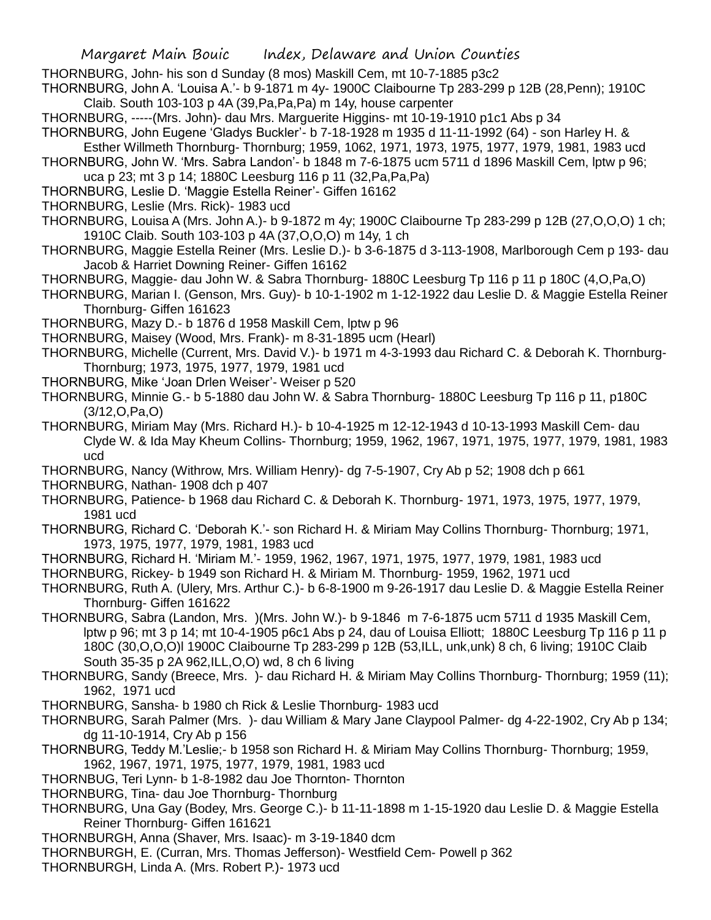THORNBURG, John- his son d Sunday (8 mos) Maskill Cem, mt 10-7-1885 p3c2

THORNBURG, John A. 'Louisa A.'- b 9-1871 m 4y- 1900C Claibourne Tp 283-299 p 12B (28,Penn); 1910C Claib. South 103-103 p 4A (39,Pa,Pa,Pa) m 14y, house carpenter

THORNBURG, -----(Mrs. John)- dau Mrs. Marguerite Higgins- mt 10-19-1910 p1c1 Abs p 34

THORNBURG, John Eugene 'Gladys Buckler'- b 7-18-1928 m 1935 d 11-11-1992 (64) - son Harley H. &

Esther Willmeth Thornburg- Thornburg; 1959, 1062, 1971, 1973, 1975, 1977, 1979, 1981, 1983 ucd

THORNBURG, John W. 'Mrs. Sabra Landon'- b 1848 m 7-6-1875 ucm 5711 d 1896 Maskill Cem, lptw p 96; uca p 23; mt 3 p 14; 1880C Leesburg 116 p 11 (32,Pa,Pa,Pa)

THORNBURG, Leslie D. 'Maggie Estella Reiner'- Giffen 16162

THORNBURG, Leslie (Mrs. Rick)- 1983 ucd

THORNBURG, Louisa A (Mrs. John A.)- b 9-1872 m 4y; 1900C Claibourne Tp 283-299 p 12B (27,O,O,O) 1 ch; 1910C Claib. South 103-103 p 4A (37,O,O,O) m 14y, 1 ch

THORNBURG, Maggie Estella Reiner (Mrs. Leslie D.)- b 3-6-1875 d 3-113-1908, Marlborough Cem p 193- dau Jacob & Harriet Downing Reiner- Giffen 16162

THORNBURG, Maggie- dau John W. & Sabra Thornburg- 1880C Leesburg Tp 116 p 11 p 180C (4,O,Pa,O)

THORNBURG, Marian I. (Genson, Mrs. Guy)- b 10-1-1902 m 1-12-1922 dau Leslie D. & Maggie Estella Reiner Thornburg- Giffen 161623

THORNBURG, Mazy D.- b 1876 d 1958 Maskill Cem, lptw p 96

THORNBURG, Maisey (Wood, Mrs. Frank)- m 8-31-1895 ucm (Hearl)

THORNBURG, Michelle (Current, Mrs. David V.)- b 1971 m 4-3-1993 dau Richard C. & Deborah K. Thornburg-Thornburg; 1973, 1975, 1977, 1979, 1981 ucd

THORNBURG, Mike 'Joan Drlen Weiser'- Weiser p 520

THORNBURG, Minnie G.- b 5-1880 dau John W. & Sabra Thornburg- 1880C Leesburg Tp 116 p 11, p180C (3/12,O,Pa,O)

THORNBURG, Miriam May (Mrs. Richard H.)- b 10-4-1925 m 12-12-1943 d 10-13-1993 Maskill Cem- dau Clyde W. & Ida May Kheum Collins- Thornburg; 1959, 1962, 1967, 1971, 1975, 1977, 1979, 1981, 1983 ucd

THORNBURG, Nancy (Withrow, Mrs. William Henry)- dg 7-5-1907, Cry Ab p 52; 1908 dch p 661

THORNBURG, Nathan- 1908 dch p 407

THORNBURG, Patience- b 1968 dau Richard C. & Deborah K. Thornburg- 1971, 1973, 1975, 1977, 1979, 1981 ucd

THORNBURG, Richard C. 'Deborah K.'- son Richard H. & Miriam May Collins Thornburg- Thornburg; 1971, 1973, 1975, 1977, 1979, 1981, 1983 ucd

THORNBURG, Richard H. 'Miriam M.'- 1959, 1962, 1967, 1971, 1975, 1977, 1979, 1981, 1983 ucd

THORNBURG, Rickey- b 1949 son Richard H. & Miriam M. Thornburg- 1959, 1962, 1971 ucd

THORNBURG, Ruth A. (Ulery, Mrs. Arthur C.)- b 6-8-1900 m 9-26-1917 dau Leslie D. & Maggie Estella Reiner Thornburg- Giffen 161622

THORNBURG, Sabra (Landon, Mrs. )(Mrs. John W.)- b 9-1846 m 7-6-1875 ucm 5711 d 1935 Maskill Cem, lptw p 96; mt 3 p 14; mt 10-4-1905 p6c1 Abs p 24, dau of Louisa Elliott; 1880C Leesburg Tp 116 p 11 p 180C (30,O,O,O)l 1900C Claibourne Tp 283-299 p 12B (53,ILL, unk,unk) 8 ch, 6 living; 1910C Claib South 35-35 p 2A 962,ILL,O,O) wd, 8 ch 6 living

THORNBURG, Sandy (Breece, Mrs. )- dau Richard H. & Miriam May Collins Thornburg- Thornburg; 1959 (11); 1962, 1971 ucd

THORNBURG, Sansha- b 1980 ch Rick & Leslie Thornburg- 1983 ucd

THORNBURG, Sarah Palmer (Mrs. )- dau William & Mary Jane Claypool Palmer- dg 4-22-1902, Cry Ab p 134; dg 11-10-1914, Cry Ab p 156

THORNBURG, Teddy M.'Leslie;- b 1958 son Richard H. & Miriam May Collins Thornburg- Thornburg; 1959, 1962, 1967, 1971, 1975, 1977, 1979, 1981, 1983 ucd

THORNBUG, Teri Lynn- b 1-8-1982 dau Joe Thornton- Thornton

THORNBURG, Tina- dau Joe Thornburg- Thornburg

THORNBURG, Una Gay (Bodey, Mrs. George C.)- b 11-11-1898 m 1-15-1920 dau Leslie D. & Maggie Estella Reiner Thornburg- Giffen 161621

THORNBURGH, Anna (Shaver, Mrs. Isaac)- m 3-19-1840 dcm

THORNBURGH, E. (Curran, Mrs. Thomas Jefferson)- Westfield Cem- Powell p 362

THORNBURGH, Linda A. (Mrs. Robert P.)- 1973 ucd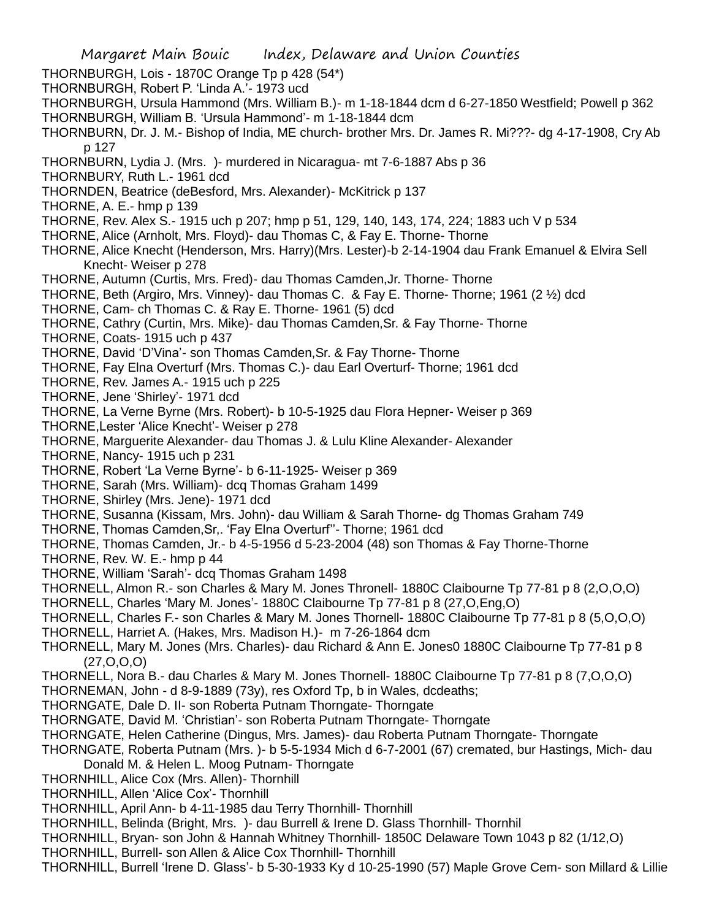- Margaret Main Bouic Index, Delaware and Union Counties
- THORNBURGH, Lois 1870C Orange Tp p 428 (54\*)
- THORNBURGH, Robert P. 'Linda A.'- 1973 ucd
- THORNBURGH, Ursula Hammond (Mrs. William B.)- m 1-18-1844 dcm d 6-27-1850 Westfield; Powell p 362 THORNBURGH, William B. 'Ursula Hammond'- m 1-18-1844 dcm
- THORNBURN, Dr. J. M.- Bishop of India, ME church- brother Mrs. Dr. James R. Mi???- dg 4-17-1908, Cry Ab p 127
- THORNBURN, Lydia J. (Mrs. )- murdered in Nicaragua- mt 7-6-1887 Abs p 36
- THORNBURY, Ruth L.- 1961 dcd
- THORNDEN, Beatrice (deBesford, Mrs. Alexander)- McKitrick p 137
- THORNE, A. E.- hmp p 139
- THORNE, Rev. Alex S.- 1915 uch p 207; hmp p 51, 129, 140, 143, 174, 224; 1883 uch V p 534
- THORNE, Alice (Arnholt, Mrs. Floyd)- dau Thomas C, & Fay E. Thorne- Thorne
- THORNE, Alice Knecht (Henderson, Mrs. Harry)(Mrs. Lester)-b 2-14-1904 dau Frank Emanuel & Elvira Sell Knecht- Weiser p 278
- THORNE, Autumn (Curtis, Mrs. Fred)- dau Thomas Camden,Jr. Thorne- Thorne
- THORNE, Beth (Argiro, Mrs. Vinney)- dau Thomas C. & Fay E. Thorne- Thorne; 1961 (2 ½) dcd
- THORNE, Cam- ch Thomas C. & Ray E. Thorne- 1961 (5) dcd
- THORNE, Cathry (Curtin, Mrs. Mike)- dau Thomas Camden,Sr. & Fay Thorne- Thorne
- THORNE, Coats- 1915 uch p 437
- THORNE, David 'D'Vina'- son Thomas Camden,Sr. & Fay Thorne- Thorne
- THORNE, Fay Elna Overturf (Mrs. Thomas C.)- dau Earl Overturf- Thorne; 1961 dcd
- THORNE, Rev. James A.- 1915 uch p 225
- THORNE, Jene 'Shirley'- 1971 dcd
- THORNE, La Verne Byrne (Mrs. Robert)- b 10-5-1925 dau Flora Hepner- Weiser p 369
- THORNE,Lester 'Alice Knecht'- Weiser p 278
- THORNE, Marguerite Alexander- dau Thomas J. & Lulu Kline Alexander- Alexander
- THORNE, Nancy- 1915 uch p 231
- THORNE, Robert 'La Verne Byrne'- b 6-11-1925- Weiser p 369
- THORNE, Sarah (Mrs. William)- dcq Thomas Graham 1499
- THORNE, Shirley (Mrs. Jene)- 1971 dcd
- THORNE, Susanna (Kissam, Mrs. John)- dau William & Sarah Thorne- dg Thomas Graham 749
- THORNE, Thomas Camden,Sr,. 'Fay Elna Overturf''- Thorne; 1961 dcd
- THORNE, Thomas Camden, Jr.- b 4-5-1956 d 5-23-2004 (48) son Thomas & Fay Thorne-Thorne
- THORNE, Rev. W. E.- hmp p 44
- THORNE, William 'Sarah'- dcq Thomas Graham 1498
- THORNELL, Almon R.- son Charles & Mary M. Jones Thronell- 1880C Claibourne Tp 77-81 p 8 (2,O,O,O)
- THORNELL, Charles 'Mary M. Jones'- 1880C Claibourne Tp 77-81 p 8 (27,O,Eng,O)
- THORNELL, Charles F.- son Charles & Mary M. Jones Thornell- 1880C Claibourne Tp 77-81 p 8 (5,O,O,O)
- THORNELL, Harriet A. (Hakes, Mrs. Madison H.)- m 7-26-1864 dcm
- THORNELL, Mary M. Jones (Mrs. Charles)- dau Richard & Ann E. Jones0 1880C Claibourne Tp 77-81 p 8  $(27, 0, 0, 0)$
- THORNELL, Nora B.- dau Charles & Mary M. Jones Thornell- 1880C Claibourne Tp 77-81 p 8 (7,O,O,O)
- THORNEMAN, John d 8-9-1889 (73y), res Oxford Tp, b in Wales, dcdeaths;
- THORNGATE, Dale D. II- son Roberta Putnam Thorngate- Thorngate
- THORNGATE, David M. 'Christian'- son Roberta Putnam Thorngate- Thorngate
- THORNGATE, Helen Catherine (Dingus, Mrs. James)- dau Roberta Putnam Thorngate- Thorngate
- THORNGATE, Roberta Putnam (Mrs. )- b 5-5-1934 Mich d 6-7-2001 (67) cremated, bur Hastings, Mich- dau Donald M. & Helen L. Moog Putnam- Thorngate
- THORNHILL, Alice Cox (Mrs. Allen)- Thornhill
- THORNHILL, Allen 'Alice Cox'- Thornhill
- THORNHILL, April Ann- b 4-11-1985 dau Terry Thornhill- Thornhill
- THORNHILL, Belinda (Bright, Mrs. )- dau Burrell & Irene D. Glass Thornhill- Thornhil
- THORNHILL, Bryan- son John & Hannah Whitney Thornhill- 1850C Delaware Town 1043 p 82 (1/12,O)
- THORNHILL, Burrell- son Allen & Alice Cox Thornhill- Thornhill
- THORNHILL, Burrell 'Irene D. Glass'- b 5-30-1933 Ky d 10-25-1990 (57) Maple Grove Cem- son Millard & Lillie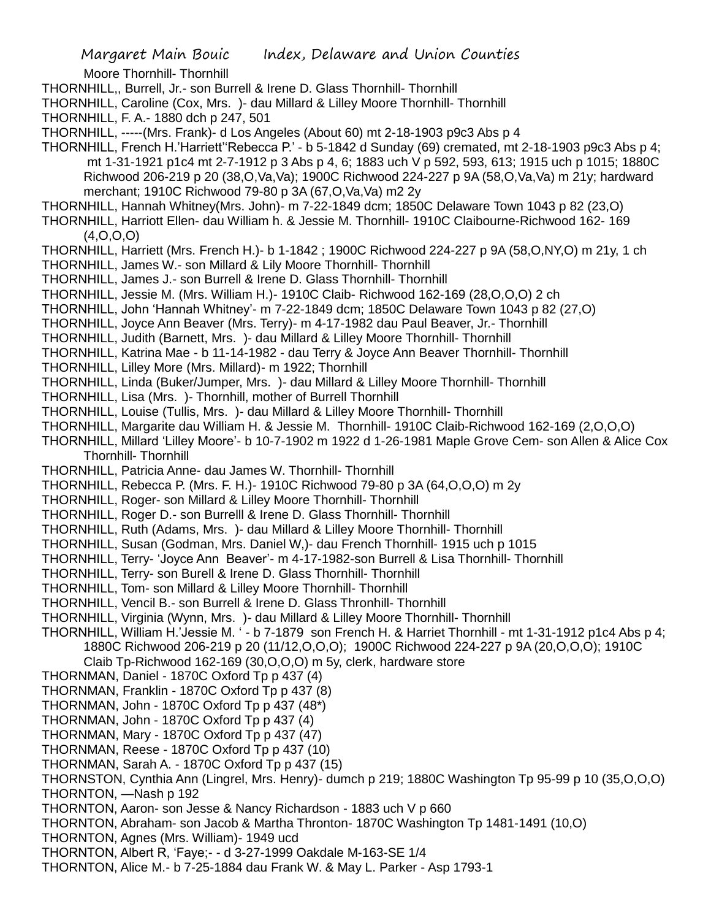Moore Thornhill- Thornhill

THORNHILL,, Burrell, Jr.- son Burrell & Irene D. Glass Thornhill- Thornhill

THORNHILL, Caroline (Cox, Mrs. )- dau Millard & Lilley Moore Thornhill- Thornhill

THORNHILL, F. A.- 1880 dch p 247, 501

THORNHILL, -----(Mrs. Frank)- d Los Angeles (About 60) mt 2-18-1903 p9c3 Abs p 4

THORNHILL, French H.'Harriett''Rebecca P.' - b 5-1842 d Sunday (69) cremated, mt 2-18-1903 p9c3 Abs p 4; mt 1-31-1921 p1c4 mt 2-7-1912 p 3 Abs p 4, 6; 1883 uch V p 592, 593, 613; 1915 uch p 1015; 1880C Richwood 206-219 p 20 (38,O,Va,Va); 1900C Richwood 224-227 p 9A (58,O,Va,Va) m 21y; hardward merchant; 1910C Richwood 79-80 p 3A (67,O,Va,Va) m2 2y

THORNHILL, Hannah Whitney(Mrs. John)- m 7-22-1849 dcm; 1850C Delaware Town 1043 p 82 (23,O)

THORNHILL, Harriott Ellen- dau William h. & Jessie M. Thornhill- 1910C Claibourne-Richwood 162- 169 (4,O,O,O)

THORNHILL, Harriett (Mrs. French H.)- b 1-1842 ; 1900C Richwood 224-227 p 9A (58,O,NY,O) m 21y, 1 ch

THORNHILL, James W.- son Millard & Lily Moore Thornhill- Thornhill

THORNHILL, James J.- son Burrell & Irene D. Glass Thornhill- Thornhill

THORNHILL, Jessie M. (Mrs. William H.)- 1910C Claib- Richwood 162-169 (28,O,O,O) 2 ch

THORNHILL, John 'Hannah Whitney'- m 7-22-1849 dcm; 1850C Delaware Town 1043 p 82 (27,O)

THORNHILL, Joyce Ann Beaver (Mrs. Terry)- m 4-17-1982 dau Paul Beaver, Jr.- Thornhill

THORNHILL, Judith (Barnett, Mrs. )- dau Millard & Lilley Moore Thornhill- Thornhill

THORNHILL, Katrina Mae - b 11-14-1982 - dau Terry & Joyce Ann Beaver Thornhill- Thornhill

THORNHILL, Lilley More (Mrs. Millard)- m 1922; Thornhill

THORNHILL, Linda (Buker/Jumper, Mrs. )- dau Millard & Lilley Moore Thornhill- Thornhill

THORNHILL, Lisa (Mrs. )- Thornhill, mother of Burrell Thornhill

THORNHILL, Louise (Tullis, Mrs. )- dau Millard & Lilley Moore Thornhill- Thornhill

THORNHILL, Margarite dau William H. & Jessie M. Thornhill- 1910C Claib-Richwood 162-169 (2,O,O,O)

THORNHILL, Millard 'Lilley Moore'- b 10-7-1902 m 1922 d 1-26-1981 Maple Grove Cem- son Allen & Alice Cox Thornhill- Thornhill

THORNHILL, Patricia Anne- dau James W. Thornhill- Thornhill

THORNHILL, Rebecca P. (Mrs. F. H.)- 1910C Richwood 79-80 p 3A (64,O,O,O) m 2y

THORNHILL, Roger- son Millard & Lilley Moore Thornhill- Thornhill

THORNHILL, Roger D.- son Burrelll & Irene D. Glass Thornhill- Thornhill

THORNHILL, Ruth (Adams, Mrs. )- dau Millard & Lilley Moore Thornhill- Thornhill

THORNHILL, Susan (Godman, Mrs. Daniel W,)- dau French Thornhill- 1915 uch p 1015

THORNHILL, Terry- 'Joyce Ann Beaver'- m 4-17-1982-son Burrell & Lisa Thornhill- Thornhill

THORNHILL, Terry- son Burell & Irene D. Glass Thornhill- Thornhill

THORNHILL, Tom- son Millard & Lilley Moore Thornhill- Thornhill

THORNHILL, Vencil B.- son Burrell & Irene D. Glass Thronhill- Thornhill

THORNHILL, Virginia (Wynn, Mrs. )- dau Millard & Lilley Moore Thornhill- Thornhill

THORNHILL, William H.'Jessie M. ' - b 7-1879 son French H. & Harriet Thornhill - mt 1-31-1912 p1c4 Abs p 4; 1880C Richwood 206-219 p 20 (11/12,O,O,O); 1900C Richwood 224-227 p 9A (20,O,O,O); 1910C

Claib Tp-Richwood 162-169 (30,O,O,O) m 5y, clerk, hardware store

THORNMAN, Daniel - 1870C Oxford Tp p 437 (4)

THORNMAN, Franklin - 1870C Oxford Tp p 437 (8)

THORNMAN, John - 1870C Oxford Tp p 437 (48\*)

THORNMAN, John - 1870C Oxford Tp p 437 (4)

THORNMAN, Mary - 1870C Oxford Tp p 437 (47)

THORNMAN, Reese - 1870C Oxford Tp p 437 (10)

THORNMAN, Sarah A. - 1870C Oxford Tp p 437 (15)

THORNSTON, Cynthia Ann (Lingrel, Mrs. Henry)- dumch p 219; 1880C Washington Tp 95-99 p 10 (35,O,O,O)

THORNTON, —Nash p 192

THORNTON, Aaron- son Jesse & Nancy Richardson - 1883 uch V p 660

THORNTON, Abraham- son Jacob & Martha Thronton- 1870C Washington Tp 1481-1491 (10,O)

THORNTON, Agnes (Mrs. William)- 1949 ucd

THORNTON, Albert R, 'Faye;- - d 3-27-1999 Oakdale M-163-SE 1/4

THORNTON, Alice M.- b 7-25-1884 dau Frank W. & May L. Parker - Asp 1793-1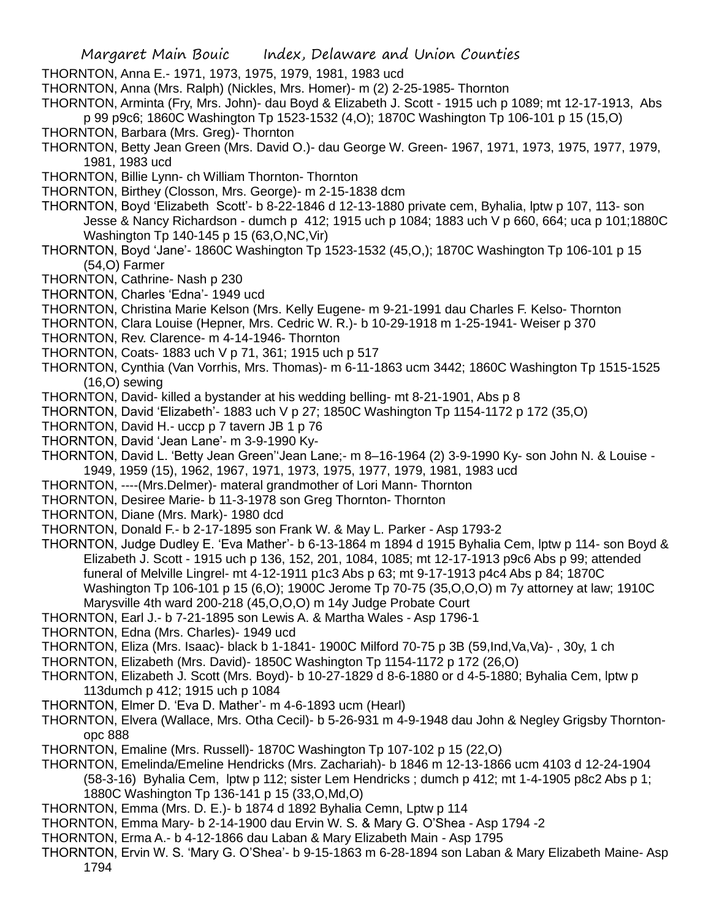THORNTON, Anna E.- 1971, 1973, 1975, 1979, 1981, 1983 ucd

THORNTON, Anna (Mrs. Ralph) (Nickles, Mrs. Homer)- m (2) 2-25-1985- Thornton

THORNTON, Arminta (Fry, Mrs. John)- dau Boyd & Elizabeth J. Scott - 1915 uch p 1089; mt 12-17-1913, Abs p 99 p9c6; 1860C Washington Tp 1523-1532 (4,O); 1870C Washington Tp 106-101 p 15 (15,O) THORNTON, Barbara (Mrs. Greg)- Thornton

- THORNTON, Betty Jean Green (Mrs. David O.)- dau George W. Green- 1967, 1971, 1973, 1975, 1977, 1979, 1981, 1983 ucd
- THORNTON, Billie Lynn- ch William Thornton- Thornton
- THORNTON, Birthey (Closson, Mrs. George)- m 2-15-1838 dcm
- THORNTON, Boyd 'Elizabeth Scott'- b 8-22-1846 d 12-13-1880 private cem, Byhalia, lptw p 107, 113- son Jesse & Nancy Richardson - dumch p 412; 1915 uch p 1084; 1883 uch V p 660, 664; uca p 101;1880C Washington Tp 140-145 p 15 (63,O,NC,Vir)
- THORNTON, Boyd 'Jane'- 1860C Washington Tp 1523-1532 (45,O,); 1870C Washington Tp 106-101 p 15 (54,O) Farmer
- THORNTON, Cathrine- Nash p 230
- THORNTON, Charles 'Edna'- 1949 ucd
- THORNTON, Christina Marie Kelson (Mrs. Kelly Eugene- m 9-21-1991 dau Charles F. Kelso- Thornton
- THORNTON, Clara Louise (Hepner, Mrs. Cedric W. R.)- b 10-29-1918 m 1-25-1941- Weiser p 370
- THORNTON, Rev. Clarence- m 4-14-1946- Thornton
- THORNTON, Coats- 1883 uch V p 71, 361; 1915 uch p 517
- THORNTON, Cynthia (Van Vorrhis, Mrs. Thomas)- m 6-11-1863 ucm 3442; 1860C Washington Tp 1515-1525 (16,O) sewing
- THORNTON, David- killed a bystander at his wedding belling- mt 8-21-1901, Abs p 8
- THORNTON, David 'Elizabeth'- 1883 uch V p 27; 1850C Washington Tp 1154-1172 p 172 (35,O)
- THORNTON, David H.- uccp p 7 tavern JB 1 p 76
- THORNTON, David 'Jean Lane'- m 3-9-1990 Ky-
- THORNTON, David L. 'Betty Jean Green''Jean Lane;- m 8–16-1964 (2) 3-9-1990 Ky- son John N. & Louise 1949, 1959 (15), 1962, 1967, 1971, 1973, 1975, 1977, 1979, 1981, 1983 ucd
- THORNTON, ----(Mrs.Delmer)- materal grandmother of Lori Mann- Thornton
- THORNTON, Desiree Marie- b 11-3-1978 son Greg Thornton- Thornton
- THORNTON, Diane (Mrs. Mark)- 1980 dcd
- THORNTON, Donald F.- b 2-17-1895 son Frank W. & May L. Parker Asp 1793-2
- THORNTON, Judge Dudley E. 'Eva Mather'- b 6-13-1864 m 1894 d 1915 Byhalia Cem, lptw p 114- son Boyd & Elizabeth J. Scott - 1915 uch p 136, 152, 201, 1084, 1085; mt 12-17-1913 p9c6 Abs p 99; attended funeral of Melville Lingrel- mt 4-12-1911 p1c3 Abs p 63; mt 9-17-1913 p4c4 Abs p 84; 1870C Washington Tp 106-101 p 15 (6,O); 1900C Jerome Tp 70-75 (35,O,O,O) m 7y attorney at law; 1910C Marysville 4th ward 200-218 (45,O,O,O) m 14y Judge Probate Court
- THORNTON, Earl J.- b 7-21-1895 son Lewis A. & Martha Wales Asp 1796-1
- THORNTON, Edna (Mrs. Charles)- 1949 ucd
- THORNTON, Eliza (Mrs. Isaac)- black b 1-1841- 1900C Milford 70-75 p 3B (59,Ind,Va,Va)- , 30y, 1 ch
- THORNTON, Elizabeth (Mrs. David)- 1850C Washington Tp 1154-1172 p 172 (26,O)
- THORNTON, Elizabeth J. Scott (Mrs. Boyd)- b 10-27-1829 d 8-6-1880 or d 4-5-1880; Byhalia Cem, lptw p 113dumch p 412; 1915 uch p 1084
- THORNTON, Elmer D. 'Eva D. Mather'- m 4-6-1893 ucm (Hearl)
- THORNTON, Elvera (Wallace, Mrs. Otha Cecil)- b 5-26-931 m 4-9-1948 dau John & Negley Grigsby Thorntonopc 888
- THORNTON, Emaline (Mrs. Russell)- 1870C Washington Tp 107-102 p 15 (22,O)
- THORNTON, Emelinda/Emeline Hendricks (Mrs. Zachariah)- b 1846 m 12-13-1866 ucm 4103 d 12-24-1904 (58-3-16) Byhalia Cem, lptw p 112; sister Lem Hendricks ; dumch p 412; mt 1-4-1905 p8c2 Abs p 1; 1880C Washington Tp 136-141 p 15 (33,O,Md,O)
- THORNTON, Emma (Mrs. D. E.)- b 1874 d 1892 Byhalia Cemn, Lptw p 114
- THORNTON, Emma Mary- b 2-14-1900 dau Ervin W. S. & Mary G. O'Shea Asp 1794 -2
- THORNTON, Erma A.- b 4-12-1866 dau Laban & Mary Elizabeth Main Asp 1795
- THORNTON, Ervin W. S. 'Mary G. O'Shea'- b 9-15-1863 m 6-28-1894 son Laban & Mary Elizabeth Maine- Asp 1794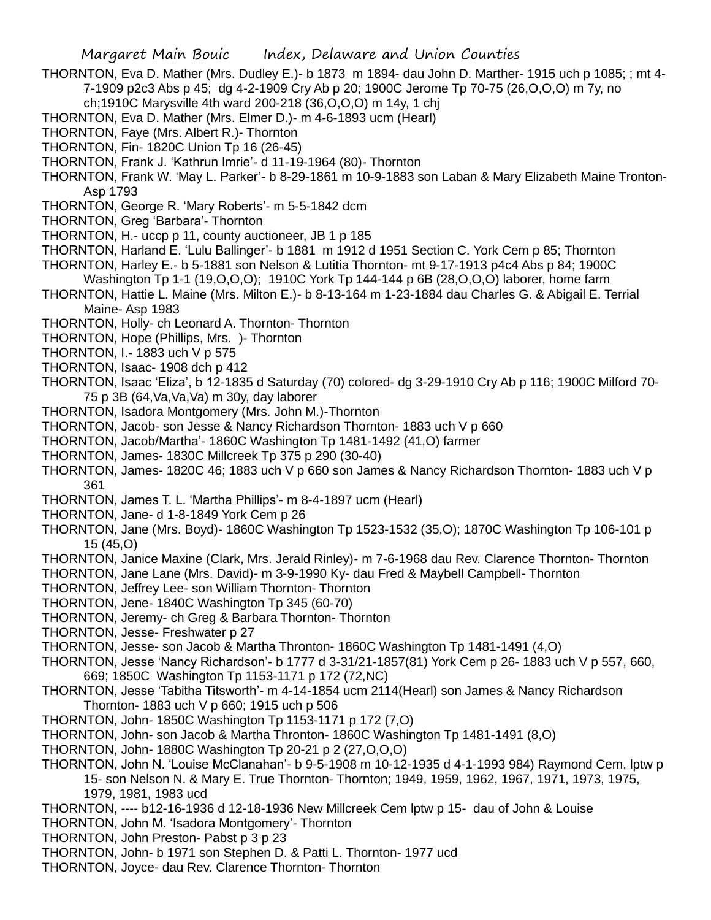- THORNTON, Eva D. Mather (Mrs. Dudley E.)- b 1873 m 1894- dau John D. Marther- 1915 uch p 1085; ; mt 4- 7-1909 p2c3 Abs p 45; dg 4-2-1909 Cry Ab p 20; 1900C Jerome Tp 70-75 (26,O,O,O) m 7y, no ch;1910C Marysville 4th ward 200-218 (36,O,O,O) m 14y, 1 chj
- THORNTON, Eva D. Mather (Mrs. Elmer D.)- m 4-6-1893 ucm (Hearl)
- THORNTON, Faye (Mrs. Albert R.)- Thornton
- THORNTON, Fin- 1820C Union Tp 16 (26-45)
- THORNTON, Frank J. 'Kathrun Imrie'- d 11-19-1964 (80)- Thornton
- THORNTON, Frank W. 'May L. Parker'- b 8-29-1861 m 10-9-1883 son Laban & Mary Elizabeth Maine Tronton-Asp 1793
- THORNTON, George R. 'Mary Roberts'- m 5-5-1842 dcm
- THORNTON, Greg 'Barbara'- Thornton
- THORNTON, H.- uccp p 11, county auctioneer, JB 1 p 185
- THORNTON, Harland E. 'Lulu Ballinger'- b 1881 m 1912 d 1951 Section C. York Cem p 85; Thornton
- THORNTON, Harley E.- b 5-1881 son Nelson & Lutitia Thornton- mt 9-17-1913 p4c4 Abs p 84; 1900C Washington Tp 1-1 (19,O,O,O); 1910C York Tp 144-144 p 6B (28,O,O,O) laborer, home farm
- THORNTON, Hattie L. Maine (Mrs. Milton E.)- b 8-13-164 m 1-23-1884 dau Charles G. & Abigail E. Terrial Maine- Asp 1983
- THORNTON, Holly- ch Leonard A. Thornton- Thornton
- THORNTON, Hope (Phillips, Mrs. )- Thornton
- THORNTON, I.- 1883 uch V p 575
- THORNTON, Isaac- 1908 dch p 412
- THORNTON, Isaac 'Eliza', b 12-1835 d Saturday (70) colored- dg 3-29-1910 Cry Ab p 116; 1900C Milford 70- 75 p 3B (64,Va,Va,Va) m 30y, day laborer
- THORNTON, Isadora Montgomery (Mrs. John M.)-Thornton
- THORNTON, Jacob- son Jesse & Nancy Richardson Thornton- 1883 uch V p 660
- THORNTON, Jacob/Martha'- 1860C Washington Tp 1481-1492 (41,O) farmer
- THORNTON, James- 1830C Millcreek Tp 375 p 290 (30-40)
- THORNTON, James- 1820C 46; 1883 uch V p 660 son James & Nancy Richardson Thornton- 1883 uch V p 361
- THORNTON, James T. L. 'Martha Phillips'- m 8-4-1897 ucm (Hearl)
- THORNTON, Jane- d 1-8-1849 York Cem p 26
- THORNTON, Jane (Mrs. Boyd)- 1860C Washington Tp 1523-1532 (35,O); 1870C Washington Tp 106-101 p 15 (45,O)
- THORNTON, Janice Maxine (Clark, Mrs. Jerald Rinley)- m 7-6-1968 dau Rev. Clarence Thornton- Thornton
- THORNTON, Jane Lane (Mrs. David)- m 3-9-1990 Ky- dau Fred & Maybell Campbell- Thornton
- THORNTON, Jeffrey Lee- son William Thornton- Thornton
- THORNTON, Jene- 1840C Washington Tp 345 (60-70)
- THORNTON, Jeremy- ch Greg & Barbara Thornton- Thornton
- THORNTON, Jesse- Freshwater p 27
- THORNTON, Jesse- son Jacob & Martha Thronton- 1860C Washington Tp 1481-1491 (4,O)
- THORNTON, Jesse 'Nancy Richardson'- b 1777 d 3-31/21-1857(81) York Cem p 26- 1883 uch V p 557, 660, 669; 1850C Washington Tp 1153-1171 p 172 (72,NC)
- THORNTON, Jesse 'Tabitha Titsworth'- m 4-14-1854 ucm 2114(Hearl) son James & Nancy Richardson Thornton- 1883 uch V p 660; 1915 uch p 506
- THORNTON, John- 1850C Washington Tp 1153-1171 p 172 (7,O)
- THORNTON, John- son Jacob & Martha Thronton- 1860C Washington Tp 1481-1491 (8,O)
- THORNTON, John- 1880C Washington Tp 20-21 p 2 (27,O,O,O)
- THORNTON, John N. 'Louise McClanahan'- b 9-5-1908 m 10-12-1935 d 4-1-1993 984) Raymond Cem, lptw p 15- son Nelson N. & Mary E. True Thornton- Thornton; 1949, 1959, 1962, 1967, 1971, 1973, 1975, 1979, 1981, 1983 ucd
- THORNTON, ---- b12-16-1936 d 12-18-1936 New Millcreek Cem lptw p 15- dau of John & Louise
- THORNTON, John M. 'Isadora Montgomery'- Thornton
- THORNTON, John Preston- Pabst p 3 p 23
- THORNTON, John- b 1971 son Stephen D. & Patti L. Thornton- 1977 ucd
- THORNTON, Joyce- dau Rev. Clarence Thornton- Thornton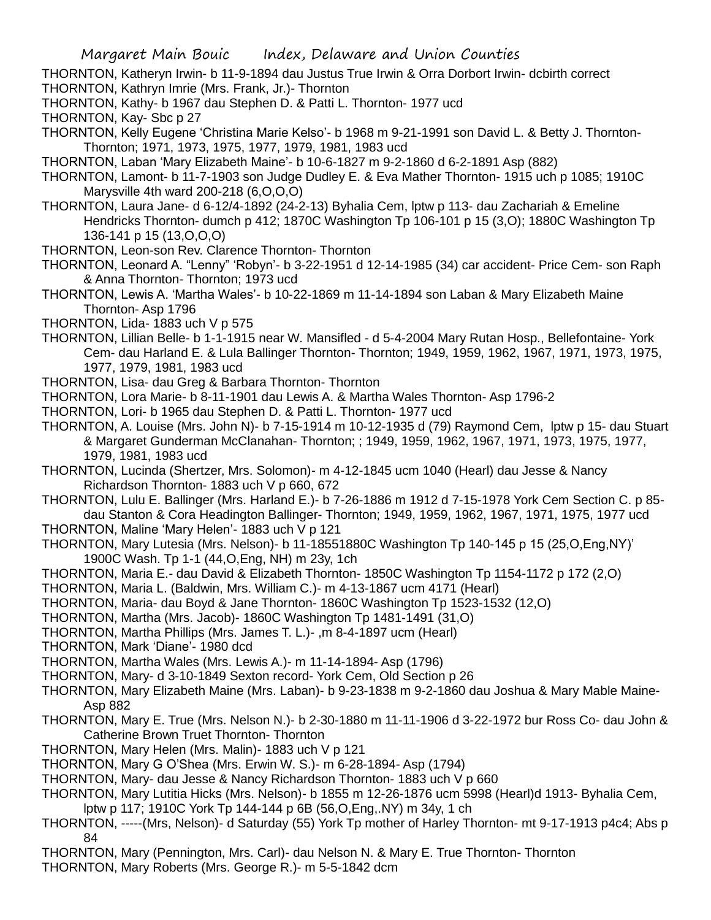THORNTON, Katheryn Irwin- b 11-9-1894 dau Justus True Irwin & Orra Dorbort Irwin- dcbirth correct

THORNTON, Kathryn Imrie (Mrs. Frank, Jr.)- Thornton

- THORNTON, Kathy- b 1967 dau Stephen D. & Patti L. Thornton- 1977 ucd
- THORNTON, Kay- Sbc p 27
- THORNTON, Kelly Eugene 'Christina Marie Kelso'- b 1968 m 9-21-1991 son David L. & Betty J. Thornton-Thornton; 1971, 1973, 1975, 1977, 1979, 1981, 1983 ucd
- THORNTON, Laban 'Mary Elizabeth Maine'- b 10-6-1827 m 9-2-1860 d 6-2-1891 Asp (882)
- THORNTON, Lamont- b 11-7-1903 son Judge Dudley E. & Eva Mather Thornton- 1915 uch p 1085; 1910C Marysville 4th ward 200-218 (6,O,O,O)
- THORNTON, Laura Jane- d 6-12/4-1892 (24-2-13) Byhalia Cem, lptw p 113- dau Zachariah & Emeline Hendricks Thornton- dumch p 412; 1870C Washington Tp 106-101 p 15 (3,O); 1880C Washington Tp 136-141 p 15 (13,O,O,O)
- THORNTON, Leon-son Rev. Clarence Thornton- Thornton
- THORNTON, Leonard A. "Lenny" 'Robyn'- b 3-22-1951 d 12-14-1985 (34) car accident- Price Cem- son Raph & Anna Thornton- Thornton; 1973 ucd
- THORNTON, Lewis A. 'Martha Wales'- b 10-22-1869 m 11-14-1894 son Laban & Mary Elizabeth Maine Thornton- Asp 1796
- THORNTON, Lida- 1883 uch V p 575
- THORNTON, Lillian Belle- b 1-1-1915 near W. Mansifled d 5-4-2004 Mary Rutan Hosp., Bellefontaine- York Cem- dau Harland E. & Lula Ballinger Thornton- Thornton; 1949, 1959, 1962, 1967, 1971, 1973, 1975, 1977, 1979, 1981, 1983 ucd
- THORNTON, Lisa- dau Greg & Barbara Thornton- Thornton
- THORNTON, Lora Marie- b 8-11-1901 dau Lewis A. & Martha Wales Thornton- Asp 1796-2
- THORNTON, Lori- b 1965 dau Stephen D. & Patti L. Thornton- 1977 ucd
- THORNTON, A. Louise (Mrs. John N)- b 7-15-1914 m 10-12-1935 d (79) Raymond Cem, lptw p 15- dau Stuart & Margaret Gunderman McClanahan- Thornton; ; 1949, 1959, 1962, 1967, 1971, 1973, 1975, 1977, 1979, 1981, 1983 ucd
- THORNTON, Lucinda (Shertzer, Mrs. Solomon)- m 4-12-1845 ucm 1040 (Hearl) dau Jesse & Nancy Richardson Thornton- 1883 uch V p 660, 672
- THORNTON, Lulu E. Ballinger (Mrs. Harland E.)- b 7-26-1886 m 1912 d 7-15-1978 York Cem Section C. p 85 dau Stanton & Cora Headington Ballinger- Thornton; 1949, 1959, 1962, 1967, 1971, 1975, 1977 ucd
- THORNTON, Maline 'Mary Helen'- 1883 uch V p 121
- THORNTON, Mary Lutesia (Mrs. Nelson)- b 11-18551880C Washington Tp 140-145 p 15 (25,O,Eng,NY)' 1900C Wash. Tp 1-1 (44,O,Eng, NH) m 23y, 1ch
- THORNTON, Maria E.- dau David & Elizabeth Thornton- 1850C Washington Tp 1154-1172 p 172 (2,O)
- THORNTON, Maria L. (Baldwin, Mrs. William C.)- m 4-13-1867 ucm 4171 (Hearl)
- THORNTON, Maria- dau Boyd & Jane Thornton- 1860C Washington Tp 1523-1532 (12,O)
- THORNTON, Martha (Mrs. Jacob)- 1860C Washington Tp 1481-1491 (31,O)
- THORNTON, Martha Phillips (Mrs. James T. L.)- ,m 8-4-1897 ucm (Hearl)
- THORNTON, Mark 'Diane'- 1980 dcd
- THORNTON, Martha Wales (Mrs. Lewis A.)- m 11-14-1894- Asp (1796)
- THORNTON, Mary- d 3-10-1849 Sexton record- York Cem, Old Section p 26
- THORNTON, Mary Elizabeth Maine (Mrs. Laban)- b 9-23-1838 m 9-2-1860 dau Joshua & Mary Mable Maine-Asp 882
- THORNTON, Mary E. True (Mrs. Nelson N.)- b 2-30-1880 m 11-11-1906 d 3-22-1972 bur Ross Co- dau John & Catherine Brown Truet Thornton- Thornton
- THORNTON, Mary Helen (Mrs. Malin)- 1883 uch V p 121
- THORNTON, Mary G O'Shea (Mrs. Erwin W. S.)- m 6-28-1894- Asp (1794)
- THORNTON, Mary- dau Jesse & Nancy Richardson Thornton- 1883 uch V p 660
- THORNTON, Mary Lutitia Hicks (Mrs. Nelson)- b 1855 m 12-26-1876 ucm 5998 (Hearl)d 1913- Byhalia Cem, lptw p 117; 1910C York Tp 144-144 p 6B (56,O,Eng,.NY) m 34y, 1 ch
- THORNTON, -----(Mrs, Nelson)- d Saturday (55) York Tp mother of Harley Thornton- mt 9-17-1913 p4c4; Abs p 84
- THORNTON, Mary (Pennington, Mrs. Carl)- dau Nelson N. & Mary E. True Thornton- Thornton
- THORNTON, Mary Roberts (Mrs. George R.)- m 5-5-1842 dcm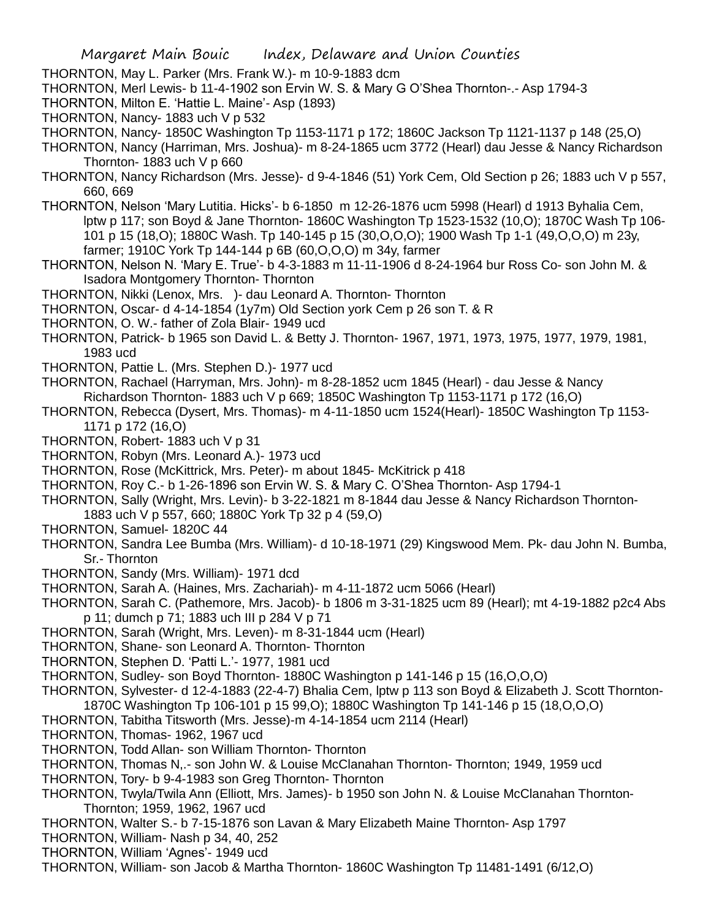- THORNTON, May L. Parker (Mrs. Frank W.)- m 10-9-1883 dcm
- THORNTON, Merl Lewis- b 11-4-1902 son Ervin W. S. & Mary G O'Shea Thornton-.- Asp 1794-3
- THORNTON, Milton E. 'Hattie L. Maine'- Asp (1893)
- THORNTON, Nancy- 1883 uch V p 532
- THORNTON, Nancy- 1850C Washington Tp 1153-1171 p 172; 1860C Jackson Tp 1121-1137 p 148 (25,O)
- THORNTON, Nancy (Harriman, Mrs. Joshua)- m 8-24-1865 ucm 3772 (Hearl) dau Jesse & Nancy Richardson Thornton- 1883 uch V p 660
- THORNTON, Nancy Richardson (Mrs. Jesse)- d 9-4-1846 (51) York Cem, Old Section p 26; 1883 uch V p 557, 660, 669
- THORNTON, Nelson 'Mary Lutitia. Hicks'- b 6-1850 m 12-26-1876 ucm 5998 (Hearl) d 1913 Byhalia Cem, lptw p 117; son Boyd & Jane Thornton- 1860C Washington Tp 1523-1532 (10,O); 1870C Wash Tp 106- 101 p 15 (18,O); 1880C Wash. Tp 140-145 p 15 (30,O,O,O); 1900 Wash Tp 1-1 (49,O,O,O) m 23y, farmer; 1910C York Tp 144-144 p 6B (60,O,O,O) m 34y, farmer
- THORNTON, Nelson N. 'Mary E. True'- b 4-3-1883 m 11-11-1906 d 8-24-1964 bur Ross Co- son John M. & Isadora Montgomery Thornton- Thornton
- THORNTON, Nikki (Lenox, Mrs. )- dau Leonard A. Thornton- Thornton
- THORNTON, Oscar- d 4-14-1854 (1y7m) Old Section york Cem p 26 son T. & R
- THORNTON, O. W.- father of Zola Blair- 1949 ucd
- THORNTON, Patrick- b 1965 son David L. & Betty J. Thornton- 1967, 1971, 1973, 1975, 1977, 1979, 1981, 1983 ucd
- THORNTON, Pattie L. (Mrs. Stephen D.)- 1977 ucd
- THORNTON, Rachael (Harryman, Mrs. John)- m 8-28-1852 ucm 1845 (Hearl) dau Jesse & Nancy Richardson Thornton- 1883 uch V p 669; 1850C Washington Tp 1153-1171 p 172 (16,O)
- THORNTON, Rebecca (Dysert, Mrs. Thomas)- m 4-11-1850 ucm 1524(Hearl)- 1850C Washington Tp 1153- 1171 p 172 (16,O)
- THORNTON, Robert- 1883 uch V p 31
- THORNTON, Robyn (Mrs. Leonard A.)- 1973 ucd
- THORNTON, Rose (McKittrick, Mrs. Peter)- m about 1845- McKitrick p 418
- THORNTON, Roy C.- b 1-26-1896 son Ervin W. S. & Mary C. O'Shea Thornton- Asp 1794-1
- THORNTON, Sally (Wright, Mrs. Levin)- b 3-22-1821 m 8-1844 dau Jesse & Nancy Richardson Thornton-1883 uch V p 557, 660; 1880C York Tp 32 p 4 (59,O)
- THORNTON, Samuel- 1820C 44
- THORNTON, Sandra Lee Bumba (Mrs. William)- d 10-18-1971 (29) Kingswood Mem. Pk- dau John N. Bumba, Sr.- Thornton
- THORNTON, Sandy (Mrs. William)- 1971 dcd
- THORNTON, Sarah A. (Haines, Mrs. Zachariah)- m 4-11-1872 ucm 5066 (Hearl)
- THORNTON, Sarah C. (Pathemore, Mrs. Jacob)- b 1806 m 3-31-1825 ucm 89 (Hearl); mt 4-19-1882 p2c4 Abs p 11; dumch p 71; 1883 uch III p 284 V p 71
- THORNTON, Sarah (Wright, Mrs. Leven)- m 8-31-1844 ucm (Hearl)
- THORNTON, Shane- son Leonard A. Thornton- Thornton
- THORNTON, Stephen D. 'Patti L.'- 1977, 1981 ucd
- THORNTON, Sudley- son Boyd Thornton- 1880C Washington p 141-146 p 15 (16,O,O,O)
- THORNTON, Sylvester- d 12-4-1883 (22-4-7) Bhalia Cem, lptw p 113 son Boyd & Elizabeth J. Scott Thornton-1870C Washington Tp 106-101 p 15 99,O); 1880C Washington Tp 141-146 p 15 (18,O,O,O)
- THORNTON, Tabitha Titsworth (Mrs. Jesse)-m 4-14-1854 ucm 2114 (Hearl)
- THORNTON, Thomas- 1962, 1967 ucd
- THORNTON, Todd Allan- son William Thornton- Thornton
- THORNTON, Thomas N,.- son John W. & Louise McClanahan Thornton- Thornton; 1949, 1959 ucd
- THORNTON, Tory- b 9-4-1983 son Greg Thornton- Thornton
- THORNTON, Twyla/Twila Ann (Elliott, Mrs. James)- b 1950 son John N. & Louise McClanahan Thornton-Thornton; 1959, 1962, 1967 ucd
- THORNTON, Walter S.- b 7-15-1876 son Lavan & Mary Elizabeth Maine Thornton- Asp 1797
- THORNTON, William- Nash p 34, 40, 252
- THORNTON, William 'Agnes'- 1949 ucd
- THORNTON, William- son Jacob & Martha Thornton- 1860C Washington Tp 11481-1491 (6/12,O)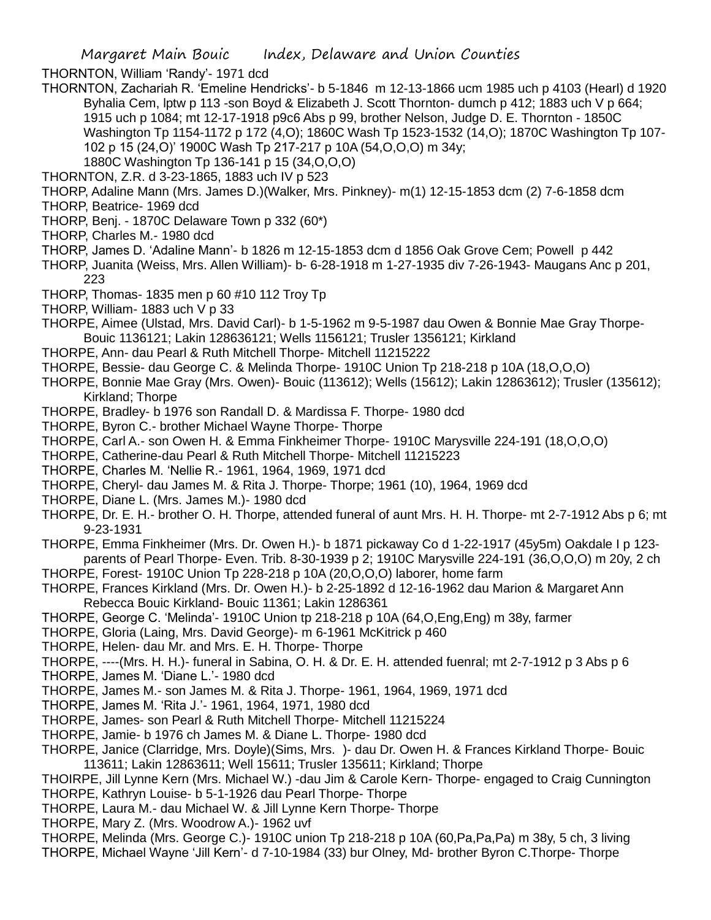THORNTON, William 'Randy'- 1971 dcd

- THORNTON, Zachariah R. 'Emeline Hendricks'- b 5-1846 m 12-13-1866 ucm 1985 uch p 4103 (Hearl) d 1920 Byhalia Cem, lptw p 113 -son Boyd & Elizabeth J. Scott Thornton- dumch p 412; 1883 uch V p 664; 1915 uch p 1084; mt 12-17-1918 p9c6 Abs p 99, brother Nelson, Judge D. E. Thornton - 1850C Washington Tp 1154-1172 p 172 (4,O); 1860C Wash Tp 1523-1532 (14,O); 1870C Washington Tp 107- 102 p 15 (24,O)' 1900C Wash Tp 217-217 p 10A (54,O,O,O) m 34y;
	- 1880C Washington Tp 136-141 p 15 (34,O,O,O)
- THORNTON, Z.R. d 3-23-1865, 1883 uch IV p 523
- THORP, Adaline Mann (Mrs. James D.)(Walker, Mrs. Pinkney)- m(1) 12-15-1853 dcm (2) 7-6-1858 dcm
- THORP, Beatrice- 1969 dcd
- THORP, Benj. 1870C Delaware Town p 332 (60\*)
- THORP, Charles M.- 1980 dcd
- THORP, James D. 'Adaline Mann'- b 1826 m 12-15-1853 dcm d 1856 Oak Grove Cem; Powell p 442
- THORP, Juanita (Weiss, Mrs. Allen William)- b- 6-28-1918 m 1-27-1935 div 7-26-1943- Maugans Anc p 201, 223
- THORP, Thomas- 1835 men p 60 #10 112 Troy Tp
- THORP, William- 1883 uch V p 33
- THORPE, Aimee (Ulstad, Mrs. David Carl)- b 1-5-1962 m 9-5-1987 dau Owen & Bonnie Mae Gray Thorpe-Bouic 1136121; Lakin 128636121; Wells 1156121; Trusler 1356121; Kirkland
- THORPE, Ann- dau Pearl & Ruth Mitchell Thorpe- Mitchell 11215222
- THORPE, Bessie- dau George C. & Melinda Thorpe- 1910C Union Tp 218-218 p 10A (18,O,O,O)
- THORPE, Bonnie Mae Gray (Mrs. Owen)- Bouic (113612); Wells (15612); Lakin 12863612); Trusler (135612); Kirkland; Thorpe
- THORPE, Bradley- b 1976 son Randall D. & Mardissa F. Thorpe- 1980 dcd
- THORPE, Byron C.- brother Michael Wayne Thorpe- Thorpe
- THORPE, Carl A.- son Owen H. & Emma Finkheimer Thorpe- 1910C Marysville 224-191 (18,O,O,O)
- THORPE, Catherine-dau Pearl & Ruth Mitchell Thorpe- Mitchell 11215223
- THORPE, Charles M. 'Nellie R.- 1961, 1964, 1969, 1971 dcd
- THORPE, Cheryl- dau James M. & Rita J. Thorpe- Thorpe; 1961 (10), 1964, 1969 dcd
- THORPE, Diane L. (Mrs. James M.)- 1980 dcd
- THORPE, Dr. E. H.- brother O. H. Thorpe, attended funeral of aunt Mrs. H. H. Thorpe- mt 2-7-1912 Abs p 6; mt 9-23-1931
- THORPE, Emma Finkheimer (Mrs. Dr. Owen H.)- b 1871 pickaway Co d 1-22-1917 (45y5m) Oakdale I p 123 parents of Pearl Thorpe- Even. Trib. 8-30-1939 p 2; 1910C Marysville 224-191 (36,O,O,O) m 20y, 2 ch
- THORPE, Forest- 1910C Union Tp 228-218 p 10A (20,O,O,O) laborer, home farm
- THORPE, Frances Kirkland (Mrs. Dr. Owen H.)- b 2-25-1892 d 12-16-1962 dau Marion & Margaret Ann Rebecca Bouic Kirkland- Bouic 11361; Lakin 1286361
- THORPE, George C. 'Melinda'- 1910C Union tp 218-218 p 10A (64,O,Eng,Eng) m 38y, farmer
- THORPE, Gloria (Laing, Mrs. David George)- m 6-1961 McKitrick p 460
- THORPE, Helen- dau Mr. and Mrs. E. H. Thorpe- Thorpe
- THORPE, ----(Mrs. H. H.)- funeral in Sabina, O. H. & Dr. E. H. attended fuenral; mt 2-7-1912 p 3 Abs p 6
- THORPE, James M. 'Diane L.'- 1980 dcd
- THORPE, James M.- son James M. & Rita J. Thorpe- 1961, 1964, 1969, 1971 dcd
- THORPE, James M. 'Rita J.'- 1961, 1964, 1971, 1980 dcd
- THORPE, James- son Pearl & Ruth Mitchell Thorpe- Mitchell 11215224
- THORPE, Jamie- b 1976 ch James M. & Diane L. Thorpe- 1980 dcd
- THORPE, Janice (Clarridge, Mrs. Doyle)(Sims, Mrs. )- dau Dr. Owen H. & Frances Kirkland Thorpe- Bouic 113611; Lakin 12863611; Well 15611; Trusler 135611; Kirkland; Thorpe
- THOIRPE, Jill Lynne Kern (Mrs. Michael W.) -dau Jim & Carole Kern- Thorpe- engaged to Craig Cunnington THORPE, Kathryn Louise- b 5-1-1926 dau Pearl Thorpe- Thorpe
- THORPE, Laura M.- dau Michael W. & Jill Lynne Kern Thorpe- Thorpe
- THORPE, Mary Z. (Mrs. Woodrow A.)- 1962 uvf
- THORPE, Melinda (Mrs. George C.)- 1910C union Tp 218-218 p 10A (60,Pa,Pa,Pa) m 38y, 5 ch, 3 living
- THORPE, Michael Wayne 'Jill Kern'- d 7-10-1984 (33) bur Olney, Md- brother Byron C.Thorpe- Thorpe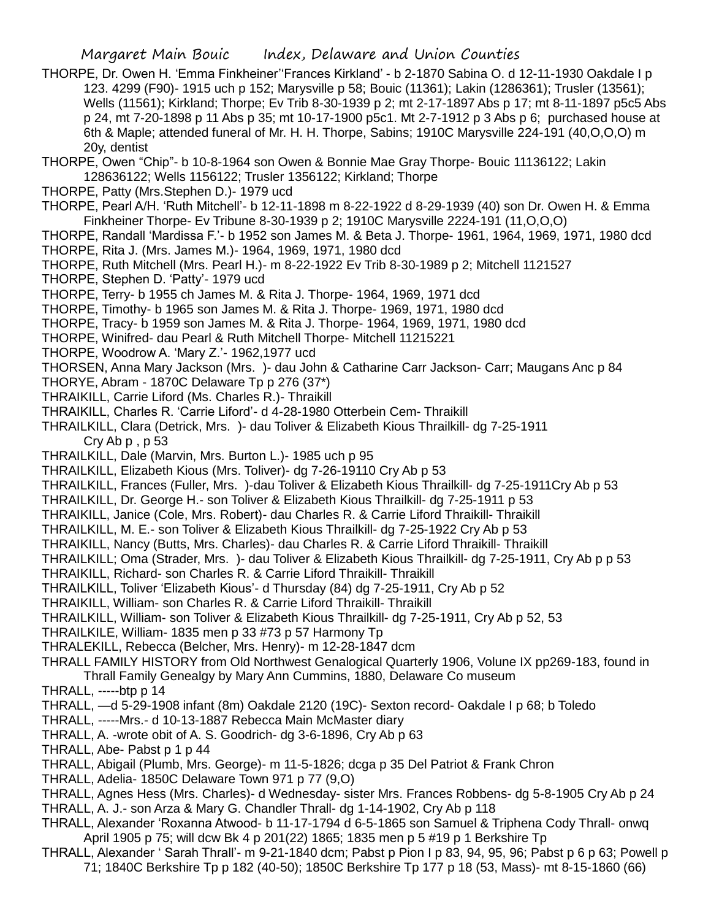THORPE, Dr. Owen H. 'Emma Finkheiner''Frances Kirkland' - b 2-1870 Sabina O. d 12-11-1930 Oakdale I p 123. 4299 (F90)- 1915 uch p 152; Marysville p 58; Bouic (11361); Lakin (1286361); Trusler (13561); Wells (11561); Kirkland; Thorpe; Ev Trib 8-30-1939 p 2; mt 2-17-1897 Abs p 17; mt 8-11-1897 p5c5 Abs p 24, mt 7-20-1898 p 11 Abs p 35; mt 10-17-1900 p5c1. Mt 2-7-1912 p 3 Abs p 6; purchased house at 6th & Maple; attended funeral of Mr. H. H. Thorpe, Sabins; 1910C Marysville 224-191 (40,O,O,O) m 20y, dentist

THORPE, Owen "Chip"- b 10-8-1964 son Owen & Bonnie Mae Gray Thorpe- Bouic 11136122; Lakin 128636122; Wells 1156122; Trusler 1356122; Kirkland; Thorpe

- THORPE, Patty (Mrs.Stephen D.)- 1979 ucd
- THORPE, Pearl A/H. 'Ruth Mitchell'- b 12-11-1898 m 8-22-1922 d 8-29-1939 (40) son Dr. Owen H. & Emma Finkheiner Thorpe- Ev Tribune 8-30-1939 p 2; 1910C Marysville 2224-191 (11,O,O,O)
- THORPE, Randall 'Mardissa F.'- b 1952 son James M. & Beta J. Thorpe- 1961, 1964, 1969, 1971, 1980 dcd THORPE, Rita J. (Mrs. James M.)- 1964, 1969, 1971, 1980 dcd
- THORPE, Ruth Mitchell (Mrs. Pearl H.)- m 8-22-1922 Ev Trib 8-30-1989 p 2; Mitchell 1121527
- THORPE, Stephen D. 'Patty'- 1979 ucd
- THORPE, Terry- b 1955 ch James M. & Rita J. Thorpe- 1964, 1969, 1971 dcd
- THORPE, Timothy- b 1965 son James M. & Rita J. Thorpe- 1969, 1971, 1980 dcd
- THORPE, Tracy- b 1959 son James M. & Rita J. Thorpe- 1964, 1969, 1971, 1980 dcd
- THORPE, Winifred- dau Pearl & Ruth Mitchell Thorpe- Mitchell 11215221
- THORPE, Woodrow A. 'Mary Z.'- 1962,1977 ucd
- THORSEN, Anna Mary Jackson (Mrs. )- dau John & Catharine Carr Jackson- Carr; Maugans Anc p 84
- THORYE, Abram 1870C Delaware Tp p 276 (37\*)
- THRAIKILL, Carrie Liford (Ms. Charles R.)- Thraikill
- THRAIKILL, Charles R. 'Carrie Liford'- d 4-28-1980 Otterbein Cem- Thraikill
- THRAILKILL, Clara (Detrick, Mrs. )- dau Toliver & Elizabeth Kious Thrailkill- dg 7-25-1911 Cry Ab p , p 53
- THRAILKILL, Dale (Marvin, Mrs. Burton L.)- 1985 uch p 95
- THRAILKILL, Elizabeth Kious (Mrs. Toliver)- dg 7-26-19110 Cry Ab p 53
- THRAILKILL, Frances (Fuller, Mrs. )-dau Toliver & Elizabeth Kious Thrailkill- dg 7-25-1911Cry Ab p 53
- THRAILKILL, Dr. George H.- son Toliver & Elizabeth Kious Thrailkill- dg 7-25-1911 p 53
- THRAIKILL, Janice (Cole, Mrs. Robert)- dau Charles R. & Carrie Liford Thraikill- Thraikill
- THRAILKILL, M. E.- son Toliver & Elizabeth Kious Thrailkill- dg 7-25-1922 Cry Ab p 53
- THRAIKILL, Nancy (Butts, Mrs. Charles)- dau Charles R. & Carrie Liford Thraikill- Thraikill
- THRAILKILL; Oma (Strader, Mrs. )- dau Toliver & Elizabeth Kious Thrailkill- dg 7-25-1911, Cry Ab p p 53
- THRAIKILL, Richard- son Charles R. & Carrie Liford Thraikill- Thraikill
- THRAILKILL, Toliver 'Elizabeth Kious'- d Thursday (84) dg 7-25-1911, Cry Ab p 52
- THRAIKILL, William- son Charles R. & Carrie Liford Thraikill- Thraikill
- THRAILKILL, William- son Toliver & Elizabeth Kious Thrailkill- dg 7-25-1911, Cry Ab p 52, 53
- THRAILKILE, William- 1835 men p 33 #73 p 57 Harmony Tp
- THRALEKILL, Rebecca (Belcher, Mrs. Henry)- m 12-28-1847 dcm
- THRALL FAMILY HISTORY from Old Northwest Genalogical Quarterly 1906, Volune IX pp269-183, found in Thrall Family Genealgy by Mary Ann Cummins, 1880, Delaware Co museum

THRALL, -----btp p 14

- THRALL, —d 5-29-1908 infant (8m) Oakdale 2120 (19C)- Sexton record- Oakdale I p 68; b Toledo
- THRALL, -----Mrs.- d 10-13-1887 Rebecca Main McMaster diary
- THRALL, A. -wrote obit of A. S. Goodrich- dg 3-6-1896, Cry Ab p 63
- THRALL, Abe- Pabst p 1 p 44
- THRALL, Abigail (Plumb, Mrs. George)- m 11-5-1826; dcga p 35 Del Patriot & Frank Chron
- THRALL, Adelia- 1850C Delaware Town 971 p 77 (9,O)
- THRALL, Agnes Hess (Mrs. Charles)- d Wednesday- sister Mrs. Frances Robbens- dg 5-8-1905 Cry Ab p 24 THRALL, A. J.- son Arza & Mary G. Chandler Thrall- dg 1-14-1902, Cry Ab p 118
- THRALL, Alexander 'Roxanna Atwood- b 11-17-1794 d 6-5-1865 son Samuel & Triphena Cody Thrall- onwq April 1905 p 75; will dcw Bk 4 p 201(22) 1865; 1835 men p 5 #19 p 1 Berkshire Tp
- THRALL, Alexander ' Sarah Thrall'- m 9-21-1840 dcm; Pabst p Pion I p 83, 94, 95, 96; Pabst p 6 p 63; Powell p 71; 1840C Berkshire Tp p 182 (40-50); 1850C Berkshire Tp 177 p 18 (53, Mass)- mt 8-15-1860 (66)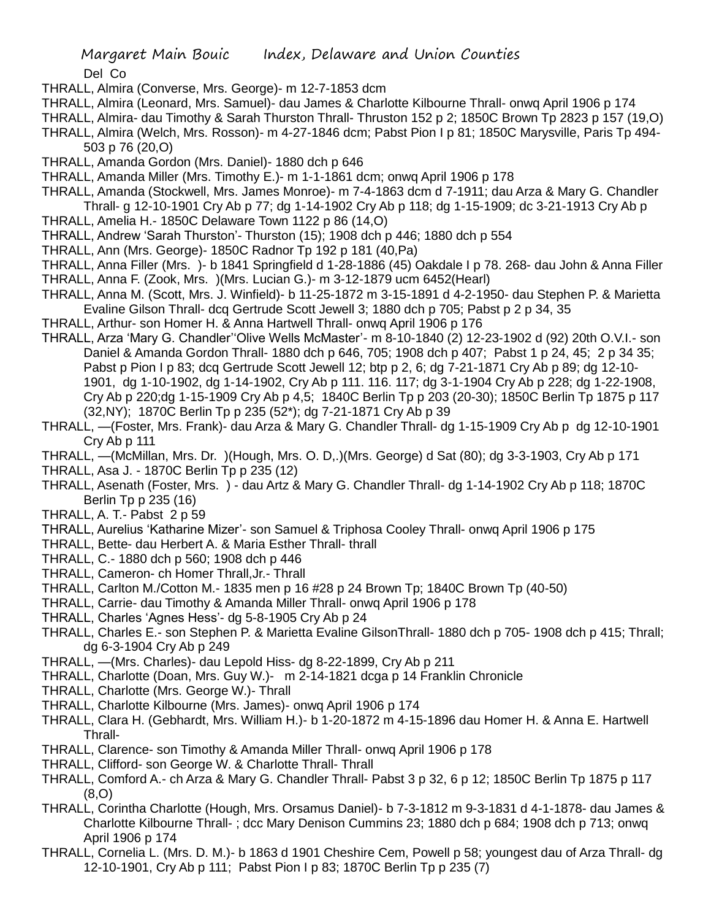Del Co

- THRALL, Almira (Converse, Mrs. George)- m 12-7-1853 dcm
- THRALL, Almira (Leonard, Mrs. Samuel)- dau James & Charlotte Kilbourne Thrall- onwq April 1906 p 174
- THRALL, Almira- dau Timothy & Sarah Thurston Thrall- Thruston 152 p 2; 1850C Brown Tp 2823 p 157 (19,O)
- THRALL, Almira (Welch, Mrs. Rosson)- m 4-27-1846 dcm; Pabst Pion I p 81; 1850C Marysville, Paris Tp 494- 503 p 76 (20,O)
- THRALL, Amanda Gordon (Mrs. Daniel)- 1880 dch p 646
- THRALL, Amanda Miller (Mrs. Timothy E.)- m 1-1-1861 dcm; onwq April 1906 p 178
- THRALL, Amanda (Stockwell, Mrs. James Monroe)- m 7-4-1863 dcm d 7-1911; dau Arza & Mary G. Chandler Thrall- g 12-10-1901 Cry Ab p 77; dg 1-14-1902 Cry Ab p 118; dg 1-15-1909; dc 3-21-1913 Cry Ab p
- THRALL, Amelia H.- 1850C Delaware Town 1122 p 86 (14,O)
- THRALL, Andrew 'Sarah Thurston'- Thurston (15); 1908 dch p 446; 1880 dch p 554
- THRALL, Ann (Mrs. George)- 1850C Radnor Tp 192 p 181 (40,Pa)
- THRALL, Anna Filler (Mrs. )- b 1841 Springfield d 1-28-1886 (45) Oakdale I p 78. 268- dau John & Anna Filler THRALL, Anna F. (Zook, Mrs. )(Mrs. Lucian G.)- m 3-12-1879 ucm 6452(Hearl)
- THRALL, Anna M. (Scott, Mrs. J. Winfield)- b 11-25-1872 m 3-15-1891 d 4-2-1950- dau Stephen P. & Marietta Evaline Gilson Thrall- dcq Gertrude Scott Jewell 3; 1880 dch p 705; Pabst p 2 p 34, 35
- THRALL, Arthur- son Homer H. & Anna Hartwell Thrall- onwq April 1906 p 176
- THRALL, Arza 'Mary G. Chandler''Olive Wells McMaster'- m 8-10-1840 (2) 12-23-1902 d (92) 20th O.V.I.- son Daniel & Amanda Gordon Thrall- 1880 dch p 646, 705; 1908 dch p 407; Pabst 1 p 24, 45; 2 p 34 35; Pabst p Pion I p 83; dcq Gertrude Scott Jewell 12; btp p 2, 6; dq 7-21-1871 Cry Ab p 89; dq 12-10-1901, dg 1-10-1902, dg 1-14-1902, Cry Ab p 111. 116. 117; dg 3-1-1904 Cry Ab p 228; dg 1-22-1908, Cry Ab p 220;dg 1-15-1909 Cry Ab p 4,5; 1840C Berlin Tp p 203 (20-30); 1850C Berlin Tp 1875 p 117 (32,NY); 1870C Berlin Tp p 235 (52\*); dg 7-21-1871 Cry Ab p 39
- THRALL, —(Foster, Mrs. Frank)- dau Arza & Mary G. Chandler Thrall- dg 1-15-1909 Cry Ab p dg 12-10-1901 Cry Ab p 111
- THRALL, —(McMillan, Mrs. Dr. )(Hough, Mrs. O. D,.)(Mrs. George) d Sat (80); dg 3-3-1903, Cry Ab p 171 THRALL, Asa J. - 1870C Berlin Tp p 235 (12)
- THRALL, Asenath (Foster, Mrs. ) dau Artz & Mary G. Chandler Thrall- dg 1-14-1902 Cry Ab p 118; 1870C Berlin Tp p 235 (16)
- THRALL, A. T.- Pabst 2 p 59
- THRALL, Aurelius 'Katharine Mizer'- son Samuel & Triphosa Cooley Thrall- onwq April 1906 p 175
- THRALL, Bette- dau Herbert A. & Maria Esther Thrall- thrall
- THRALL, C.- 1880 dch p 560; 1908 dch p 446
- THRALL, Cameron- ch Homer Thrall,Jr.- Thrall
- THRALL, Carlton M./Cotton M.- 1835 men p 16 #28 p 24 Brown Tp; 1840C Brown Tp (40-50)
- THRALL, Carrie- dau Timothy & Amanda Miller Thrall- onwq April 1906 p 178
- THRALL, Charles 'Agnes Hess'- dg 5-8-1905 Cry Ab p 24
- THRALL, Charles E.- son Stephen P. & Marietta Evaline GilsonThrall- 1880 dch p 705- 1908 dch p 415; Thrall; dg 6-3-1904 Cry Ab p 249
- THRALL, —(Mrs. Charles)- dau Lepold Hiss- dg 8-22-1899, Cry Ab p 211
- THRALL, Charlotte (Doan, Mrs. Guy W.)- m 2-14-1821 dcga p 14 Franklin Chronicle
- THRALL, Charlotte (Mrs. George W.)- Thrall
- THRALL, Charlotte Kilbourne (Mrs. James)- onwq April 1906 p 174
- THRALL, Clara H. (Gebhardt, Mrs. William H.)- b 1-20-1872 m 4-15-1896 dau Homer H. & Anna E. Hartwell Thrall-
- THRALL, Clarence- son Timothy & Amanda Miller Thrall- onwq April 1906 p 178
- THRALL, Clifford- son George W. & Charlotte Thrall- Thrall
- THRALL, Comford A.- ch Arza & Mary G. Chandler Thrall- Pabst 3 p 32, 6 p 12; 1850C Berlin Tp 1875 p 117 (8,O)
- THRALL, Corintha Charlotte (Hough, Mrs. Orsamus Daniel)- b 7-3-1812 m 9-3-1831 d 4-1-1878- dau James & Charlotte Kilbourne Thrall- ; dcc Mary Denison Cummins 23; 1880 dch p 684; 1908 dch p 713; onwq April 1906 p 174
- THRALL, Cornelia L. (Mrs. D. M.)- b 1863 d 1901 Cheshire Cem, Powell p 58; youngest dau of Arza Thrall- dg 12-10-1901, Cry Ab p 111; Pabst Pion I p 83; 1870C Berlin Tp p 235 (7)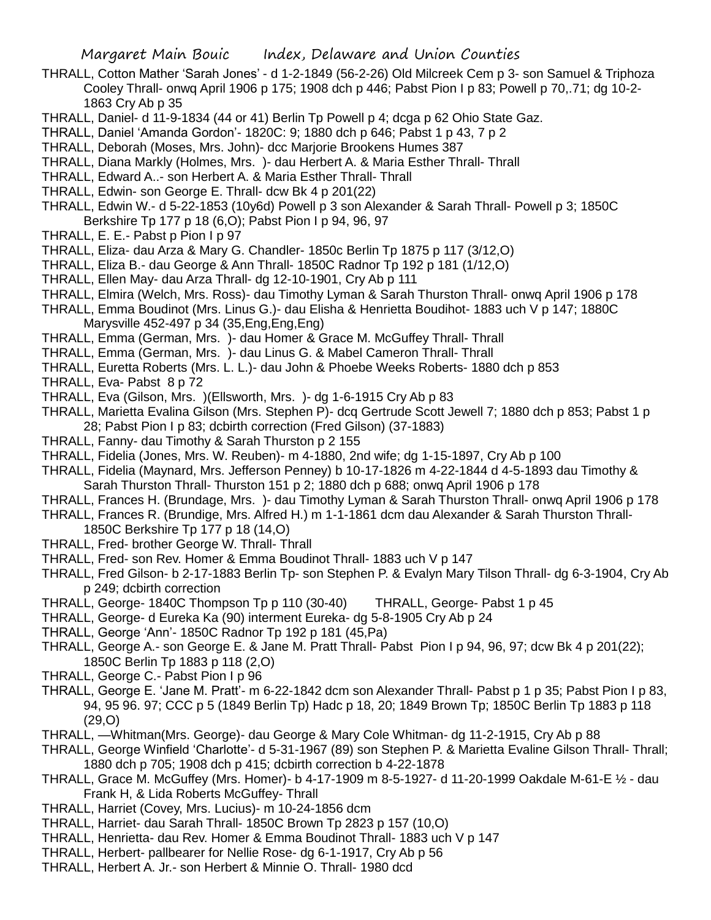- THRALL, Cotton Mather 'Sarah Jones' d 1-2-1849 (56-2-26) Old Milcreek Cem p 3- son Samuel & Triphoza Cooley Thrall- onwq April 1906 p 175; 1908 dch p 446; Pabst Pion I p 83; Powell p 70,.71; dg 10-2- 1863 Cry Ab p 35
- THRALL, Daniel- d 11-9-1834 (44 or 41) Berlin Tp Powell p 4; dcga p 62 Ohio State Gaz.
- THRALL, Daniel 'Amanda Gordon'- 1820C: 9; 1880 dch p 646; Pabst 1 p 43, 7 p 2
- THRALL, Deborah (Moses, Mrs. John)- dcc Marjorie Brookens Humes 387
- THRALL, Diana Markly (Holmes, Mrs. )- dau Herbert A. & Maria Esther Thrall- Thrall
- THRALL, Edward A..- son Herbert A. & Maria Esther Thrall- Thrall
- THRALL, Edwin- son George E. Thrall- dcw Bk 4 p 201(22)
- THRALL, Edwin W.- d 5-22-1853 (10y6d) Powell p 3 son Alexander & Sarah Thrall- Powell p 3; 1850C Berkshire Tp 177 p 18 (6,O); Pabst Pion I p 94, 96, 97
- THRALL, E. E.- Pabst p Pion I p 97
- THRALL, Eliza- dau Arza & Mary G. Chandler- 1850c Berlin Tp 1875 p 117 (3/12,O)
- THRALL, Eliza B.- dau George & Ann Thrall- 1850C Radnor Tp 192 p 181 (1/12,O)
- THRALL, Ellen May- dau Arza Thrall- dg 12-10-1901, Cry Ab p 111
- THRALL, Elmira (Welch, Mrs. Ross)- dau Timothy Lyman & Sarah Thurston Thrall- onwq April 1906 p 178
- THRALL, Emma Boudinot (Mrs. Linus G.)- dau Elisha & Henrietta Boudihot- 1883 uch V p 147; 1880C Marysville 452-497 p 34 (35,Eng,Eng,Eng)
- THRALL, Emma (German, Mrs. )- dau Homer & Grace M. McGuffey Thrall- Thrall
- THRALL, Emma (German, Mrs. )- dau Linus G. & Mabel Cameron Thrall- Thrall
- THRALL, Euretta Roberts (Mrs. L. L.)- dau John & Phoebe Weeks Roberts- 1880 dch p 853
- THRALL, Eva- Pabst 8 p 72
- THRALL, Eva (Gilson, Mrs. )(Ellsworth, Mrs. )- dg 1-6-1915 Cry Ab p 83
- THRALL, Marietta Evalina Gilson (Mrs. Stephen P)- dcq Gertrude Scott Jewell 7; 1880 dch p 853; Pabst 1 p 28; Pabst Pion I p 83; dcbirth correction (Fred Gilson) (37-1883)
- THRALL, Fanny- dau Timothy & Sarah Thurston p 2 155
- THRALL, Fidelia (Jones, Mrs. W. Reuben)- m 4-1880, 2nd wife; dg 1-15-1897, Cry Ab p 100
- THRALL, Fidelia (Maynard, Mrs. Jefferson Penney) b 10-17-1826 m 4-22-1844 d 4-5-1893 dau Timothy & Sarah Thurston Thrall- Thurston 151 p 2; 1880 dch p 688; onwq April 1906 p 178
- THRALL, Frances H. (Brundage, Mrs. )- dau Timothy Lyman & Sarah Thurston Thrall- onwq April 1906 p 178
- THRALL, Frances R. (Brundige, Mrs. Alfred H.) m 1-1-1861 dcm dau Alexander & Sarah Thurston Thrall-
- 1850C Berkshire Tp 177 p 18 (14,O)
- THRALL, Fred- brother George W. Thrall- Thrall
- THRALL, Fred- son Rev. Homer & Emma Boudinot Thrall- 1883 uch V p 147
- THRALL, Fred Gilson- b 2-17-1883 Berlin Tp- son Stephen P. & Evalyn Mary Tilson Thrall- dg 6-3-1904, Cry Ab p 249; dcbirth correction
- THRALL, George- 1840C Thompson Tp p 110 (30-40) THRALL, George- Pabst 1 p 45
- THRALL, George- d Eureka Ka (90) interment Eureka- dg 5-8-1905 Cry Ab p 24
- THRALL, George 'Ann'- 1850C Radnor Tp 192 p 181 (45,Pa)
- THRALL, George A.- son George E. & Jane M. Pratt Thrall- Pabst Pion I p 94, 96, 97; dcw Bk 4 p 201(22); 1850C Berlin Tp 1883 p 118 (2,O)
- THRALL, George C.- Pabst Pion I p 96
- THRALL, George E. 'Jane M. Pratt'- m 6-22-1842 dcm son Alexander Thrall- Pabst p 1 p 35; Pabst Pion I p 83, 94, 95 96. 97; CCC p 5 (1849 Berlin Tp) Hadc p 18, 20; 1849 Brown Tp; 1850C Berlin Tp 1883 p 118 (29,O)
- THRALL, —Whitman(Mrs. George)- dau George & Mary Cole Whitman- dg 11-2-1915, Cry Ab p 88
- THRALL, George Winfield 'Charlotte'- d 5-31-1967 (89) son Stephen P. & Marietta Evaline Gilson Thrall- Thrall; 1880 dch p 705; 1908 dch p 415; dcbirth correction b 4-22-1878
- THRALL, Grace M. McGuffey (Mrs. Homer)- b 4-17-1909 m 8-5-1927- d 11-20-1999 Oakdale M-61-E ½ dau Frank H, & Lida Roberts McGuffey- Thrall
- THRALL, Harriet (Covey, Mrs. Lucius)- m 10-24-1856 dcm
- THRALL, Harriet- dau Sarah Thrall- 1850C Brown Tp 2823 p 157 (10,O)
- THRALL, Henrietta- dau Rev. Homer & Emma Boudinot Thrall- 1883 uch V p 147
- THRALL, Herbert- pallbearer for Nellie Rose- dg 6-1-1917, Cry Ab p 56
- THRALL, Herbert A. Jr.- son Herbert & Minnie O. Thrall- 1980 dcd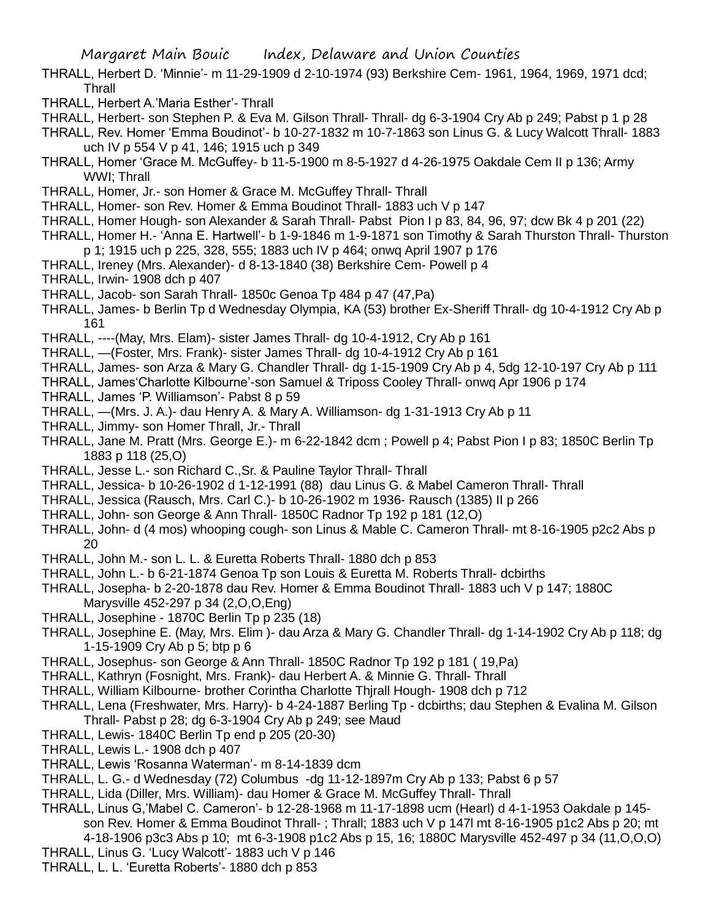- THRALL, Herbert D. 'Minnie'- m 11-29-1909 d 2-10-1974 (93) Berkshire Cem- 1961, 1964, 1969, 1971 dcd; **Thrall**
- THRALL, Herbert A.'Maria Esther'- Thrall
- THRALL, Herbert- son Stephen P. & Eva M. Gilson Thrall- Thrall- dg 6-3-1904 Cry Ab p 249; Pabst p 1 p 28
- THRALL, Rev. Homer 'Emma Boudinot'- b 10-27-1832 m 10-7-1863 son Linus G. & Lucy Walcott Thrall- 1883 uch IV p 554 V p 41, 146; 1915 uch p 349
- THRALL, Homer 'Grace M. McGuffey- b 11-5-1900 m 8-5-1927 d 4-26-1975 Oakdale Cem II p 136; Army WWI; Thrall
- THRALL, Homer, Jr.- son Homer & Grace M. McGuffey Thrall- Thrall
- THRALL, Homer- son Rev. Homer & Emma Boudinot Thrall- 1883 uch V p 147
- THRALL, Homer Hough- son Alexander & Sarah Thrall- Pabst Pion I p 83, 84, 96, 97; dcw Bk 4 p 201 (22)
- THRALL, Homer H.- 'Anna E. Hartwell'- b 1-9-1846 m 1-9-1871 son Timothy & Sarah Thurston Thrall- Thurston p 1; 1915 uch p 225, 328, 555; 1883 uch IV p 464; onwq April 1907 p 176
- THRALL, Ireney (Mrs. Alexander)- d 8-13-1840 (38) Berkshire Cem- Powell p 4
- THRALL, Irwin- 1908 dch p 407
- THRALL, Jacob- son Sarah Thrall- 1850c Genoa Tp 484 p 47 (47,Pa)
- THRALL, James- b Berlin Tp d Wednesday Olympia, KA (53) brother Ex-Sheriff Thrall- dg 10-4-1912 Cry Ab p 161
- THRALL, ----(May, Mrs. Elam)- sister James Thrall- dg 10-4-1912, Cry Ab p 161
- THRALL, —(Foster, Mrs. Frank)- sister James Thrall- dg 10-4-1912 Cry Ab p 161
- THRALL, James- son Arza & Mary G. Chandler Thrall- dg 1-15-1909 Cry Ab p 4, 5dg 12-10-197 Cry Ab p 111
- THRALL, James'Charlotte Kilbourne'-son Samuel & Triposs Cooley Thrall- onwq Apr 1906 p 174
- THRALL, James 'P. Williamson'- Pabst 8 p 59
- THRALL, —(Mrs. J. A.)- dau Henry A. & Mary A. Williamson- dg 1-31-1913 Cry Ab p 11
- THRALL, Jimmy- son Homer Thrall, Jr.- Thrall
- THRALL, Jane M. Pratt (Mrs. George E.)- m 6-22-1842 dcm ; Powell p 4; Pabst Pion I p 83; 1850C Berlin Tp 1883 p 118 (25,O)
- THRALL, Jesse L.- son Richard C.,Sr. & Pauline Taylor Thrall- Thrall
- THRALL, Jessica- b 10-26-1902 d 1-12-1991 (88) dau Linus G. & Mabel Cameron Thrall- Thrall
- THRALL, Jessica (Rausch, Mrs. Carl C.)- b 10-26-1902 m 1936- Rausch (1385) II p 266
- THRALL, John- son George & Ann Thrall- 1850C Radnor Tp 192 p 181 (12,O)
- THRALL, John- d (4 mos) whooping cough- son Linus & Mable C. Cameron Thrall- mt 8-16-1905 p2c2 Abs p 20
- THRALL, John M.- son L. L. & Euretta Roberts Thrall- 1880 dch p 853
- THRALL, John L.- b 6-21-1874 Genoa Tp son Louis & Euretta M. Roberts Thrall- dcbirths
- THRALL, Josepha- b 2-20-1878 dau Rev. Homer & Emma Boudinot Thrall- 1883 uch V p 147; 1880C Marysville 452-297 p 34 (2,O,O,Eng)
- THRALL, Josephine 1870C Berlin Tp p 235 (18)
- THRALL, Josephine E. (May, Mrs. Elim )- dau Arza & Mary G. Chandler Thrall- dg 1-14-1902 Cry Ab p 118; dg 1-15-1909 Cry Ab p 5; btp p 6
- THRALL, Josephus- son George & Ann Thrall- 1850C Radnor Tp 192 p 181 ( 19,Pa)
- THRALL, Kathryn (Fosnight, Mrs. Frank)- dau Herbert A. & Minnie G. Thrall- Thrall
- THRALL, William Kilbourne- brother Corintha Charlotte Thjrall Hough- 1908 dch p 712
- THRALL, Lena (Freshwater, Mrs. Harry)- b 4-24-1887 Berling Tp dcbirths; dau Stephen & Evalina M. Gilson Thrall- Pabst p 28; dg 6-3-1904 Cry Ab p 249; see Maud
- THRALL, Lewis- 1840C Berlin Tp end p 205 (20-30)
- THRALL, Lewis L.- 1908 dch p 407
- THRALL, Lewis 'Rosanna Waterman'- m 8-14-1839 dcm
- THRALL, L. G.- d Wednesday (72) Columbus -dg 11-12-1897m Cry Ab p 133; Pabst 6 p 57
- THRALL, Lida (Diller, Mrs. William)- dau Homer & Grace M. McGuffey Thrall- Thrall
- THRALL, Linus G,'Mabel C. Cameron'- b 12-28-1968 m 11-17-1898 ucm (Hearl) d 4-1-1953 Oakdale p 145 son Rev. Homer & Emma Boudinot Thrall- ; Thrall; 1883 uch V p 147l mt 8-16-1905 p1c2 Abs p 20; mt 4-18-1906 p3c3 Abs p 10; mt 6-3-1908 p1c2 Abs p 15, 16; 1880C Marysville 452-497 p 34 (11,O,O,O)
- THRALL, Linus G. 'Lucy Walcott'- 1883 uch V p 146
- THRALL, L. L. 'Euretta Roberts'- 1880 dch p 853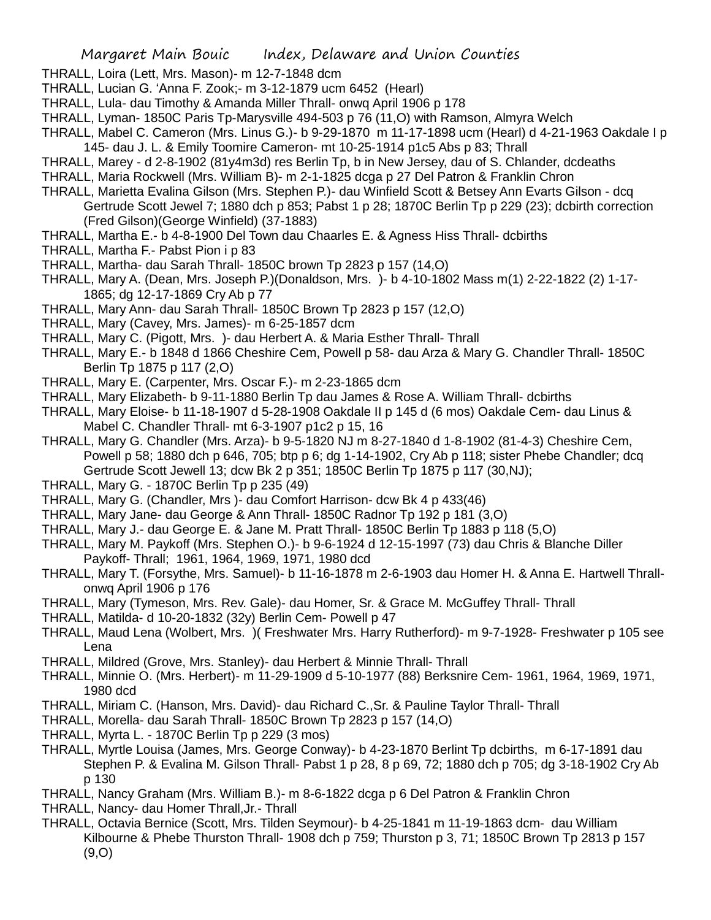- THRALL, Loira (Lett, Mrs. Mason)- m 12-7-1848 dcm
- THRALL, Lucian G. 'Anna F. Zook;- m 3-12-1879 ucm 6452 (Hearl)
- THRALL, Lula- dau Timothy & Amanda Miller Thrall- onwq April 1906 p 178
- THRALL, Lyman- 1850C Paris Tp-Marysville 494-503 p 76 (11,O) with Ramson, Almyra Welch
- THRALL, Mabel C. Cameron (Mrs. Linus G.)- b 9-29-1870 m 11-17-1898 ucm (Hearl) d 4-21-1963 Oakdale I p 145- dau J. L. & Emily Toomire Cameron- mt 10-25-1914 p1c5 Abs p 83; Thrall
- THRALL, Marey d 2-8-1902 (81y4m3d) res Berlin Tp, b in New Jersey, dau of S. Chlander, dcdeaths
- THRALL, Maria Rockwell (Mrs. William B)- m 2-1-1825 dcga p 27 Del Patron & Franklin Chron
- THRALL, Marietta Evalina Gilson (Mrs. Stephen P.)- dau Winfield Scott & Betsey Ann Evarts Gilson dcq Gertrude Scott Jewel 7; 1880 dch p 853; Pabst 1 p 28; 1870C Berlin Tp p 229 (23); dcbirth correction (Fred Gilson)(George Winfield) (37-1883)
- THRALL, Martha E.- b 4-8-1900 Del Town dau Chaarles E. & Agness Hiss Thrall- dcbirths
- THRALL, Martha F.- Pabst Pion i p 83
- THRALL, Martha- dau Sarah Thrall- 1850C brown Tp 2823 p 157 (14,O)
- THRALL, Mary A. (Dean, Mrs. Joseph P.)(Donaldson, Mrs. )- b 4-10-1802 Mass m(1) 2-22-1822 (2) 1-17- 1865; dg 12-17-1869 Cry Ab p 77
- THRALL, Mary Ann- dau Sarah Thrall- 1850C Brown Tp 2823 p 157 (12,O)
- THRALL, Mary (Cavey, Mrs. James)- m 6-25-1857 dcm
- THRALL, Mary C. (Pigott, Mrs. )- dau Herbert A. & Maria Esther Thrall- Thrall
- THRALL, Mary E.- b 1848 d 1866 Cheshire Cem, Powell p 58- dau Arza & Mary G. Chandler Thrall- 1850C Berlin Tp 1875 p 117 (2,O)
- THRALL, Mary E. (Carpenter, Mrs. Oscar F.)- m 2-23-1865 dcm
- THRALL, Mary Elizabeth- b 9-11-1880 Berlin Tp dau James & Rose A. William Thrall- dcbirths
- THRALL, Mary Eloise- b 11-18-1907 d 5-28-1908 Oakdale II p 145 d (6 mos) Oakdale Cem- dau Linus & Mabel C. Chandler Thrall- mt 6-3-1907 p1c2 p 15, 16
- THRALL, Mary G. Chandler (Mrs. Arza)- b 9-5-1820 NJ m 8-27-1840 d 1-8-1902 (81-4-3) Cheshire Cem, Powell p 58; 1880 dch p 646, 705; btp p 6; dg 1-14-1902, Cry Ab p 118; sister Phebe Chandler; dcq Gertrude Scott Jewell 13; dcw Bk 2 p 351; 1850C Berlin Tp 1875 p 117 (30,NJ);
- THRALL, Mary G. 1870C Berlin Tp p 235 (49)
- THRALL, Mary G. (Chandler, Mrs )- dau Comfort Harrison- dcw Bk 4 p 433(46)
- THRALL, Mary Jane- dau George & Ann Thrall- 1850C Radnor Tp 192 p 181 (3,O)
- THRALL, Mary J.- dau George E. & Jane M. Pratt Thrall- 1850C Berlin Tp 1883 p 118 (5,O)
- THRALL, Mary M. Paykoff (Mrs. Stephen O.)- b 9-6-1924 d 12-15-1997 (73) dau Chris & Blanche Diller Paykoff- Thrall; 1961, 1964, 1969, 1971, 1980 dcd
- THRALL, Mary T. (Forsythe, Mrs. Samuel)- b 11-16-1878 m 2-6-1903 dau Homer H. & Anna E. Hartwell Thrallonwq April 1906 p 176
- THRALL, Mary (Tymeson, Mrs. Rev. Gale)- dau Homer, Sr. & Grace M. McGuffey Thrall- Thrall
- THRALL, Matilda- d 10-20-1832 (32y) Berlin Cem- Powell p 47
- THRALL, Maud Lena (Wolbert, Mrs. )( Freshwater Mrs. Harry Rutherford)- m 9-7-1928- Freshwater p 105 see Lena
- THRALL, Mildred (Grove, Mrs. Stanley)- dau Herbert & Minnie Thrall- Thrall
- THRALL, Minnie O. (Mrs. Herbert)- m 11-29-1909 d 5-10-1977 (88) Berksnire Cem- 1961, 1964, 1969, 1971, 1980 dcd
- THRALL, Miriam C. (Hanson, Mrs. David)- dau Richard C.,Sr. & Pauline Taylor Thrall- Thrall
- THRALL, Morella- dau Sarah Thrall- 1850C Brown Tp 2823 p 157 (14,O)
- THRALL, Myrta L. 1870C Berlin Tp p 229 (3 mos)
- THRALL, Myrtle Louisa (James, Mrs. George Conway)- b 4-23-1870 Berlint Tp dcbirths, m 6-17-1891 dau Stephen P. & Evalina M. Gilson Thrall- Pabst 1 p 28, 8 p 69, 72; 1880 dch p 705; dg 3-18-1902 Cry Ab p 130
- THRALL, Nancy Graham (Mrs. William B.)- m 8-6-1822 dcga p 6 Del Patron & Franklin Chron
- THRALL, Nancy- dau Homer Thrall,Jr.- Thrall
- THRALL, Octavia Bernice (Scott, Mrs. Tilden Seymour)- b 4-25-1841 m 11-19-1863 dcm- dau William Kilbourne & Phebe Thurston Thrall- 1908 dch p 759; Thurston p 3, 71; 1850C Brown Tp 2813 p 157  $(9, O)$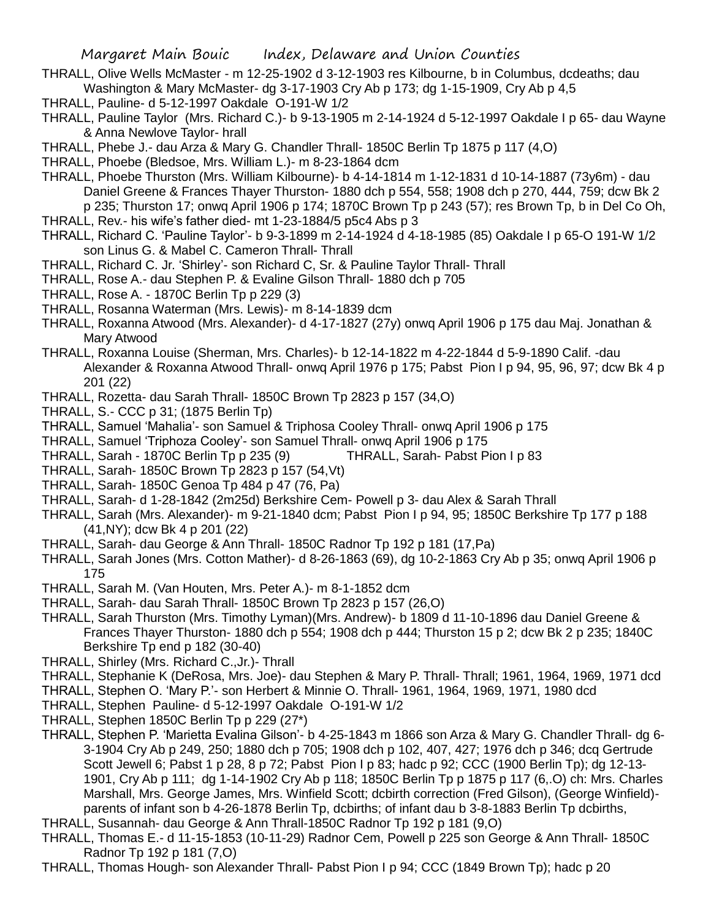- THRALL, Olive Wells McMaster m 12-25-1902 d 3-12-1903 res Kilbourne, b in Columbus, dcdeaths; dau Washington & Mary McMaster- dg 3-17-1903 Cry Ab p 173; dg 1-15-1909, Cry Ab p 4,5
- THRALL, Pauline- d 5-12-1997 Oakdale O-191-W 1/2
- THRALL, Pauline Taylor (Mrs. Richard C.)- b 9-13-1905 m 2-14-1924 d 5-12-1997 Oakdale I p 65- dau Wayne & Anna Newlove Taylor- hrall
- THRALL, Phebe J.- dau Arza & Mary G. Chandler Thrall- 1850C Berlin Tp 1875 p 117 (4,O)
- THRALL, Phoebe (Bledsoe, Mrs. William L.)- m 8-23-1864 dcm
- THRALL, Phoebe Thurston (Mrs. William Kilbourne)- b 4-14-1814 m 1-12-1831 d 10-14-1887 (73y6m) dau Daniel Greene & Frances Thayer Thurston- 1880 dch p 554, 558; 1908 dch p 270, 444, 759; dcw Bk 2 p 235; Thurston 17; onwq April 1906 p 174; 1870C Brown Tp p 243 (57); res Brown Tp, b in Del Co Oh, THRALL, Rev.- his wife's father died- mt 1-23-1884/5 p5c4 Abs p 3
- THRALL, Richard C. 'Pauline Taylor'- b 9-3-1899 m 2-14-1924 d 4-18-1985 (85) Oakdale I p 65-O 191-W 1/2 son Linus G. & Mabel C. Cameron Thrall- Thrall
- THRALL, Richard C. Jr. 'Shirley'- son Richard C, Sr. & Pauline Taylor Thrall- Thrall
- THRALL, Rose A.- dau Stephen P. & Evaline Gilson Thrall- 1880 dch p 705
- THRALL, Rose A. 1870C Berlin Tp p 229 (3)
- THRALL, Rosanna Waterman (Mrs. Lewis)- m 8-14-1839 dcm
- THRALL, Roxanna Atwood (Mrs. Alexander)- d 4-17-1827 (27y) onwq April 1906 p 175 dau Maj. Jonathan & Mary Atwood
- THRALL, Roxanna Louise (Sherman, Mrs. Charles)- b 12-14-1822 m 4-22-1844 d 5-9-1890 Calif. -dau Alexander & Roxanna Atwood Thrall- onwq April 1976 p 175; Pabst Pion I p 94, 95, 96, 97; dcw Bk 4 p 201 (22)
- THRALL, Rozetta- dau Sarah Thrall- 1850C Brown Tp 2823 p 157 (34,O)
- THRALL, S.- CCC p 31; (1875 Berlin Tp)
- THRALL, Samuel 'Mahalia'- son Samuel & Triphosa Cooley Thrall- onwq April 1906 p 175
- THRALL, Samuel 'Triphoza Cooley'- son Samuel Thrall- onwq April 1906 p 175
- THRALL, Sarah 1870C Berlin Tp p 235 (9) THRALL, Sarah- Pabst Pion I p 83
- THRALL, Sarah- 1850C Brown Tp 2823 p 157 (54,Vt)
- THRALL, Sarah- 1850C Genoa Tp 484 p 47 (76, Pa)
- THRALL, Sarah- d 1-28-1842 (2m25d) Berkshire Cem- Powell p 3- dau Alex & Sarah Thrall
- THRALL, Sarah (Mrs. Alexander)- m 9-21-1840 dcm; Pabst Pion I p 94, 95; 1850C Berkshire Tp 177 p 188 (41,NY); dcw Bk 4 p 201 (22)
- THRALL, Sarah- dau George & Ann Thrall- 1850C Radnor Tp 192 p 181 (17,Pa)
- THRALL, Sarah Jones (Mrs. Cotton Mather)- d 8-26-1863 (69), dg 10-2-1863 Cry Ab p 35; onwq April 1906 p 175
- THRALL, Sarah M. (Van Houten, Mrs. Peter A.)- m 8-1-1852 dcm
- THRALL, Sarah- dau Sarah Thrall- 1850C Brown Tp 2823 p 157 (26,O)
- THRALL, Sarah Thurston (Mrs. Timothy Lyman)(Mrs. Andrew)- b 1809 d 11-10-1896 dau Daniel Greene & Frances Thayer Thurston- 1880 dch p 554; 1908 dch p 444; Thurston 15 p 2; dcw Bk 2 p 235; 1840C Berkshire Tp end p 182 (30-40)
- THRALL, Shirley (Mrs. Richard C.,Jr.)- Thrall
- THRALL, Stephanie K (DeRosa, Mrs. Joe)- dau Stephen & Mary P. Thrall- Thrall; 1961, 1964, 1969, 1971 dcd
- THRALL, Stephen O. 'Mary P.'- son Herbert & Minnie O. Thrall- 1961, 1964, 1969, 1971, 1980 dcd
- THRALL, Stephen Pauline- d 5-12-1997 Oakdale O-191-W 1/2
- THRALL, Stephen 1850C Berlin Tp p 229 (27\*)
- THRALL, Stephen P. 'Marietta Evalina Gilson'- b 4-25-1843 m 1866 son Arza & Mary G. Chandler Thrall- dg 6- 3-1904 Cry Ab p 249, 250; 1880 dch p 705; 1908 dch p 102, 407, 427; 1976 dch p 346; dcq Gertrude Scott Jewell 6; Pabst 1 p 28, 8 p 72; Pabst Pion I p 83; hadc p 92; CCC (1900 Berlin Tp); dg 12-13- 1901, Cry Ab p 111; dg 1-14-1902 Cry Ab p 118; 1850C Berlin Tp p 1875 p 117 (6,.O) ch: Mrs. Charles Marshall, Mrs. George James, Mrs. Winfield Scott; dcbirth correction (Fred Gilson), (George Winfield) parents of infant son b 4-26-1878 Berlin Tp, dcbirths; of infant dau b 3-8-1883 Berlin Tp dcbirths,
- THRALL, Susannah- dau George & Ann Thrall-1850C Radnor Tp 192 p 181 (9,O)
- THRALL, Thomas E.- d 11-15-1853 (10-11-29) Radnor Cem, Powell p 225 son George & Ann Thrall- 1850C Radnor Tp 192 p 181 (7,O)
- THRALL, Thomas Hough- son Alexander Thrall- Pabst Pion I p 94; CCC (1849 Brown Tp); hadc p 20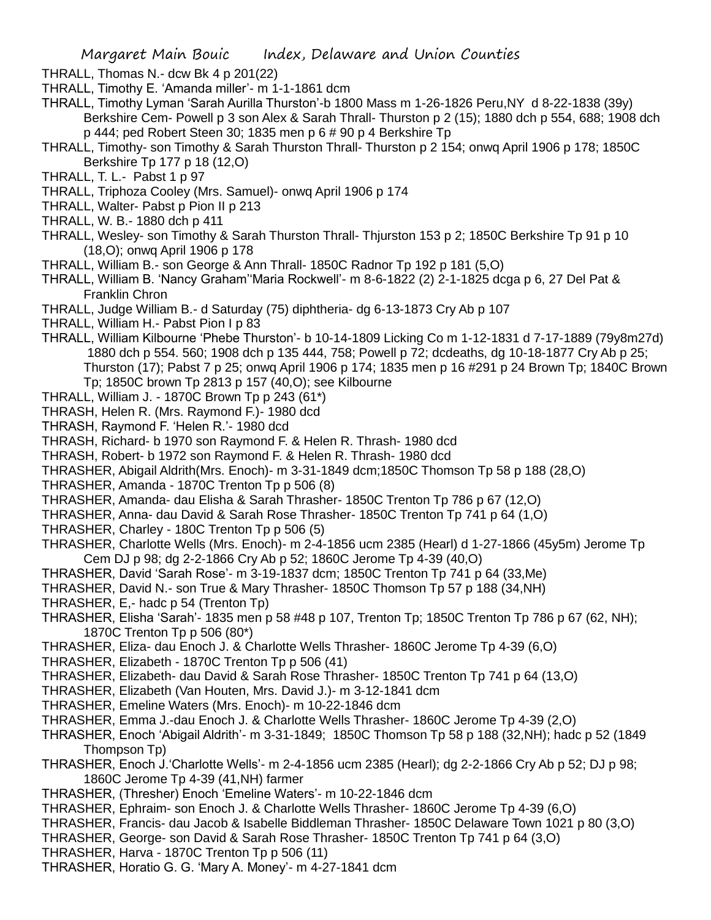THRALL, Thomas N.- dcw Bk 4 p 201(22)

- THRALL, Timothy E. 'Amanda miller'- m 1-1-1861 dcm
- THRALL, Timothy Lyman 'Sarah Aurilla Thurston'-b 1800 Mass m 1-26-1826 Peru,NY d 8-22-1838 (39y) Berkshire Cem- Powell p 3 son Alex & Sarah Thrall- Thurston p 2 (15); 1880 dch p 554, 688; 1908 dch p 444; ped Robert Steen 30; 1835 men p 6 # 90 p 4 Berkshire Tp
- THRALL, Timothy- son Timothy & Sarah Thurston Thrall- Thurston p 2 154; onwq April 1906 p 178; 1850C Berkshire Tp 177 p 18 (12,O)
- THRALL, T. L.- Pabst 1 p 97
- THRALL, Triphoza Cooley (Mrs. Samuel)- onwq April 1906 p 174
- THRALL, Walter- Pabst p Pion II p 213
- THRALL, W. B.- 1880 dch p 411
- THRALL, Wesley- son Timothy & Sarah Thurston Thrall- Thjurston 153 p 2; 1850C Berkshire Tp 91 p 10 (18,O); onwq April 1906 p 178
- THRALL, William B.- son George & Ann Thrall- 1850C Radnor Tp 192 p 181 (5,O)
- THRALL, William B. 'Nancy Graham''Maria Rockwell'- m 8-6-1822 (2) 2-1-1825 dcga p 6, 27 Del Pat & Franklin Chron
- THRALL, Judge William B.- d Saturday (75) diphtheria- dg 6-13-1873 Cry Ab p 107
- THRALL, William H.- Pabst Pion I p 83
- THRALL, William Kilbourne 'Phebe Thurston'- b 10-14-1809 Licking Co m 1-12-1831 d 7-17-1889 (79y8m27d) 1880 dch p 554. 560; 1908 dch p 135 444, 758; Powell p 72; dcdeaths, dg 10-18-1877 Cry Ab p 25; Thurston (17); Pabst 7 p 25; onwq April 1906 p 174; 1835 men p 16 #291 p 24 Brown Tp; 1840C Brown Tp; 1850C brown Tp 2813 p 157 (40,O); see Kilbourne
- THRALL, William J. 1870C Brown Tp p 243 (61\*)
- THRASH, Helen R. (Mrs. Raymond F.)- 1980 dcd
- THRASH, Raymond F. 'Helen R.'- 1980 dcd
- THRASH, Richard- b 1970 son Raymond F. & Helen R. Thrash- 1980 dcd
- THRASH, Robert- b 1972 son Raymond F. & Helen R. Thrash- 1980 dcd
- THRASHER, Abigail Aldrith(Mrs. Enoch)- m 3-31-1849 dcm;1850C Thomson Tp 58 p 188 (28,O)
- THRASHER, Amanda 1870C Trenton Tp p 506 (8)
- THRASHER, Amanda- dau Elisha & Sarah Thrasher- 1850C Trenton Tp 786 p 67 (12,O)
- THRASHER, Anna- dau David & Sarah Rose Thrasher- 1850C Trenton Tp 741 p 64 (1,O)
- THRASHER, Charley 180C Trenton Tp p 506 (5)
- THRASHER, Charlotte Wells (Mrs. Enoch)- m 2-4-1856 ucm 2385 (Hearl) d 1-27-1866 (45y5m) Jerome Tp Cem DJ p 98; dg 2-2-1866 Cry Ab p 52; 1860C Jerome Tp 4-39 (40,O)
- THRASHER, David 'Sarah Rose'- m 3-19-1837 dcm; 1850C Trenton Tp 741 p 64 (33,Me)
- THRASHER, David N.- son True & Mary Thrasher- 1850C Thomson Tp 57 p 188 (34,NH)
- THRASHER, E,- hadc p 54 (Trenton Tp)
- THRASHER, Elisha 'Sarah'- 1835 men p 58 #48 p 107, Trenton Tp; 1850C Trenton Tp 786 p 67 (62, NH); 1870C Trenton Tp p 506 (80\*)
- THRASHER, Eliza- dau Enoch J. & Charlotte Wells Thrasher- 1860C Jerome Tp 4-39 (6,O)
- THRASHER, Elizabeth 1870C Trenton Tp p 506 (41)
- THRASHER, Elizabeth- dau David & Sarah Rose Thrasher- 1850C Trenton Tp 741 p 64 (13,O)
- THRASHER, Elizabeth (Van Houten, Mrs. David J.)- m 3-12-1841 dcm
- THRASHER, Emeline Waters (Mrs. Enoch)- m 10-22-1846 dcm
- THRASHER, Emma J.-dau Enoch J. & Charlotte Wells Thrasher- 1860C Jerome Tp 4-39 (2,O)
- THRASHER, Enoch 'Abigail Aldrith'- m 3-31-1849; 1850C Thomson Tp 58 p 188 (32,NH); hadc p 52 (1849 Thompson Tp)
- THRASHER, Enoch J.'Charlotte Wells'- m 2-4-1856 ucm 2385 (Hearl); dg 2-2-1866 Cry Ab p 52; DJ p 98; 1860C Jerome Tp 4-39 (41,NH) farmer
- THRASHER, (Thresher) Enoch 'Emeline Waters'- m 10-22-1846 dcm
- THRASHER, Ephraim- son Enoch J. & Charlotte Wells Thrasher- 1860C Jerome Tp 4-39 (6,O)
- THRASHER, Francis- dau Jacob & Isabelle Biddleman Thrasher- 1850C Delaware Town 1021 p 80 (3,O)
- THRASHER, George- son David & Sarah Rose Thrasher- 1850C Trenton Tp 741 p 64 (3,O)
- THRASHER, Harva 1870C Trenton Tp p 506 (11)
- THRASHER, Horatio G. G. 'Mary A. Money'- m 4-27-1841 dcm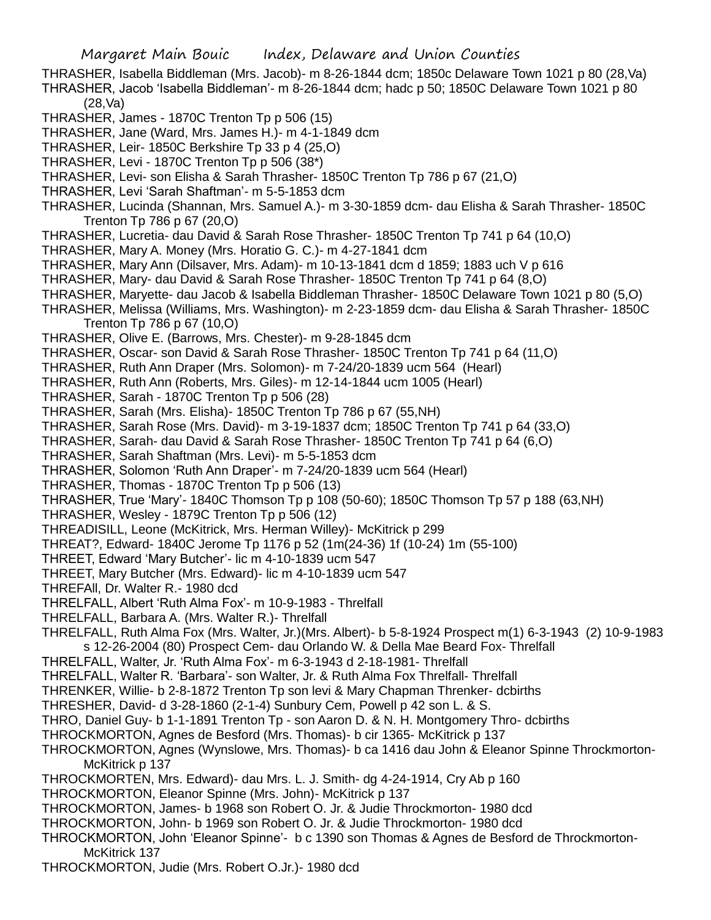THRASHER, Isabella Biddleman (Mrs. Jacob)- m 8-26-1844 dcm; 1850c Delaware Town 1021 p 80 (28,Va) THRASHER, Jacob 'Isabella Biddleman'- m 8-26-1844 dcm; hadc p 50; 1850C Delaware Town 1021 p 80 (28,Va)

THRASHER, James - 1870C Trenton Tp p 506 (15)

THRASHER, Jane (Ward, Mrs. James H.)- m 4-1-1849 dcm

THRASHER, Leir- 1850C Berkshire Tp 33 p 4 (25,O)

THRASHER, Levi - 1870C Trenton Tp p 506 (38\*)

THRASHER, Levi- son Elisha & Sarah Thrasher- 1850C Trenton Tp 786 p 67 (21,O)

THRASHER, Levi 'Sarah Shaftman'- m 5-5-1853 dcm

THRASHER, Lucinda (Shannan, Mrs. Samuel A.)- m 3-30-1859 dcm- dau Elisha & Sarah Thrasher- 1850C Trenton Tp 786 p 67 (20,O)

THRASHER, Lucretia- dau David & Sarah Rose Thrasher- 1850C Trenton Tp 741 p 64 (10,O)

THRASHER, Mary A. Money (Mrs. Horatio G. C.)- m 4-27-1841 dcm

THRASHER, Mary Ann (Dilsaver, Mrs. Adam)- m 10-13-1841 dcm d 1859; 1883 uch V p 616

THRASHER, Mary- dau David & Sarah Rose Thrasher- 1850C Trenton Tp 741 p 64 (8,O)

THRASHER, Maryette- dau Jacob & Isabella Biddleman Thrasher- 1850C Delaware Town 1021 p 80 (5,O)

THRASHER, Melissa (Williams, Mrs. Washington)- m 2-23-1859 dcm- dau Elisha & Sarah Thrasher- 1850C Trenton Tp 786 p 67 (10,O)

THRASHER, Olive E. (Barrows, Mrs. Chester)- m 9-28-1845 dcm

THRASHER, Oscar- son David & Sarah Rose Thrasher- 1850C Trenton Tp 741 p 64 (11,O)

THRASHER, Ruth Ann Draper (Mrs. Solomon)- m 7-24/20-1839 ucm 564 (Hearl)

THRASHER, Ruth Ann (Roberts, Mrs. Giles)- m 12-14-1844 ucm 1005 (Hearl)

THRASHER, Sarah - 1870C Trenton Tp p 506 (28)

THRASHER, Sarah (Mrs. Elisha)- 1850C Trenton Tp 786 p 67 (55,NH)

THRASHER, Sarah Rose (Mrs. David)- m 3-19-1837 dcm; 1850C Trenton Tp 741 p 64 (33,O)

THRASHER, Sarah- dau David & Sarah Rose Thrasher- 1850C Trenton Tp 741 p 64 (6,O)

THRASHER, Sarah Shaftman (Mrs. Levi)- m 5-5-1853 dcm

THRASHER, Solomon 'Ruth Ann Draper'- m 7-24/20-1839 ucm 564 (Hearl)

THRASHER, Thomas - 1870C Trenton Tp p 506 (13)

THRASHER, True 'Mary'- 1840C Thomson Tp p 108 (50-60); 1850C Thomson Tp 57 p 188 (63,NH)

THRASHER, Wesley - 1879C Trenton Tp p 506 (12)

THREADISILL, Leone (McKitrick, Mrs. Herman Willey)- McKitrick p 299

THREAT?, Edward- 1840C Jerome Tp 1176 p 52 (1m(24-36) 1f (10-24) 1m (55-100)

THREET, Edward 'Mary Butcher'- lic m 4-10-1839 ucm 547

THREET, Mary Butcher (Mrs. Edward)- lic m 4-10-1839 ucm 547

THREFAll, Dr. Walter R.- 1980 dcd

THRELFALL, Albert 'Ruth Alma Fox'- m 10-9-1983 - Threlfall

THRELFALL, Barbara A. (Mrs. Walter R.)- Threlfall

THRELFALL, Ruth Alma Fox (Mrs. Walter, Jr.)(Mrs. Albert)- b 5-8-1924 Prospect m(1) 6-3-1943 (2) 10-9-1983 s 12-26-2004 (80) Prospect Cem- dau Orlando W. & Della Mae Beard Fox- Threlfall

THRELFALL, Walter, Jr. 'Ruth Alma Fox'- m 6-3-1943 d 2-18-1981- Threlfall

THRELFALL, Walter R. 'Barbara'- son Walter, Jr. & Ruth Alma Fox Threlfall- Threlfall

THRENKER, Willie- b 2-8-1872 Trenton Tp son levi & Mary Chapman Threnker- dcbirths

THRESHER, David- d 3-28-1860 (2-1-4) Sunbury Cem, Powell p 42 son L. & S.

THRO, Daniel Guy- b 1-1-1891 Trenton Tp - son Aaron D. & N. H. Montgomery Thro- dcbirths

THROCKMORTON, Agnes de Besford (Mrs. Thomas)- b cir 1365- McKitrick p 137

THROCKMORTON, Agnes (Wynslowe, Mrs. Thomas)- b ca 1416 dau John & Eleanor Spinne Throckmorton-McKitrick p 137

THROCKMORTEN, Mrs. Edward)- dau Mrs. L. J. Smith- dg 4-24-1914, Cry Ab p 160

THROCKMORTON, Eleanor Spinne (Mrs. John)- McKitrick p 137

THROCKMORTON, James- b 1968 son Robert O. Jr. & Judie Throckmorton- 1980 dcd

THROCKMORTON, John- b 1969 son Robert O. Jr. & Judie Throckmorton- 1980 dcd

THROCKMORTON, John 'Eleanor Spinne'- b c 1390 son Thomas & Agnes de Besford de Throckmorton-McKitrick 137

THROCKMORTON, Judie (Mrs. Robert O.Jr.)- 1980 dcd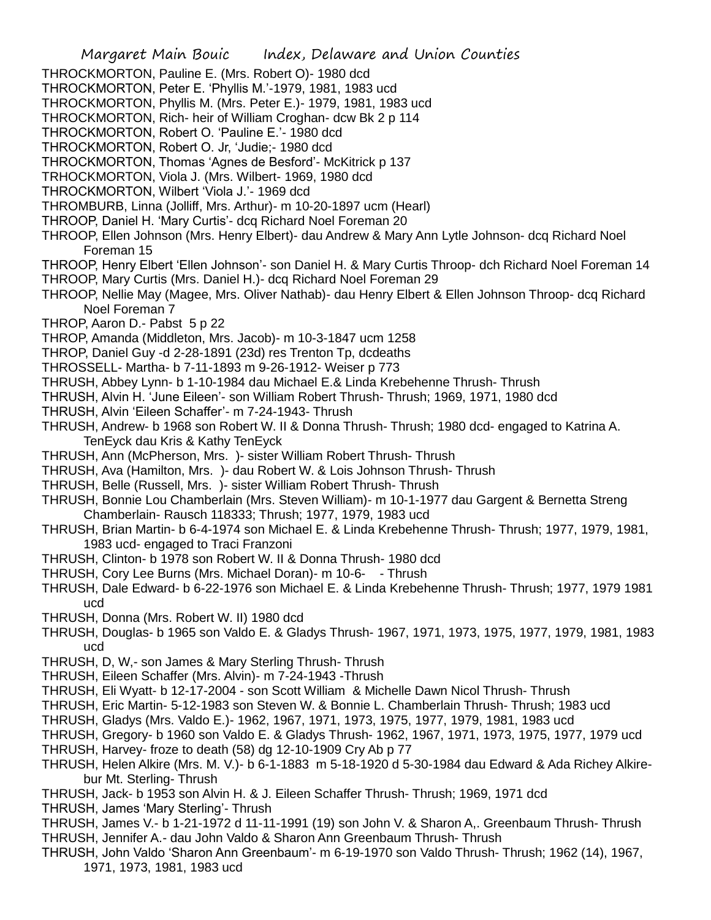- THROCKMORTON, Pauline E. (Mrs. Robert O)- 1980 dcd
- THROCKMORTON, Peter E. 'Phyllis M.'-1979, 1981, 1983 ucd
- THROCKMORTON, Phyllis M. (Mrs. Peter E.)- 1979, 1981, 1983 ucd
- THROCKMORTON, Rich- heir of William Croghan- dcw Bk 2 p 114
- THROCKMORTON, Robert O. 'Pauline E.'- 1980 dcd
- THROCKMORTON, Robert O. Jr, 'Judie;- 1980 dcd
- THROCKMORTON, Thomas 'Agnes de Besford'- McKitrick p 137
- TRHOCKMORTON, Viola J. (Mrs. Wilbert- 1969, 1980 dcd
- THROCKMORTON, Wilbert 'Viola J.'- 1969 dcd
- THROMBURB, Linna (Jolliff, Mrs. Arthur)- m 10-20-1897 ucm (Hearl)
- THROOP, Daniel H. 'Mary Curtis'- dcq Richard Noel Foreman 20
- THROOP, Ellen Johnson (Mrs. Henry Elbert)- dau Andrew & Mary Ann Lytle Johnson- dcq Richard Noel Foreman 15
- THROOP, Henry Elbert 'Ellen Johnson'- son Daniel H. & Mary Curtis Throop- dch Richard Noel Foreman 14 THROOP, Mary Curtis (Mrs. Daniel H.)- dcq Richard Noel Foreman 29
- THROOP, Nellie May (Magee, Mrs. Oliver Nathab)- dau Henry Elbert & Ellen Johnson Throop- dcq Richard Noel Foreman 7
- THROP, Aaron D.- Pabst 5 p 22
- THROP, Amanda (Middleton, Mrs. Jacob)- m 10-3-1847 ucm 1258
- THROP, Daniel Guy -d 2-28-1891 (23d) res Trenton Tp, dcdeaths
- THROSSELL- Martha- b 7-11-1893 m 9-26-1912- Weiser p 773
- THRUSH, Abbey Lynn- b 1-10-1984 dau Michael E.& Linda Krebehenne Thrush- Thrush
- THRUSH, Alvin H. 'June Eileen'- son William Robert Thrush- Thrush; 1969, 1971, 1980 dcd
- THRUSH, Alvin 'Eileen Schaffer'- m 7-24-1943- Thrush
- THRUSH, Andrew- b 1968 son Robert W. II & Donna Thrush- Thrush; 1980 dcd- engaged to Katrina A. TenEyck dau Kris & Kathy TenEyck
- THRUSH, Ann (McPherson, Mrs. )- sister William Robert Thrush- Thrush
- THRUSH, Ava (Hamilton, Mrs. )- dau Robert W. & Lois Johnson Thrush- Thrush
- THRUSH, Belle (Russell, Mrs. )- sister William Robert Thrush- Thrush
- THRUSH, Bonnie Lou Chamberlain (Mrs. Steven William)- m 10-1-1977 dau Gargent & Bernetta Streng Chamberlain- Rausch 118333; Thrush; 1977, 1979, 1983 ucd
- THRUSH, Brian Martin- b 6-4-1974 son Michael E. & Linda Krebehenne Thrush- Thrush; 1977, 1979, 1981, 1983 ucd- engaged to Traci Franzoni
- THRUSH, Clinton- b 1978 son Robert W. II & Donna Thrush- 1980 dcd
- THRUSH, Cory Lee Burns (Mrs. Michael Doran)- m 10-6- Thrush
- THRUSH, Dale Edward- b 6-22-1976 son Michael E. & Linda Krebehenne Thrush- Thrush; 1977, 1979 1981 ucd
- THRUSH, Donna (Mrs. Robert W. II) 1980 dcd
- THRUSH, Douglas- b 1965 son Valdo E. & Gladys Thrush- 1967, 1971, 1973, 1975, 1977, 1979, 1981, 1983 ucd
- THRUSH, D, W,- son James & Mary Sterling Thrush- Thrush
- THRUSH, Eileen Schaffer (Mrs. Alvin)- m 7-24-1943 -Thrush
- THRUSH, Eli Wyatt- b 12-17-2004 son Scott William & Michelle Dawn Nicol Thrush- Thrush
- THRUSH, Eric Martin- 5-12-1983 son Steven W. & Bonnie L. Chamberlain Thrush- Thrush; 1983 ucd
- THRUSH, Gladys (Mrs. Valdo E.)- 1962, 1967, 1971, 1973, 1975, 1977, 1979, 1981, 1983 ucd
- THRUSH, Gregory- b 1960 son Valdo E. & Gladys Thrush- 1962, 1967, 1971, 1973, 1975, 1977, 1979 ucd
- THRUSH, Harvey- froze to death (58) dg 12-10-1909 Cry Ab p 77
- THRUSH, Helen Alkire (Mrs. M. V.)- b 6-1-1883 m 5-18-1920 d 5-30-1984 dau Edward & Ada Richey Alkirebur Mt. Sterling- Thrush
- THRUSH, Jack- b 1953 son Alvin H. & J. Eileen Schaffer Thrush- Thrush; 1969, 1971 dcd
- THRUSH, James 'Mary Sterling'- Thrush
- THRUSH, James V.- b 1-21-1972 d 11-11-1991 (19) son John V. & Sharon A,. Greenbaum Thrush- Thrush THRUSH, Jennifer A.- dau John Valdo & Sharon Ann Greenbaum Thrush- Thrush
- THRUSH, John Valdo 'Sharon Ann Greenbaum'- m 6-19-1970 son Valdo Thrush- Thrush; 1962 (14), 1967, 1971, 1973, 1981, 1983 ucd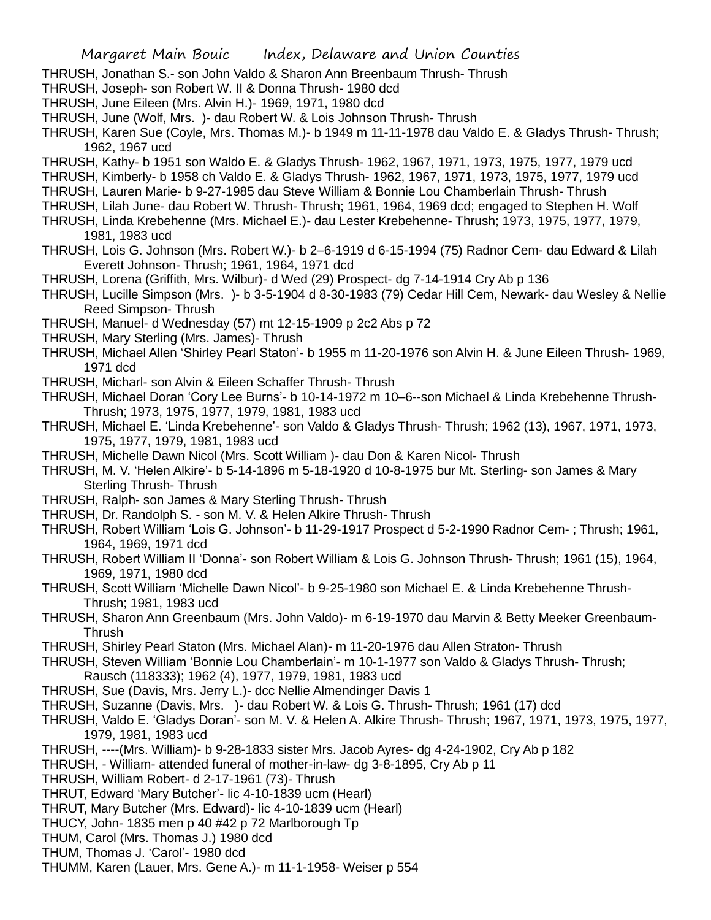- THRUSH, Jonathan S.- son John Valdo & Sharon Ann Breenbaum Thrush- Thrush
- THRUSH, Joseph- son Robert W. II & Donna Thrush- 1980 dcd
- THRUSH, June Eileen (Mrs. Alvin H.)- 1969, 1971, 1980 dcd
- THRUSH, June (Wolf, Mrs. )- dau Robert W. & Lois Johnson Thrush- Thrush
- THRUSH, Karen Sue (Coyle, Mrs. Thomas M.)- b 1949 m 11-11-1978 dau Valdo E. & Gladys Thrush- Thrush; 1962, 1967 ucd
- THRUSH, Kathy- b 1951 son Waldo E. & Gladys Thrush- 1962, 1967, 1971, 1973, 1975, 1977, 1979 ucd
- THRUSH, Kimberly- b 1958 ch Valdo E. & Gladys Thrush- 1962, 1967, 1971, 1973, 1975, 1977, 1979 ucd
- THRUSH, Lauren Marie- b 9-27-1985 dau Steve William & Bonnie Lou Chamberlain Thrush- Thrush
- THRUSH, Lilah June- dau Robert W. Thrush- Thrush; 1961, 1964, 1969 dcd; engaged to Stephen H. Wolf
- THRUSH, Linda Krebehenne (Mrs. Michael E.)- dau Lester Krebehenne- Thrush; 1973, 1975, 1977, 1979, 1981, 1983 ucd
- THRUSH, Lois G. Johnson (Mrs. Robert W.)- b 2–6-1919 d 6-15-1994 (75) Radnor Cem- dau Edward & Lilah Everett Johnson- Thrush; 1961, 1964, 1971 dcd
- THRUSH, Lorena (Griffith, Mrs. Wilbur)- d Wed (29) Prospect- dg 7-14-1914 Cry Ab p 136
- THRUSH, Lucille Simpson (Mrs. )- b 3-5-1904 d 8-30-1983 (79) Cedar Hill Cem, Newark- dau Wesley & Nellie Reed Simpson- Thrush
- THRUSH, Manuel- d Wednesday (57) mt 12-15-1909 p 2c2 Abs p 72
- THRUSH, Mary Sterling (Mrs. James)- Thrush
- THRUSH, Michael Allen 'Shirley Pearl Staton'- b 1955 m 11-20-1976 son Alvin H. & June Eileen Thrush- 1969, 1971 dcd
- THRUSH, Micharl- son Alvin & Eileen Schaffer Thrush- Thrush
- THRUSH, Michael Doran 'Cory Lee Burns'- b 10-14-1972 m 10–6--son Michael & Linda Krebehenne Thrush-Thrush; 1973, 1975, 1977, 1979, 1981, 1983 ucd
- THRUSH, Michael E. 'Linda Krebehenne'- son Valdo & Gladys Thrush- Thrush; 1962 (13), 1967, 1971, 1973, 1975, 1977, 1979, 1981, 1983 ucd
- THRUSH, Michelle Dawn Nicol (Mrs. Scott William )- dau Don & Karen Nicol- Thrush
- THRUSH, M. V. 'Helen Alkire'- b 5-14-1896 m 5-18-1920 d 10-8-1975 bur Mt. Sterling- son James & Mary Sterling Thrush- Thrush
- THRUSH, Ralph- son James & Mary Sterling Thrush- Thrush
- THRUSH, Dr. Randolph S. son M. V. & Helen Alkire Thrush- Thrush
- THRUSH, Robert William 'Lois G. Johnson'- b 11-29-1917 Prospect d 5-2-1990 Radnor Cem- ; Thrush; 1961, 1964, 1969, 1971 dcd
- THRUSH, Robert William II 'Donna'- son Robert William & Lois G. Johnson Thrush- Thrush; 1961 (15), 1964, 1969, 1971, 1980 dcd
- THRUSH, Scott William 'Michelle Dawn Nicol'- b 9-25-1980 son Michael E. & Linda Krebehenne Thrush-Thrush; 1981, 1983 ucd
- THRUSH, Sharon Ann Greenbaum (Mrs. John Valdo)- m 6-19-1970 dau Marvin & Betty Meeker Greenbaum-Thrush
- THRUSH, Shirley Pearl Staton (Mrs. Michael Alan)- m 11-20-1976 dau Allen Straton- Thrush
- THRUSH, Steven William 'Bonnie Lou Chamberlain'- m 10-1-1977 son Valdo & Gladys Thrush- Thrush; Rausch (118333); 1962 (4), 1977, 1979, 1981, 1983 ucd
- THRUSH, Sue (Davis, Mrs. Jerry L.)- dcc Nellie Almendinger Davis 1
- THRUSH, Suzanne (Davis, Mrs. )- dau Robert W. & Lois G. Thrush- Thrush; 1961 (17) dcd
- THRUSH, Valdo E. 'Gladys Doran'- son M. V. & Helen A. Alkire Thrush- Thrush; 1967, 1971, 1973, 1975, 1977, 1979, 1981, 1983 ucd
- THRUSH, ----(Mrs. William)- b 9-28-1833 sister Mrs. Jacob Ayres- dg 4-24-1902, Cry Ab p 182
- THRUSH, William- attended funeral of mother-in-law- dg 3-8-1895, Cry Ab p 11
- THRUSH, William Robert- d 2-17-1961 (73)- Thrush
- THRUT, Edward 'Mary Butcher'- lic 4-10-1839 ucm (Hearl)
- THRUT, Mary Butcher (Mrs. Edward)- lic 4-10-1839 ucm (Hearl)
- THUCY, John- 1835 men p 40 #42 p 72 Marlborough Tp
- THUM, Carol (Mrs. Thomas J.) 1980 dcd
- THUM, Thomas J. 'Carol'- 1980 dcd
- THUMM, Karen (Lauer, Mrs. Gene A.)- m 11-1-1958- Weiser p 554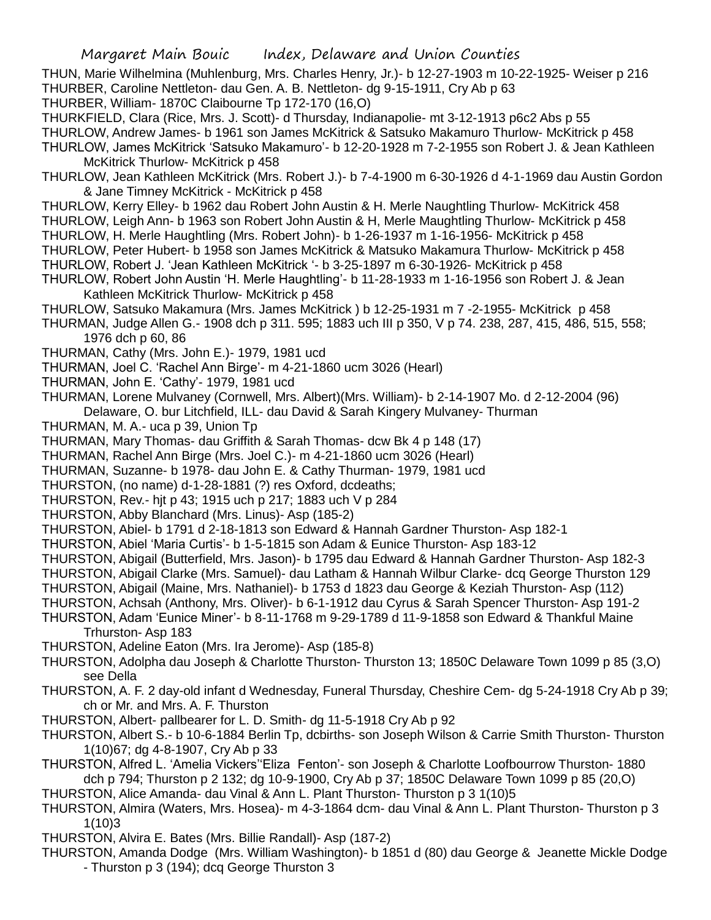THUN, Marie Wilhelmina (Muhlenburg, Mrs. Charles Henry, Jr.)- b 12-27-1903 m 10-22-1925- Weiser p 216 THURBER, Caroline Nettleton- dau Gen. A. B. Nettleton- dg 9-15-1911, Cry Ab p 63

THURBER, William- 1870C Claibourne Tp 172-170 (16,O)

THURKFIELD, Clara (Rice, Mrs. J. Scott)- d Thursday, Indianapolie- mt 3-12-1913 p6c2 Abs p 55 THURLOW, Andrew James- b 1961 son James McKitrick & Satsuko Makamuro Thurlow- McKitrick p 458 THURLOW, James McKitrick 'Satsuko Makamuro'- b 12-20-1928 m 7-2-1955 son Robert J. & Jean Kathleen

McKitrick Thurlow- McKitrick p 458

- THURLOW, Jean Kathleen McKitrick (Mrs. Robert J.)- b 7-4-1900 m 6-30-1926 d 4-1-1969 dau Austin Gordon & Jane Timney McKitrick - McKitrick p 458
- THURLOW, Kerry Elley- b 1962 dau Robert John Austin & H. Merle Naughtling Thurlow- McKitrick 458 THURLOW, Leigh Ann- b 1963 son Robert John Austin & H, Merle Maughtling Thurlow- McKitrick p 458
- THURLOW, H. Merle Haughtling (Mrs. Robert John)- b 1-26-1937 m 1-16-1956- McKitrick p 458 THURLOW, Peter Hubert- b 1958 son James McKitrick & Matsuko Makamura Thurlow- McKitrick p 458
- THURLOW, Robert J. 'Jean Kathleen McKitrick '- b 3-25-1897 m 6-30-1926- McKitrick p 458
- THURLOW, Robert John Austin 'H. Merle Haughtling'- b 11-28-1933 m 1-16-1956 son Robert J. & Jean Kathleen McKitrick Thurlow- McKitrick p 458
- THURLOW, Satsuko Makamura (Mrs. James McKitrick ) b 12-25-1931 m 7 -2-1955- McKitrick p 458
- THURMAN, Judge Allen G.- 1908 dch p 311. 595; 1883 uch III p 350, V p 74. 238, 287, 415, 486, 515, 558; 1976 dch p 60, 86
- THURMAN, Cathy (Mrs. John E.)- 1979, 1981 ucd
- THURMAN, Joel C. 'Rachel Ann Birge'- m 4-21-1860 ucm 3026 (Hearl)
- THURMAN, John E. 'Cathy'- 1979, 1981 ucd
- THURMAN, Lorene Mulvaney (Cornwell, Mrs. Albert)(Mrs. William)- b 2-14-1907 Mo. d 2-12-2004 (96) Delaware, O. bur Litchfield, ILL- dau David & Sarah Kingery Mulvaney- Thurman
- THURMAN, M. A.- uca p 39, Union Tp
- THURMAN, Mary Thomas- dau Griffith & Sarah Thomas- dcw Bk 4 p 148 (17)
- THURMAN, Rachel Ann Birge (Mrs. Joel C.)- m 4-21-1860 ucm 3026 (Hearl)
- THURMAN, Suzanne- b 1978- dau John E. & Cathy Thurman- 1979, 1981 ucd
- THURSTON, (no name) d-1-28-1881 (?) res Oxford, dcdeaths;
- THURSTON, Rev.- hjt p 43; 1915 uch p 217; 1883 uch V p 284
- THURSTON, Abby Blanchard (Mrs. Linus)- Asp (185-2)
- THURSTON, Abiel- b 1791 d 2-18-1813 son Edward & Hannah Gardner Thurston- Asp 182-1
- THURSTON, Abiel 'Maria Curtis'- b 1-5-1815 son Adam & Eunice Thurston- Asp 183-12
- THURSTON, Abigail (Butterfield, Mrs. Jason)- b 1795 dau Edward & Hannah Gardner Thurston- Asp 182-3
- THURSTON, Abigail Clarke (Mrs. Samuel)- dau Latham & Hannah Wilbur Clarke- dcq George Thurston 129
- THURSTON, Abigail (Maine, Mrs. Nathaniel)- b 1753 d 1823 dau George & Keziah Thurston- Asp (112)
- THURSTON, Achsah (Anthony, Mrs. Oliver)- b 6-1-1912 dau Cyrus & Sarah Spencer Thurston- Asp 191-2
- THURSTON, Adam 'Eunice Miner'- b 8-11-1768 m 9-29-1789 d 11-9-1858 son Edward & Thankful Maine Trhurston- Asp 183
- THURSTON, Adeline Eaton (Mrs. Ira Jerome)- Asp (185-8)
- THURSTON, Adolpha dau Joseph & Charlotte Thurston- Thurston 13; 1850C Delaware Town 1099 p 85 (3,O) see Della
- THURSTON, A. F. 2 day-old infant d Wednesday, Funeral Thursday, Cheshire Cem- dg 5-24-1918 Cry Ab p 39; ch or Mr. and Mrs. A. F. Thurston
- THURSTON, Albert- pallbearer for L. D. Smith- dg 11-5-1918 Cry Ab p 92
- THURSTON, Albert S.- b 10-6-1884 Berlin Tp, dcbirths- son Joseph Wilson & Carrie Smith Thurston- Thurston 1(10)67; dg 4-8-1907, Cry Ab p 33
- THURSTON, Alfred L. 'Amelia Vickers''Eliza Fenton'- son Joseph & Charlotte Loofbourrow Thurston- 1880 dch p 794; Thurston p 2 132; dg 10-9-1900, Cry Ab p 37; 1850C Delaware Town 1099 p 85 (20,O)
- THURSTON, Alice Amanda- dau Vinal & Ann L. Plant Thurston- Thurston p 3 1(10)5
- THURSTON, Almira (Waters, Mrs. Hosea)- m 4-3-1864 dcm- dau Vinal & Ann L. Plant Thurston- Thurston p 3 1(10)3
- THURSTON, Alvira E. Bates (Mrs. Billie Randall)- Asp (187-2)
- THURSTON, Amanda Dodge (Mrs. William Washington)- b 1851 d (80) dau George & Jeanette Mickle Dodge
	- Thurston p 3 (194); dcq George Thurston 3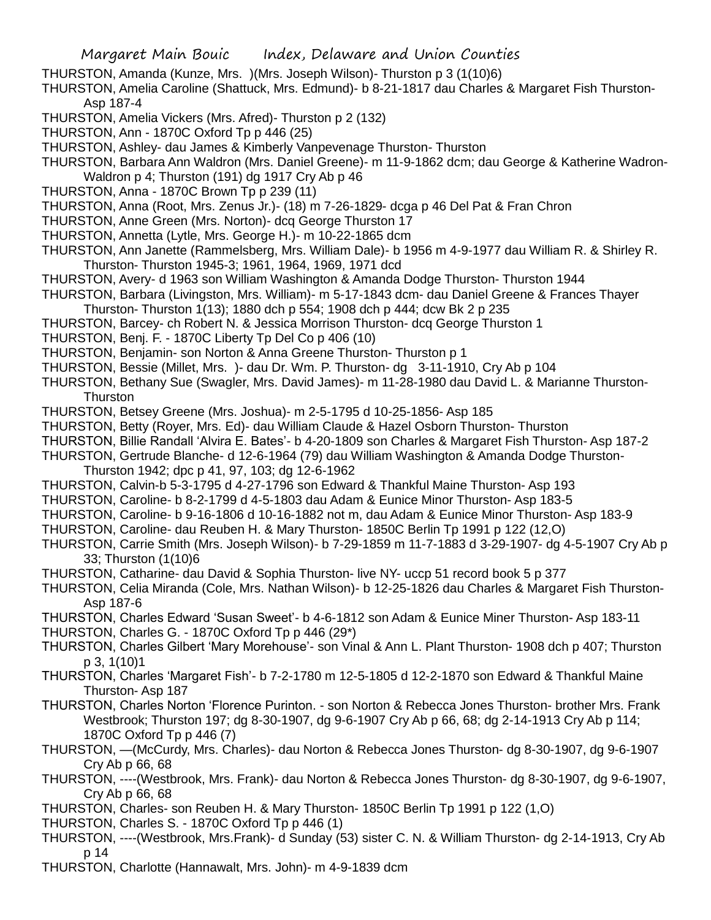THURSTON, Amanda (Kunze, Mrs. )(Mrs. Joseph Wilson)- Thurston p 3 (1(10)6)

THURSTON, Amelia Caroline (Shattuck, Mrs. Edmund)- b 8-21-1817 dau Charles & Margaret Fish Thurston-Asp 187-4

- THURSTON, Amelia Vickers (Mrs. Afred)- Thurston p 2 (132)
- THURSTON, Ann 1870C Oxford Tp p 446 (25)
- THURSTON, Ashley- dau James & Kimberly Vanpevenage Thurston- Thurston
- THURSTON, Barbara Ann Waldron (Mrs. Daniel Greene)- m 11-9-1862 dcm; dau George & Katherine Wadron-Waldron p 4; Thurston (191) dg 1917 Cry Ab p 46
- THURSTON, Anna 1870C Brown Tp p 239 (11)
- THURSTON, Anna (Root, Mrs. Zenus Jr.)- (18) m 7-26-1829- dcga p 46 Del Pat & Fran Chron
- THURSTON, Anne Green (Mrs. Norton)- dcq George Thurston 17
- THURSTON, Annetta (Lytle, Mrs. George H.)- m 10-22-1865 dcm
- THURSTON, Ann Janette (Rammelsberg, Mrs. William Dale)- b 1956 m 4-9-1977 dau William R. & Shirley R. Thurston- Thurston 1945-3; 1961, 1964, 1969, 1971 dcd
- THURSTON, Avery- d 1963 son William Washington & Amanda Dodge Thurston- Thurston 1944
- THURSTON, Barbara (Livingston, Mrs. William)- m 5-17-1843 dcm- dau Daniel Greene & Frances Thayer Thurston- Thurston 1(13); 1880 dch p 554; 1908 dch p 444; dcw Bk 2 p 235
- THURSTON, Barcey- ch Robert N. & Jessica Morrison Thurston- dcq George Thurston 1
- THURSTON, Benj. F. 1870C Liberty Tp Del Co p 406 (10)
- THURSTON, Benjamin- son Norton & Anna Greene Thurston- Thurston p 1
- THURSTON, Bessie (Millet, Mrs. )- dau Dr. Wm. P. Thurston- dg 3-11-1910, Cry Ab p 104
- THURSTON, Bethany Sue (Swagler, Mrs. David James)- m 11-28-1980 dau David L. & Marianne Thurston-**Thurston**
- THURSTON, Betsey Greene (Mrs. Joshua)- m 2-5-1795 d 10-25-1856- Asp 185
- THURSTON, Betty (Royer, Mrs. Ed)- dau William Claude & Hazel Osborn Thurston- Thurston
- THURSTON, Billie Randall 'Alvira E. Bates'- b 4-20-1809 son Charles & Margaret Fish Thurston- Asp 187-2
- THURSTON, Gertrude Blanche- d 12-6-1964 (79) dau William Washington & Amanda Dodge Thurston-
- Thurston 1942; dpc p 41, 97, 103; dg 12-6-1962
- THURSTON, Calvin-b 5-3-1795 d 4-27-1796 son Edward & Thankful Maine Thurston- Asp 193
- THURSTON, Caroline- b 8-2-1799 d 4-5-1803 dau Adam & Eunice Minor Thurston- Asp 183-5
- THURSTON, Caroline- b 9-16-1806 d 10-16-1882 not m, dau Adam & Eunice Minor Thurston- Asp 183-9
- THURSTON, Caroline- dau Reuben H. & Mary Thurston- 1850C Berlin Tp 1991 p 122 (12,O)
- THURSTON, Carrie Smith (Mrs. Joseph Wilson)- b 7-29-1859 m 11-7-1883 d 3-29-1907- dg 4-5-1907 Cry Ab p 33; Thurston (1(10)6
- THURSTON, Catharine- dau David & Sophia Thurston- live NY- uccp 51 record book 5 p 377
- THURSTON, Celia Miranda (Cole, Mrs. Nathan Wilson)- b 12-25-1826 dau Charles & Margaret Fish Thurston-Asp 187-6
- THURSTON, Charles Edward 'Susan Sweet'- b 4-6-1812 son Adam & Eunice Miner Thurston- Asp 183-11 THURSTON, Charles G. - 1870C Oxford Tp p 446 (29\*)
- THURSTON, Charles Gilbert 'Mary Morehouse'- son Vinal & Ann L. Plant Thurston- 1908 dch p 407; Thurston p 3, 1(10)1
- THURSTON, Charles 'Margaret Fish'- b 7-2-1780 m 12-5-1805 d 12-2-1870 son Edward & Thankful Maine Thurston- Asp 187
- THURSTON, Charles Norton 'Florence Purinton. son Norton & Rebecca Jones Thurston- brother Mrs. Frank Westbrook; Thurston 197; dg 8-30-1907, dg 9-6-1907 Cry Ab p 66, 68; dg 2-14-1913 Cry Ab p 114; 1870C Oxford Tp p 446 (7)
- THURSTON, —(McCurdy, Mrs. Charles)- dau Norton & Rebecca Jones Thurston- dg 8-30-1907, dg 9-6-1907 Cry Ab p 66, 68
- THURSTON, ----(Westbrook, Mrs. Frank)- dau Norton & Rebecca Jones Thurston- dg 8-30-1907, dg 9-6-1907, Cry Ab p 66, 68
- THURSTON, Charles- son Reuben H. & Mary Thurston- 1850C Berlin Tp 1991 p 122 (1,O)
- THURSTON, Charles S. 1870C Oxford Tp p 446 (1)
- THURSTON, ----(Westbrook, Mrs.Frank)- d Sunday (53) sister C. N. & William Thurston- dg 2-14-1913, Cry Ab p 14
- THURSTON, Charlotte (Hannawalt, Mrs. John)- m 4-9-1839 dcm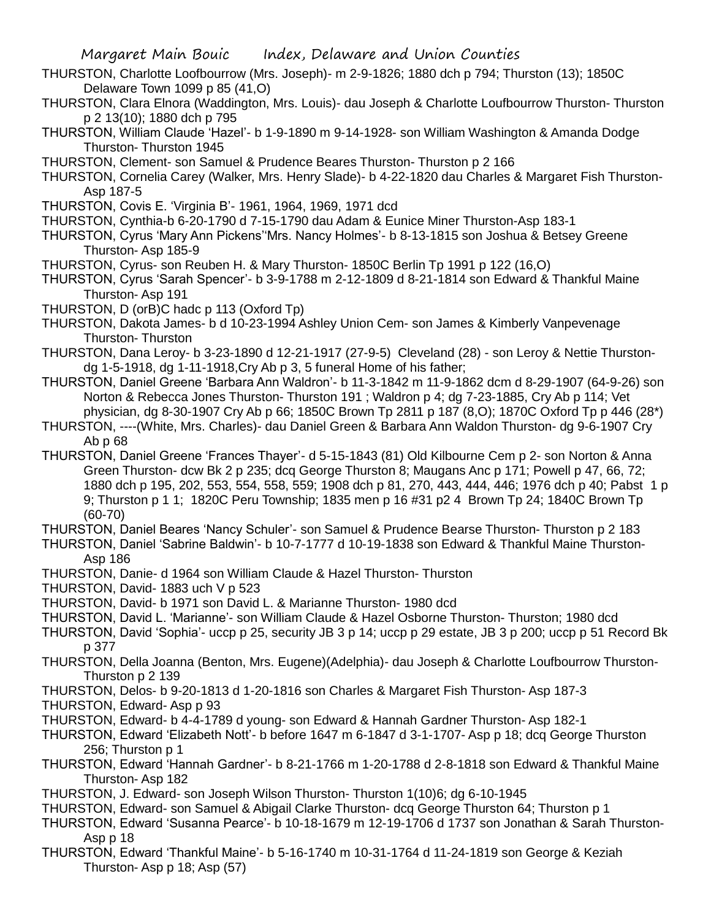- THURSTON, Charlotte Loofbourrow (Mrs. Joseph)- m 2-9-1826; 1880 dch p 794; Thurston (13); 1850C Delaware Town 1099 p 85 (41,O)
- THURSTON, Clara Elnora (Waddington, Mrs. Louis)- dau Joseph & Charlotte Loufbourrow Thurston- Thurston p 2 13(10); 1880 dch p 795
- THURSTON, William Claude 'Hazel'- b 1-9-1890 m 9-14-1928- son William Washington & Amanda Dodge Thurston- Thurston 1945
- THURSTON, Clement- son Samuel & Prudence Beares Thurston- Thurston p 2 166
- THURSTON, Cornelia Carey (Walker, Mrs. Henry Slade)- b 4-22-1820 dau Charles & Margaret Fish Thurston-Asp 187-5
- THURSTON, Covis E. 'Virginia B'- 1961, 1964, 1969, 1971 dcd
- THURSTON, Cynthia-b 6-20-1790 d 7-15-1790 dau Adam & Eunice Miner Thurston-Asp 183-1
- THURSTON, Cyrus 'Mary Ann Pickens''Mrs. Nancy Holmes'- b 8-13-1815 son Joshua & Betsey Greene Thurston- Asp 185-9
- THURSTON, Cyrus- son Reuben H. & Mary Thurston- 1850C Berlin Tp 1991 p 122 (16,O)
- THURSTON, Cyrus 'Sarah Spencer'- b 3-9-1788 m 2-12-1809 d 8-21-1814 son Edward & Thankful Maine Thurston- Asp 191
- THURSTON, D (orB)C hadc p 113 (Oxford Tp)
- THURSTON, Dakota James- b d 10-23-1994 Ashley Union Cem- son James & Kimberly Vanpevenage Thurston- Thurston
- THURSTON, Dana Leroy- b 3-23-1890 d 12-21-1917 (27-9-5) Cleveland (28) son Leroy & Nettie Thurstondg 1-5-1918, dg 1-11-1918,Cry Ab p 3, 5 funeral Home of his father;
- THURSTON, Daniel Greene 'Barbara Ann Waldron'- b 11-3-1842 m 11-9-1862 dcm d 8-29-1907 (64-9-26) son Norton & Rebecca Jones Thurston- Thurston 191 ; Waldron p 4; dg 7-23-1885, Cry Ab p 114; Vet physician, dg 8-30-1907 Cry Ab p 66; 1850C Brown Tp 2811 p 187 (8,O); 1870C Oxford Tp p 446 (28\*)
- THURSTON, ----(White, Mrs. Charles)- dau Daniel Green & Barbara Ann Waldon Thurston- dg 9-6-1907 Cry Ab p 68
- THURSTON, Daniel Greene 'Frances Thayer'- d 5-15-1843 (81) Old Kilbourne Cem p 2- son Norton & Anna Green Thurston- dcw Bk 2 p 235; dcq George Thurston 8; Maugans Anc p 171; Powell p 47, 66, 72; 1880 dch p 195, 202, 553, 554, 558, 559; 1908 dch p 81, 270, 443, 444, 446; 1976 dch p 40; Pabst 1 p 9; Thurston p 1 1; 1820C Peru Township; 1835 men p 16 #31 p2 4 Brown Tp 24; 1840C Brown Tp (60-70)

THURSTON, Daniel Beares 'Nancy Schuler'- son Samuel & Prudence Bearse Thurston- Thurston p 2 183

THURSTON, Daniel 'Sabrine Baldwin'- b 10-7-1777 d 10-19-1838 son Edward & Thankful Maine Thurston-Asp 186

- THURSTON, Danie- d 1964 son William Claude & Hazel Thurston- Thurston
- THURSTON, David- 1883 uch V p 523
- THURSTON, David- b 1971 son David L. & Marianne Thurston- 1980 dcd
- THURSTON, David L. 'Marianne'- son William Claude & Hazel Osborne Thurston- Thurston; 1980 dcd
- THURSTON, David 'Sophia'- uccp p 25, security JB 3 p 14; uccp p 29 estate, JB 3 p 200; uccp p 51 Record Bk p 377
- THURSTON, Della Joanna (Benton, Mrs. Eugene)(Adelphia)- dau Joseph & Charlotte Loufbourrow Thurston-Thurston p 2 139
- THURSTON, Delos- b 9-20-1813 d 1-20-1816 son Charles & Margaret Fish Thurston- Asp 187-3
- THURSTON, Edward- Asp p 93
- THURSTON, Edward- b 4-4-1789 d young- son Edward & Hannah Gardner Thurston- Asp 182-1
- THURSTON, Edward 'Elizabeth Nott'- b before 1647 m 6-1847 d 3-1-1707- Asp p 18; dcq George Thurston 256; Thurston p 1
- THURSTON, Edward 'Hannah Gardner'- b 8-21-1766 m 1-20-1788 d 2-8-1818 son Edward & Thankful Maine Thurston- Asp 182
- THURSTON, J. Edward- son Joseph Wilson Thurston- Thurston 1(10)6; dg 6-10-1945
- THURSTON, Edward- son Samuel & Abigail Clarke Thurston- dcq George Thurston 64; Thurston p 1
- THURSTON, Edward 'Susanna Pearce'- b 10-18-1679 m 12-19-1706 d 1737 son Jonathan & Sarah Thurston-Asp p 18
- THURSTON, Edward 'Thankful Maine'- b 5-16-1740 m 10-31-1764 d 11-24-1819 son George & Keziah Thurston- Asp p 18; Asp (57)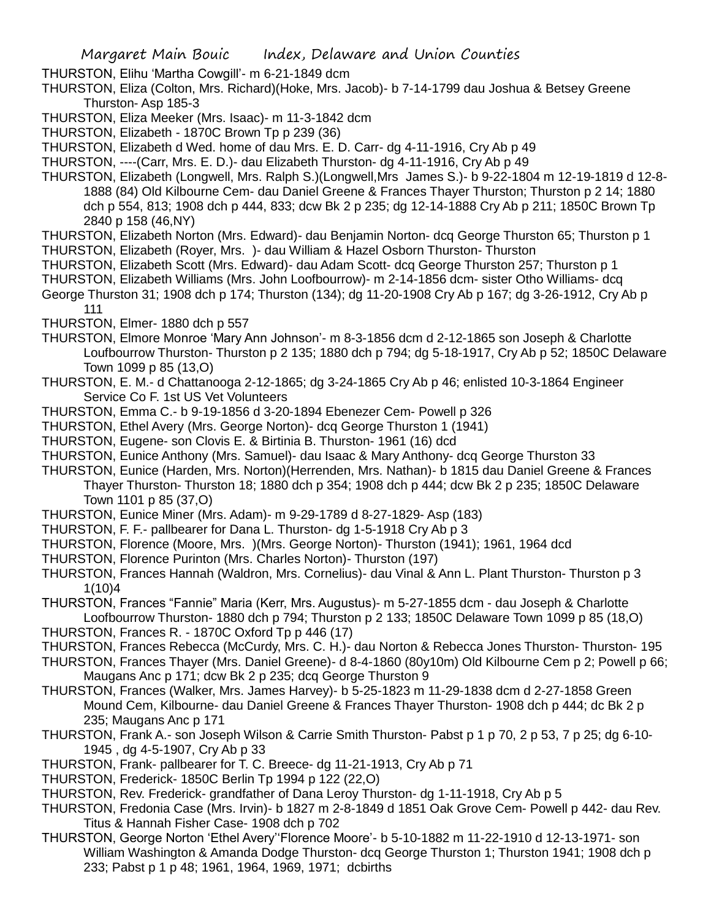THURSTON, Elihu 'Martha Cowgill'- m 6-21-1849 dcm

THURSTON, Eliza (Colton, Mrs. Richard)(Hoke, Mrs. Jacob)- b 7-14-1799 dau Joshua & Betsey Greene Thurston- Asp 185-3

THURSTON, Eliza Meeker (Mrs. Isaac)- m 11-3-1842 dcm

THURSTON, Elizabeth - 1870C Brown Tp p 239 (36)

THURSTON, Elizabeth d Wed. home of dau Mrs. E. D. Carr- dg 4-11-1916, Cry Ab p 49

THURSTON, ----(Carr, Mrs. E. D.)- dau Elizabeth Thurston- dg 4-11-1916, Cry Ab p 49

THURSTON, Elizabeth (Longwell, Mrs. Ralph S.)(Longwell,Mrs James S.)- b 9-22-1804 m 12-19-1819 d 12-8- 1888 (84) Old Kilbourne Cem- dau Daniel Greene & Frances Thayer Thurston; Thurston p 2 14; 1880 dch p 554, 813; 1908 dch p 444, 833; dcw Bk 2 p 235; dg 12-14-1888 Cry Ab p 211; 1850C Brown Tp 2840 p 158 (46,NY)

THURSTON, Elizabeth Norton (Mrs. Edward)- dau Benjamin Norton- dcq George Thurston 65; Thurston p 1 THURSTON, Elizabeth (Royer, Mrs. )- dau William & Hazel Osborn Thurston- Thurston

THURSTON, Elizabeth Scott (Mrs. Edward)- dau Adam Scott- dcq George Thurston 257; Thurston p 1

THURSTON, Elizabeth Williams (Mrs. John Loofbourrow)- m 2-14-1856 dcm- sister Otho Williams- dcq

George Thurston 31; 1908 dch p 174; Thurston (134); dg 11-20-1908 Cry Ab p 167; dg 3-26-1912, Cry Ab p

111

THURSTON, Elmer- 1880 dch p 557

- THURSTON, Elmore Monroe 'Mary Ann Johnson'- m 8-3-1856 dcm d 2-12-1865 son Joseph & Charlotte Loufbourrow Thurston- Thurston p 2 135; 1880 dch p 794; dg 5-18-1917, Cry Ab p 52; 1850C Delaware Town 1099 p 85 (13,O)
- THURSTON, E. M.- d Chattanooga 2-12-1865; dg 3-24-1865 Cry Ab p 46; enlisted 10-3-1864 Engineer Service Co F. 1st US Vet Volunteers
- THURSTON, Emma C.- b 9-19-1856 d 3-20-1894 Ebenezer Cem- Powell p 326
- THURSTON, Ethel Avery (Mrs. George Norton)- dcq George Thurston 1 (1941)
- THURSTON, Eugene- son Clovis E. & Birtinia B. Thurston- 1961 (16) dcd
- THURSTON, Eunice Anthony (Mrs. Samuel)- dau Isaac & Mary Anthony- dcq George Thurston 33
- THURSTON, Eunice (Harden, Mrs. Norton)(Herrenden, Mrs. Nathan)- b 1815 dau Daniel Greene & Frances Thayer Thurston- Thurston 18; 1880 dch p 354; 1908 dch p 444; dcw Bk 2 p 235; 1850C Delaware Town 1101 p 85 (37,O)
- THURSTON, Eunice Miner (Mrs. Adam)- m 9-29-1789 d 8-27-1829- Asp (183)
- THURSTON, F. F.- pallbearer for Dana L. Thurston- dg 1-5-1918 Cry Ab p 3
- THURSTON, Florence (Moore, Mrs. )(Mrs. George Norton)- Thurston (1941); 1961, 1964 dcd
- THURSTON, Florence Purinton (Mrs. Charles Norton)- Thurston (197)
- THURSTON, Frances Hannah (Waldron, Mrs. Cornelius)- dau Vinal & Ann L. Plant Thurston- Thurston p 3 1(10)4
- THURSTON, Frances "Fannie" Maria (Kerr, Mrs. Augustus)- m 5-27-1855 dcm dau Joseph & Charlotte Loofbourrow Thurston- 1880 dch p 794; Thurston p 2 133; 1850C Delaware Town 1099 p 85 (18,O)
- THURSTON, Frances R. 1870C Oxford Tp p 446 (17)
- THURSTON, Frances Rebecca (McCurdy, Mrs. C. H.)- dau Norton & Rebecca Jones Thurston- Thurston- 195
- THURSTON, Frances Thayer (Mrs. Daniel Greene)- d 8-4-1860 (80y10m) Old Kilbourne Cem p 2; Powell p 66; Maugans Anc p 171; dcw Bk 2 p 235; dcq George Thurston 9
- THURSTON, Frances (Walker, Mrs. James Harvey)- b 5-25-1823 m 11-29-1838 dcm d 2-27-1858 Green Mound Cem, Kilbourne- dau Daniel Greene & Frances Thayer Thurston- 1908 dch p 444; dc Bk 2 p 235; Maugans Anc p 171
- THURSTON, Frank A.- son Joseph Wilson & Carrie Smith Thurston- Pabst p 1 p 70, 2 p 53, 7 p 25; dg 6-10- 1945 , dg 4-5-1907, Cry Ab p 33
- THURSTON, Frank- pallbearer for T. C. Breece- dg 11-21-1913, Cry Ab p 71
- THURSTON, Frederick- 1850C Berlin Tp 1994 p 122 (22,O)
- THURSTON, Rev. Frederick- grandfather of Dana Leroy Thurston- dg 1-11-1918, Cry Ab p 5
- THURSTON, Fredonia Case (Mrs. Irvin)- b 1827 m 2-8-1849 d 1851 Oak Grove Cem- Powell p 442- dau Rev. Titus & Hannah Fisher Case- 1908 dch p 702
- THURSTON, George Norton 'Ethel Avery''Florence Moore'- b 5-10-1882 m 11-22-1910 d 12-13-1971- son William Washington & Amanda Dodge Thurston- dcq George Thurston 1; Thurston 1941; 1908 dch p 233; Pabst p 1 p 48; 1961, 1964, 1969, 1971; dcbirths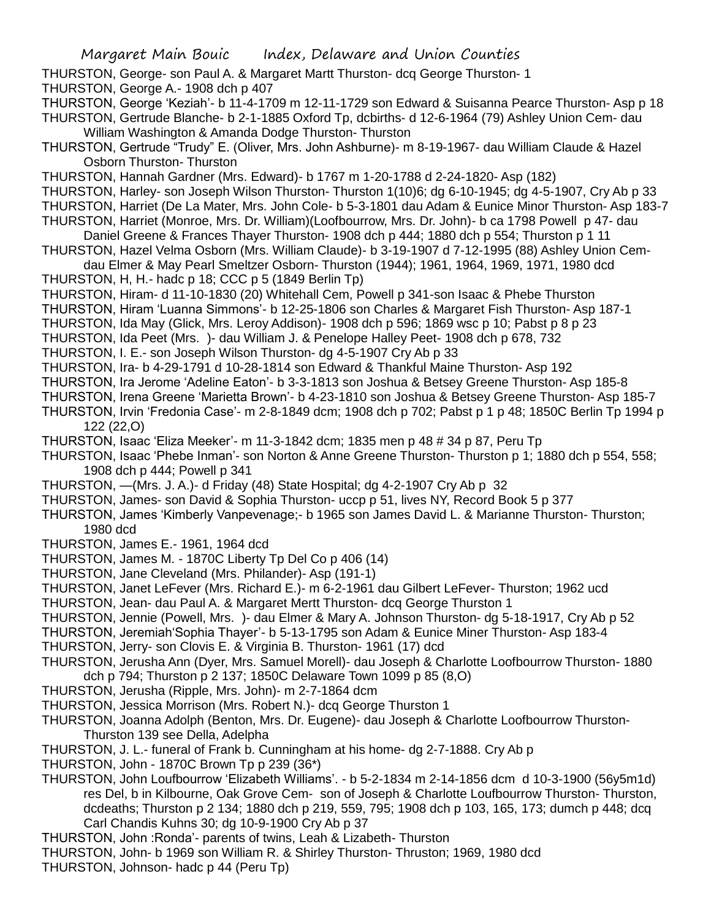- THURSTON, George- son Paul A. & Margaret Martt Thurston- dcq George Thurston- 1
- THURSTON, George A.- 1908 dch p 407
- THURSTON, George 'Keziah'- b 11-4-1709 m 12-11-1729 son Edward & Suisanna Pearce Thurston- Asp p 18 THURSTON, Gertrude Blanche- b 2-1-1885 Oxford Tp, dcbirths- d 12-6-1964 (79) Ashley Union Cem- dau

William Washington & Amanda Dodge Thurston- Thurston

- THURSTON, Gertrude "Trudy" E. (Oliver, Mrs. John Ashburne)- m 8-19-1967- dau William Claude & Hazel Osborn Thurston- Thurston
- THURSTON, Hannah Gardner (Mrs. Edward)- b 1767 m 1-20-1788 d 2-24-1820- Asp (182)
- THURSTON, Harley- son Joseph Wilson Thurston- Thurston 1(10)6; dg 6-10-1945; dg 4-5-1907, Cry Ab p 33
- THURSTON, Harriet (De La Mater, Mrs. John Cole- b 5-3-1801 dau Adam & Eunice Minor Thurston- Asp 183-7 THURSTON, Harriet (Monroe, Mrs. Dr. William)(Loofbourrow, Mrs. Dr. John)- b ca 1798 Powell p 47- dau
- Daniel Greene & Frances Thayer Thurston- 1908 dch p 444; 1880 dch p 554; Thurston p 1 11
- THURSTON, Hazel Velma Osborn (Mrs. William Claude)- b 3-19-1907 d 7-12-1995 (88) Ashley Union Cemdau Elmer & May Pearl Smeltzer Osborn- Thurston (1944); 1961, 1964, 1969, 1971, 1980 dcd
- THURSTON, H, H.- hadc p 18; CCC p 5 (1849 Berlin Tp)
- THURSTON, Hiram- d 11-10-1830 (20) Whitehall Cem, Powell p 341-son Isaac & Phebe Thurston
- THURSTON, Hiram 'Luanna Simmons'- b 12-25-1806 son Charles & Margaret Fish Thurston- Asp 187-1
- THURSTON, Ida May (Glick, Mrs. Leroy Addison)- 1908 dch p 596; 1869 wsc p 10; Pabst p 8 p 23
- THURSTON, Ida Peet (Mrs. )- dau William J. & Penelope Halley Peet- 1908 dch p 678, 732

THURSTON, I. E.- son Joseph Wilson Thurston- dg 4-5-1907 Cry Ab p 33

- THURSTON, Ira- b 4-29-1791 d 10-28-1814 son Edward & Thankful Maine Thurston- Asp 192
- THURSTON, Ira Jerome 'Adeline Eaton'- b 3-3-1813 son Joshua & Betsey Greene Thurston- Asp 185-8
- THURSTON, Irena Greene 'Marietta Brown'- b 4-23-1810 son Joshua & Betsey Greene Thurston- Asp 185-7
- THURSTON, Irvin 'Fredonia Case'- m 2-8-1849 dcm; 1908 dch p 702; Pabst p 1 p 48; 1850C Berlin Tp 1994 p 122 (22,O)
- THURSTON, Isaac 'Eliza Meeker'- m 11-3-1842 dcm; 1835 men p 48 # 34 p 87, Peru Tp
- THURSTON, Isaac 'Phebe Inman'- son Norton & Anne Greene Thurston- Thurston p 1; 1880 dch p 554, 558; 1908 dch p 444; Powell p 341
- THURSTON, —(Mrs. J. A.)- d Friday (48) State Hospital; dg 4-2-1907 Cry Ab p 32
- THURSTON, James- son David & Sophia Thurston- uccp p 51, lives NY, Record Book 5 p 377
- THURSTON, James 'Kimberly Vanpevenage;- b 1965 son James David L. & Marianne Thurston- Thurston; 1980 dcd
- THURSTON, James E.- 1961, 1964 dcd
- THURSTON, James M. 1870C Liberty Tp Del Co p 406 (14)
- THURSTON, Jane Cleveland (Mrs. Philander)- Asp (191-1)
- THURSTON, Janet LeFever (Mrs. Richard E.)- m 6-2-1961 dau Gilbert LeFever- Thurston; 1962 ucd
- THURSTON, Jean- dau Paul A. & Margaret Mertt Thurston- dcq George Thurston 1
- THURSTON, Jennie (Powell, Mrs. )- dau Elmer & Mary A. Johnson Thurston- dg 5-18-1917, Cry Ab p 52
- THURSTON, Jeremiah'Sophia Thayer'- b 5-13-1795 son Adam & Eunice Miner Thurston- Asp 183-4
- THURSTON, Jerry- son Clovis E. & Virginia B. Thurston- 1961 (17) dcd
- THURSTON, Jerusha Ann (Dyer, Mrs. Samuel Morell)- dau Joseph & Charlotte Loofbourrow Thurston- 1880 dch p 794; Thurston p 2 137; 1850C Delaware Town 1099 p 85 (8,O)
- THURSTON, Jerusha (Ripple, Mrs. John)- m 2-7-1864 dcm
- THURSTON, Jessica Morrison (Mrs. Robert N.)- dcq George Thurston 1
- THURSTON, Joanna Adolph (Benton, Mrs. Dr. Eugene)- dau Joseph & Charlotte Loofbourrow Thurston-Thurston 139 see Della, Adelpha
- THURSTON, J. L.- funeral of Frank b. Cunningham at his home- dg 2-7-1888. Cry Ab p
- THURSTON, John 1870C Brown Tp p 239 (36\*)
- THURSTON, John Loufbourrow 'Elizabeth Williams'. b 5-2-1834 m 2-14-1856 dcm d 10-3-1900 (56y5m1d) res Del, b in Kilbourne, Oak Grove Cem- son of Joseph & Charlotte Loufbourrow Thurston- Thurston, dcdeaths; Thurston p 2 134; 1880 dch p 219, 559, 795; 1908 dch p 103, 165, 173; dumch p 448; dcq Carl Chandis Kuhns 30; dg 10-9-1900 Cry Ab p 37
- THURSTON, John :Ronda'- parents of twins, Leah & Lizabeth- Thurston
- THURSTON, John- b 1969 son William R. & Shirley Thurston- Thruston; 1969, 1980 dcd
- THURSTON, Johnson- hadc p 44 (Peru Tp)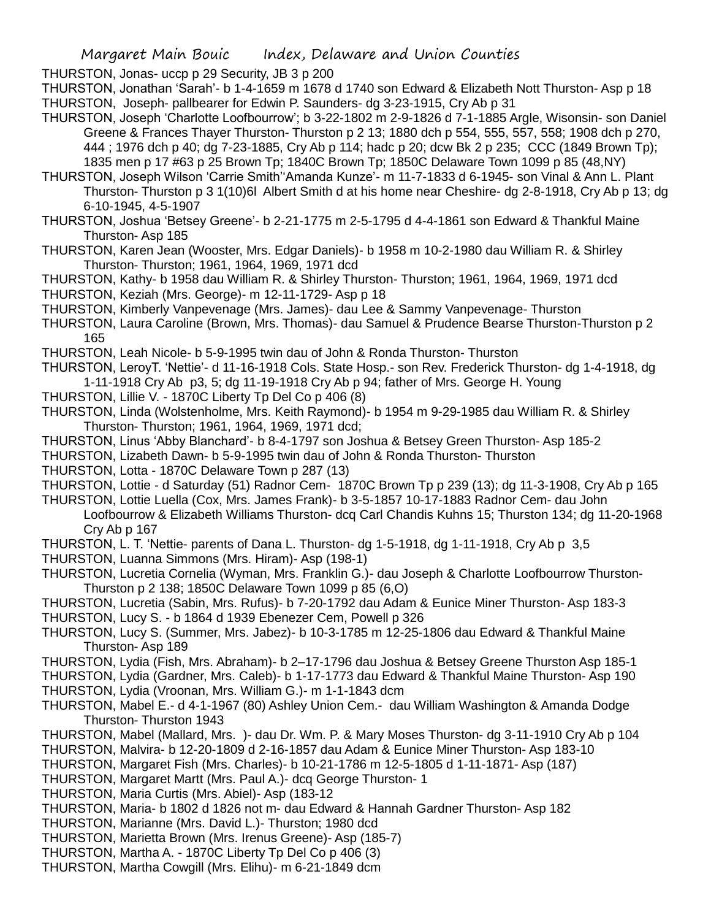THURSTON, Jonas- uccp p 29 Security, JB 3 p 200

THURSTON, Jonathan 'Sarah'- b 1-4-1659 m 1678 d 1740 son Edward & Elizabeth Nott Thurston- Asp p 18 THURSTON, Joseph- pallbearer for Edwin P. Saunders- dg 3-23-1915, Cry Ab p 31

- THURSTON, Joseph 'Charlotte Loofbourrow'; b 3-22-1802 m 2-9-1826 d 7-1-1885 Argle, Wisonsin- son Daniel Greene & Frances Thayer Thurston- Thurston p 2 13; 1880 dch p 554, 555, 557, 558; 1908 dch p 270, 444 ; 1976 dch p 40; dg 7-23-1885, Cry Ab p 114; hadc p 20; dcw Bk 2 p 235; CCC (1849 Brown Tp); 1835 men p 17 #63 p 25 Brown Tp; 1840C Brown Tp; 1850C Delaware Town 1099 p 85 (48,NY)
- THURSTON, Joseph Wilson 'Carrie Smith''Amanda Kunze'- m 11-7-1833 d 6-1945- son Vinal & Ann L. Plant Thurston- Thurston p 3 1(10)6l Albert Smith d at his home near Cheshire- dg 2-8-1918, Cry Ab p 13; dg 6-10-1945, 4-5-1907
- THURSTON, Joshua 'Betsey Greene'- b 2-21-1775 m 2-5-1795 d 4-4-1861 son Edward & Thankful Maine Thurston- Asp 185
- THURSTON, Karen Jean (Wooster, Mrs. Edgar Daniels)- b 1958 m 10-2-1980 dau William R. & Shirley Thurston- Thurston; 1961, 1964, 1969, 1971 dcd
- THURSTON, Kathy- b 1958 dau William R. & Shirley Thurston- Thurston; 1961, 1964, 1969, 1971 dcd THURSTON, Keziah (Mrs. George)- m 12-11-1729- Asp p 18
- THURSTON, Kimberly Vanpevenage (Mrs. James)- dau Lee & Sammy Vanpevenage- Thurston
- THURSTON, Laura Caroline (Brown, Mrs. Thomas)- dau Samuel & Prudence Bearse Thurston-Thurston p 2 165
- THURSTON, Leah Nicole- b 5-9-1995 twin dau of John & Ronda Thurston- Thurston
- THURSTON, LeroyT. 'Nettie'- d 11-16-1918 Cols. State Hosp.- son Rev. Frederick Thurston- dg 1-4-1918, dg 1-11-1918 Cry Ab p3, 5; dg 11-19-1918 Cry Ab p 94; father of Mrs. George H. Young
- THURSTON, Lillie V. 1870C Liberty Tp Del Co p 406 (8)
- THURSTON, Linda (Wolstenholme, Mrs. Keith Raymond)- b 1954 m 9-29-1985 dau William R. & Shirley Thurston- Thurston; 1961, 1964, 1969, 1971 dcd;
- THURSTON, Linus 'Abby Blanchard'- b 8-4-1797 son Joshua & Betsey Green Thurston- Asp 185-2
- THURSTON, Lizabeth Dawn- b 5-9-1995 twin dau of John & Ronda Thurston- Thurston
- THURSTON, Lotta 1870C Delaware Town p 287 (13)
- THURSTON, Lottie d Saturday (51) Radnor Cem- 1870C Brown Tp p 239 (13); dg 11-3-1908, Cry Ab p 165
- THURSTON, Lottie Luella (Cox, Mrs. James Frank)- b 3-5-1857 10-17-1883 Radnor Cem- dau John Loofbourrow & Elizabeth Williams Thurston- dcq Carl Chandis Kuhns 15; Thurston 134; dg 11-20-1968 Cry Ab p 167
- THURSTON, L. T. 'Nettie- parents of Dana L. Thurston- dg 1-5-1918, dg 1-11-1918, Cry Ab p 3,5
- THURSTON, Luanna Simmons (Mrs. Hiram)- Asp (198-1)
- THURSTON, Lucretia Cornelia (Wyman, Mrs. Franklin G.)- dau Joseph & Charlotte Loofbourrow Thurston-Thurston p 2 138; 1850C Delaware Town 1099 p 85 (6,O)
- THURSTON, Lucretia (Sabin, Mrs. Rufus)- b 7-20-1792 dau Adam & Eunice Miner Thurston- Asp 183-3 THURSTON, Lucy S. - b 1864 d 1939 Ebenezer Cem, Powell p 326
- THURSTON, Lucy S. (Summer, Mrs. Jabez)- b 10-3-1785 m 12-25-1806 dau Edward & Thankful Maine Thurston- Asp 189
- THURSTON, Lydia (Fish, Mrs. Abraham)- b 2–17-1796 dau Joshua & Betsey Greene Thurston Asp 185-1 THURSTON, Lydia (Gardner, Mrs. Caleb)- b 1-17-1773 dau Edward & Thankful Maine Thurston- Asp 190
- THURSTON, Lydia (Vroonan, Mrs. William G.)- m 1-1-1843 dcm
- THURSTON, Mabel E.- d 4-1-1967 (80) Ashley Union Cem.- dau William Washington & Amanda Dodge Thurston- Thurston 1943
- THURSTON, Mabel (Mallard, Mrs. )- dau Dr. Wm. P. & Mary Moses Thurston- dg 3-11-1910 Cry Ab p 104
- THURSTON, Malvira- b 12-20-1809 d 2-16-1857 dau Adam & Eunice Miner Thurston- Asp 183-10
- THURSTON, Margaret Fish (Mrs. Charles)- b 10-21-1786 m 12-5-1805 d 1-11-1871- Asp (187)
- THURSTON, Margaret Martt (Mrs. Paul A.)- dcq George Thurston- 1
- THURSTON, Maria Curtis (Mrs. Abiel)- Asp (183-12
- THURSTON, Maria- b 1802 d 1826 not m- dau Edward & Hannah Gardner Thurston- Asp 182
- THURSTON, Marianne (Mrs. David L.)- Thurston; 1980 dcd
- THURSTON, Marietta Brown (Mrs. Irenus Greene)- Asp (185-7)
- THURSTON, Martha A. 1870C Liberty Tp Del Co p 406 (3)
- THURSTON, Martha Cowgill (Mrs. Elihu)- m 6-21-1849 dcm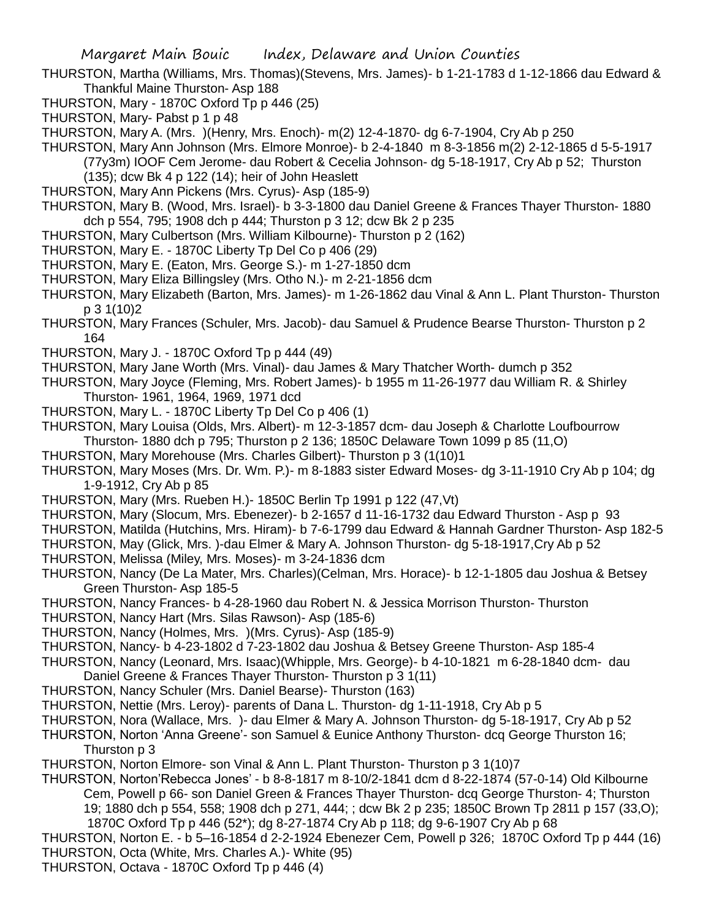- THURSTON, Martha (Williams, Mrs. Thomas)(Stevens, Mrs. James)- b 1-21-1783 d 1-12-1866 dau Edward & Thankful Maine Thurston- Asp 188
- THURSTON, Mary 1870C Oxford Tp p 446 (25)
- THURSTON, Mary- Pabst p 1 p 48
- THURSTON, Mary A. (Mrs. )(Henry, Mrs. Enoch)- m(2) 12-4-1870- dg 6-7-1904, Cry Ab p 250
- THURSTON, Mary Ann Johnson (Mrs. Elmore Monroe)- b 2-4-1840 m 8-3-1856 m(2) 2-12-1865 d 5-5-1917 (77y3m) IOOF Cem Jerome- dau Robert & Cecelia Johnson- dg 5-18-1917, Cry Ab p 52; Thurston (135); dcw Bk 4 p 122 (14); heir of John Heaslett
- THURSTON, Mary Ann Pickens (Mrs. Cyrus)- Asp (185-9)
- THURSTON, Mary B. (Wood, Mrs. Israel)- b 3-3-1800 dau Daniel Greene & Frances Thayer Thurston- 1880 dch p 554, 795; 1908 dch p 444; Thurston p 3 12; dcw Bk 2 p 235
- THURSTON, Mary Culbertson (Mrs. William Kilbourne)- Thurston p 2 (162)
- THURSTON, Mary E. 1870C Liberty Tp Del Co p 406 (29)
- THURSTON, Mary E. (Eaton, Mrs. George S.)- m 1-27-1850 dcm
- THURSTON, Mary Eliza Billingsley (Mrs. Otho N.)- m 2-21-1856 dcm
- THURSTON, Mary Elizabeth (Barton, Mrs. James)- m 1-26-1862 dau Vinal & Ann L. Plant Thurston- Thurston p 3 1(10)2
- THURSTON, Mary Frances (Schuler, Mrs. Jacob)- dau Samuel & Prudence Bearse Thurston- Thurston p 2 164
- THURSTON, Mary J. 1870C Oxford Tp p 444 (49)
- THURSTON, Mary Jane Worth (Mrs. Vinal)- dau James & Mary Thatcher Worth- dumch p 352
- THURSTON, Mary Joyce (Fleming, Mrs. Robert James)- b 1955 m 11-26-1977 dau William R. & Shirley Thurston- 1961, 1964, 1969, 1971 dcd
- THURSTON, Mary L. 1870C Liberty Tp Del Co p 406 (1)
- THURSTON, Mary Louisa (Olds, Mrs. Albert)- m 12-3-1857 dcm- dau Joseph & Charlotte Loufbourrow Thurston- 1880 dch p 795; Thurston p 2 136; 1850C Delaware Town 1099 p 85 (11,O)
- THURSTON, Mary Morehouse (Mrs. Charles Gilbert)- Thurston p 3 (1(10)1
- THURSTON, Mary Moses (Mrs. Dr. Wm. P.)- m 8-1883 sister Edward Moses- dg 3-11-1910 Cry Ab p 104; dg 1-9-1912, Cry Ab p 85
- THURSTON, Mary (Mrs. Rueben H.)- 1850C Berlin Tp 1991 p 122 (47,Vt)
- THURSTON, Mary (Slocum, Mrs. Ebenezer)- b 2-1657 d 11-16-1732 dau Edward Thurston Asp p 93
- THURSTON, Matilda (Hutchins, Mrs. Hiram)- b 7-6-1799 dau Edward & Hannah Gardner Thurston- Asp 182-5
- THURSTON, May (Glick, Mrs. )-dau Elmer & Mary A. Johnson Thurston- dg 5-18-1917,Cry Ab p 52
- THURSTON, Melissa (Miley, Mrs. Moses)- m 3-24-1836 dcm
- THURSTON, Nancy (De La Mater, Mrs. Charles)(Celman, Mrs. Horace)- b 12-1-1805 dau Joshua & Betsey Green Thurston- Asp 185-5
- THURSTON, Nancy Frances- b 4-28-1960 dau Robert N. & Jessica Morrison Thurston- Thurston
- THURSTON, Nancy Hart (Mrs. Silas Rawson)- Asp (185-6)
- THURSTON, Nancy (Holmes, Mrs. )(Mrs. Cyrus)- Asp (185-9)
- THURSTON, Nancy- b 4-23-1802 d 7-23-1802 dau Joshua & Betsey Greene Thurston- Asp 185-4
- THURSTON, Nancy (Leonard, Mrs. Isaac)(Whipple, Mrs. George)- b 4-10-1821 m 6-28-1840 dcm- dau Daniel Greene & Frances Thayer Thurston- Thurston p 3 1(11)
- THURSTON, Nancy Schuler (Mrs. Daniel Bearse)- Thurston (163)
- THURSTON, Nettie (Mrs. Leroy)- parents of Dana L. Thurston- dg 1-11-1918, Cry Ab p 5
- THURSTON, Nora (Wallace, Mrs. )- dau Elmer & Mary A. Johnson Thurston- dg 5-18-1917, Cry Ab p 52
- THURSTON, Norton 'Anna Greene'- son Samuel & Eunice Anthony Thurston- dcq George Thurston 16; Thurston p 3
- THURSTON, Norton Elmore- son Vinal & Ann L. Plant Thurston- Thurston p 3 1(10)7
- THURSTON, Norton'Rebecca Jones' b 8-8-1817 m 8-10/2-1841 dcm d 8-22-1874 (57-0-14) Old Kilbourne Cem, Powell p 66- son Daniel Green & Frances Thayer Thurston- dcq George Thurston- 4; Thurston 19; 1880 dch p 554, 558; 1908 dch p 271, 444; ; dcw Bk 2 p 235; 1850C Brown Tp 2811 p 157 (33,O); 1870C Oxford Tp p 446 (52\*); dg 8-27-1874 Cry Ab p 118; dg 9-6-1907 Cry Ab p 68
- THURSTON, Norton E. b 5–16-1854 d 2-2-1924 Ebenezer Cem, Powell p 326; 1870C Oxford Tp p 444 (16) THURSTON, Octa (White, Mrs. Charles A.)- White (95)
- THURSTON, Octava 1870C Oxford Tp p 446 (4)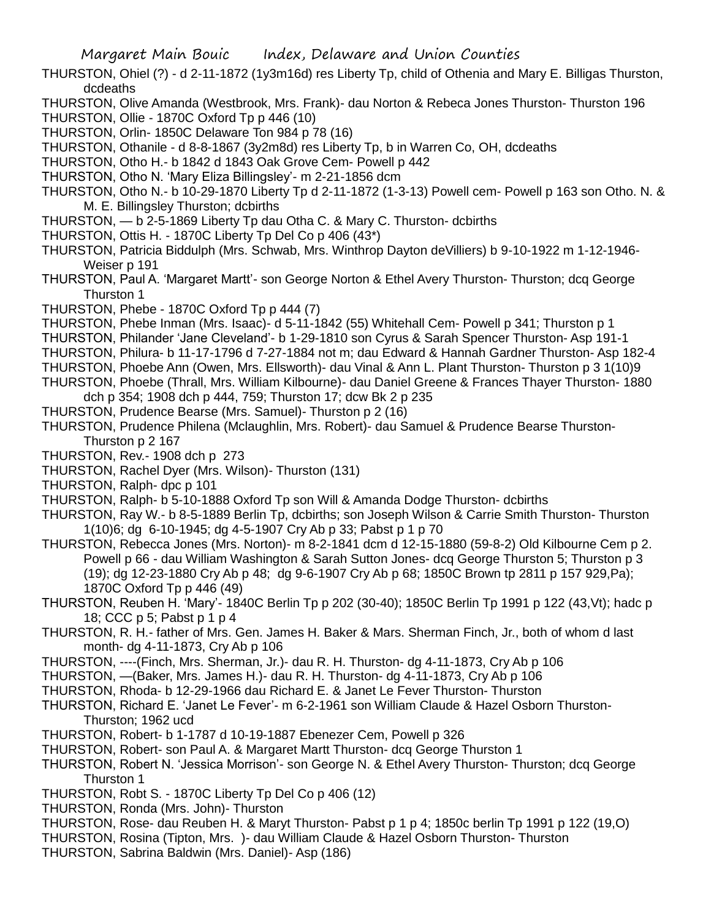- THURSTON, Ohiel (?) d 2-11-1872 (1y3m16d) res Liberty Tp, child of Othenia and Mary E. Billigas Thurston, dcdeaths
- THURSTON, Olive Amanda (Westbrook, Mrs. Frank)- dau Norton & Rebeca Jones Thurston- Thurston 196
- THURSTON, Ollie 1870C Oxford Tp p 446 (10) THURSTON, Orlin- 1850C Delaware Ton 984 p 78 (16)
- THURSTON, Othanile d 8-8-1867 (3y2m8d) res Liberty Tp, b in Warren Co, OH, dcdeaths
- THURSTON, Otho H.- b 1842 d 1843 Oak Grove Cem- Powell p 442
- THURSTON, Otho N. 'Mary Eliza Billingsley'- m 2-21-1856 dcm
- THURSTON, Otho N.- b 10-29-1870 Liberty Tp d 2-11-1872 (1-3-13) Powell cem- Powell p 163 son Otho. N. & M. E. Billingsley Thurston; dcbirths
- THURSTON, b 2-5-1869 Liberty Tp dau Otha C. & Mary C. Thurston- dcbirths
- THURSTON, Ottis H. 1870C Liberty Tp Del Co p 406 (43\*)
- THURSTON, Patricia Biddulph (Mrs. Schwab, Mrs. Winthrop Dayton deVilliers) b 9-10-1922 m 1-12-1946- Weiser p 191
- THURSTON, Paul A. 'Margaret Martt'- son George Norton & Ethel Avery Thurston- Thurston; dcq George Thurston 1
- THURSTON, Phebe 1870C Oxford Tp p 444 (7)
- THURSTON, Phebe Inman (Mrs. Isaac)- d 5-11-1842 (55) Whitehall Cem- Powell p 341; Thurston p 1
- THURSTON, Philander 'Jane Cleveland'- b 1-29-1810 son Cyrus & Sarah Spencer Thurston- Asp 191-1
- THURSTON, Philura- b 11-17-1796 d 7-27-1884 not m; dau Edward & Hannah Gardner Thurston- Asp 182-4
- THURSTON, Phoebe Ann (Owen, Mrs. Ellsworth)- dau Vinal & Ann L. Plant Thurston- Thurston p 3 1(10)9
- THURSTON, Phoebe (Thrall, Mrs. William Kilbourne)- dau Daniel Greene & Frances Thayer Thurston- 1880 dch p 354; 1908 dch p 444, 759; Thurston 17; dcw Bk 2 p 235
- THURSTON, Prudence Bearse (Mrs. Samuel)- Thurston p 2 (16)
- THURSTON, Prudence Philena (Mclaughlin, Mrs. Robert)- dau Samuel & Prudence Bearse Thurston-Thurston p 2 167
- THURSTON, Rev.- 1908 dch p 273
- THURSTON, Rachel Dyer (Mrs. Wilson)- Thurston (131)
- THURSTON, Ralph- dpc p 101
- THURSTON, Ralph- b 5-10-1888 Oxford Tp son Will & Amanda Dodge Thurston- dcbirths
- THURSTON, Ray W.- b 8-5-1889 Berlin Tp, dcbirths; son Joseph Wilson & Carrie Smith Thurston- Thurston 1(10)6; dg 6-10-1945; dg 4-5-1907 Cry Ab p 33; Pabst p 1 p 70
- THURSTON, Rebecca Jones (Mrs. Norton)- m 8-2-1841 dcm d 12-15-1880 (59-8-2) Old Kilbourne Cem p 2. Powell p 66 - dau William Washington & Sarah Sutton Jones- dcq George Thurston 5; Thurston p 3 (19); dg 12-23-1880 Cry Ab p 48; dg 9-6-1907 Cry Ab p 68; 1850C Brown tp 2811 p 157 929,Pa); 1870C Oxford Tp p 446 (49)
- THURSTON, Reuben H. 'Mary'- 1840C Berlin Tp p 202 (30-40); 1850C Berlin Tp 1991 p 122 (43,Vt); hadc p 18; CCC p 5; Pabst p 1 p 4
- THURSTON, R. H.- father of Mrs. Gen. James H. Baker & Mars. Sherman Finch, Jr., both of whom d last month- dg 4-11-1873, Cry Ab p 106
- THURSTON, ----(Finch, Mrs. Sherman, Jr.)- dau R. H. Thurston- dg 4-11-1873, Cry Ab p 106
- THURSTON, —(Baker, Mrs. James H.)- dau R. H. Thurston- dg 4-11-1873, Cry Ab p 106
- THURSTON, Rhoda- b 12-29-1966 dau Richard E. & Janet Le Fever Thurston- Thurston
- THURSTON, Richard E. 'Janet Le Fever'- m 6-2-1961 son William Claude & Hazel Osborn Thurston-Thurston; 1962 ucd
- THURSTON, Robert- b 1-1787 d 10-19-1887 Ebenezer Cem, Powell p 326
- THURSTON, Robert- son Paul A. & Margaret Martt Thurston- dcq George Thurston 1
- THURSTON, Robert N. 'Jessica Morrison'- son George N. & Ethel Avery Thurston- Thurston; dcq George Thurston 1
- THURSTON, Robt S. 1870C Liberty Tp Del Co p 406 (12)
- THURSTON, Ronda (Mrs. John)- Thurston
- THURSTON, Rose- dau Reuben H. & Maryt Thurston- Pabst p 1 p 4; 1850c berlin Tp 1991 p 122 (19,O)
- THURSTON, Rosina (Tipton, Mrs. )- dau William Claude & Hazel Osborn Thurston- Thurston
- THURSTON, Sabrina Baldwin (Mrs. Daniel)- Asp (186)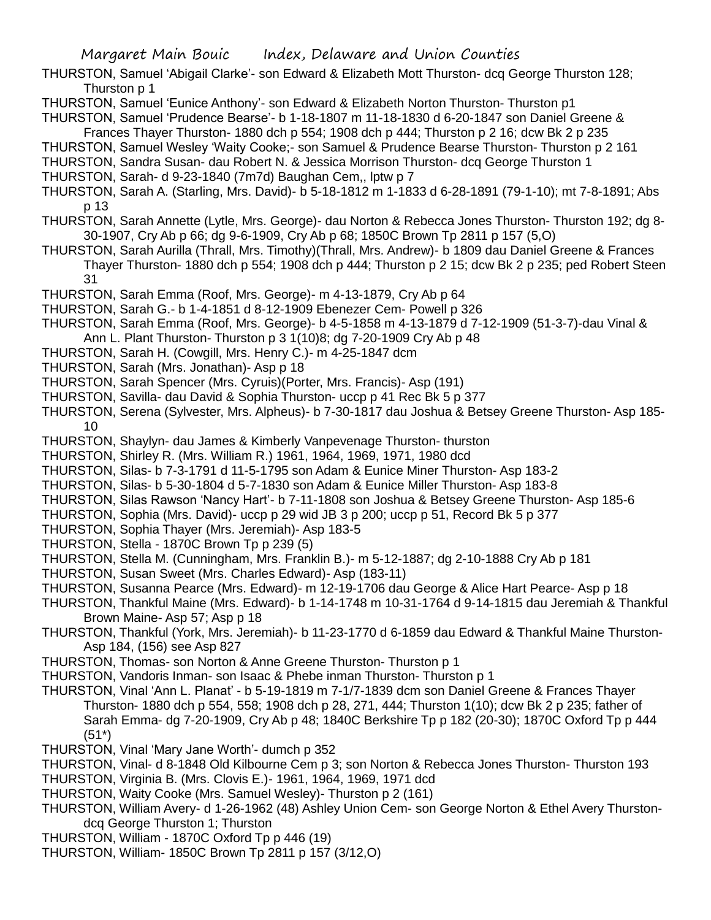THURSTON, Samuel 'Abigail Clarke'- son Edward & Elizabeth Mott Thurston- dcq George Thurston 128; Thurston p 1

THURSTON, Samuel 'Eunice Anthony'- son Edward & Elizabeth Norton Thurston- Thurston p1

THURSTON, Samuel 'Prudence Bearse'- b 1-18-1807 m 11-18-1830 d 6-20-1847 son Daniel Greene & Frances Thayer Thurston- 1880 dch p 554; 1908 dch p 444; Thurston p 2 16; dcw Bk 2 p 235

THURSTON, Samuel Wesley 'Waity Cooke;- son Samuel & Prudence Bearse Thurston- Thurston p 2 161

THURSTON, Sandra Susan- dau Robert N. & Jessica Morrison Thurston- dcq George Thurston 1

THURSTON, Sarah- d 9-23-1840 (7m7d) Baughan Cem,, lptw p 7

THURSTON, Sarah A. (Starling, Mrs. David)- b 5-18-1812 m 1-1833 d 6-28-1891 (79-1-10); mt 7-8-1891; Abs p 13

- THURSTON, Sarah Annette (Lytle, Mrs. George)- dau Norton & Rebecca Jones Thurston- Thurston 192; dg 8- 30-1907, Cry Ab p 66; dg 9-6-1909, Cry Ab p 68; 1850C Brown Tp 2811 p 157 (5,O)
- THURSTON, Sarah Aurilla (Thrall, Mrs. Timothy)(Thrall, Mrs. Andrew)- b 1809 dau Daniel Greene & Frances Thayer Thurston- 1880 dch p 554; 1908 dch p 444; Thurston p 2 15; dcw Bk 2 p 235; ped Robert Steen 31
- THURSTON, Sarah Emma (Roof, Mrs. George)- m 4-13-1879, Cry Ab p 64
- THURSTON, Sarah G.- b 1-4-1851 d 8-12-1909 Ebenezer Cem- Powell p 326

THURSTON, Sarah Emma (Roof, Mrs. George)- b 4-5-1858 m 4-13-1879 d 7-12-1909 (51-3-7)-dau Vinal & Ann L. Plant Thurston- Thurston p 3 1(10)8; dg 7-20-1909 Cry Ab p 48

- THURSTON, Sarah H. (Cowgill, Mrs. Henry C.)- m 4-25-1847 dcm
- THURSTON, Sarah (Mrs. Jonathan)- Asp p 18
- THURSTON, Sarah Spencer (Mrs. Cyruis)(Porter, Mrs. Francis)- Asp (191)
- THURSTON, Savilla- dau David & Sophia Thurston- uccp p 41 Rec Bk 5 p 377
- THURSTON, Serena (Sylvester, Mrs. Alpheus)- b 7-30-1817 dau Joshua & Betsey Greene Thurston- Asp 185- 10
- THURSTON, Shaylyn- dau James & Kimberly Vanpevenage Thurston- thurston
- THURSTON, Shirley R. (Mrs. William R.) 1961, 1964, 1969, 1971, 1980 dcd
- THURSTON, Silas- b 7-3-1791 d 11-5-1795 son Adam & Eunice Miner Thurston- Asp 183-2
- THURSTON, Silas- b 5-30-1804 d 5-7-1830 son Adam & Eunice Miller Thurston- Asp 183-8
- THURSTON, Silas Rawson 'Nancy Hart'- b 7-11-1808 son Joshua & Betsey Greene Thurston- Asp 185-6
- THURSTON, Sophia (Mrs. David)- uccp p 29 wid JB 3 p 200; uccp p 51, Record Bk 5 p 377
- THURSTON, Sophia Thayer (Mrs. Jeremiah)- Asp 183-5
- THURSTON, Stella 1870C Brown Tp p 239 (5)
- THURSTON, Stella M. (Cunningham, Mrs. Franklin B.)- m 5-12-1887; dg 2-10-1888 Cry Ab p 181
- THURSTON, Susan Sweet (Mrs. Charles Edward)- Asp (183-11)
- THURSTON, Susanna Pearce (Mrs. Edward)- m 12-19-1706 dau George & Alice Hart Pearce- Asp p 18
- THURSTON, Thankful Maine (Mrs. Edward)- b 1-14-1748 m 10-31-1764 d 9-14-1815 dau Jeremiah & Thankful Brown Maine- Asp 57; Asp p 18
- THURSTON, Thankful (York, Mrs. Jeremiah)- b 11-23-1770 d 6-1859 dau Edward & Thankful Maine Thurston-Asp 184, (156) see Asp 827
- THURSTON, Thomas- son Norton & Anne Greene Thurston- Thurston p 1
- THURSTON, Vandoris Inman- son Isaac & Phebe inman Thurston- Thurston p 1
- THURSTON, Vinal 'Ann L. Planat' b 5-19-1819 m 7-1/7-1839 dcm son Daniel Greene & Frances Thayer Thurston- 1880 dch p 554, 558; 1908 dch p 28, 271, 444; Thurston 1(10); dcw Bk 2 p 235; father of Sarah Emma- dg 7-20-1909, Cry Ab p 48; 1840C Berkshire Tp p 182 (20-30); 1870C Oxford Tp p 444 (51\*)
- THURSTON, Vinal 'Mary Jane Worth'- dumch p 352
- THURSTON, Vinal- d 8-1848 Old Kilbourne Cem p 3; son Norton & Rebecca Jones Thurston- Thurston 193 THURSTON, Virginia B. (Mrs. Clovis E.)- 1961, 1964, 1969, 1971 dcd
- THURSTON, Waity Cooke (Mrs. Samuel Wesley)- Thurston p 2 (161)
- THURSTON, William Avery- d 1-26-1962 (48) Ashley Union Cem- son George Norton & Ethel Avery Thurstondcq George Thurston 1; Thurston
- THURSTON, William 1870C Oxford Tp p 446 (19)
- THURSTON, William- 1850C Brown Tp 2811 p 157 (3/12,O)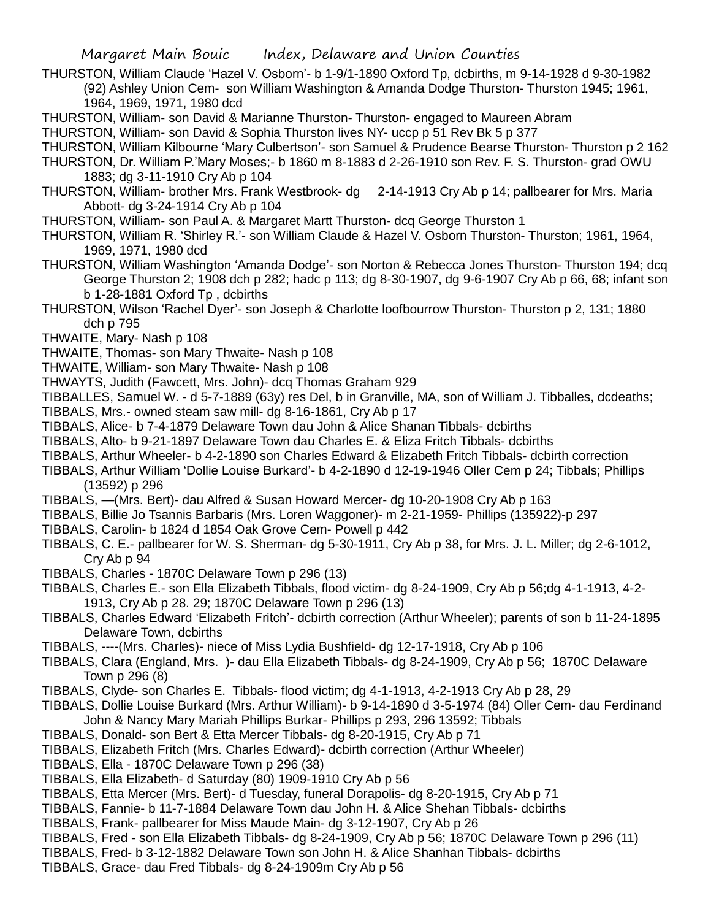- THURSTON, William Claude 'Hazel V. Osborn'- b 1-9/1-1890 Oxford Tp, dcbirths, m 9-14-1928 d 9-30-1982 (92) Ashley Union Cem- son William Washington & Amanda Dodge Thurston- Thurston 1945; 1961, 1964, 1969, 1971, 1980 dcd
- THURSTON, William- son David & Marianne Thurston- Thurston- engaged to Maureen Abram
- THURSTON, William- son David & Sophia Thurston lives NY- uccp p 51 Rev Bk 5 p 377
- THURSTON, William Kilbourne 'Mary Culbertson'- son Samuel & Prudence Bearse Thurston- Thurston p 2 162
- THURSTON, Dr. William P.'Mary Moses;- b 1860 m 8-1883 d 2-26-1910 son Rev. F. S. Thurston- grad OWU 1883; dg 3-11-1910 Cry Ab p 104
- THURSTON, William- brother Mrs. Frank Westbrook- dg 2-14-1913 Cry Ab p 14; pallbearer for Mrs. Maria Abbott- dg 3-24-1914 Cry Ab p 104
- THURSTON, William- son Paul A. & Margaret Martt Thurston- dcq George Thurston 1
- THURSTON, William R. 'Shirley R.'- son William Claude & Hazel V. Osborn Thurston- Thurston; 1961, 1964, 1969, 1971, 1980 dcd
- THURSTON, William Washington 'Amanda Dodge'- son Norton & Rebecca Jones Thurston- Thurston 194; dcq George Thurston 2; 1908 dch p 282; hadc p 113; dg 8-30-1907, dg 9-6-1907 Cry Ab p 66, 68; infant son b 1-28-1881 Oxford Tp , dcbirths
- THURSTON, Wilson 'Rachel Dyer'- son Joseph & Charlotte loofbourrow Thurston- Thurston p 2, 131; 1880 dch p 795
- THWAITE, Mary- Nash p 108
- THWAITE, Thomas- son Mary Thwaite- Nash p 108
- THWAITE, William- son Mary Thwaite- Nash p 108
- THWAYTS, Judith (Fawcett, Mrs. John)- dcq Thomas Graham 929

TIBBALLES, Samuel W. - d 5-7-1889 (63y) res Del, b in Granville, MA, son of William J. Tibballes, dcdeaths; TIBBALS, Mrs.- owned steam saw mill- dg 8-16-1861, Cry Ab p 17

- TIBBALS, Alice- b 7-4-1879 Delaware Town dau John & Alice Shanan Tibbals- dcbirths
- TIBBALS, Alto- b 9-21-1897 Delaware Town dau Charles E. & Eliza Fritch Tibbals- dcbirths
- TIBBALS, Arthur Wheeler- b 4-2-1890 son Charles Edward & Elizabeth Fritch Tibbals- dcbirth correction
- TIBBALS, Arthur William 'Dollie Louise Burkard'- b 4-2-1890 d 12-19-1946 Oller Cem p 24; Tibbals; Phillips (13592) p 296
- TIBBALS, —(Mrs. Bert)- dau Alfred & Susan Howard Mercer- dg 10-20-1908 Cry Ab p 163
- TIBBALS, Billie Jo Tsannis Barbaris (Mrs. Loren Waggoner)- m 2-21-1959- Phillips (135922)-p 297
- TIBBALS, Carolin- b 1824 d 1854 Oak Grove Cem- Powell p 442
- TIBBALS, C. E.- pallbearer for W. S. Sherman- dg 5-30-1911, Cry Ab p 38, for Mrs. J. L. Miller; dg 2-6-1012, Cry Ab p 94
- TIBBALS, Charles 1870C Delaware Town p 296 (13)
- TIBBALS, Charles E.- son Ella Elizabeth Tibbals, flood victim- dg 8-24-1909, Cry Ab p 56;dg 4-1-1913, 4-2- 1913, Cry Ab p 28. 29; 1870C Delaware Town p 296 (13)
- TIBBALS, Charles Edward 'Elizabeth Fritch'- dcbirth correction (Arthur Wheeler); parents of son b 11-24-1895 Delaware Town, dcbirths
- TIBBALS, ----(Mrs. Charles)- niece of Miss Lydia Bushfield- dg 12-17-1918, Cry Ab p 106
- TIBBALS, Clara (England, Mrs. )- dau Ella Elizabeth Tibbals- dg 8-24-1909, Cry Ab p 56; 1870C Delaware Town p 296 (8)
- TIBBALS, Clyde- son Charles E. Tibbals- flood victim; dg 4-1-1913, 4-2-1913 Cry Ab p 28, 29
- TIBBALS, Dollie Louise Burkard (Mrs. Arthur William)- b 9-14-1890 d 3-5-1974 (84) Oller Cem- dau Ferdinand John & Nancy Mary Mariah Phillips Burkar- Phillips p 293, 296 13592; Tibbals
- TIBBALS, Donald- son Bert & Etta Mercer Tibbals- dg 8-20-1915, Cry Ab p 71
- TIBBALS, Elizabeth Fritch (Mrs. Charles Edward)- dcbirth correction (Arthur Wheeler)
- TIBBALS, Ella 1870C Delaware Town p 296 (38)
- TIBBALS, Ella Elizabeth- d Saturday (80) 1909-1910 Cry Ab p 56
- TIBBALS, Etta Mercer (Mrs. Bert)- d Tuesday, funeral Dorapolis- dg 8-20-1915, Cry Ab p 71
- TIBBALS, Fannie- b 11-7-1884 Delaware Town dau John H. & Alice Shehan Tibbals- dcbirths
- TIBBALS, Frank- pallbearer for Miss Maude Main- dg 3-12-1907, Cry Ab p 26
- TIBBALS, Fred son Ella Elizabeth Tibbals- dg 8-24-1909, Cry Ab p 56; 1870C Delaware Town p 296 (11)
- TIBBALS, Fred- b 3-12-1882 Delaware Town son John H. & Alice Shanhan Tibbals- dcbirths
- TIBBALS, Grace- dau Fred Tibbals- dg 8-24-1909m Cry Ab p 56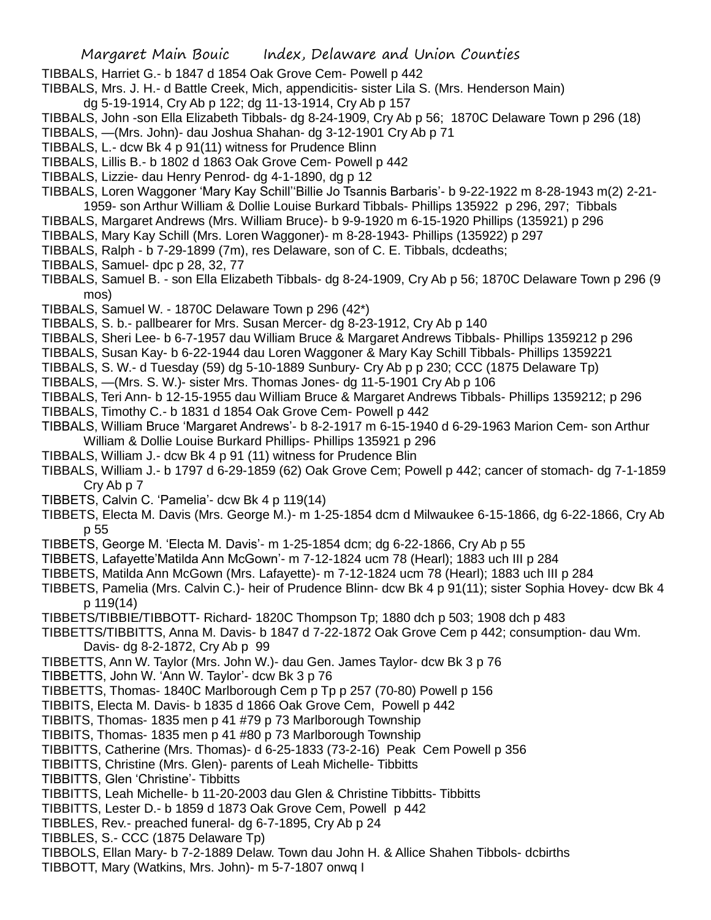- TIBBALS, Harriet G.- b 1847 d 1854 Oak Grove Cem- Powell p 442
- TIBBALS, Mrs. J. H.- d Battle Creek, Mich, appendicitis- sister Lila S. (Mrs. Henderson Main)
- dg 5-19-1914, Cry Ab p 122; dg 11-13-1914, Cry Ab p 157
- TIBBALS, John -son Ella Elizabeth Tibbals- dg 8-24-1909, Cry Ab p 56; 1870C Delaware Town p 296 (18)
- TIBBALS, —(Mrs. John)- dau Joshua Shahan- dg 3-12-1901 Cry Ab p 71
- TIBBALS, L.- dcw Bk 4 p 91(11) witness for Prudence Blinn
- TIBBALS, Lillis B.- b 1802 d 1863 Oak Grove Cem- Powell p 442
- TIBBALS, Lizzie- dau Henry Penrod- dg 4-1-1890, dg p 12
- TIBBALS, Loren Waggoner 'Mary Kay Schill''Billie Jo Tsannis Barbaris'- b 9-22-1922 m 8-28-1943 m(2) 2-21- 1959- son Arthur William & Dollie Louise Burkard Tibbals- Phillips 135922 p 296, 297; Tibbals
- TIBBALS, Margaret Andrews (Mrs. William Bruce)- b 9-9-1920 m 6-15-1920 Phillips (135921) p 296
- TIBBALS, Mary Kay Schill (Mrs. Loren Waggoner)- m 8-28-1943- Phillips (135922) p 297
- TIBBALS, Ralph b 7-29-1899 (7m), res Delaware, son of C. E. Tibbals, dcdeaths;
- TIBBALS, Samuel- dpc p 28, 32, 77
- TIBBALS, Samuel B. son Ella Elizabeth Tibbals- dg 8-24-1909, Cry Ab p 56; 1870C Delaware Town p 296 (9 mos)
- TIBBALS, Samuel W. 1870C Delaware Town p 296 (42\*)
- TIBBALS, S. b.- pallbearer for Mrs. Susan Mercer- dg 8-23-1912, Cry Ab p 140
- TIBBALS, Sheri Lee- b 6-7-1957 dau William Bruce & Margaret Andrews Tibbals- Phillips 1359212 p 296
- TIBBALS, Susan Kay- b 6-22-1944 dau Loren Waggoner & Mary Kay Schill Tibbals- Phillips 1359221
- TIBBALS, S. W.- d Tuesday (59) dg 5-10-1889 Sunbury- Cry Ab p p 230; CCC (1875 Delaware Tp)
- TIBBALS, —(Mrs. S. W.)- sister Mrs. Thomas Jones- dg 11-5-1901 Cry Ab p 106
- TIBBALS, Teri Ann- b 12-15-1955 dau William Bruce & Margaret Andrews Tibbals- Phillips 1359212; p 296
- TIBBALS, Timothy C.- b 1831 d 1854 Oak Grove Cem- Powell p 442
- TIBBALS, William Bruce 'Margaret Andrews'- b 8-2-1917 m 6-15-1940 d 6-29-1963 Marion Cem- son Arthur William & Dollie Louise Burkard Phillips- Phillips 135921 p 296
- TIBBALS, William J.- dcw Bk 4 p 91 (11) witness for Prudence Blin
- TIBBALS, William J.- b 1797 d 6-29-1859 (62) Oak Grove Cem; Powell p 442; cancer of stomach- dg 7-1-1859 Cry Ab p 7
- TIBBETS, Calvin C. 'Pamelia'- dcw Bk 4 p 119(14)
- TIBBETS, Electa M. Davis (Mrs. George M.)- m 1-25-1854 dcm d Milwaukee 6-15-1866, dg 6-22-1866, Cry Ab p 55
- TIBBETS, George M. 'Electa M. Davis'- m 1-25-1854 dcm; dg 6-22-1866, Cry Ab p 55
- TIBBETS, Lafayette'Matilda Ann McGown'- m 7-12-1824 ucm 78 (Hearl); 1883 uch III p 284
- TIBBETS, Matilda Ann McGown (Mrs. Lafayette)- m 7-12-1824 ucm 78 (Hearl); 1883 uch III p 284
- TIBBETS, Pamelia (Mrs. Calvin C.)- heir of Prudence Blinn- dcw Bk 4 p 91(11); sister Sophia Hovey- dcw Bk 4 p 119(14)
- TIBBETS/TIBBIE/TIBBOTT- Richard- 1820C Thompson Tp; 1880 dch p 503; 1908 dch p 483
- TIBBETTS/TIBBITTS, Anna M. Davis- b 1847 d 7-22-1872 Oak Grove Cem p 442; consumption- dau Wm. Davis- dg 8-2-1872, Cry Ab p 99
- TIBBETTS, Ann W. Taylor (Mrs. John W.)- dau Gen. James Taylor- dcw Bk 3 p 76
- TIBBETTS, John W. 'Ann W. Taylor'- dcw Bk 3 p 76
- TIBBETTS, Thomas- 1840C Marlborough Cem p Tp p 257 (70-80) Powell p 156
- TIBBITS, Electa M. Davis- b 1835 d 1866 Oak Grove Cem, Powell p 442
- TIBBITS, Thomas- 1835 men p 41 #79 p 73 Marlborough Township
- TIBBITS, Thomas- 1835 men p 41 #80 p 73 Marlborough Township
- TIBBITTS, Catherine (Mrs. Thomas)- d 6-25-1833 (73-2-16) Peak Cem Powell p 356
- TIBBITTS, Christine (Mrs. Glen)- parents of Leah Michelle- Tibbitts
- TIBBITTS, Glen 'Christine'- Tibbitts
- TIBBITTS, Leah Michelle- b 11-20-2003 dau Glen & Christine Tibbitts- Tibbitts
- TIBBITTS, Lester D.- b 1859 d 1873 Oak Grove Cem, Powell p 442
- TIBBLES, Rev.- preached funeral- dg 6-7-1895, Cry Ab p 24
- TIBBLES, S.- CCC (1875 Delaware Tp)
- TIBBOLS, Ellan Mary- b 7-2-1889 Delaw. Town dau John H. & Allice Shahen Tibbols- dcbirths
- TIBBOTT, Mary (Watkins, Mrs. John)- m 5-7-1807 onwq I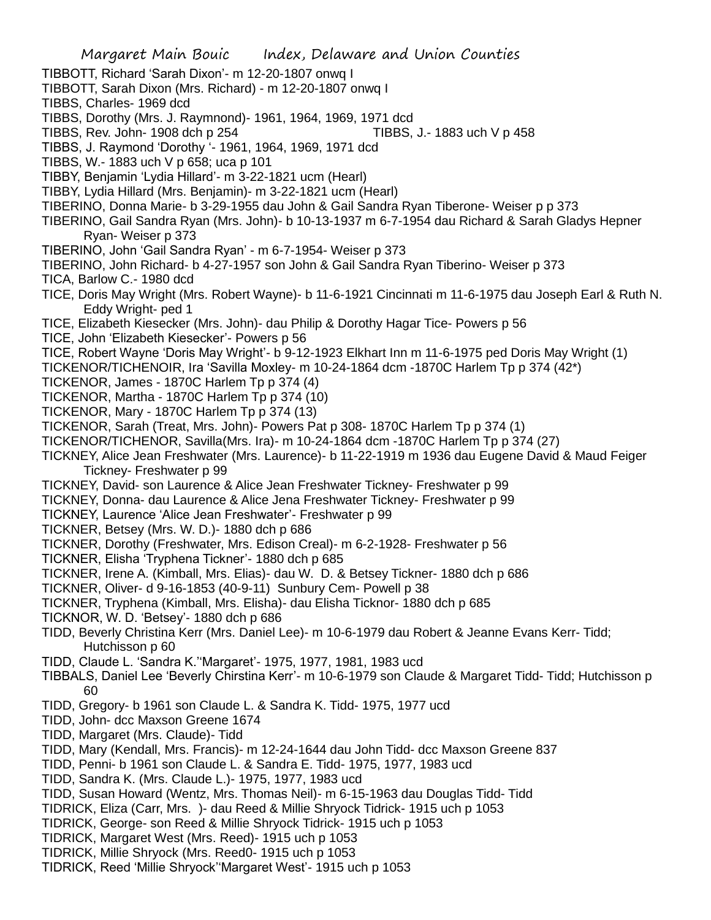Margaret Main Bouic Index, Delaware and Union Counties TIBBOTT, Richard 'Sarah Dixon'- m 12-20-1807 onwq I TIBBOTT, Sarah Dixon (Mrs. Richard) - m 12-20-1807 onwq I TIBBS, Charles- 1969 dcd TIBBS, Dorothy (Mrs. J. Raymnond)- 1961, 1964, 1969, 1971 dcd TIBBS, Rev. John- 1908 dch p 254 TIBBS, J.- 1883 uch V p 458 TIBBS, J. Raymond 'Dorothy '- 1961, 1964, 1969, 1971 dcd TIBBS, W.- 1883 uch V p 658; uca p 101 TIBBY, Benjamin 'Lydia Hillard'- m 3-22-1821 ucm (Hearl) TIBBY, Lydia Hillard (Mrs. Benjamin)- m 3-22-1821 ucm (Hearl) TIBERINO, Donna Marie- b 3-29-1955 dau John & Gail Sandra Ryan Tiberone- Weiser p p 373 TIBERINO, Gail Sandra Ryan (Mrs. John)- b 10-13-1937 m 6-7-1954 dau Richard & Sarah Gladys Hepner Ryan- Weiser p 373 TIBERINO, John 'Gail Sandra Ryan' - m 6-7-1954- Weiser p 373 TIBERINO, John Richard- b 4-27-1957 son John & Gail Sandra Ryan Tiberino- Weiser p 373 TICA, Barlow C.- 1980 dcd TICE, Doris May Wright (Mrs. Robert Wayne)- b 11-6-1921 Cincinnati m 11-6-1975 dau Joseph Earl & Ruth N. Eddy Wright- ped 1 TICE, Elizabeth Kiesecker (Mrs. John)- dau Philip & Dorothy Hagar Tice- Powers p 56 TICE, John 'Elizabeth Kiesecker'- Powers p 56 TICE, Robert Wayne 'Doris May Wright'- b 9-12-1923 Elkhart Inn m 11-6-1975 ped Doris May Wright (1) TICKENOR/TICHENOIR, Ira 'Savilla Moxley- m 10-24-1864 dcm -1870C Harlem Tp p 374 (42\*) TICKENOR, James - 1870C Harlem Tp p 374 (4) TICKENOR, Martha - 1870C Harlem Tp p 374 (10) TICKENOR, Mary - 1870C Harlem Tp p 374 (13) TICKENOR, Sarah (Treat, Mrs. John)- Powers Pat p 308- 1870C Harlem Tp p 374 (1) TICKENOR/TICHENOR, Savilla(Mrs. Ira)- m 10-24-1864 dcm -1870C Harlem Tp p 374 (27) TICKNEY, Alice Jean Freshwater (Mrs. Laurence)- b 11-22-1919 m 1936 dau Eugene David & Maud Feiger Tickney- Freshwater p 99 TICKNEY, David- son Laurence & Alice Jean Freshwater Tickney- Freshwater p 99 TICKNEY, Donna- dau Laurence & Alice Jena Freshwater Tickney- Freshwater p 99 TICKNEY, Laurence 'Alice Jean Freshwater'- Freshwater p 99 TICKNER, Betsey (Mrs. W. D.)- 1880 dch p 686 TICKNER, Dorothy (Freshwater, Mrs. Edison Creal)- m 6-2-1928- Freshwater p 56 TICKNER, Elisha 'Tryphena Tickner'- 1880 dch p 685 TICKNER, Irene A. (Kimball, Mrs. Elias)- dau W. D. & Betsey Tickner- 1880 dch p 686 TICKNER, Oliver- d 9-16-1853 (40-9-11) Sunbury Cem- Powell p 38 TICKNER, Tryphena (Kimball, Mrs. Elisha)- dau Elisha Ticknor- 1880 dch p 685 TICKNOR, W. D. 'Betsey'- 1880 dch p 686 TIDD, Beverly Christina Kerr (Mrs. Daniel Lee)- m 10-6-1979 dau Robert & Jeanne Evans Kerr- Tidd; Hutchisson p 60 TIDD, Claude L. 'Sandra K.''Margaret'- 1975, 1977, 1981, 1983 ucd TIBBALS, Daniel Lee 'Beverly Chirstina Kerr'- m 10-6-1979 son Claude & Margaret Tidd- Tidd; Hutchisson p 60 TIDD, Gregory- b 1961 son Claude L. & Sandra K. Tidd- 1975, 1977 ucd TIDD, John- dcc Maxson Greene 1674 TIDD, Margaret (Mrs. Claude)- Tidd TIDD, Mary (Kendall, Mrs. Francis)- m 12-24-1644 dau John Tidd- dcc Maxson Greene 837 TIDD, Penni- b 1961 son Claude L. & Sandra E. Tidd- 1975, 1977, 1983 ucd TIDD, Sandra K. (Mrs. Claude L.)- 1975, 1977, 1983 ucd TIDD, Susan Howard (Wentz, Mrs. Thomas Neil)- m 6-15-1963 dau Douglas Tidd- Tidd TIDRICK, Eliza (Carr, Mrs. )- dau Reed & Millie Shryock Tidrick- 1915 uch p 1053 TIDRICK, George- son Reed & Millie Shryock Tidrick- 1915 uch p 1053 TIDRICK, Margaret West (Mrs. Reed)- 1915 uch p 1053 TIDRICK, Millie Shryock (Mrs. Reed0- 1915 uch p 1053 TIDRICK, Reed 'Millie Shryock''Margaret West'- 1915 uch p 1053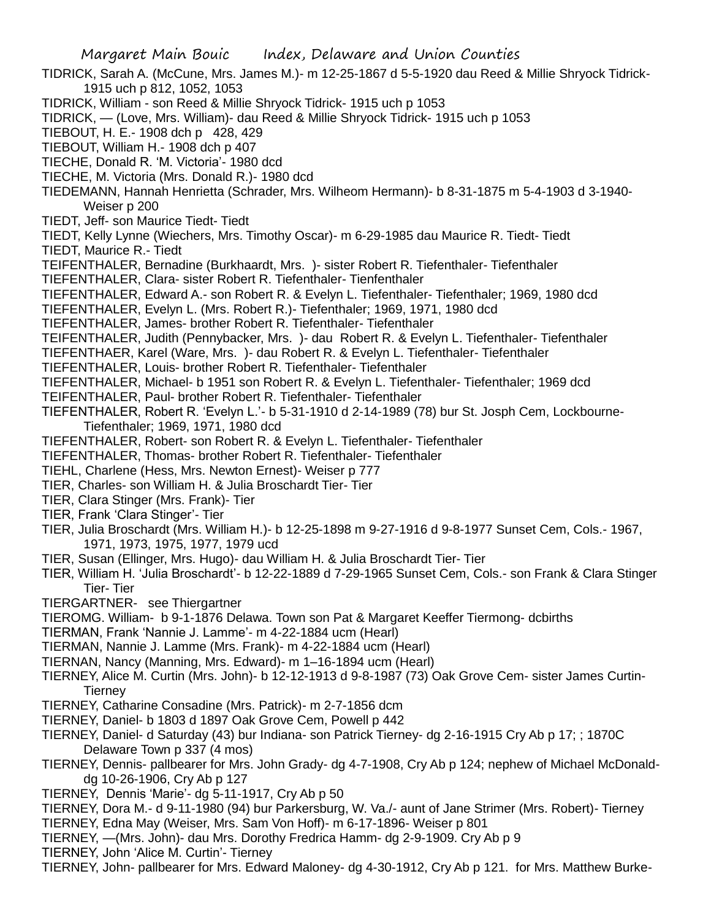- TIDRICK, Sarah A. (McCune, Mrs. James M.)- m 12-25-1867 d 5-5-1920 dau Reed & Millie Shryock Tidrick-1915 uch p 812, 1052, 1053
- TIDRICK, William son Reed & Millie Shryock Tidrick- 1915 uch p 1053
- TIDRICK, (Love, Mrs. William)- dau Reed & Millie Shryock Tidrick- 1915 uch p 1053
- TIEBOUT, H. E.- 1908 dch p 428, 429
- TIEBOUT, William H.- 1908 dch p 407
- TIECHE, Donald R. 'M. Victoria'- 1980 dcd
- TIECHE, M. Victoria (Mrs. Donald R.)- 1980 dcd
- TIEDEMANN, Hannah Henrietta (Schrader, Mrs. Wilheom Hermann)- b 8-31-1875 m 5-4-1903 d 3-1940- Weiser p 200
- TIEDT, Jeff- son Maurice Tiedt- Tiedt
- TIEDT, Kelly Lynne (Wiechers, Mrs. Timothy Oscar)- m 6-29-1985 dau Maurice R. Tiedt- Tiedt
- TIEDT, Maurice R.- Tiedt
- TEIFENTHALER, Bernadine (Burkhaardt, Mrs. )- sister Robert R. Tiefenthaler- Tiefenthaler
- TIEFENTHALER, Clara- sister Robert R. Tiefenthaler- Tienfenthaler
- TIEFENTHALER, Edward A.- son Robert R. & Evelyn L. Tiefenthaler- Tiefenthaler; 1969, 1980 dcd
- TIEFENTHALER, Evelyn L. (Mrs. Robert R.)- Tiefenthaler; 1969, 1971, 1980 dcd
- TIEFENTHALER, James- brother Robert R. Tiefenthaler- Tiefenthaler
- TEIFENTHALER, Judith (Pennybacker, Mrs. )- dau Robert R. & Evelyn L. Tiefenthaler- Tiefenthaler
- TIEFENTHAER, Karel (Ware, Mrs. )- dau Robert R. & Evelyn L. Tiefenthaler- Tiefenthaler
- TIEFENTHALER, Louis- brother Robert R. Tiefenthaler- Tiefenthaler
- TIEFENTHALER, Michael- b 1951 son Robert R. & Evelyn L. Tiefenthaler- Tiefenthaler; 1969 dcd
- TEIFENTHALER, Paul- brother Robert R. Tiefenthaler- Tiefenthaler
- TIEFENTHALER, Robert R. 'Evelyn L.'- b 5-31-1910 d 2-14-1989 (78) bur St. Josph Cem, Lockbourne-Tiefenthaler; 1969, 1971, 1980 dcd
- TIEFENTHALER, Robert- son Robert R. & Evelyn L. Tiefenthaler- Tiefenthaler
- TIEFENTHALER, Thomas- brother Robert R. Tiefenthaler- Tiefenthaler
- TIEHL, Charlene (Hess, Mrs. Newton Ernest)- Weiser p 777
- TIER, Charles- son William H. & Julia Broschardt Tier- Tier
- TIER, Clara Stinger (Mrs. Frank)- Tier
- TIER, Frank 'Clara Stinger'- Tier
- TIER, Julia Broschardt (Mrs. William H.)- b 12-25-1898 m 9-27-1916 d 9-8-1977 Sunset Cem, Cols.- 1967, 1971, 1973, 1975, 1977, 1979 ucd
- TIER, Susan (Ellinger, Mrs. Hugo)- dau William H. & Julia Broschardt Tier- Tier
- TIER, William H. 'Julia Broschardt'- b 12-22-1889 d 7-29-1965 Sunset Cem, Cols.- son Frank & Clara Stinger Tier- Tier
- TIERGARTNER- see Thiergartner
- TIEROMG. William- b 9-1-1876 Delawa. Town son Pat & Margaret Keeffer Tiermong- dcbirths
- TIERMAN, Frank 'Nannie J. Lamme'- m 4-22-1884 ucm (Hearl)
- TIERMAN, Nannie J. Lamme (Mrs. Frank)- m 4-22-1884 ucm (Hearl)
- TIERNAN, Nancy (Manning, Mrs. Edward)- m 1–16-1894 ucm (Hearl)
- TIERNEY, Alice M. Curtin (Mrs. John)- b 12-12-1913 d 9-8-1987 (73) Oak Grove Cem- sister James Curtin-**Tierney**
- TIERNEY, Catharine Consadine (Mrs. Patrick)- m 2-7-1856 dcm
- TIERNEY, Daniel- b 1803 d 1897 Oak Grove Cem, Powell p 442
- TIERNEY, Daniel- d Saturday (43) bur Indiana- son Patrick Tierney- dg 2-16-1915 Cry Ab p 17; ; 1870C Delaware Town p 337 (4 mos)
- TIERNEY, Dennis- pallbearer for Mrs. John Grady- dg 4-7-1908, Cry Ab p 124; nephew of Michael McDonalddg 10-26-1906, Cry Ab p 127
- TIERNEY, Dennis 'Marie'- dg 5-11-1917, Cry Ab p 50
- TIERNEY, Dora M.- d 9-11-1980 (94) bur Parkersburg, W. Va./- aunt of Jane Strimer (Mrs. Robert)- Tierney
- TIERNEY, Edna May (Weiser, Mrs. Sam Von Hoff)- m 6-17-1896- Weiser p 801
- TIERNEY, —(Mrs. John)- dau Mrs. Dorothy Fredrica Hamm- dg 2-9-1909. Cry Ab p 9
- TIERNEY, John 'Alice M. Curtin'- Tierney
- TIERNEY, John- pallbearer for Mrs. Edward Maloney- dg 4-30-1912, Cry Ab p 121. for Mrs. Matthew Burke-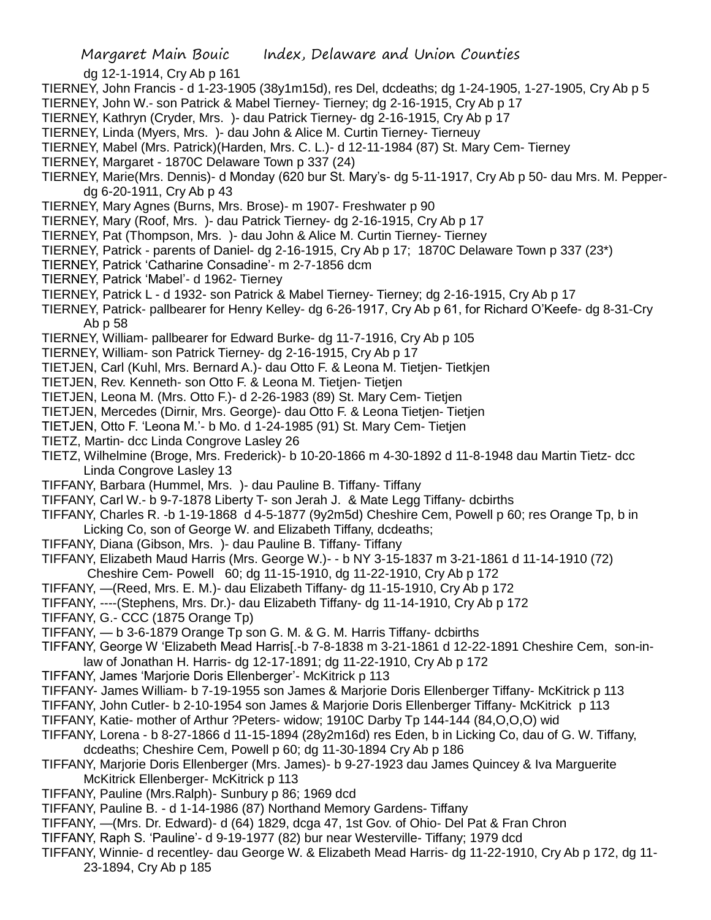dg 12-1-1914, Cry Ab p 161

- TIERNEY, John Francis d 1-23-1905 (38y1m15d), res Del, dcdeaths; dg 1-24-1905, 1-27-1905, Cry Ab p 5
- TIERNEY, John W.- son Patrick & Mabel Tierney- Tierney; dg 2-16-1915, Cry Ab p 17
- TIERNEY, Kathryn (Cryder, Mrs. )- dau Patrick Tierney- dg 2-16-1915, Cry Ab p 17
- TIERNEY, Linda (Myers, Mrs. )- dau John & Alice M. Curtin Tierney- Tierneuy
- TIERNEY, Mabel (Mrs. Patrick)(Harden, Mrs. C. L.)- d 12-11-1984 (87) St. Mary Cem- Tierney
- TIERNEY, Margaret 1870C Delaware Town p 337 (24)
- TIERNEY, Marie(Mrs. Dennis)- d Monday (620 bur St. Mary's- dg 5-11-1917, Cry Ab p 50- dau Mrs. M. Pepperdg 6-20-1911, Cry Ab p 43
- TIERNEY, Mary Agnes (Burns, Mrs. Brose)- m 1907- Freshwater p 90
- TIERNEY, Mary (Roof, Mrs. )- dau Patrick Tierney- dg 2-16-1915, Cry Ab p 17
- TIERNEY, Pat (Thompson, Mrs. )- dau John & Alice M. Curtin Tierney- Tierney
- TIERNEY, Patrick parents of Daniel- dg 2-16-1915, Cry Ab p 17; 1870C Delaware Town p 337 (23\*)
- TIERNEY, Patrick 'Catharine Consadine'- m 2-7-1856 dcm
- TIERNEY, Patrick 'Mabel'- d 1962- Tierney
- TIERNEY, Patrick L d 1932- son Patrick & Mabel Tierney- Tierney; dg 2-16-1915, Cry Ab p 17
- TIERNEY, Patrick- pallbearer for Henry Kelley- dg 6-26-1917, Cry Ab p 61, for Richard O'Keefe- dg 8-31-Cry Ab p 58
- TIERNEY, William- pallbearer for Edward Burke- dg 11-7-1916, Cry Ab p 105
- TIERNEY, William- son Patrick Tierney- dg 2-16-1915, Cry Ab p 17
- TIETJEN, Carl (Kuhl, Mrs. Bernard A.)- dau Otto F. & Leona M. Tietjen- Tietkjen
- TIETJEN, Rev. Kenneth- son Otto F. & Leona M. Tietjen- Tietjen
- TIETJEN, Leona M. (Mrs. Otto F.)- d 2-26-1983 (89) St. Mary Cem- Tietjen
- TIETJEN, Mercedes (Dirnir, Mrs. George)- dau Otto F. & Leona Tietjen- Tietjen
- TIETJEN, Otto F. 'Leona M.'- b Mo. d 1-24-1985 (91) St. Mary Cem- Tietjen
- TIETZ, Martin- dcc Linda Congrove Lasley 26
- TIETZ, Wilhelmine (Broge, Mrs. Frederick)- b 10-20-1866 m 4-30-1892 d 11-8-1948 dau Martin Tietz- dcc Linda Congrove Lasley 13
- TIFFANY, Barbara (Hummel, Mrs. )- dau Pauline B. Tiffany- Tiffany
- TIFFANY, Carl W.- b 9-7-1878 Liberty T- son Jerah J. & Mate Legg Tiffany- dcbirths
- TIFFANY, Charles R. -b 1-19-1868 d 4-5-1877 (9y2m5d) Cheshire Cem, Powell p 60; res Orange Tp, b in
- Licking Co, son of George W. and Elizabeth Tiffany, dcdeaths;
- TIFFANY, Diana (Gibson, Mrs. )- dau Pauline B. Tiffany- Tiffany
- TIFFANY, Elizabeth Maud Harris (Mrs. George W.)- b NY 3-15-1837 m 3-21-1861 d 11-14-1910 (72) Cheshire Cem- Powell 60; dg 11-15-1910, dg 11-22-1910, Cry Ab p 172
- TIFFANY, —(Reed, Mrs. E. M.)- dau Elizabeth Tiffany- dg 11-15-1910, Cry Ab p 172
- TIFFANY, ----(Stephens, Mrs. Dr.)- dau Elizabeth Tiffany- dg 11-14-1910, Cry Ab p 172
- TIFFANY, G.- CCC (1875 Orange Tp)
- TIFFANY, b 3-6-1879 Orange Tp son G. M. & G. M. Harris Tiffany- dcbirths
- TIFFANY, George W 'Elizabeth Mead Harris[.-b 7-8-1838 m 3-21-1861 d 12-22-1891 Cheshire Cem, son-inlaw of Jonathan H. Harris- dg 12-17-1891; dg 11-22-1910, Cry Ab p 172
- TIFFANY, James 'Marjorie Doris Ellenberger'- McKitrick p 113
- TIFFANY- James William- b 7-19-1955 son James & Marjorie Doris Ellenberger Tiffany- McKitrick p 113
- TIFFANY, John Cutler- b 2-10-1954 son James & Marjorie Doris Ellenberger Tiffany- McKitrick p 113
- TIFFANY, Katie- mother of Arthur ?Peters- widow; 1910C Darby Tp 144-144 (84,O,O,O) wid
- TIFFANY, Lorena b 8-27-1866 d 11-15-1894 (28y2m16d) res Eden, b in Licking Co, dau of G. W. Tiffany, dcdeaths; Cheshire Cem, Powell p 60; dg 11-30-1894 Cry Ab p 186
- TIFFANY, Marjorie Doris Ellenberger (Mrs. James)- b 9-27-1923 dau James Quincey & Iva Marguerite McKitrick Ellenberger- McKitrick p 113
- TIFFANY, Pauline (Mrs.Ralph)- Sunbury p 86; 1969 dcd
- TIFFANY, Pauline B. d 1-14-1986 (87) Northand Memory Gardens- Tiffany
- TIFFANY, —(Mrs. Dr. Edward)- d (64) 1829, dcga 47, 1st Gov. of Ohio- Del Pat & Fran Chron
- TIFFANY, Raph S. 'Pauline'- d 9-19-1977 (82) bur near Westerville- Tiffany; 1979 dcd
- TIFFANY, Winnie- d recentley- dau George W. & Elizabeth Mead Harris- dg 11-22-1910, Cry Ab p 172, dg 11- 23-1894, Cry Ab p 185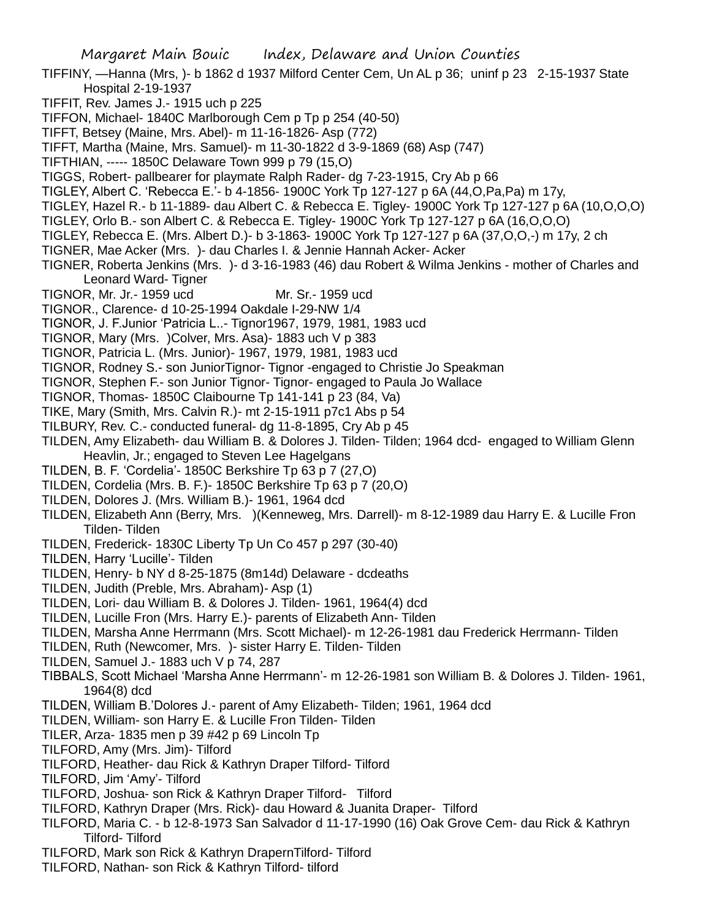- TIFFINY, —Hanna (Mrs, )- b 1862 d 1937 Milford Center Cem, Un AL p 36; uninf p 23 2-15-1937 State Hospital 2-19-1937
- TIFFIT, Rev. James J.- 1915 uch p 225
- TIFFON, Michael- 1840C Marlborough Cem p Tp p 254 (40-50)
- TIFFT, Betsey (Maine, Mrs. Abel)- m 11-16-1826- Asp (772)
- TIFFT, Martha (Maine, Mrs. Samuel)- m 11-30-1822 d 3-9-1869 (68) Asp (747)
- TIFTHIAN, ----- 1850C Delaware Town 999 p 79 (15,O)
- TIGGS, Robert- pallbearer for playmate Ralph Rader- dg 7-23-1915, Cry Ab p 66
- TIGLEY, Albert C. 'Rebecca E.'- b 4-1856- 1900C York Tp 127-127 p 6A (44,O,Pa,Pa) m 17y,
- TIGLEY, Hazel R.- b 11-1889- dau Albert C. & Rebecca E. Tigley- 1900C York Tp 127-127 p 6A (10,O,O,O)
- TIGLEY, Orlo B.- son Albert C. & Rebecca E. Tigley- 1900C York Tp 127-127 p 6A (16,O,O,O)
- TIGLEY, Rebecca E. (Mrs. Albert D.)- b 3-1863- 1900C York Tp 127-127 p 6A (37,O,O,-) m 17y, 2 ch
- TIGNER, Mae Acker (Mrs. )- dau Charles I. & Jennie Hannah Acker- Acker
- TIGNER, Roberta Jenkins (Mrs. )- d 3-16-1983 (46) dau Robert & Wilma Jenkins mother of Charles and Leonard Ward- Tigner
- TIGNOR, Mr. Jr.- 1959 ucd Mr. Sr.- 1959 ucd
- TIGNOR., Clarence- d 10-25-1994 Oakdale I-29-NW 1/4
- TIGNOR, J. F.Junior 'Patricia L..- Tignor1967, 1979, 1981, 1983 ucd
- TIGNOR, Mary (Mrs. )Colver, Mrs. Asa)- 1883 uch V p 383
- TIGNOR, Patricia L. (Mrs. Junior)- 1967, 1979, 1981, 1983 ucd
- TIGNOR, Rodney S.- son JuniorTignor- Tignor -engaged to Christie Jo Speakman
- TIGNOR, Stephen F.- son Junior Tignor- Tignor- engaged to Paula Jo Wallace
- TIGNOR, Thomas- 1850C Claibourne Tp 141-141 p 23 (84, Va)
- TIKE, Mary (Smith, Mrs. Calvin R.)- mt 2-15-1911 p7c1 Abs p 54
- TILBURY, Rev. C.- conducted funeral- dg 11-8-1895, Cry Ab p 45
- TILDEN, Amy Elizabeth- dau William B. & Dolores J. Tilden- Tilden; 1964 dcd- engaged to William Glenn Heavlin, Jr.; engaged to Steven Lee Hagelgans
- TILDEN, B. F. 'Cordelia'- 1850C Berkshire Tp 63 p 7 (27,O)
- TILDEN, Cordelia (Mrs. B. F.)- 1850C Berkshire Tp 63 p 7 (20,O)
- TILDEN, Dolores J. (Mrs. William B.)- 1961, 1964 dcd
- TILDEN, Elizabeth Ann (Berry, Mrs. )(Kenneweg, Mrs. Darrell)- m 8-12-1989 dau Harry E. & Lucille Fron Tilden- Tilden
- TILDEN, Frederick- 1830C Liberty Tp Un Co 457 p 297 (30-40)
- TILDEN, Harry 'Lucille'- Tilden
- TILDEN, Henry- b NY d 8-25-1875 (8m14d) Delaware dcdeaths
- TILDEN, Judith (Preble, Mrs. Abraham)- Asp (1)
- TILDEN, Lori- dau William B. & Dolores J. Tilden- 1961, 1964(4) dcd
- TILDEN, Lucille Fron (Mrs. Harry E.)- parents of Elizabeth Ann- Tilden
- TILDEN, Marsha Anne Herrmann (Mrs. Scott Michael)- m 12-26-1981 dau Frederick Herrmann- Tilden
- TILDEN, Ruth (Newcomer, Mrs. )- sister Harry E. Tilden- Tilden
- TILDEN, Samuel J.- 1883 uch V p 74, 287
- TIBBALS, Scott Michael 'Marsha Anne Herrmann'- m 12-26-1981 son William B. & Dolores J. Tilden- 1961, 1964(8) dcd
- TILDEN, William B.'Dolores J.- parent of Amy Elizabeth- Tilden; 1961, 1964 dcd
- TILDEN, William- son Harry E. & Lucille Fron Tilden- Tilden
- TILER, Arza- 1835 men p 39 #42 p 69 Lincoln Tp
- TILFORD, Amy (Mrs. Jim)- Tilford
- TILFORD, Heather- dau Rick & Kathryn Draper Tilford- Tilford
- TILFORD, Jim 'Amy'- Tilford
- TILFORD, Joshua- son Rick & Kathryn Draper Tilford- Tilford
- TILFORD, Kathryn Draper (Mrs. Rick)- dau Howard & Juanita Draper- Tilford
- TILFORD, Maria C. b 12-8-1973 San Salvador d 11-17-1990 (16) Oak Grove Cem- dau Rick & Kathryn Tilford- Tilford
- TILFORD, Mark son Rick & Kathryn DrapernTilford- Tilford
- TILFORD, Nathan- son Rick & Kathryn Tilford- tilford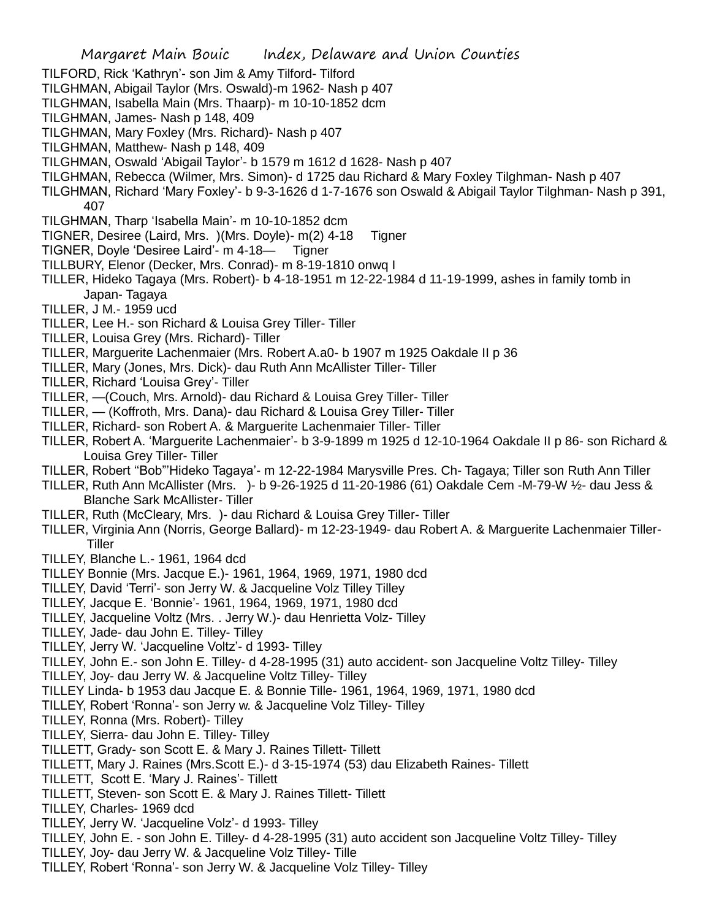- TILFORD, Rick 'Kathryn'- son Jim & Amy Tilford- Tilford
- TILGHMAN, Abigail Taylor (Mrs. Oswald)-m 1962- Nash p 407
- TILGHMAN, Isabella Main (Mrs. Thaarp)- m 10-10-1852 dcm
- TILGHMAN, James- Nash p 148, 409
- TILGHMAN, Mary Foxley (Mrs. Richard)- Nash p 407
- TILGHMAN, Matthew- Nash p 148, 409
- TILGHMAN, Oswald 'Abigail Taylor'- b 1579 m 1612 d 1628- Nash p 407
- TILGHMAN, Rebecca (Wilmer, Mrs. Simon)- d 1725 dau Richard & Mary Foxley Tilghman- Nash p 407
- TILGHMAN, Richard 'Mary Foxley'- b 9-3-1626 d 1-7-1676 son Oswald & Abigail Taylor Tilghman- Nash p 391, 407
- TILGHMAN, Tharp 'Isabella Main'- m 10-10-1852 dcm
- TIGNER, Desiree (Laird, Mrs. )(Mrs. Doyle)- m(2) 4-18 Tigner
- TIGNER, Doyle 'Desiree Laird'- m 4-18— Tigner
- TILLBURY, Elenor (Decker, Mrs. Conrad)- m 8-19-1810 onwq I
- TILLER, Hideko Tagaya (Mrs. Robert)- b 4-18-1951 m 12-22-1984 d 11-19-1999, ashes in family tomb in Japan- Tagaya
- TILLER, J M.- 1959 ucd
- TILLER, Lee H.- son Richard & Louisa Grey Tiller- Tiller
- TILLER, Louisa Grey (Mrs. Richard)- Tiller
- TILLER, Marguerite Lachenmaier (Mrs. Robert A.a0- b 1907 m 1925 Oakdale II p 36
- TILLER, Mary (Jones, Mrs. Dick)- dau Ruth Ann McAllister Tiller- Tiller
- TILLER, Richard 'Louisa Grey'- Tiller
- TILLER, —(Couch, Mrs. Arnold)- dau Richard & Louisa Grey Tiller- Tiller
- TILLER, (Koffroth, Mrs. Dana)- dau Richard & Louisa Grey Tiller- Tiller
- TILLER, Richard- son Robert A. & Marguerite Lachenmaier Tiller- Tiller
- TILLER, Robert A. 'Marguerite Lachenmaier'- b 3-9-1899 m 1925 d 12-10-1964 Oakdale II p 86- son Richard & Louisa Grey Tiller- Tiller
- TILLER, Robert ''Bob"'Hideko Tagaya'- m 12-22-1984 Marysville Pres. Ch- Tagaya; Tiller son Ruth Ann Tiller
- TILLER, Ruth Ann McAllister (Mrs. )- b 9-26-1925 d 11-20-1986 (61) Oakdale Cem -M-79-W ½- dau Jess & Blanche Sark McAllister- Tiller
- TILLER, Ruth (McCleary, Mrs. )- dau Richard & Louisa Grey Tiller- Tiller
- TILLER, Virginia Ann (Norris, George Ballard)- m 12-23-1949- dau Robert A. & Marguerite Lachenmaier Tiller-**Tiller**
- TILLEY, Blanche L.- 1961, 1964 dcd
- TILLEY Bonnie (Mrs. Jacque E.)- 1961, 1964, 1969, 1971, 1980 dcd
- TILLEY, David 'Terri'- son Jerry W. & Jacqueline Volz Tilley Tilley
- TILLEY, Jacque E. 'Bonnie'- 1961, 1964, 1969, 1971, 1980 dcd
- TILLEY, Jacqueline Voltz (Mrs. . Jerry W.)- dau Henrietta Volz- Tilley
- TILLEY, Jade- dau John E. Tilley- Tilley
- TILLEY, Jerry W. 'Jacqueline Voltz'- d 1993- Tilley
- TILLEY, John E.- son John E. Tilley- d 4-28-1995 (31) auto accident- son Jacqueline Voltz Tilley- Tilley
- TILLEY, Joy- dau Jerry W. & Jacqueline Voltz Tilley- Tilley
- TILLEY Linda- b 1953 dau Jacque E. & Bonnie Tille- 1961, 1964, 1969, 1971, 1980 dcd
- TILLEY, Robert 'Ronna'- son Jerry w. & Jacqueline Volz Tilley- Tilley
- TILLEY, Ronna (Mrs. Robert)- Tilley
- TILLEY, Sierra- dau John E. Tilley- Tilley
- TILLETT, Grady- son Scott E. & Mary J. Raines Tillett- Tillett
- TILLETT, Mary J. Raines (Mrs.Scott E.)- d 3-15-1974 (53) dau Elizabeth Raines- Tillett
- TILLETT, Scott E. 'Mary J. Raines'- Tillett
- TILLETT, Steven- son Scott E. & Mary J. Raines Tillett- Tillett
- TILLEY, Charles- 1969 dcd
- TILLEY, Jerry W. 'Jacqueline Volz'- d 1993- Tilley
- TILLEY, John E. son John E. Tilley- d 4-28-1995 (31) auto accident son Jacqueline Voltz Tilley- Tilley
- TILLEY, Joy- dau Jerry W. & Jacqueline Volz Tilley- Tille
- TILLEY, Robert 'Ronna'- son Jerry W. & Jacqueline Volz Tilley- Tilley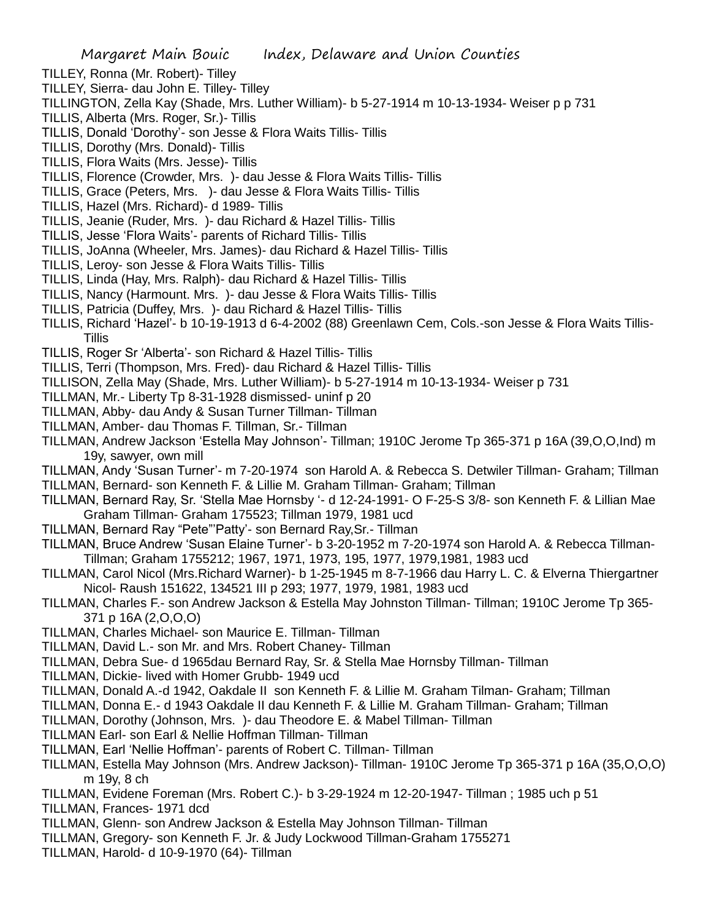- TILLEY, Ronna (Mr. Robert)- Tilley
- TILLEY, Sierra- dau John E. Tilley- Tilley
- TILLINGTON, Zella Kay (Shade, Mrs. Luther William)- b 5-27-1914 m 10-13-1934- Weiser p p 731
- TILLIS, Alberta (Mrs. Roger, Sr.)- Tillis
- TILLIS, Donald 'Dorothy'- son Jesse & Flora Waits Tillis- Tillis
- TILLIS, Dorothy (Mrs. Donald)- Tillis
- TILLIS, Flora Waits (Mrs. Jesse)- Tillis
- TILLIS, Florence (Crowder, Mrs. )- dau Jesse & Flora Waits Tillis- Tillis
- TILLIS, Grace (Peters, Mrs. )- dau Jesse & Flora Waits Tillis- Tillis
- TILLIS, Hazel (Mrs. Richard)- d 1989- Tillis
- TILLIS, Jeanie (Ruder, Mrs. )- dau Richard & Hazel Tillis- Tillis
- TILLIS, Jesse 'Flora Waits'- parents of Richard Tillis- Tillis
- TILLIS, JoAnna (Wheeler, Mrs. James)- dau Richard & Hazel Tillis- Tillis
- TILLIS, Leroy- son Jesse & Flora Waits Tillis- Tillis
- TILLIS, Linda (Hay, Mrs. Ralph)- dau Richard & Hazel Tillis- Tillis
- TILLIS, Nancy (Harmount. Mrs. )- dau Jesse & Flora Waits Tillis- Tillis
- TILLIS, Patricia (Duffey, Mrs. )- dau Richard & Hazel Tillis- Tillis
- TILLIS, Richard 'Hazel'- b 10-19-1913 d 6-4-2002 (88) Greenlawn Cem, Cols.-son Jesse & Flora Waits Tillis-**Tillis**
- TILLIS, Roger Sr 'Alberta'- son Richard & Hazel Tillis- Tillis
- TILLIS, Terri (Thompson, Mrs. Fred)- dau Richard & Hazel Tillis- Tillis
- TILLISON, Zella May (Shade, Mrs. Luther William)- b 5-27-1914 m 10-13-1934- Weiser p 731
- TILLMAN, Mr.- Liberty Tp 8-31-1928 dismissed- uninf p 20
- TILLMAN, Abby- dau Andy & Susan Turner Tillman- Tillman
- TILLMAN, Amber- dau Thomas F. Tillman, Sr.- Tillman
- TILLMAN, Andrew Jackson 'Estella May Johnson'- Tillman; 1910C Jerome Tp 365-371 p 16A (39,O,O,Ind) m 19y, sawyer, own mill
- TILLMAN, Andy 'Susan Turner'- m 7-20-1974 son Harold A. & Rebecca S. Detwiler Tillman- Graham; Tillman
- TILLMAN, Bernard- son Kenneth F. & Lillie M. Graham Tillman- Graham; Tillman
- TILLMAN, Bernard Ray, Sr. 'Stella Mae Hornsby '- d 12-24-1991- O F-25-S 3/8- son Kenneth F. & Lillian Mae Graham Tillman- Graham 175523; Tillman 1979, 1981 ucd
- TILLMAN, Bernard Ray "Pete"'Patty'- son Bernard Ray,Sr.- Tillman
- TILLMAN, Bruce Andrew 'Susan Elaine Turner'- b 3-20-1952 m 7-20-1974 son Harold A. & Rebecca Tillman-Tillman; Graham 1755212; 1967, 1971, 1973, 195, 1977, 1979,1981, 1983 ucd
- TILLMAN, Carol Nicol (Mrs.Richard Warner)- b 1-25-1945 m 8-7-1966 dau Harry L. C. & Elverna Thiergartner Nicol- Raush 151622, 134521 III p 293; 1977, 1979, 1981, 1983 ucd
- TILLMAN, Charles F.- son Andrew Jackson & Estella May Johnston Tillman- Tillman; 1910C Jerome Tp 365- 371 p 16A (2,O,O,O)
- TILLMAN, Charles Michael- son Maurice E. Tillman- Tillman
- TILLMAN, David L.- son Mr. and Mrs. Robert Chaney- Tillman
- TILLMAN, Debra Sue- d 1965dau Bernard Ray, Sr. & Stella Mae Hornsby Tillman- Tillman
- TILLMAN, Dickie- lived with Homer Grubb- 1949 ucd
- TILLMAN, Donald A.-d 1942, Oakdale II son Kenneth F. & Lillie M. Graham Tilman- Graham; Tillman
- TILLMAN, Donna E.- d 1943 Oakdale II dau Kenneth F. & Lillie M. Graham Tillman- Graham; Tillman
- TILLMAN, Dorothy (Johnson, Mrs. )- dau Theodore E. & Mabel Tillman- Tillman
- TILLMAN Earl- son Earl & Nellie Hoffman Tillman- Tillman
- TILLMAN, Earl 'Nellie Hoffman'- parents of Robert C. Tillman- Tillman
- TILLMAN, Estella May Johnson (Mrs. Andrew Jackson)- Tillman- 1910C Jerome Tp 365-371 p 16A (35,O,O,O) m 19y, 8 ch
- TILLMAN, Evidene Foreman (Mrs. Robert C.)- b 3-29-1924 m 12-20-1947- Tillman ; 1985 uch p 51
- TILLMAN, Frances- 1971 dcd
- TILLMAN, Glenn- son Andrew Jackson & Estella May Johnson Tillman- Tillman
- TILLMAN, Gregory- son Kenneth F. Jr. & Judy Lockwood Tillman-Graham 1755271
- TILLMAN, Harold- d 10-9-1970 (64)- Tillman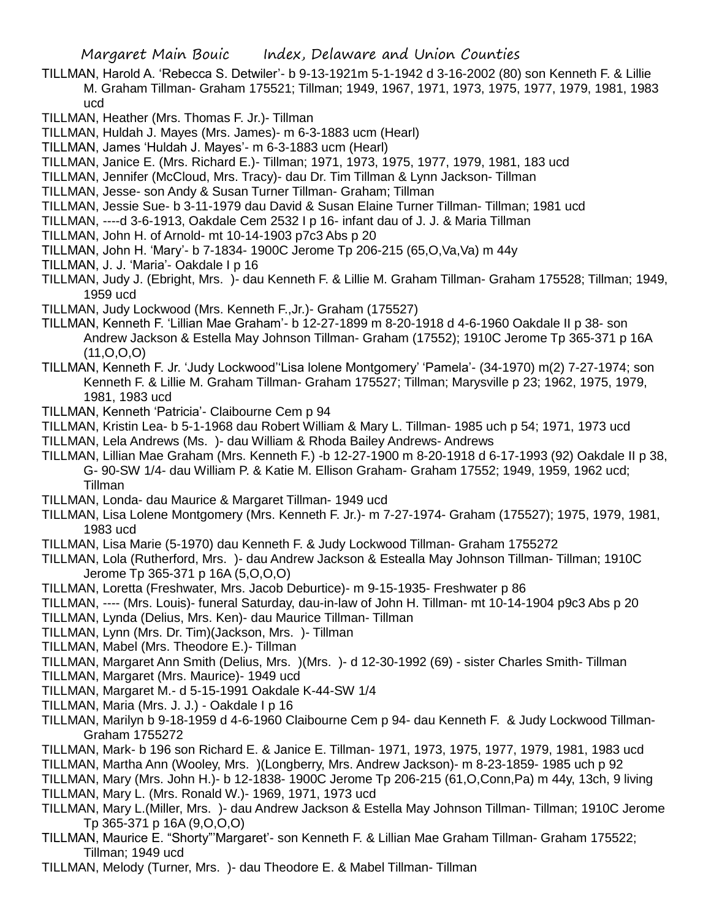- TILLMAN, Harold A. 'Rebecca S. Detwiler'- b 9-13-1921m 5-1-1942 d 3-16-2002 (80) son Kenneth F. & Lillie M. Graham Tillman- Graham 175521; Tillman; 1949, 1967, 1971, 1973, 1975, 1977, 1979, 1981, 1983 ucd
- TILLMAN, Heather (Mrs. Thomas F. Jr.)- Tillman
- TILLMAN, Huldah J. Mayes (Mrs. James)- m 6-3-1883 ucm (Hearl)
- TILLMAN, James 'Huldah J. Mayes'- m 6-3-1883 ucm (Hearl)
- TILLMAN, Janice E. (Mrs. Richard E.)- Tillman; 1971, 1973, 1975, 1977, 1979, 1981, 183 ucd
- TILLMAN, Jennifer (McCloud, Mrs. Tracy)- dau Dr. Tim Tillman & Lynn Jackson- Tillman
- TILLMAN, Jesse- son Andy & Susan Turner Tillman- Graham; Tillman
- TILLMAN, Jessie Sue- b 3-11-1979 dau David & Susan Elaine Turner Tillman- Tillman; 1981 ucd
- TILLMAN, ----d 3-6-1913, Oakdale Cem 2532 I p 16- infant dau of J. J. & Maria Tillman
- TILLMAN, John H. of Arnold- mt 10-14-1903 p7c3 Abs p 20
- TILLMAN, John H. 'Mary'- b 7-1834- 1900C Jerome Tp 206-215 (65,O,Va,Va) m 44y
- TILLMAN, J. J. 'Maria'- Oakdale I p 16
- TILLMAN, Judy J. (Ebright, Mrs. )- dau Kenneth F. & Lillie M. Graham Tillman- Graham 175528; Tillman; 1949, 1959 ucd
- TILLMAN, Judy Lockwood (Mrs. Kenneth F.,Jr.)- Graham (175527)
- TILLMAN, Kenneth F. 'Lillian Mae Graham'- b 12-27-1899 m 8-20-1918 d 4-6-1960 Oakdale II p 38- son Andrew Jackson & Estella May Johnson Tillman- Graham (17552); 1910C Jerome Tp 365-371 p 16A  $(11, 0, 0, 0)$
- TILLMAN, Kenneth F. Jr. 'Judy Lockwood''Lisa lolene Montgomery' 'Pamela'- (34-1970) m(2) 7-27-1974; son Kenneth F. & Lillie M. Graham Tillman- Graham 175527; Tillman; Marysville p 23; 1962, 1975, 1979, 1981, 1983 ucd
- TILLMAN, Kenneth 'Patricia'- Claibourne Cem p 94
- TILLMAN, Kristin Lea- b 5-1-1968 dau Robert William & Mary L. Tillman- 1985 uch p 54; 1971, 1973 ucd
- TILLMAN, Lela Andrews (Ms. )- dau William & Rhoda Bailey Andrews- Andrews
- TILLMAN, Lillian Mae Graham (Mrs. Kenneth F.) -b 12-27-1900 m 8-20-1918 d 6-17-1993 (92) Oakdale II p 38, G- 90-SW 1/4- dau William P. & Katie M. Ellison Graham- Graham 17552; 1949, 1959, 1962 ucd; Tillman
- TILLMAN, Londa- dau Maurice & Margaret Tillman- 1949 ucd
- TILLMAN, Lisa Lolene Montgomery (Mrs. Kenneth F. Jr.)- m 7-27-1974- Graham (175527); 1975, 1979, 1981, 1983 ucd
- TILLMAN, Lisa Marie (5-1970) dau Kenneth F. & Judy Lockwood Tillman- Graham 1755272
- TILLMAN, Lola (Rutherford, Mrs. )- dau Andrew Jackson & Estealla May Johnson Tillman- Tillman; 1910C Jerome Tp 365-371 p 16A (5,O,O,O)
- TILLMAN, Loretta (Freshwater, Mrs. Jacob Deburtice)- m 9-15-1935- Freshwater p 86
- TILLMAN, ---- (Mrs. Louis)- funeral Saturday, dau-in-law of John H. Tillman- mt 10-14-1904 p9c3 Abs p 20
- TILLMAN, Lynda (Delius, Mrs. Ken)- dau Maurice Tillman- Tillman
- TILLMAN, Lynn (Mrs. Dr. Tim)(Jackson, Mrs. )- Tillman
- TILLMAN, Mabel (Mrs. Theodore E.)- Tillman
- TILLMAN, Margaret Ann Smith (Delius, Mrs. )(Mrs. )- d 12-30-1992 (69) sister Charles Smith- Tillman
- TILLMAN, Margaret (Mrs. Maurice)- 1949 ucd
- TILLMAN, Margaret M.- d 5-15-1991 Oakdale K-44-SW 1/4
- TILLMAN, Maria (Mrs. J. J.) Oakdale I p 16
- TILLMAN, Marilyn b 9-18-1959 d 4-6-1960 Claibourne Cem p 94- dau Kenneth F. & Judy Lockwood Tillman-Graham 1755272
- TILLMAN, Mark- b 196 son Richard E. & Janice E. Tillman- 1971, 1973, 1975, 1977, 1979, 1981, 1983 ucd
- TILLMAN, Martha Ann (Wooley, Mrs. )(Longberry, Mrs. Andrew Jackson)- m 8-23-1859- 1985 uch p 92
- TILLMAN, Mary (Mrs. John H.)- b 12-1838- 1900C Jerome Tp 206-215 (61,O,Conn,Pa) m 44y, 13ch, 9 living
- TILLMAN, Mary L. (Mrs. Ronald W.)- 1969, 1971, 1973 ucd
- TILLMAN, Mary L.(Miller, Mrs. )- dau Andrew Jackson & Estella May Johnson Tillman- Tillman; 1910C Jerome Tp 365-371 p 16A (9,O,O,O)
- TILLMAN, Maurice E. "Shorty"'Margaret'- son Kenneth F. & Lillian Mae Graham Tillman- Graham 175522; Tillman; 1949 ucd
- TILLMAN, Melody (Turner, Mrs. )- dau Theodore E. & Mabel Tillman- Tillman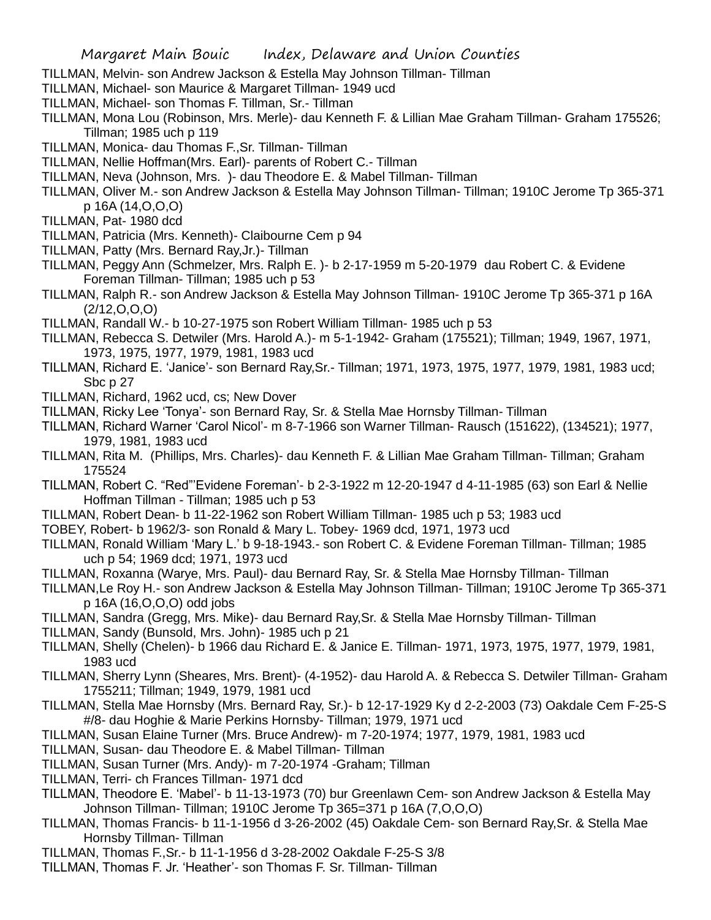- TILLMAN, Melvin- son Andrew Jackson & Estella May Johnson Tillman- Tillman
- TILLMAN, Michael- son Maurice & Margaret Tillman- 1949 ucd
- TILLMAN, Michael- son Thomas F. Tillman, Sr.- Tillman
- TILLMAN, Mona Lou (Robinson, Mrs. Merle)- dau Kenneth F. & Lillian Mae Graham Tillman- Graham 175526; Tillman; 1985 uch p 119
- TILLMAN, Monica- dau Thomas F.,Sr. Tillman- Tillman
- TILLMAN, Nellie Hoffman(Mrs. Earl)- parents of Robert C.- Tillman
- TILLMAN, Neva (Johnson, Mrs. )- dau Theodore E. & Mabel Tillman- Tillman
- TILLMAN, Oliver M.- son Andrew Jackson & Estella May Johnson Tillman- Tillman; 1910C Jerome Tp 365-371 p 16A (14,O,O,O)
- TILLMAN, Pat- 1980 dcd
- TILLMAN, Patricia (Mrs. Kenneth)- Claibourne Cem p 94
- TILLMAN, Patty (Mrs. Bernard Ray,Jr.)- Tillman
- TILLMAN, Peggy Ann (Schmelzer, Mrs. Ralph E. )- b 2-17-1959 m 5-20-1979 dau Robert C. & Evidene Foreman Tillman- Tillman; 1985 uch p 53
- TILLMAN, Ralph R.- son Andrew Jackson & Estella May Johnson Tillman- 1910C Jerome Tp 365-371 p 16A  $(2/12, 0, 0, 0)$
- TILLMAN, Randall W.- b 10-27-1975 son Robert William Tillman- 1985 uch p 53
- TILLMAN, Rebecca S. Detwiler (Mrs. Harold A.)- m 5-1-1942- Graham (175521); Tillman; 1949, 1967, 1971, 1973, 1975, 1977, 1979, 1981, 1983 ucd
- TILLMAN, Richard E. 'Janice'- son Bernard Ray,Sr.- Tillman; 1971, 1973, 1975, 1977, 1979, 1981, 1983 ucd; Sbc p 27
- TILLMAN, Richard, 1962 ucd, cs; New Dover
- TILLMAN, Ricky Lee 'Tonya'- son Bernard Ray, Sr. & Stella Mae Hornsby Tillman- Tillman
- TILLMAN, Richard Warner 'Carol Nicol'- m 8-7-1966 son Warner Tillman- Rausch (151622), (134521); 1977, 1979, 1981, 1983 ucd
- TILLMAN, Rita M. (Phillips, Mrs. Charles)- dau Kenneth F. & Lillian Mae Graham Tillman- Tillman; Graham 175524
- TILLMAN, Robert C. "Red"'Evidene Foreman'- b 2-3-1922 m 12-20-1947 d 4-11-1985 (63) son Earl & Nellie Hoffman Tillman - Tillman; 1985 uch p 53
- TILLMAN, Robert Dean- b 11-22-1962 son Robert William Tillman- 1985 uch p 53; 1983 ucd
- TOBEY, Robert- b 1962/3- son Ronald & Mary L. Tobey- 1969 dcd, 1971, 1973 ucd
- TILLMAN, Ronald William 'Mary L.' b 9-18-1943.- son Robert C. & Evidene Foreman Tillman- Tillman; 1985 uch p 54; 1969 dcd; 1971, 1973 ucd
- TILLMAN, Roxanna (Warye, Mrs. Paul)- dau Bernard Ray, Sr. & Stella Mae Hornsby Tillman- Tillman
- TILLMAN,Le Roy H.- son Andrew Jackson & Estella May Johnson Tillman- Tillman; 1910C Jerome Tp 365-371 p 16A (16,O,O,O) odd jobs
- TILLMAN, Sandra (Gregg, Mrs. Mike)- dau Bernard Ray,Sr. & Stella Mae Hornsby Tillman- Tillman
- TILLMAN, Sandy (Bunsold, Mrs. John)- 1985 uch p 21
- TILLMAN, Shelly (Chelen)- b 1966 dau Richard E. & Janice E. Tillman- 1971, 1973, 1975, 1977, 1979, 1981, 1983 ucd
- TILLMAN, Sherry Lynn (Sheares, Mrs. Brent)- (4-1952)- dau Harold A. & Rebecca S. Detwiler Tillman- Graham 1755211; Tillman; 1949, 1979, 1981 ucd
- TILLMAN, Stella Mae Hornsby (Mrs. Bernard Ray, Sr.)- b 12-17-1929 Ky d 2-2-2003 (73) Oakdale Cem F-25-S #/8- dau Hoghie & Marie Perkins Hornsby- Tillman; 1979, 1971 ucd
- TILLMAN, Susan Elaine Turner (Mrs. Bruce Andrew)- m 7-20-1974; 1977, 1979, 1981, 1983 ucd
- TILLMAN, Susan- dau Theodore E. & Mabel Tillman- Tillman
- TILLMAN, Susan Turner (Mrs. Andy)- m 7-20-1974 -Graham; Tillman
- TILLMAN, Terri- ch Frances Tillman- 1971 dcd
- TILLMAN, Theodore E. 'Mabel'- b 11-13-1973 (70) bur Greenlawn Cem- son Andrew Jackson & Estella May Johnson Tillman- Tillman; 1910C Jerome Tp 365=371 p 16A (7,O,O,O)
- TILLMAN, Thomas Francis- b 11-1-1956 d 3-26-2002 (45) Oakdale Cem- son Bernard Ray,Sr. & Stella Mae Hornsby Tillman- Tillman
- TILLMAN, Thomas F.,Sr.- b 11-1-1956 d 3-28-2002 Oakdale F-25-S 3/8
- TILLMAN, Thomas F. Jr. 'Heather'- son Thomas F. Sr. Tillman- Tillman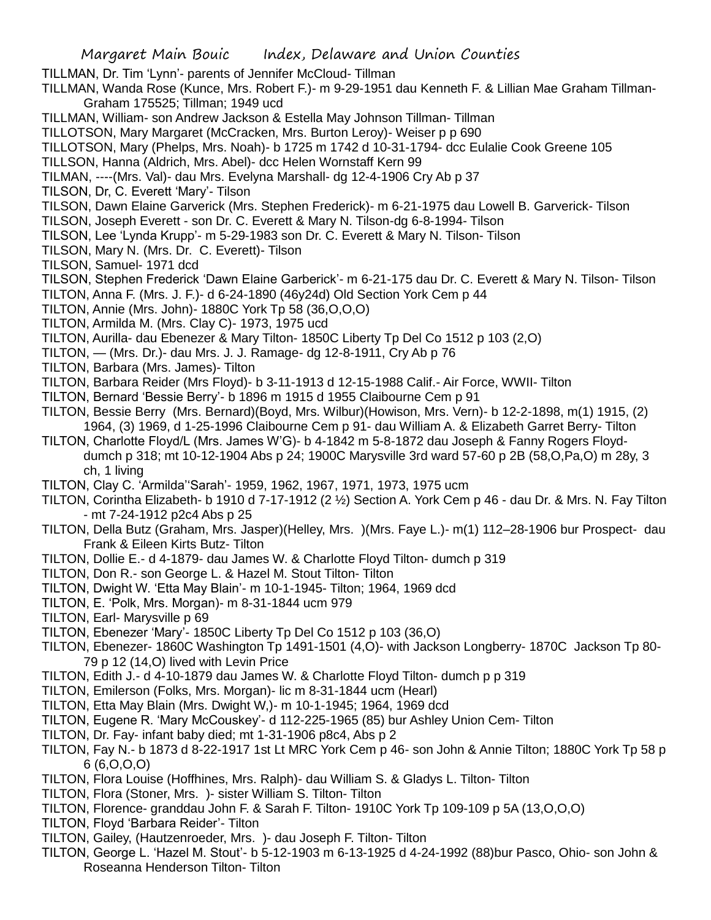TILLMAN, Dr. Tim 'Lynn'- parents of Jennifer McCloud- Tillman

TILLMAN, Wanda Rose (Kunce, Mrs. Robert F.)- m 9-29-1951 dau Kenneth F. & Lillian Mae Graham Tillman-Graham 175525; Tillman; 1949 ucd

TILLMAN, William- son Andrew Jackson & Estella May Johnson Tillman- Tillman

TILLOTSON, Mary Margaret (McCracken, Mrs. Burton Leroy)- Weiser p p 690

TILLOTSON, Mary (Phelps, Mrs. Noah)- b 1725 m 1742 d 10-31-1794- dcc Eulalie Cook Greene 105

- TILLSON, Hanna (Aldrich, Mrs. Abel)- dcc Helen Wornstaff Kern 99
- TILMAN, ----(Mrs. Val)- dau Mrs. Evelyna Marshall- dg 12-4-1906 Cry Ab p 37
- TILSON, Dr, C. Everett 'Mary'- Tilson
- TILSON, Dawn Elaine Garverick (Mrs. Stephen Frederick)- m 6-21-1975 dau Lowell B. Garverick- Tilson
- TILSON, Joseph Everett son Dr. C. Everett & Mary N. Tilson-dg 6-8-1994- Tilson
- TILSON, Lee 'Lynda Krupp'- m 5-29-1983 son Dr. C. Everett & Mary N. Tilson- Tilson
- TILSON, Mary N. (Mrs. Dr. C. Everett)- Tilson
- TILSON, Samuel- 1971 dcd
- TILSON, Stephen Frederick 'Dawn Elaine Garberick'- m 6-21-175 dau Dr. C. Everett & Mary N. Tilson- Tilson
- TILTON, Anna F. (Mrs. J. F.)- d 6-24-1890 (46y24d) Old Section York Cem p 44
- TILTON, Annie (Mrs. John)- 1880C York Tp 58 (36,O,O,O)
- TILTON, Armilda M. (Mrs. Clay C)- 1973, 1975 ucd
- TILTON, Aurilla- dau Ebenezer & Mary Tilton- 1850C Liberty Tp Del Co 1512 p 103 (2,O)
- TILTON, (Mrs. Dr.)- dau Mrs. J. J. Ramage- dg 12-8-1911, Cry Ab p 76
- TILTON, Barbara (Mrs. James)- Tilton
- TILTON, Barbara Reider (Mrs Floyd)- b 3-11-1913 d 12-15-1988 Calif.- Air Force, WWII- Tilton
- TILTON, Bernard 'Bessie Berry'- b 1896 m 1915 d 1955 Claibourne Cem p 91
- TILTON, Bessie Berry (Mrs. Bernard)(Boyd, Mrs. Wilbur)(Howison, Mrs. Vern)- b 12-2-1898, m(1) 1915, (2) 1964, (3) 1969, d 1-25-1996 Claibourne Cem p 91- dau William A. & Elizabeth Garret Berry- Tilton
- TILTON, Charlotte Floyd/L (Mrs. James W'G)- b 4-1842 m 5-8-1872 dau Joseph & Fanny Rogers Floyddumch p 318; mt 10-12-1904 Abs p 24; 1900C Marysville 3rd ward 57-60 p 2B (58,O,Pa,O) m 28y, 3 ch, 1 living
- TILTON, Clay C. 'Armilda''Sarah'- 1959, 1962, 1967, 1971, 1973, 1975 ucm
- TILTON, Corintha Elizabeth- b 1910 d 7-17-1912 (2 ½) Section A. York Cem p 46 dau Dr. & Mrs. N. Fay Tilton - mt 7-24-1912 p2c4 Abs p 25
- TILTON, Della Butz (Graham, Mrs. Jasper)(Helley, Mrs. )(Mrs. Faye L.)- m(1) 112–28-1906 bur Prospect- dau Frank & Eileen Kirts Butz- Tilton
- TILTON, Dollie E.- d 4-1879- dau James W. & Charlotte Floyd Tilton- dumch p 319
- TILTON, Don R.- son George L. & Hazel M. Stout Tilton- Tilton
- TILTON, Dwight W. 'Etta May Blain'- m 10-1-1945- Tilton; 1964, 1969 dcd
- TILTON, E. 'Polk, Mrs. Morgan)- m 8-31-1844 ucm 979
- TILTON, Earl- Marysville p 69
- TILTON, Ebenezer 'Mary'- 1850C Liberty Tp Del Co 1512 p 103 (36,O)
- TILTON, Ebenezer- 1860C Washington Tp 1491-1501 (4,O)- with Jackson Longberry- 1870C Jackson Tp 80- 79 p 12 (14,O) lived with Levin Price
- TILTON, Edith J.- d 4-10-1879 dau James W. & Charlotte Floyd Tilton- dumch p p 319
- TILTON, Emilerson (Folks, Mrs. Morgan)- lic m 8-31-1844 ucm (Hearl)
- TILTON, Etta May Blain (Mrs. Dwight W,)- m 10-1-1945; 1964, 1969 dcd
- TILTON, Eugene R. 'Mary McCouskey'- d 112-225-1965 (85) bur Ashley Union Cem- Tilton
- TILTON, Dr. Fay- infant baby died; mt 1-31-1906 p8c4, Abs p 2
- TILTON, Fay N.- b 1873 d 8-22-1917 1st Lt MRC York Cem p 46- son John & Annie Tilton; 1880C York Tp 58 p 6 (6,O,O,O)
- TILTON, Flora Louise (Hoffhines, Mrs. Ralph)- dau William S. & Gladys L. Tilton- Tilton
- TILTON, Flora (Stoner, Mrs. )- sister William S. Tilton- Tilton
- TILTON, Florence- granddau John F. & Sarah F. Tilton- 1910C York Tp 109-109 p 5A (13,O,O,O)
- TILTON, Floyd 'Barbara Reider'- Tilton
- TILTON, Gailey, (Hautzenroeder, Mrs. )- dau Joseph F. Tilton- Tilton
- TILTON, George L. 'Hazel M. Stout'- b 5-12-1903 m 6-13-1925 d 4-24-1992 (88)bur Pasco, Ohio- son John & Roseanna Henderson Tilton- Tilton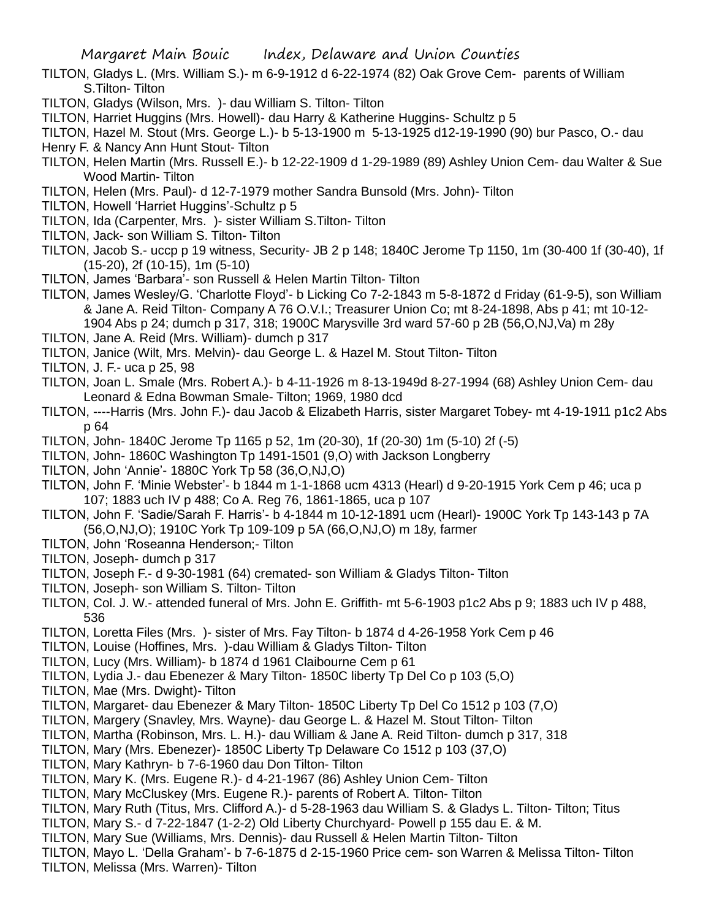- TILTON, Gladys L. (Mrs. William S.)- m 6-9-1912 d 6-22-1974 (82) Oak Grove Cem- parents of William S.Tilton- Tilton
- TILTON, Gladys (Wilson, Mrs. )- dau William S. Tilton- Tilton
- TILTON, Harriet Huggins (Mrs. Howell)- dau Harry & Katherine Huggins- Schultz p 5

TILTON, Hazel M. Stout (Mrs. George L.)- b 5-13-1900 m 5-13-1925 d12-19-1990 (90) bur Pasco, O.- dau

- Henry F. & Nancy Ann Hunt Stout- Tilton
- TILTON, Helen Martin (Mrs. Russell E.)- b 12-22-1909 d 1-29-1989 (89) Ashley Union Cem- dau Walter & Sue Wood Martin- Tilton
- TILTON, Helen (Mrs. Paul)- d 12-7-1979 mother Sandra Bunsold (Mrs. John)- Tilton
- TILTON, Howell 'Harriet Huggins'-Schultz p 5
- TILTON, Ida (Carpenter, Mrs. )- sister William S.Tilton- Tilton
- TILTON, Jack- son William S. Tilton- Tilton
- TILTON, Jacob S.- uccp p 19 witness, Security- JB 2 p 148; 1840C Jerome Tp 1150, 1m (30-400 1f (30-40), 1f (15-20), 2f (10-15), 1m (5-10)
- TILTON, James 'Barbara'- son Russell & Helen Martin Tilton- Tilton
- TILTON, James Wesley/G. 'Charlotte Floyd'- b Licking Co 7-2-1843 m 5-8-1872 d Friday (61-9-5), son William & Jane A. Reid Tilton- Company A 76 O.V.I.; Treasurer Union Co; mt 8-24-1898, Abs p 41; mt 10-12- 1904 Abs p 24; dumch p 317, 318; 1900C Marysville 3rd ward 57-60 p 2B (56,O,NJ,Va) m 28y
- TILTON, Jane A. Reid (Mrs. William)- dumch p 317

TILTON, Janice (Wilt, Mrs. Melvin)- dau George L. & Hazel M. Stout Tilton- Tilton

- TILTON, J. F.- uca p 25, 98
- TILTON, Joan L. Smale (Mrs. Robert A.)- b 4-11-1926 m 8-13-1949d 8-27-1994 (68) Ashley Union Cem- dau Leonard & Edna Bowman Smale- Tilton; 1969, 1980 dcd
- TILTON, ----Harris (Mrs. John F.)- dau Jacob & Elizabeth Harris, sister Margaret Tobey- mt 4-19-1911 p1c2 Abs p 64
- TILTON, John- 1840C Jerome Tp 1165 p 52, 1m (20-30), 1f (20-30) 1m (5-10) 2f (-5)
- TILTON, John- 1860C Washington Tp 1491-1501 (9,O) with Jackson Longberry
- TILTON, John 'Annie'- 1880C York Tp 58 (36,O,NJ,O)
- TILTON, John F. 'Minie Webster'- b 1844 m 1-1-1868 ucm 4313 (Hearl) d 9-20-1915 York Cem p 46; uca p 107; 1883 uch IV p 488; Co A. Reg 76, 1861-1865, uca p 107
- TILTON, John F. 'Sadie/Sarah F. Harris'- b 4-1844 m 10-12-1891 ucm (Hearl)- 1900C York Tp 143-143 p 7A (56,O,NJ,O); 1910C York Tp 109-109 p 5A (66,O,NJ,O) m 18y, farmer
- TILTON, John 'Roseanna Henderson;- Tilton
- TILTON, Joseph- dumch p 317
- TILTON, Joseph F.- d 9-30-1981 (64) cremated- son William & Gladys Tilton- Tilton
- TILTON, Joseph- son William S. Tilton- Tilton
- TILTON, Col. J. W.- attended funeral of Mrs. John E. Griffith- mt 5-6-1903 p1c2 Abs p 9; 1883 uch IV p 488, 536
- TILTON, Loretta Files (Mrs. )- sister of Mrs. Fay Tilton- b 1874 d 4-26-1958 York Cem p 46
- TILTON, Louise (Hoffines, Mrs. )-dau William & Gladys Tilton- Tilton
- TILTON, Lucy (Mrs. William)- b 1874 d 1961 Claibourne Cem p 61
- TILTON, Lydia J.- dau Ebenezer & Mary Tilton- 1850C liberty Tp Del Co p 103 (5,O)
- TILTON, Mae (Mrs. Dwight)- Tilton
- TILTON, Margaret- dau Ebenezer & Mary Tilton- 1850C Liberty Tp Del Co 1512 p 103 (7,O)
- TILTON, Margery (Snavley, Mrs. Wayne)- dau George L. & Hazel M. Stout Tilton- Tilton
- TILTON, Martha (Robinson, Mrs. L. H.)- dau William & Jane A. Reid Tilton- dumch p 317, 318
- TILTON, Mary (Mrs. Ebenezer)- 1850C Liberty Tp Delaware Co 1512 p 103 (37,O)
- TILTON, Mary Kathryn- b 7-6-1960 dau Don Tilton- Tilton
- TILTON, Mary K. (Mrs. Eugene R.)- d 4-21-1967 (86) Ashley Union Cem- Tilton
- TILTON, Mary McCluskey (Mrs. Eugene R.)- parents of Robert A. Tilton- Tilton
- TILTON, Mary Ruth (Titus, Mrs. Clifford A.)- d 5-28-1963 dau William S. & Gladys L. Tilton- Tilton; Titus
- TILTON, Mary S.- d 7-22-1847 (1-2-2) Old Liberty Churchyard- Powell p 155 dau E. & M.
- TILTON, Mary Sue (Williams, Mrs. Dennis)- dau Russell & Helen Martin Tilton- Tilton
- TILTON, Mayo L. 'Della Graham'- b 7-6-1875 d 2-15-1960 Price cem- son Warren & Melissa Tilton- Tilton
- TILTON, Melissa (Mrs. Warren)- Tilton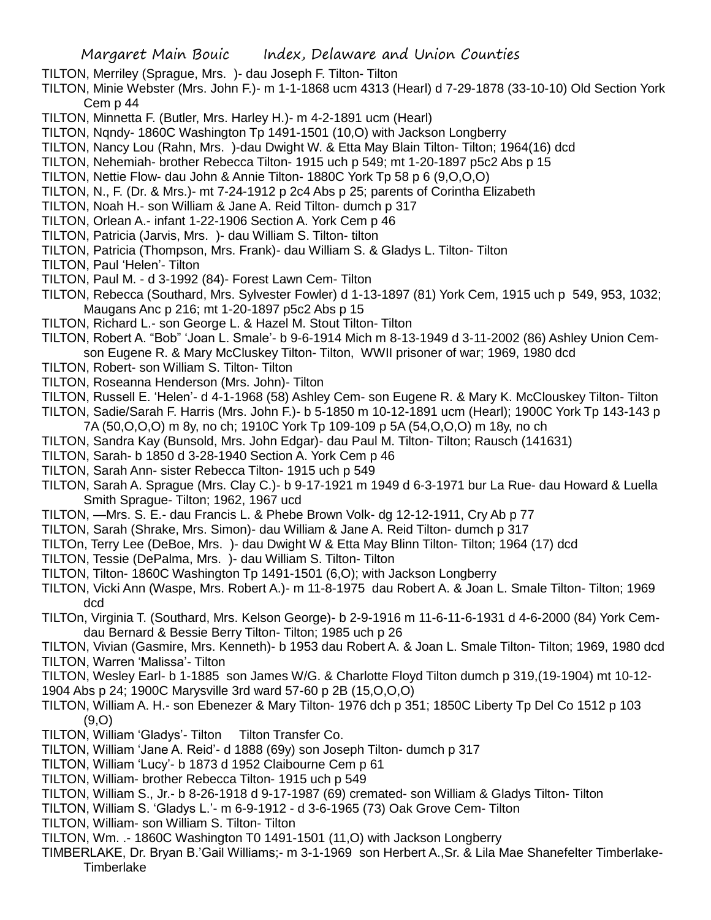- TILTON, Merriley (Sprague, Mrs. )- dau Joseph F. Tilton- Tilton
- TILTON, Minie Webster (Mrs. John F.)- m 1-1-1868 ucm 4313 (Hearl) d 7-29-1878 (33-10-10) Old Section York Cem p 44
- TILTON, Minnetta F. (Butler, Mrs. Harley H.)- m 4-2-1891 ucm (Hearl)
- TILTON, Nqndy- 1860C Washington Tp 1491-1501 (10,O) with Jackson Longberry
- TILTON, Nancy Lou (Rahn, Mrs. )-dau Dwight W. & Etta May Blain Tilton- Tilton; 1964(16) dcd
- TILTON, Nehemiah- brother Rebecca Tilton- 1915 uch p 549; mt 1-20-1897 p5c2 Abs p 15
- TILTON, Nettie Flow- dau John & Annie Tilton- 1880C York Tp 58 p 6 (9,O,O,O)
- TILTON, N., F. (Dr. & Mrs.)- mt 7-24-1912 p 2c4 Abs p 25; parents of Corintha Elizabeth
- TILTON, Noah H.- son William & Jane A. Reid Tilton- dumch p 317
- TILTON, Orlean A.- infant 1-22-1906 Section A. York Cem p 46
- TILTON, Patricia (Jarvis, Mrs. )- dau William S. Tilton- tilton
- TILTON, Patricia (Thompson, Mrs. Frank)- dau William S. & Gladys L. Tilton- Tilton

TILTON, Paul 'Helen'- Tilton

- TILTON, Paul M. d 3-1992 (84)- Forest Lawn Cem- Tilton
- TILTON, Rebecca (Southard, Mrs. Sylvester Fowler) d 1-13-1897 (81) York Cem, 1915 uch p 549, 953, 1032; Maugans Anc p 216; mt 1-20-1897 p5c2 Abs p 15
- TILTON, Richard L.- son George L. & Hazel M. Stout Tilton- Tilton
- TILTON, Robert A. "Bob" 'Joan L. Smale'- b 9-6-1914 Mich m 8-13-1949 d 3-11-2002 (86) Ashley Union Cemson Eugene R. & Mary McCluskey Tilton- Tilton, WWII prisoner of war; 1969, 1980 dcd
- TILTON, Robert- son William S. Tilton- Tilton
- TILTON, Roseanna Henderson (Mrs. John)- Tilton
- TILTON, Russell E. 'Helen'- d 4-1-1968 (58) Ashley Cem- son Eugene R. & Mary K. McClouskey Tilton- Tilton TILTON, Sadie/Sarah F. Harris (Mrs. John F.)- b 5-1850 m 10-12-1891 ucm (Hearl); 1900C York Tp 143-143 p 7A (50,O,O,O) m 8y, no ch; 1910C York Tp 109-109 p 5A (54,O,O,O) m 18y, no ch
- TILTON, Sandra Kay (Bunsold, Mrs. John Edgar)- dau Paul M. Tilton- Tilton; Rausch (141631)
- TILTON, Sarah- b 1850 d 3-28-1940 Section A. York Cem p 46
- TILTON, Sarah Ann- sister Rebecca Tilton- 1915 uch p 549
- TILTON, Sarah A. Sprague (Mrs. Clay C.)- b 9-17-1921 m 1949 d 6-3-1971 bur La Rue- dau Howard & Luella Smith Sprague- Tilton; 1962, 1967 ucd
- TILTON, —Mrs. S. E.- dau Francis L. & Phebe Brown Volk- dg 12-12-1911, Cry Ab p 77
- TILTON, Sarah (Shrake, Mrs. Simon)- dau William & Jane A. Reid Tilton- dumch p 317
- TILTOn, Terry Lee (DeBoe, Mrs. )- dau Dwight W & Etta May Blinn Tilton- Tilton; 1964 (17) dcd
- TILTON, Tessie (DePalma, Mrs. )- dau William S. Tilton- Tilton
- TILTON, Tilton- 1860C Washington Tp 1491-1501 (6,O); with Jackson Longberry
- TILTON, Vicki Ann (Waspe, Mrs. Robert A.)- m 11-8-1975 dau Robert A. & Joan L. Smale Tilton- Tilton; 1969 dcd
- TILTOn, Virginia T. (Southard, Mrs. Kelson George)- b 2-9-1916 m 11-6-11-6-1931 d 4-6-2000 (84) York Cemdau Bernard & Bessie Berry Tilton- Tilton; 1985 uch p 26

TILTON, Vivian (Gasmire, Mrs. Kenneth)- b 1953 dau Robert A. & Joan L. Smale Tilton- Tilton; 1969, 1980 dcd TILTON, Warren 'Malissa'- Tilton

- TILTON, Wesley Earl- b 1-1885 son James W/G. & Charlotte Floyd Tilton dumch p 319,(19-1904) mt 10-12-
- 1904 Abs p 24; 1900C Marysville 3rd ward 57-60 p 2B (15,O,O,O)
- TILTON, William A. H.- son Ebenezer & Mary Tilton- 1976 dch p 351; 1850C Liberty Tp Del Co 1512 p 103 (9,O)
- TILTON, William 'Gladys'- Tilton Tilton Transfer Co.
- TILTON, William 'Jane A. Reid'- d 1888 (69y) son Joseph Tilton- dumch p 317
- TILTON, William 'Lucy'- b 1873 d 1952 Claibourne Cem p 61
- TILTON, William- brother Rebecca Tilton- 1915 uch p 549
- TILTON, William S., Jr.- b 8-26-1918 d 9-17-1987 (69) cremated- son William & Gladys Tilton- Tilton
- TILTON, William S. 'Gladys L.'- m 6-9-1912 d 3-6-1965 (73) Oak Grove Cem- Tilton
- TILTON, William- son William S. Tilton- Tilton
- TILTON, Wm. .- 1860C Washington T0 1491-1501 (11,O) with Jackson Longberry
- TIMBERLAKE, Dr. Bryan B.'Gail Williams;- m 3-1-1969 son Herbert A.,Sr. & Lila Mae Shanefelter Timberlake-**Timberlake**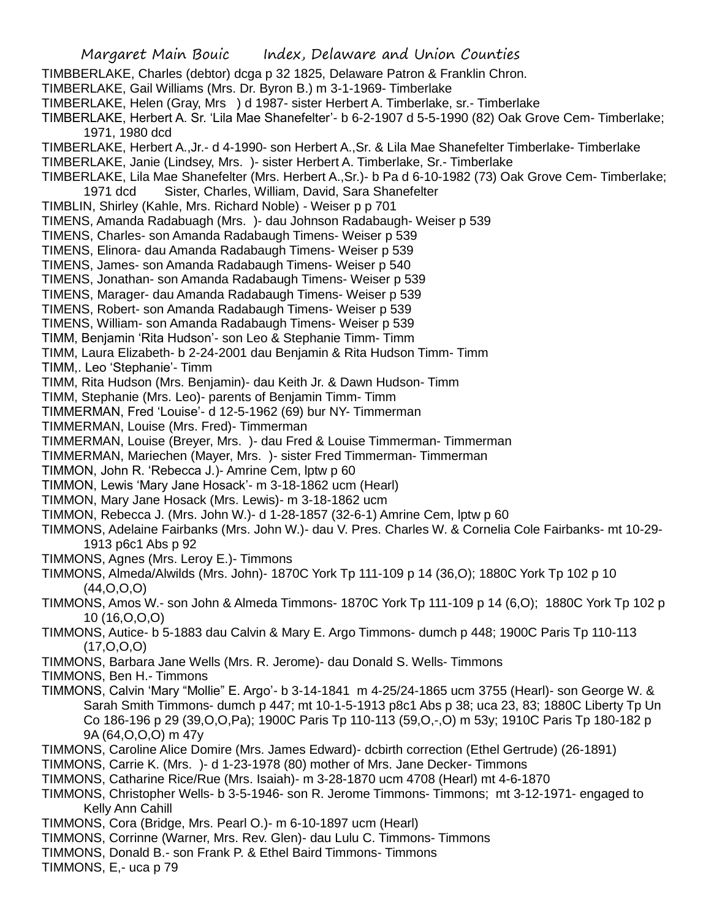TIMBBERLAKE, Charles (debtor) dcga p 32 1825, Delaware Patron & Franklin Chron.

TIMBERLAKE, Gail Williams (Mrs. Dr. Byron B.) m 3-1-1969- Timberlake

TIMBERLAKE, Helen (Gray, Mrs ) d 1987- sister Herbert A. Timberlake, sr.- Timberlake

TIMBERLAKE, Herbert A. Sr. 'Lila Mae Shanefelter'- b 6-2-1907 d 5-5-1990 (82) Oak Grove Cem- Timberlake; 1971, 1980 dcd

TIMBERLAKE, Herbert A.,Jr.- d 4-1990- son Herbert A.,Sr. & Lila Mae Shanefelter Timberlake- Timberlake

TIMBERLAKE, Janie (Lindsey, Mrs. )- sister Herbert A. Timberlake, Sr.- Timberlake

TIMBERLAKE, Lila Mae Shanefelter (Mrs. Herbert A.,Sr.)- b Pa d 6-10-1982 (73) Oak Grove Cem- Timberlake; 1971 dcd Sister, Charles, William, David, Sara Shanefelter

TIMBLIN, Shirley (Kahle, Mrs. Richard Noble) - Weiser p p 701

TIMENS, Amanda Radabuagh (Mrs. )- dau Johnson Radabaugh- Weiser p 539

TIMENS, Charles- son Amanda Radabaugh Timens- Weiser p 539

TIMENS, Elinora- dau Amanda Radabaugh Timens- Weiser p 539

TIMENS, James- son Amanda Radabaugh Timens- Weiser p 540

TIMENS, Jonathan- son Amanda Radabaugh Timens- Weiser p 539

TIMENS, Marager- dau Amanda Radabaugh Timens- Weiser p 539

TIMENS, Robert- son Amanda Radabaugh Timens- Weiser p 539

TIMENS, William- son Amanda Radabaugh Timens- Weiser p 539

TIMM, Benjamin 'Rita Hudson'- son Leo & Stephanie Timm- Timm

TIMM, Laura Elizabeth- b 2-24-2001 dau Benjamin & Rita Hudson Timm- Timm

TIMM,. Leo 'Stephanie'- Timm

TIMM, Rita Hudson (Mrs. Benjamin)- dau Keith Jr. & Dawn Hudson- Timm

TIMM, Stephanie (Mrs. Leo)- parents of Benjamin Timm- Timm

TIMMERMAN, Fred 'Louise'- d 12-5-1962 (69) bur NY- Timmerman

TIMMERMAN, Louise (Mrs. Fred)- Timmerman

TIMMERMAN, Louise (Breyer, Mrs. )- dau Fred & Louise Timmerman- Timmerman

TIMMERMAN, Mariechen (Mayer, Mrs. )- sister Fred Timmerman- Timmerman

TIMMON, John R. 'Rebecca J.)- Amrine Cem, lptw p 60

TIMMON, Lewis 'Mary Jane Hosack'- m 3-18-1862 ucm (Hearl)

TIMMON, Mary Jane Hosack (Mrs. Lewis)- m 3-18-1862 ucm

TIMMON, Rebecca J. (Mrs. John W.)- d 1-28-1857 (32-6-1) Amrine Cem, lptw p 60

TIMMONS, Adelaine Fairbanks (Mrs. John W.)- dau V. Pres. Charles W. & Cornelia Cole Fairbanks- mt 10-29- 1913 p6c1 Abs p 92

- TIMMONS, Agnes (Mrs. Leroy E.)- Timmons
- TIMMONS, Almeda/Alwilds (Mrs. John)- 1870C York Tp 111-109 p 14 (36,O); 1880C York Tp 102 p 10 (44,O,O,O)
- TIMMONS, Amos W.- son John & Almeda Timmons- 1870C York Tp 111-109 p 14 (6,O); 1880C York Tp 102 p 10 (16,O,O,O)
- TIMMONS, Autice- b 5-1883 dau Calvin & Mary E. Argo Timmons- dumch p 448; 1900C Paris Tp 110-113  $(17, 0, 0, 0)$
- TIMMONS, Barbara Jane Wells (Mrs. R. Jerome)- dau Donald S. Wells- Timmons

TIMMONS, Ben H.- Timmons

TIMMONS, Calvin 'Mary "Mollie" E. Argo'- b 3-14-1841 m 4-25/24-1865 ucm 3755 (Hearl)- son George W. & Sarah Smith Timmons- dumch p 447; mt 10-1-5-1913 p8c1 Abs p 38; uca 23, 83; 1880C Liberty Tp Un Co 186-196 p 29 (39,O,O,Pa); 1900C Paris Tp 110-113 (59,O,-,O) m 53y; 1910C Paris Tp 180-182 p 9A (64,O,O,O) m 47y

TIMMONS, Caroline Alice Domire (Mrs. James Edward)- dcbirth correction (Ethel Gertrude) (26-1891)

TIMMONS, Carrie K. (Mrs. )- d 1-23-1978 (80) mother of Mrs. Jane Decker- Timmons

TIMMONS, Catharine Rice/Rue (Mrs. Isaiah)- m 3-28-1870 ucm 4708 (Hearl) mt 4-6-1870

TIMMONS, Christopher Wells- b 3-5-1946- son R. Jerome Timmons- Timmons; mt 3-12-1971- engaged to Kelly Ann Cahill

TIMMONS, Cora (Bridge, Mrs. Pearl O.)- m 6-10-1897 ucm (Hearl)

TIMMONS, Corrinne (Warner, Mrs. Rev. Glen)- dau Lulu C. Timmons- Timmons

TIMMONS, Donald B.- son Frank P. & Ethel Baird Timmons- Timmons

TIMMONS, E,- uca p 79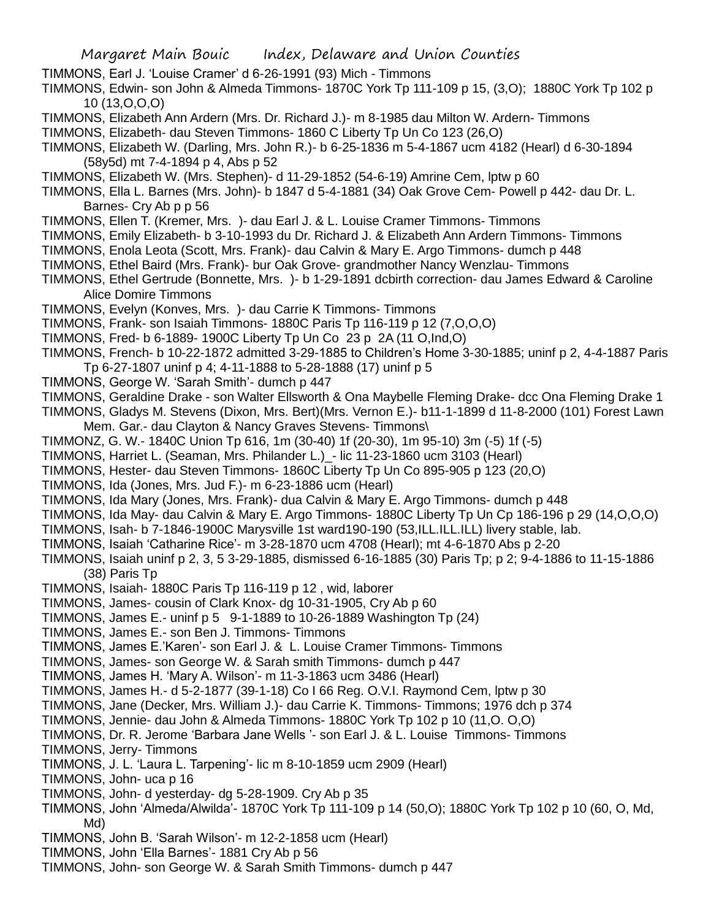TIMMONS, Earl J. 'Louise Cramer' d 6-26-1991 (93) Mich - Timmons

TIMMONS, Edwin- son John & Almeda Timmons- 1870C York Tp 111-109 p 15, (3,O); 1880C York Tp 102 p 10 (13,O,O,O)

- TIMMONS, Elizabeth Ann Ardern (Mrs. Dr. Richard J.)- m 8-1985 dau Milton W. Ardern- Timmons
- TIMMONS, Elizabeth- dau Steven Timmons- 1860 C Liberty Tp Un Co 123 (26,O)
- TIMMONS, Elizabeth W. (Darling, Mrs. John R.)- b 6-25-1836 m 5-4-1867 ucm 4182 (Hearl) d 6-30-1894 (58y5d) mt 7-4-1894 p 4, Abs p 52
- TIMMONS, Elizabeth W. (Mrs. Stephen)- d 11-29-1852 (54-6-19) Amrine Cem, lptw p 60
- TIMMONS, Ella L. Barnes (Mrs. John)- b 1847 d 5-4-1881 (34) Oak Grove Cem- Powell p 442- dau Dr. L. Barnes- Cry Ab p p 56
- TIMMONS, Ellen T. (Kremer, Mrs. )- dau Earl J. & L. Louise Cramer Timmons- Timmons
- TIMMONS, Emily Elizabeth- b 3-10-1993 du Dr. Richard J. & Elizabeth Ann Ardern Timmons- Timmons
- TIMMONS, Enola Leota (Scott, Mrs. Frank)- dau Calvin & Mary E. Argo Timmons- dumch p 448
- TIMMONS, Ethel Baird (Mrs. Frank)- bur Oak Grove- grandmother Nancy Wenzlau- Timmons
- TIMMONS, Ethel Gertrude (Bonnette, Mrs. )- b 1-29-1891 dcbirth correction- dau James Edward & Caroline Alice Domire Timmons
- TIMMONS, Evelyn (Konves, Mrs. )- dau Carrie K Timmons- Timmons
- TIMMONS, Frank- son Isaiah Timmons- 1880C Paris Tp 116-119 p 12 (7,O,O,O)
- TIMMONS, Fred- b 6-1889- 1900C Liberty Tp Un Co 23 p 2A (11 O,Ind,O)
- TIMMONS, French- b 10-22-1872 admitted 3-29-1885 to Children's Home 3-30-1885; uninf p 2, 4-4-1887 Paris Tp 6-27-1807 uninf p 4; 4-11-1888 to 5-28-1888 (17) uninf p 5
- TIMMONS, George W. 'Sarah Smith'- dumch p 447
- TIMMONS, Geraldine Drake son Walter Ellsworth & Ona Maybelle Fleming Drake- dcc Ona Fleming Drake 1
- TIMMONS, Gladys M. Stevens (Dixon, Mrs. Bert)(Mrs. Vernon E.)- b11-1-1899 d 11-8-2000 (101) Forest Lawn Mem. Gar.- dau Clayton & Nancy Graves Stevens- Timmons\
- TIMMONZ, G. W.- 1840C Union Tp 616, 1m (30-40) 1f (20-30), 1m 95-10) 3m (-5) 1f (-5)
- TIMMONS, Harriet L. (Seaman, Mrs. Philander L.)\_- lic 11-23-1860 ucm 3103 (Hearl)
- TIMMONS, Hester- dau Steven Timmons- 1860C Liberty Tp Un Co 895-905 p 123 (20,O)
- TIMMONS, Ida (Jones, Mrs. Jud F.)- m 6-23-1886 ucm (Hearl)
- TIMMONS, Ida Mary (Jones, Mrs. Frank)- dua Calvin & Mary E. Argo Timmons- dumch p 448
- TIMMONS, Ida May- dau Calvin & Mary E. Argo Timmons- 1880C Liberty Tp Un Cp 186-196 p 29 (14,O,O,O)
- TIMMONS, Isah- b 7-1846-1900C Marysville 1st ward190-190 (53,ILL.ILL.ILL) livery stable, lab.
- TIMMONS, Isaiah 'Catharine Rice'- m 3-28-1870 ucm 4708 (Hearl); mt 4-6-1870 Abs p 2-20
- TIMMONS, Isaiah uninf p 2, 3, 5 3-29-1885, dismissed 6-16-1885 (30) Paris Tp; p 2; 9-4-1886 to 11-15-1886 (38) Paris Tp
- TIMMONS, Isaiah- 1880C Paris Tp 116-119 p 12 , wid, laborer
- TIMMONS, James- cousin of Clark Knox- dg 10-31-1905, Cry Ab p 60
- TIMMONS, James E.- uninf p 5 9-1-1889 to 10-26-1889 Washington Tp (24)
- TIMMONS, James E.- son Ben J. Timmons- Timmons
- TIMMONS, James E.'Karen'- son Earl J. & L. Louise Cramer Timmons- Timmons
- TIMMONS, James- son George W. & Sarah smith Timmons- dumch p 447
- TIMMONS, James H. 'Mary A. Wilson'- m 11-3-1863 ucm 3486 (Hearl)
- TIMMONS, James H.- d 5-2-1877 (39-1-18) Co I 66 Reg. O.V.I. Raymond Cem, lptw p 30
- TIMMONS, Jane (Decker, Mrs. William J.)- dau Carrie K. Timmons- Timmons; 1976 dch p 374
- TIMMONS, Jennie- dau John & Almeda Timmons- 1880C York Tp 102 p 10 (11,O. O,O)
- TIMMONS, Dr. R. Jerome 'Barbara Jane Wells '- son Earl J. & L. Louise Timmons- Timmons
- TIMMONS, Jerry- Timmons
- TIMMONS, J. L. 'Laura L. Tarpening'- lic m 8-10-1859 ucm 2909 (Hearl)
- TIMMONS, John- uca p 16
- TIMMONS, John- d yesterday- dg 5-28-1909. Cry Ab p 35
- TIMMONS, John 'Almeda/Alwilda'- 1870C York Tp 111-109 p 14 (50,O); 1880C York Tp 102 p 10 (60, O, Md, Md)
- TIMMONS, John B. 'Sarah Wilson'- m 12-2-1858 ucm (Hearl)
- TIMMONS, John 'Ella Barnes'- 1881 Cry Ab p 56
- TIMMONS, John- son George W. & Sarah Smith Timmons- dumch p 447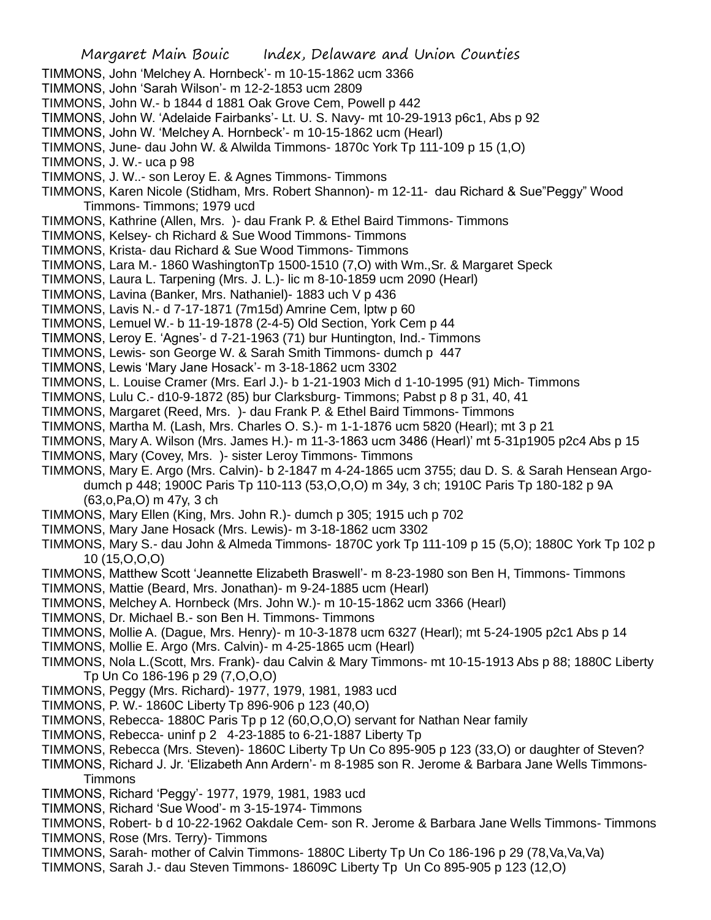- TIMMONS, John 'Melchey A. Hornbeck'- m 10-15-1862 ucm 3366
- TIMMONS, John 'Sarah Wilson'- m 12-2-1853 ucm 2809
- TIMMONS, John W.- b 1844 d 1881 Oak Grove Cem, Powell p 442
- TIMMONS, John W. 'Adelaide Fairbanks'- Lt. U. S. Navy- mt 10-29-1913 p6c1, Abs p 92
- TIMMONS, John W. 'Melchey A. Hornbeck'- m 10-15-1862 ucm (Hearl)
- TIMMONS, June- dau John W. & Alwilda Timmons- 1870c York Tp 111-109 p 15 (1,O)
- TIMMONS, J. W.- uca p 98
- TIMMONS, J. W..- son Leroy E. & Agnes Timmons- Timmons
- TIMMONS, Karen Nicole (Stidham, Mrs. Robert Shannon)- m 12-11- dau Richard & Sue"Peggy" Wood Timmons- Timmons; 1979 ucd
- TIMMONS, Kathrine (Allen, Mrs. )- dau Frank P. & Ethel Baird Timmons- Timmons
- TIMMONS, Kelsey- ch Richard & Sue Wood Timmons- Timmons
- TIMMONS, Krista- dau Richard & Sue Wood Timmons- Timmons
- TIMMONS, Lara M.- 1860 WashingtonTp 1500-1510 (7,O) with Wm.,Sr. & Margaret Speck
- TIMMONS, Laura L. Tarpening (Mrs. J. L.)- lic m 8-10-1859 ucm 2090 (Hearl)
- TIMMONS, Lavina (Banker, Mrs. Nathaniel)- 1883 uch V p 436
- TIMMONS, Lavis N.- d 7-17-1871 (7m15d) Amrine Cem, lptw p 60
- TIMMONS, Lemuel W.- b 11-19-1878 (2-4-5) Old Section, York Cem p 44
- TIMMONS, Leroy E. 'Agnes'- d 7-21-1963 (71) bur Huntington, Ind.- Timmons
- TIMMONS, Lewis- son George W. & Sarah Smith Timmons- dumch p 447
- TIMMONS, Lewis 'Mary Jane Hosack'- m 3-18-1862 ucm 3302
- TIMMONS, L. Louise Cramer (Mrs. Earl J.)- b 1-21-1903 Mich d 1-10-1995 (91) Mich- Timmons
- TIMMONS, Lulu C.- d10-9-1872 (85) bur Clarksburg- Timmons; Pabst p 8 p 31, 40, 41
- TIMMONS, Margaret (Reed, Mrs. )- dau Frank P. & Ethel Baird Timmons- Timmons
- TIMMONS, Martha M. (Lash, Mrs. Charles O. S.)- m 1-1-1876 ucm 5820 (Hearl); mt 3 p 21
- TIMMONS, Mary A. Wilson (Mrs. James H.)- m 11-3-1863 ucm 3486 (Hearl)' mt 5-31p1905 p2c4 Abs p 15
- TIMMONS, Mary (Covey, Mrs. )- sister Leroy Timmons- Timmons
- TIMMONS, Mary E. Argo (Mrs. Calvin)- b 2-1847 m 4-24-1865 ucm 3755; dau D. S. & Sarah Hensean Argodumch p 448; 1900C Paris Tp 110-113 (53,O,O,O) m 34y, 3 ch; 1910C Paris Tp 180-182 p 9A (63,o,Pa,O) m 47y, 3 ch
- TIMMONS, Mary Ellen (King, Mrs. John R.)- dumch p 305; 1915 uch p 702
- TIMMONS, Mary Jane Hosack (Mrs. Lewis)- m 3-18-1862 ucm 3302
- TIMMONS, Mary S.- dau John & Almeda Timmons- 1870C york Tp 111-109 p 15 (5,O); 1880C York Tp 102 p 10 (15,O,O,O)
- TIMMONS, Matthew Scott 'Jeannette Elizabeth Braswell'- m 8-23-1980 son Ben H, Timmons- Timmons
- TIMMONS, Mattie (Beard, Mrs. Jonathan)- m 9-24-1885 ucm (Hearl)
- TIMMONS, Melchey A. Hornbeck (Mrs. John W.)- m 10-15-1862 ucm 3366 (Hearl)
- TIMMONS, Dr. Michael B.- son Ben H. Timmons- Timmons
- TIMMONS, Mollie A. (Dague, Mrs. Henry)- m 10-3-1878 ucm 6327 (Hearl); mt 5-24-1905 p2c1 Abs p 14
- TIMMONS, Mollie E. Argo (Mrs. Calvin)- m 4-25-1865 ucm (Hearl)
- TIMMONS, Nola L.(Scott, Mrs. Frank)- dau Calvin & Mary Timmons- mt 10-15-1913 Abs p 88; 1880C Liberty Tp Un Co 186-196 p 29 (7,O,O,O)
- TIMMONS, Peggy (Mrs. Richard)- 1977, 1979, 1981, 1983 ucd
- TIMMONS, P. W.- 1860C Liberty Tp 896-906 p 123 (40,O)
- TIMMONS, Rebecca- 1880C Paris Tp p 12 (60,O,O,O) servant for Nathan Near family
- TIMMONS, Rebecca- uninf p 2 4-23-1885 to 6-21-1887 Liberty Tp
- TIMMONS, Rebecca (Mrs. Steven)- 1860C Liberty Tp Un Co 895-905 p 123 (33,O) or daughter of Steven?
- TIMMONS, Richard J. Jr. 'Elizabeth Ann Ardern'- m 8-1985 son R. Jerome & Barbara Jane Wells Timmons-Timmons
- TIMMONS, Richard 'Peggy'- 1977, 1979, 1981, 1983 ucd
- TIMMONS, Richard 'Sue Wood'- m 3-15-1974- Timmons
- TIMMONS, Robert- b d 10-22-1962 Oakdale Cem- son R. Jerome & Barbara Jane Wells Timmons- Timmons
- TIMMONS, Rose (Mrs. Terry)- Timmons
- TIMMONS, Sarah- mother of Calvin Timmons- 1880C Liberty Tp Un Co 186-196 p 29 (78,Va,Va,Va)
- TIMMONS, Sarah J.- dau Steven Timmons- 18609C Liberty Tp Un Co 895-905 p 123 (12,O)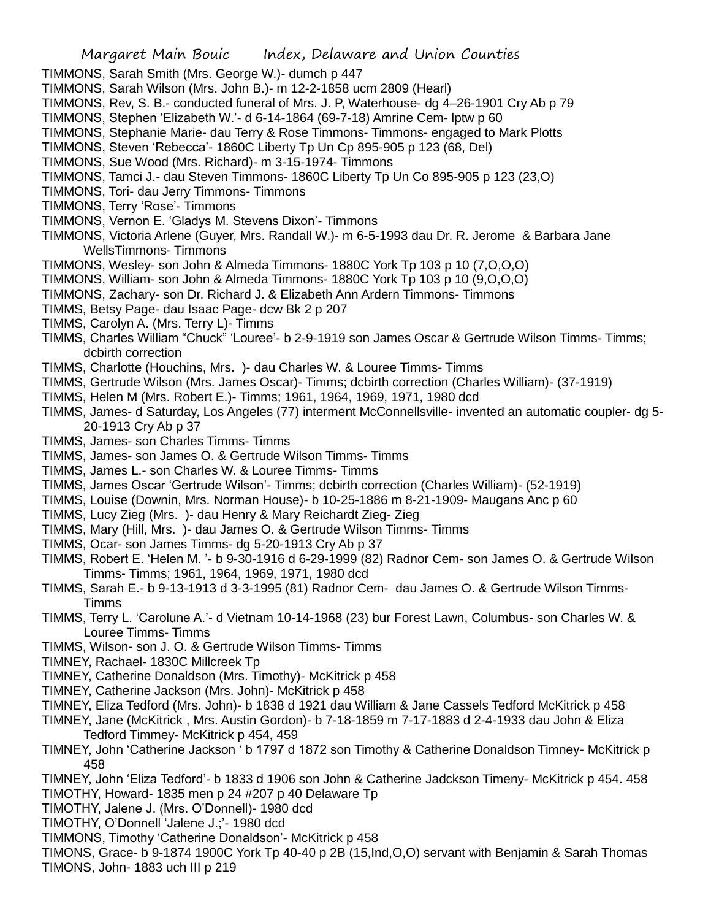TIMMONS, Sarah Smith (Mrs. George W.)- dumch p 447

- TIMMONS, Sarah Wilson (Mrs. John B.)- m 12-2-1858 ucm 2809 (Hearl)
- TIMMONS, Rev, S. B.- conducted funeral of Mrs. J. P, Waterhouse- dg 4–26-1901 Cry Ab p 79
- TIMMONS, Stephen 'Elizabeth W.'- d 6-14-1864 (69-7-18) Amrine Cem- lptw p 60
- TIMMONS, Stephanie Marie- dau Terry & Rose Timmons- Timmons- engaged to Mark Plotts
- TIMMONS, Steven 'Rebecca'- 1860C Liberty Tp Un Cp 895-905 p 123 (68, Del)
- TIMMONS, Sue Wood (Mrs. Richard)- m 3-15-1974- Timmons
- TIMMONS, Tamci J.- dau Steven Timmons- 1860C Liberty Tp Un Co 895-905 p 123 (23,O)
- TIMMONS, Tori- dau Jerry Timmons- Timmons
- TIMMONS, Terry 'Rose'- Timmons
- TIMMONS, Vernon E. 'Gladys M. Stevens Dixon'- Timmons
- TIMMONS, Victoria Arlene (Guyer, Mrs. Randall W.)- m 6-5-1993 dau Dr. R. Jerome & Barbara Jane WellsTimmons- Timmons
- TIMMONS, Wesley- son John & Almeda Timmons- 1880C York Tp 103 p 10 (7,O,O,O)
- TIMMONS, William- son John & Almeda Timmons- 1880C York Tp 103 p 10 (9,O,O,O)
- TIMMONS, Zachary- son Dr. Richard J. & Elizabeth Ann Ardern Timmons- Timmons
- TIMMS, Betsy Page- dau Isaac Page- dcw Bk 2 p 207
- TIMMS, Carolyn A. (Mrs. Terry L)- Timms
- TIMMS, Charles William "Chuck" 'Louree'- b 2-9-1919 son James Oscar & Gertrude Wilson Timms- Timms; dcbirth correction
- TIMMS, Charlotte (Houchins, Mrs. )- dau Charles W. & Louree Timms- Timms
- TIMMS, Gertrude Wilson (Mrs. James Oscar)- Timms; dcbirth correction (Charles William)- (37-1919)
- TIMMS, Helen M (Mrs. Robert E.)- Timms; 1961, 1964, 1969, 1971, 1980 dcd
- TIMMS, James- d Saturday, Los Angeles (77) interment McConnellsville- invented an automatic coupler- dg 5- 20-1913 Cry Ab p 37
- TIMMS, James- son Charles Timms- Timms
- TIMMS, James- son James O. & Gertrude Wilson Timms- Timms
- TIMMS, James L.- son Charles W. & Louree Timms- Timms
- TIMMS, James Oscar 'Gertrude Wilson'- Timms; dcbirth correction (Charles William)- (52-1919)
- TIMMS, Louise (Downin, Mrs. Norman House)- b 10-25-1886 m 8-21-1909- Maugans Anc p 60
- TIMMS, Lucy Zieg (Mrs. )- dau Henry & Mary Reichardt Zieg- Zieg
- TIMMS, Mary (Hill, Mrs. )- dau James O. & Gertrude Wilson Timms- Timms
- TIMMS, Ocar- son James Timms- dg 5-20-1913 Cry Ab p 37
- TIMMS, Robert E. 'Helen M. '- b 9-30-1916 d 6-29-1999 (82) Radnor Cem- son James O. & Gertrude Wilson Timms- Timms; 1961, 1964, 1969, 1971, 1980 dcd
- TIMMS, Sarah E.- b 9-13-1913 d 3-3-1995 (81) Radnor Cem- dau James O. & Gertrude Wilson Timms-Timms
- TIMMS, Terry L. 'Carolune A.'- d Vietnam 10-14-1968 (23) bur Forest Lawn, Columbus- son Charles W. & Louree Timms- Timms
- TIMMS, Wilson- son J. O. & Gertrude Wilson Timms- Timms
- TIMNEY, Rachael- 1830C Millcreek Tp
- TIMNEY, Catherine Donaldson (Mrs. Timothy)- McKitrick p 458
- TIMNEY, Catherine Jackson (Mrs. John)- McKitrick p 458
- TIMNEY, Eliza Tedford (Mrs. John)- b 1838 d 1921 dau William & Jane Cassels Tedford McKitrick p 458
- TIMNEY, Jane (McKitrick , Mrs. Austin Gordon)- b 7-18-1859 m 7-17-1883 d 2-4-1933 dau John & Eliza Tedford Timmey- McKitrick p 454, 459
- TIMNEY, John 'Catherine Jackson ' b 1797 d 1872 son Timothy & Catherine Donaldson Timney- McKitrick p 458
- TIMNEY, John 'Eliza Tedford'- b 1833 d 1906 son John & Catherine Jadckson Timeny- McKitrick p 454. 458 TIMOTHY, Howard- 1835 men p 24 #207 p 40 Delaware Tp
- TIMOTHY, Jalene J. (Mrs. O'Donnell)- 1980 dcd
- TIMOTHY, O'Donnell 'Jalene J.;'- 1980 dcd
- TIMMONS, Timothy 'Catherine Donaldson'- McKitrick p 458
- TIMONS, Grace- b 9-1874 1900C York Tp 40-40 p 2B (15,Ind,O,O) servant with Benjamin & Sarah Thomas TIMONS, John- 1883 uch III p 219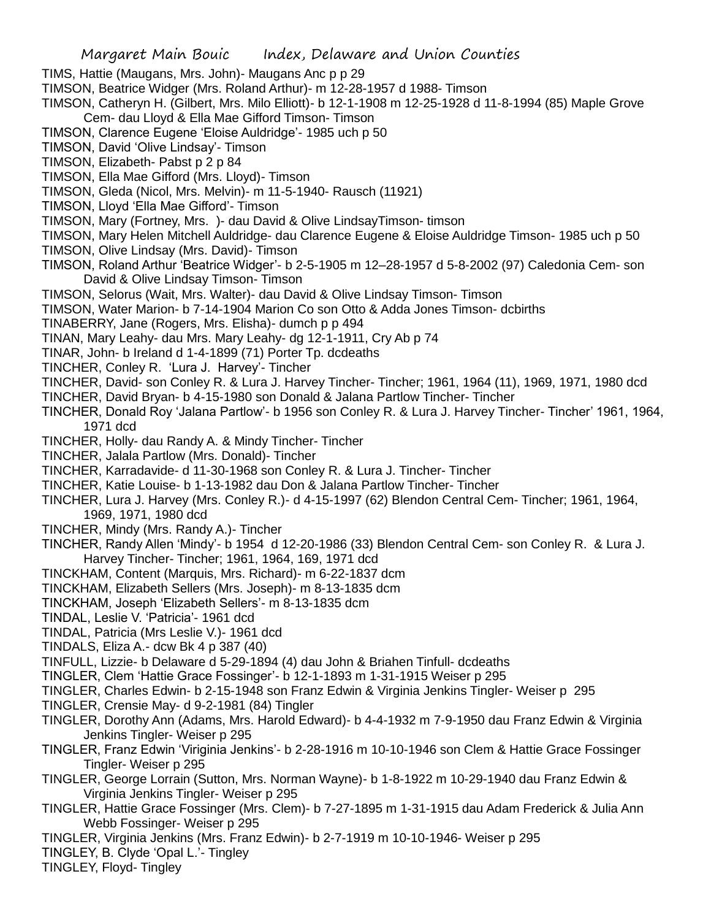TIMS, Hattie (Maugans, Mrs. John)- Maugans Anc p p 29

- TIMSON, Beatrice Widger (Mrs. Roland Arthur)- m 12-28-1957 d 1988- Timson
- TIMSON, Catheryn H. (Gilbert, Mrs. Milo Elliott)- b 12-1-1908 m 12-25-1928 d 11-8-1994 (85) Maple Grove Cem- dau Lloyd & Ella Mae Gifford Timson- Timson
- TIMSON, Clarence Eugene 'Eloise Auldridge'- 1985 uch p 50
- TIMSON, David 'Olive Lindsay'- Timson
- TIMSON, Elizabeth- Pabst p 2 p 84
- TIMSON, Ella Mae Gifford (Mrs. Lloyd)- Timson
- TIMSON, Gleda (Nicol, Mrs. Melvin)- m 11-5-1940- Rausch (11921)
- TIMSON, Lloyd 'Ella Mae Gifford'- Timson
- TIMSON, Mary (Fortney, Mrs. )- dau David & Olive LindsayTimson- timson
- TIMSON, Mary Helen Mitchell Auldridge- dau Clarence Eugene & Eloise Auldridge Timson- 1985 uch p 50
- TIMSON, Olive Lindsay (Mrs. David)- Timson
- TIMSON, Roland Arthur 'Beatrice Widger'- b 2-5-1905 m 12–28-1957 d 5-8-2002 (97) Caledonia Cem- son David & Olive Lindsay Timson- Timson
- TIMSON, Selorus (Wait, Mrs. Walter)- dau David & Olive Lindsay Timson- Timson
- TIMSON, Water Marion- b 7-14-1904 Marion Co son Otto & Adda Jones Timson- dcbirths
- TINABERRY, Jane (Rogers, Mrs. Elisha)- dumch p p 494
- TINAN, Mary Leahy- dau Mrs. Mary Leahy- dg 12-1-1911, Cry Ab p 74
- TINAR, John- b Ireland d 1-4-1899 (71) Porter Tp. dcdeaths
- TINCHER, Conley R. 'Lura J. Harvey'- Tincher
- TINCHER, David- son Conley R. & Lura J. Harvey Tincher- Tincher; 1961, 1964 (11), 1969, 1971, 1980 dcd
- TINCHER, David Bryan- b 4-15-1980 son Donald & Jalana Partlow Tincher- Tincher
- TINCHER, Donald Roy 'Jalana Partlow'- b 1956 son Conley R. & Lura J. Harvey Tincher- Tincher' 1961, 1964, 1971 dcd
- TINCHER, Holly- dau Randy A. & Mindy Tincher- Tincher
- TINCHER, Jalala Partlow (Mrs. Donald)- Tincher
- TINCHER, Karradavide- d 11-30-1968 son Conley R. & Lura J. Tincher- Tincher
- TINCHER, Katie Louise- b 1-13-1982 dau Don & Jalana Partlow Tincher- Tincher
- TINCHER, Lura J. Harvey (Mrs. Conley R.)- d 4-15-1997 (62) Blendon Central Cem- Tincher; 1961, 1964, 1969, 1971, 1980 dcd
- TINCHER, Mindy (Mrs. Randy A.)- Tincher
- TINCHER, Randy Allen 'Mindy'- b 1954 d 12-20-1986 (33) Blendon Central Cem- son Conley R. & Lura J. Harvey Tincher- Tincher; 1961, 1964, 169, 1971 dcd
- TINCKHAM, Content (Marquis, Mrs. Richard)- m 6-22-1837 dcm
- TINCKHAM, Elizabeth Sellers (Mrs. Joseph)- m 8-13-1835 dcm
- TINCKHAM, Joseph 'Elizabeth Sellers'- m 8-13-1835 dcm
- TINDAL, Leslie V. 'Patricia'- 1961 dcd
- TINDAL, Patricia (Mrs Leslie V.)- 1961 dcd
- TINDALS, Eliza A.- dcw Bk 4 p 387 (40)
- TINFULL, Lizzie- b Delaware d 5-29-1894 (4) dau John & Briahen Tinfull- dcdeaths
- TINGLER, Clem 'Hattie Grace Fossinger'- b 12-1-1893 m 1-31-1915 Weiser p 295
- TINGLER, Charles Edwin- b 2-15-1948 son Franz Edwin & Virginia Jenkins Tingler- Weiser p 295
- TINGLER, Crensie May- d 9-2-1981 (84) Tingler
- TINGLER, Dorothy Ann (Adams, Mrs. Harold Edward)- b 4-4-1932 m 7-9-1950 dau Franz Edwin & Virginia Jenkins Tingler- Weiser p 295
- TINGLER, Franz Edwin 'Viriginia Jenkins'- b 2-28-1916 m 10-10-1946 son Clem & Hattie Grace Fossinger Tingler- Weiser p 295
- TINGLER, George Lorrain (Sutton, Mrs. Norman Wayne)- b 1-8-1922 m 10-29-1940 dau Franz Edwin & Virginia Jenkins Tingler- Weiser p 295
- TINGLER, Hattie Grace Fossinger (Mrs. Clem)- b 7-27-1895 m 1-31-1915 dau Adam Frederick & Julia Ann Webb Fossinger- Weiser p 295
- TINGLER, Virginia Jenkins (Mrs. Franz Edwin)- b 2-7-1919 m 10-10-1946- Weiser p 295
- TINGLEY, B. Clyde 'Opal L.'- Tingley
- TINGLEY, Floyd- Tingley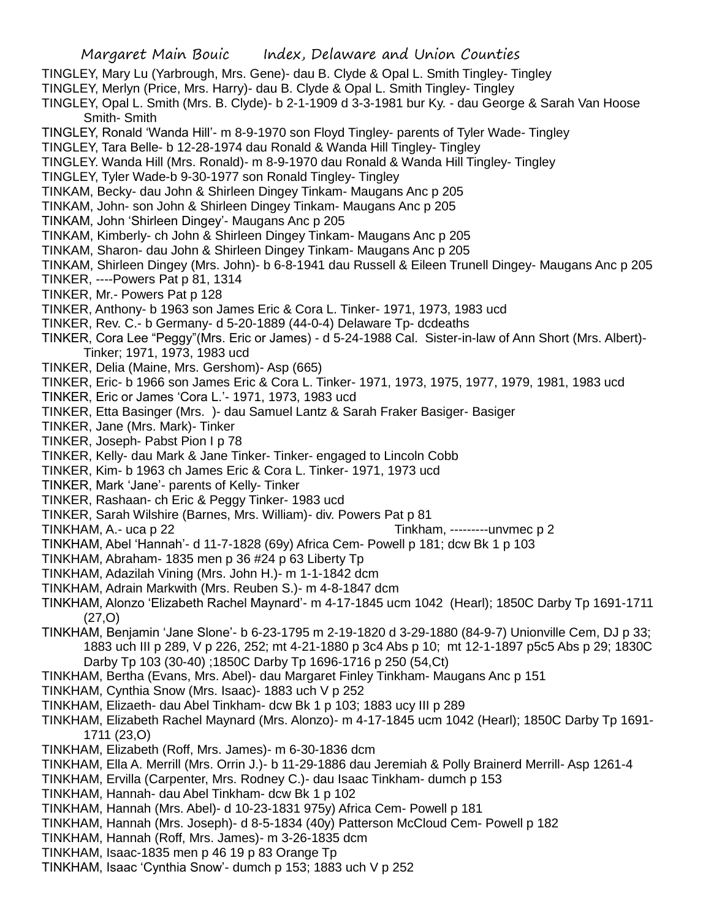TINGLEY, Mary Lu (Yarbrough, Mrs. Gene)- dau B. Clyde & Opal L. Smith Tingley- Tingley

- TINGLEY, Merlyn (Price, Mrs. Harry)- dau B. Clyde & Opal L. Smith Tingley- Tingley
- TINGLEY, Opal L. Smith (Mrs. B. Clyde)- b 2-1-1909 d 3-3-1981 bur Ky. dau George & Sarah Van Hoose Smith- Smith
- TINGLEY, Ronald 'Wanda Hill'- m 8-9-1970 son Floyd Tingley- parents of Tyler Wade- Tingley
- TINGLEY, Tara Belle- b 12-28-1974 dau Ronald & Wanda Hill Tingley- Tingley
- TINGLEY. Wanda Hill (Mrs. Ronald)- m 8-9-1970 dau Ronald & Wanda Hill Tingley- Tingley
- TINGLEY, Tyler Wade-b 9-30-1977 son Ronald Tingley- Tingley
- TINKAM, Becky- dau John & Shirleen Dingey Tinkam- Maugans Anc p 205
- TINKAM, John- son John & Shirleen Dingey Tinkam- Maugans Anc p 205
- TINKAM, John 'Shirleen Dingey'- Maugans Anc p 205
- TINKAM, Kimberly- ch John & Shirleen Dingey Tinkam- Maugans Anc p 205
- TINKAM, Sharon- dau John & Shirleen Dingey Tinkam- Maugans Anc p 205
- TINKAM, Shirleen Dingey (Mrs. John)- b 6-8-1941 dau Russell & Eileen Trunell Dingey- Maugans Anc p 205
- TINKER, ----Powers Pat p 81, 1314
- TINKER, Mr.- Powers Pat p 128
- TINKER, Anthony- b 1963 son James Eric & Cora L. Tinker- 1971, 1973, 1983 ucd
- TINKER, Rev. C.- b Germany- d 5-20-1889 (44-0-4) Delaware Tp- dcdeaths
- TINKER, Cora Lee "Peggy"(Mrs. Eric or James) d 5-24-1988 Cal. Sister-in-law of Ann Short (Mrs. Albert)- Tinker; 1971, 1973, 1983 ucd
- TINKER, Delia (Maine, Mrs. Gershom)- Asp (665)
- TINKER, Eric- b 1966 son James Eric & Cora L. Tinker- 1971, 1973, 1975, 1977, 1979, 1981, 1983 ucd
- TINKER, Eric or James 'Cora L.'- 1971, 1973, 1983 ucd
- TINKER, Etta Basinger (Mrs. )- dau Samuel Lantz & Sarah Fraker Basiger- Basiger
- TINKER, Jane (Mrs. Mark)- Tinker
- TINKER, Joseph- Pabst Pion I p 78
- TINKER, Kelly- dau Mark & Jane Tinker- Tinker- engaged to Lincoln Cobb
- TINKER, Kim- b 1963 ch James Eric & Cora L. Tinker- 1971, 1973 ucd
- TINKER, Mark 'Jane'- parents of Kelly- Tinker
- TINKER, Rashaan- ch Eric & Peggy Tinker- 1983 ucd
- TINKER, Sarah Wilshire (Barnes, Mrs. William)- div. Powers Pat p 81
- TINKHAM, A.- uca p 22 Tinkham, ---------unvmec p 2
- TINKHAM, Abel 'Hannah'- d 11-7-1828 (69y) Africa Cem- Powell p 181; dcw Bk 1 p 103
- TINKHAM, Abraham- 1835 men p 36 #24 p 63 Liberty Tp
- TINKHAM, Adazilah Vining (Mrs. John H.)- m 1-1-1842 dcm
- TINKHAM, Adrain Markwith (Mrs. Reuben S.)- m 4-8-1847 dcm
- TINKHAM, Alonzo 'Elizabeth Rachel Maynard'- m 4-17-1845 ucm 1042 (Hearl); 1850C Darby Tp 1691-1711 (27,O)
- TINKHAM, Benjamin 'Jane Slone'- b 6-23-1795 m 2-19-1820 d 3-29-1880 (84-9-7) Unionville Cem, DJ p 33; 1883 uch III p 289, V p 226, 252; mt 4-21-1880 p 3c4 Abs p 10; mt 12-1-1897 p5c5 Abs p 29; 1830C Darby Tp 103 (30-40) ;1850C Darby Tp 1696-1716 p 250 (54,Ct)
- TINKHAM, Bertha (Evans, Mrs. Abel)- dau Margaret Finley Tinkham- Maugans Anc p 151
- TINKHAM, Cynthia Snow (Mrs. Isaac)- 1883 uch V p 252
- TINKHAM, Elizaeth- dau Abel Tinkham- dcw Bk 1 p 103; 1883 ucy III p 289
- TINKHAM, Elizabeth Rachel Maynard (Mrs. Alonzo)- m 4-17-1845 ucm 1042 (Hearl); 1850C Darby Tp 1691- 1711 (23,O)
- TINKHAM, Elizabeth (Roff, Mrs. James)- m 6-30-1836 dcm
- TINKHAM, Ella A. Merrill (Mrs. Orrin J.)- b 11-29-1886 dau Jeremiah & Polly Brainerd Merrill- Asp 1261-4
- TINKHAM, Ervilla (Carpenter, Mrs. Rodney C.)- dau Isaac Tinkham- dumch p 153
- TINKHAM, Hannah- dau Abel Tinkham- dcw Bk 1 p 102
- TINKHAM, Hannah (Mrs. Abel)- d 10-23-1831 975y) Africa Cem- Powell p 181
- TINKHAM, Hannah (Mrs. Joseph)- d 8-5-1834 (40y) Patterson McCloud Cem- Powell p 182
- TINKHAM, Hannah (Roff, Mrs. James)- m 3-26-1835 dcm
- TINKHAM, Isaac-1835 men p 46 19 p 83 Orange Tp
- TINKHAM, Isaac 'Cynthia Snow'- dumch p 153; 1883 uch V p 252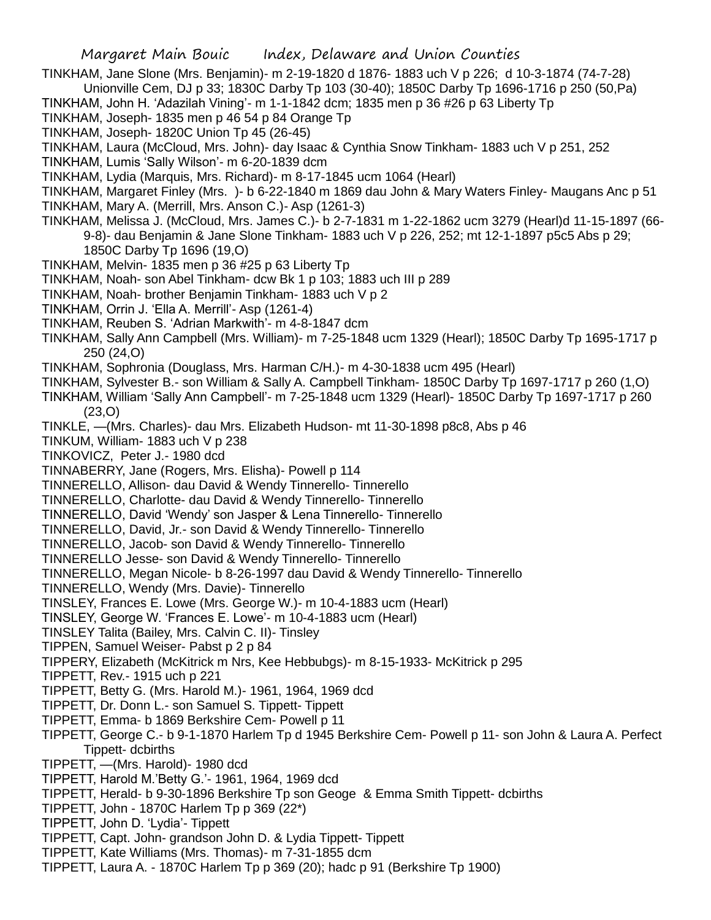TINKHAM, Jane Slone (Mrs. Benjamin)- m 2-19-1820 d 1876- 1883 uch V p 226; d 10-3-1874 (74-7-28) Unionville Cem, DJ p 33; 1830C Darby Tp 103 (30-40); 1850C Darby Tp 1696-1716 p 250 (50,Pa)

TINKHAM, John H. 'Adazilah Vining'- m 1-1-1842 dcm; 1835 men p 36 #26 p 63 Liberty Tp

TINKHAM, Joseph- 1835 men p 46 54 p 84 Orange Tp

TINKHAM, Joseph- 1820C Union Tp 45 (26-45)

TINKHAM, Laura (McCloud, Mrs. John)- day Isaac & Cynthia Snow Tinkham- 1883 uch V p 251, 252

TINKHAM, Lumis 'Sally Wilson'- m 6-20-1839 dcm

TINKHAM, Lydia (Marquis, Mrs. Richard)- m 8-17-1845 ucm 1064 (Hearl)

TINKHAM, Margaret Finley (Mrs. )- b 6-22-1840 m 1869 dau John & Mary Waters Finley- Maugans Anc p 51 TINKHAM, Mary A. (Merrill, Mrs. Anson C.)- Asp (1261-3)

- TINKHAM, Melissa J. (McCloud, Mrs. James C.)- b 2-7-1831 m 1-22-1862 ucm 3279 (Hearl)d 11-15-1897 (66- 9-8)- dau Benjamin & Jane Slone Tinkham- 1883 uch V p 226, 252; mt 12-1-1897 p5c5 Abs p 29; 1850C Darby Tp 1696 (19,O)
- TINKHAM, Melvin- 1835 men p 36 #25 p 63 Liberty Tp
- TINKHAM, Noah- son Abel Tinkham- dcw Bk 1 p 103; 1883 uch III p 289
- TINKHAM, Noah- brother Benjamin Tinkham- 1883 uch V p 2
- TINKHAM, Orrin J. 'Ella A. Merrill'- Asp (1261-4)
- TINKHAM, Reuben S. 'Adrian Markwith'- m 4-8-1847 dcm
- TINKHAM, Sally Ann Campbell (Mrs. William)- m 7-25-1848 ucm 1329 (Hearl); 1850C Darby Tp 1695-1717 p 250 (24,O)
- TINKHAM, Sophronia (Douglass, Mrs. Harman C/H.)- m 4-30-1838 ucm 495 (Hearl)
- TINKHAM, Sylvester B.- son William & Sally A. Campbell Tinkham- 1850C Darby Tp 1697-1717 p 260 (1,O)
- TINKHAM, William 'Sally Ann Campbell'- m 7-25-1848 ucm 1329 (Hearl)- 1850C Darby Tp 1697-1717 p 260 (23,O)
- TINKLE, —(Mrs. Charles)- dau Mrs. Elizabeth Hudson- mt 11-30-1898 p8c8, Abs p 46
- TINKUM, William- 1883 uch V p 238
- TINKOVICZ, Peter J.- 1980 dcd
- TINNABERRY, Jane (Rogers, Mrs. Elisha)- Powell p 114
- TINNERELLO, Allison- dau David & Wendy Tinnerello- Tinnerello
- TINNERELLO, Charlotte- dau David & Wendy Tinnerello- Tinnerello
- TINNERELLO, David 'Wendy' son Jasper & Lena Tinnerello- Tinnerello
- TINNERELLO, David, Jr.- son David & Wendy Tinnerello- Tinnerello
- TINNERELLO, Jacob- son David & Wendy Tinnerello- Tinnerello
- TINNERELLO Jesse- son David & Wendy Tinnerello- Tinnerello
- TINNERELLO, Megan Nicole- b 8-26-1997 dau David & Wendy Tinnerello- Tinnerello
- TINNERELLO, Wendy (Mrs. Davie)- Tinnerello
- TINSLEY, Frances E. Lowe (Mrs. George W.)- m 10-4-1883 ucm (Hearl)
- TINSLEY, George W. 'Frances E. Lowe'- m 10-4-1883 ucm (Hearl)
- TINSLEY Talita (Bailey, Mrs. Calvin C. II)- Tinsley
- TIPPEN, Samuel Weiser- Pabst p 2 p 84
- TIPPERY, Elizabeth (McKitrick m Nrs, Kee Hebbubgs)- m 8-15-1933- McKitrick p 295
- TIPPETT, Rev.- 1915 uch p 221
- TIPPETT, Betty G. (Mrs. Harold M.)- 1961, 1964, 1969 dcd
- TIPPETT, Dr. Donn L.- son Samuel S. Tippett- Tippett
- TIPPETT, Emma- b 1869 Berkshire Cem- Powell p 11
- TIPPETT, George C.- b 9-1-1870 Harlem Tp d 1945 Berkshire Cem- Powell p 11- son John & Laura A. Perfect Tippett- dcbirths
- TIPPETT, —(Mrs. Harold)- 1980 dcd
- TIPPETT, Harold M.'Betty G.'- 1961, 1964, 1969 dcd
- TIPPETT, Herald- b 9-30-1896 Berkshire Tp son Geoge & Emma Smith Tippett- dcbirths
- TIPPETT, John 1870C Harlem Tp p 369 (22\*)
- TIPPETT, John D. 'Lydia'- Tippett
- TIPPETT, Capt. John- grandson John D. & Lydia Tippett- Tippett
- TIPPETT, Kate Williams (Mrs. Thomas)- m 7-31-1855 dcm
- TIPPETT, Laura A. 1870C Harlem Tp p 369 (20); hadc p 91 (Berkshire Tp 1900)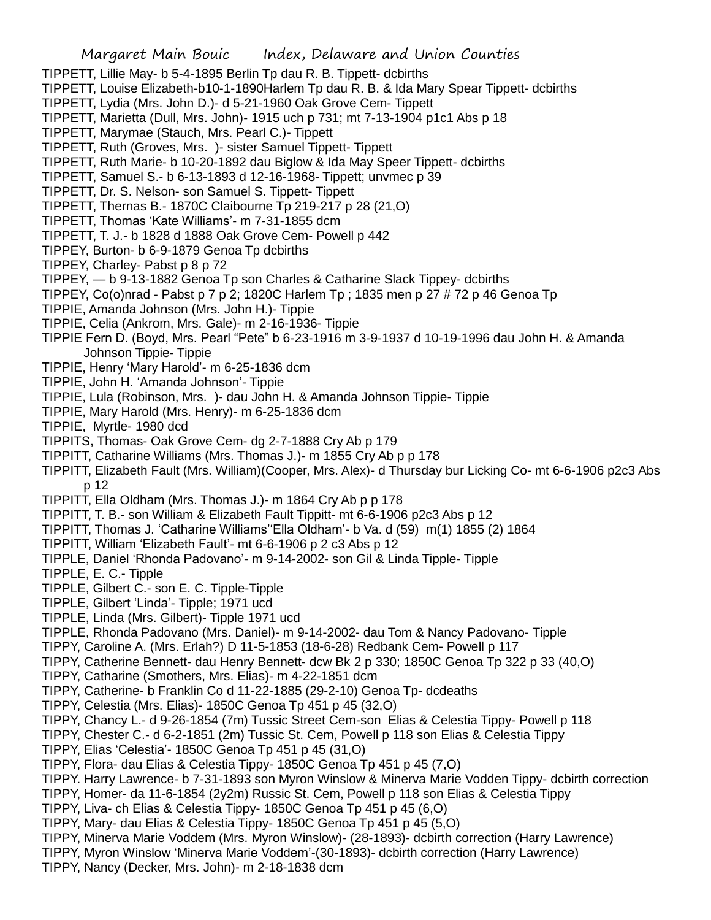- TIPPETT, Lillie May- b 5-4-1895 Berlin Tp dau R. B. Tippett- dcbirths
- TIPPETT, Louise Elizabeth-b10-1-1890Harlem Tp dau R. B. & Ida Mary Spear Tippett- dcbirths
- TIPPETT, Lydia (Mrs. John D.)- d 5-21-1960 Oak Grove Cem- Tippett
- TIPPETT, Marietta (Dull, Mrs. John)- 1915 uch p 731; mt 7-13-1904 p1c1 Abs p 18
- TIPPETT, Marymae (Stauch, Mrs. Pearl C.)- Tippett
- TIPPETT, Ruth (Groves, Mrs. )- sister Samuel Tippett- Tippett
- TIPPETT, Ruth Marie- b 10-20-1892 dau Biglow & Ida May Speer Tippett- dcbirths
- TIPPETT, Samuel S.- b 6-13-1893 d 12-16-1968- Tippett; unvmec p 39
- TIPPETT, Dr. S. Nelson- son Samuel S. Tippett- Tippett
- TIPPETT, Thernas B.- 1870C Claibourne Tp 219-217 p 28 (21,O)
- TIPPETT, Thomas 'Kate Williams'- m 7-31-1855 dcm
- TIPPETT, T. J.- b 1828 d 1888 Oak Grove Cem- Powell p 442
- TIPPEY, Burton- b 6-9-1879 Genoa Tp dcbirths
- TIPPEY, Charley- Pabst p 8 p 72
- TIPPEY, b 9-13-1882 Genoa Tp son Charles & Catharine Slack Tippey- dcbirths
- TIPPEY, Co(o)nrad Pabst p 7 p 2; 1820C Harlem Tp ; 1835 men p 27 # 72 p 46 Genoa Tp
- TIPPIE, Amanda Johnson (Mrs. John H.)- Tippie
- TIPPIE, Celia (Ankrom, Mrs. Gale)- m 2-16-1936- Tippie
- TIPPIE Fern D. (Boyd, Mrs. Pearl "Pete" b 6-23-1916 m 3-9-1937 d 10-19-1996 dau John H. & Amanda Johnson Tippie- Tippie
- TIPPIE, Henry 'Mary Harold'- m 6-25-1836 dcm
- TIPPIE, John H. 'Amanda Johnson'- Tippie
- TIPPIE, Lula (Robinson, Mrs. )- dau John H. & Amanda Johnson Tippie- Tippie
- TIPPIE, Mary Harold (Mrs. Henry)- m 6-25-1836 dcm
- TIPPIE, Myrtle- 1980 dcd
- TIPPITS, Thomas- Oak Grove Cem- dg 2-7-1888 Cry Ab p 179
- TIPPITT, Catharine Williams (Mrs. Thomas J.)- m 1855 Cry Ab p p 178
- TIPPITT, Elizabeth Fault (Mrs. William)(Cooper, Mrs. Alex)- d Thursday bur Licking Co- mt 6-6-1906 p2c3 Abs p 12
- TIPPITT, Ella Oldham (Mrs. Thomas J.)- m 1864 Cry Ab p p 178
- TIPPITT, T. B.- son William & Elizabeth Fault Tippitt- mt 6-6-1906 p2c3 Abs p 12
- TIPPITT, Thomas J. 'Catharine Williams''Ella Oldham'- b Va. d (59) m(1) 1855 (2) 1864
- TIPPITT, William 'Elizabeth Fault'- mt 6-6-1906 p 2 c3 Abs p 12
- TIPPLE, Daniel 'Rhonda Padovano'- m 9-14-2002- son Gil & Linda Tipple- Tipple
- TIPPLE, E. C.- Tipple
- TIPPLE, Gilbert C.- son E. C. Tipple-Tipple
- TIPPLE, Gilbert 'Linda'- Tipple; 1971 ucd
- TIPPLE, Linda (Mrs. Gilbert)- Tipple 1971 ucd
- TIPPLE, Rhonda Padovano (Mrs. Daniel)- m 9-14-2002- dau Tom & Nancy Padovano- Tipple
- TIPPY, Caroline A. (Mrs. Erlah?) D 11-5-1853 (18-6-28) Redbank Cem- Powell p 117
- TIPPY, Catherine Bennett- dau Henry Bennett- dcw Bk 2 p 330; 1850C Genoa Tp 322 p 33 (40,O)
- TIPPY, Catharine (Smothers, Mrs. Elias)- m 4-22-1851 dcm
- TIPPY, Catherine- b Franklin Co d 11-22-1885 (29-2-10) Genoa Tp- dcdeaths
- TIPPY, Celestia (Mrs. Elias)- 1850C Genoa Tp 451 p 45 (32,O)
- TIPPY, Chancy L.- d 9-26-1854 (7m) Tussic Street Cem-son Elias & Celestia Tippy- Powell p 118
- TIPPY, Chester C.- d 6-2-1851 (2m) Tussic St. Cem, Powell p 118 son Elias & Celestia Tippy
- TIPPY, Elias 'Celestia'- 1850C Genoa Tp 451 p 45 (31,O)
- TIPPY, Flora- dau Elias & Celestia Tippy- 1850C Genoa Tp 451 p 45 (7,O)
- TIPPY. Harry Lawrence- b 7-31-1893 son Myron Winslow & Minerva Marie Vodden Tippy- dcbirth correction
- TIPPY, Homer- da 11-6-1854 (2y2m) Russic St. Cem, Powell p 118 son Elias & Celestia Tippy
- TIPPY, Liva- ch Elias & Celestia Tippy- 1850C Genoa Tp 451 p 45 (6,O)
- TIPPY, Mary- dau Elias & Celestia Tippy- 1850C Genoa Tp 451 p 45 (5,O)
- TIPPY, Minerva Marie Voddem (Mrs. Myron Winslow)- (28-1893)- dcbirth correction (Harry Lawrence)
- TIPPY, Myron Winslow 'Minerva Marie Voddem'-(30-1893)- dcbirth correction (Harry Lawrence)
- TIPPY, Nancy (Decker, Mrs. John)- m 2-18-1838 dcm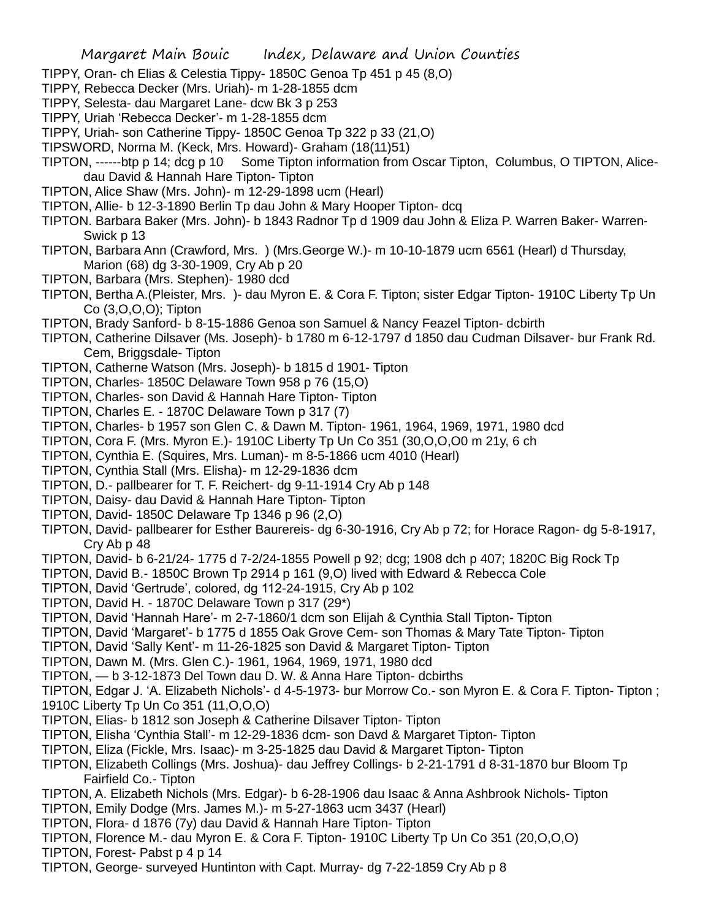- TIPPY, Oran- ch Elias & Celestia Tippy- 1850C Genoa Tp 451 p 45 (8,O)
- TIPPY, Rebecca Decker (Mrs. Uriah)- m 1-28-1855 dcm
- TIPPY, Selesta- dau Margaret Lane- dcw Bk 3 p 253
- TIPPY, Uriah 'Rebecca Decker'- m 1-28-1855 dcm
- TIPPY, Uriah- son Catherine Tippy- 1850C Genoa Tp 322 p 33 (21,O)
- TIPSWORD, Norma M. (Keck, Mrs. Howard)- Graham (18(11)51)
- TIPTON, ------btp p 14; dcg p 10 Some Tipton information from Oscar Tipton, Columbus, O TIPTON, Alicedau David & Hannah Hare Tipton- Tipton
- TIPTON, Alice Shaw (Mrs. John)- m 12-29-1898 ucm (Hearl)
- TIPTON, Allie- b 12-3-1890 Berlin Tp dau John & Mary Hooper Tipton- dcq
- TIPTON. Barbara Baker (Mrs. John)- b 1843 Radnor Tp d 1909 dau John & Eliza P. Warren Baker- Warren-Swick p 13
- TIPTON, Barbara Ann (Crawford, Mrs. ) (Mrs.George W.)- m 10-10-1879 ucm 6561 (Hearl) d Thursday, Marion (68) dg 3-30-1909, Cry Ab p 20
- TIPTON, Barbara (Mrs. Stephen)- 1980 dcd
- TIPTON, Bertha A.(Pleister, Mrs. )- dau Myron E. & Cora F. Tipton; sister Edgar Tipton- 1910C Liberty Tp Un Co (3,O,O,O); Tipton
- TIPTON, Brady Sanford- b 8-15-1886 Genoa son Samuel & Nancy Feazel Tipton- dcbirth
- TIPTON, Catherine Dilsaver (Ms. Joseph)- b 1780 m 6-12-1797 d 1850 dau Cudman Dilsaver- bur Frank Rd. Cem, Briggsdale- Tipton
- TIPTON, Catherne Watson (Mrs. Joseph)- b 1815 d 1901- Tipton
- TIPTON, Charles- 1850C Delaware Town 958 p 76 (15,O)
- TIPTON, Charles- son David & Hannah Hare Tipton- Tipton
- TIPTON, Charles E. 1870C Delaware Town p 317 (7)
- TIPTON, Charles- b 1957 son Glen C. & Dawn M. Tipton- 1961, 1964, 1969, 1971, 1980 dcd
- TIPTON, Cora F. (Mrs. Myron E.)- 1910C Liberty Tp Un Co 351 (30,O,O,O0 m 21y, 6 ch
- TIPTON, Cynthia E. (Squires, Mrs. Luman)- m 8-5-1866 ucm 4010 (Hearl)
- TIPTON, Cynthia Stall (Mrs. Elisha)- m 12-29-1836 dcm
- TIPTON, D.- pallbearer for T. F. Reichert- dg 9-11-1914 Cry Ab p 148
- TIPTON, Daisy- dau David & Hannah Hare Tipton- Tipton
- TIPTON, David- 1850C Delaware Tp 1346 p 96 (2,O)
- TIPTON, David- pallbearer for Esther Baurereis- dg 6-30-1916, Cry Ab p 72; for Horace Ragon- dg 5-8-1917, Cry Ab p 48
- TIPTON, David- b 6-21/24- 1775 d 7-2/24-1855 Powell p 92; dcg; 1908 dch p 407; 1820C Big Rock Tp
- TIPTON, David B.- 1850C Brown Tp 2914 p 161 (9,O) lived with Edward & Rebecca Cole
- TIPTON, David 'Gertrude', colored, dg 112-24-1915, Cry Ab p 102
- TIPTON, David H. 1870C Delaware Town p 317 (29\*)
- TIPTON, David 'Hannah Hare'- m 2-7-1860/1 dcm son Elijah & Cynthia Stall Tipton- Tipton
- TIPTON, David 'Margaret'- b 1775 d 1855 Oak Grove Cem- son Thomas & Mary Tate Tipton- Tipton
- TIPTON, David 'Sally Kent'- m 11-26-1825 son David & Margaret Tipton- Tipton
- TIPTON, Dawn M. (Mrs. Glen C.)- 1961, 1964, 1969, 1971, 1980 dcd
- TIPTON, b 3-12-1873 Del Town dau D. W. & Anna Hare Tipton- dcbirths
- TIPTON, Edgar J. 'A. Elizabeth Nichols'- d 4-5-1973- bur Morrow Co.- son Myron E. & Cora F. Tipton- Tipton ;
- 1910C Liberty Tp Un Co 351 (11,O,O,O)
- TIPTON, Elias- b 1812 son Joseph & Catherine Dilsaver Tipton- Tipton
- TIPTON, Elisha 'Cynthia Stall'- m 12-29-1836 dcm- son Davd & Margaret Tipton- Tipton
- TIPTON, Eliza (Fickle, Mrs. Isaac)- m 3-25-1825 dau David & Margaret Tipton- Tipton
- TIPTON, Elizabeth Collings (Mrs. Joshua)- dau Jeffrey Collings- b 2-21-1791 d 8-31-1870 bur Bloom Tp Fairfield Co.- Tipton
- TIPTON, A. Elizabeth Nichols (Mrs. Edgar)- b 6-28-1906 dau Isaac & Anna Ashbrook Nichols- Tipton
- TIPTON, Emily Dodge (Mrs. James M.)- m 5-27-1863 ucm 3437 (Hearl)
- TIPTON, Flora- d 1876 (7y) dau David & Hannah Hare Tipton- Tipton
- TIPTON, Florence M.- dau Myron E. & Cora F. Tipton- 1910C Liberty Tp Un Co 351 (20,O,O,O)
- TIPTON, Forest- Pabst p 4 p 14
- TIPTON, George- surveyed Huntinton with Capt. Murray- dg 7-22-1859 Cry Ab p 8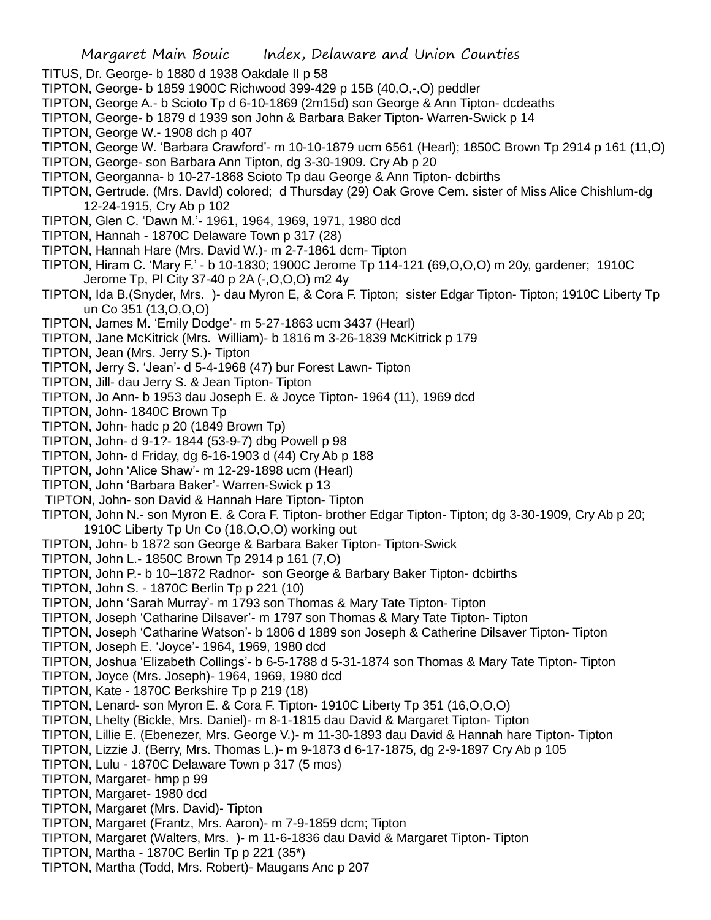- TITUS, Dr. George- b 1880 d 1938 Oakdale II p 58
- TIPTON, George- b 1859 1900C Richwood 399-429 p 15B (40,O,-,O) peddler
- TIPTON, George A.- b Scioto Tp d 6-10-1869 (2m15d) son George & Ann Tipton- dcdeaths
- TIPTON, George- b 1879 d 1939 son John & Barbara Baker Tipton- Warren-Swick p 14
- TIPTON, George W.- 1908 dch p 407
- TIPTON, George W. 'Barbara Crawford'- m 10-10-1879 ucm 6561 (Hearl); 1850C Brown Tp 2914 p 161 (11,O)
- TIPTON, George- son Barbara Ann Tipton, dg 3-30-1909. Cry Ab p 20
- TIPTON, Georganna- b 10-27-1868 Scioto Tp dau George & Ann Tipton- dcbirths
- TIPTON, Gertrude. (Mrs. DavId) colored; d Thursday (29) Oak Grove Cem. sister of Miss Alice Chishlum-dg 12-24-1915, Cry Ab p 102
- TIPTON, Glen C. 'Dawn M.'- 1961, 1964, 1969, 1971, 1980 dcd
- TIPTON, Hannah 1870C Delaware Town p 317 (28)
- TIPTON, Hannah Hare (Mrs. David W.)- m 2-7-1861 dcm- Tipton
- TIPTON, Hiram C. 'Mary F.' b 10-1830; 1900C Jerome Tp 114-121 (69,O,O,O) m 20y, gardener; 1910C Jerome Tp, Pl City 37-40 p 2A (-,O,O,O) m2 4y
- TIPTON, Ida B.(Snyder, Mrs. )- dau Myron E, & Cora F. Tipton; sister Edgar Tipton- Tipton; 1910C Liberty Tp un Co 351 (13,O,O,O)
- TIPTON, James M. 'Emily Dodge'- m 5-27-1863 ucm 3437 (Hearl)
- TIPTON, Jane McKitrick (Mrs. William)- b 1816 m 3-26-1839 McKitrick p 179
- TIPTON, Jean (Mrs. Jerry S.)- Tipton
- TIPTON, Jerry S. 'Jean'- d 5-4-1968 (47) bur Forest Lawn- Tipton
- TIPTON, Jill- dau Jerry S. & Jean Tipton- Tipton
- TIPTON, Jo Ann- b 1953 dau Joseph E. & Joyce Tipton- 1964 (11), 1969 dcd
- TIPTON, John- 1840C Brown Tp
- TIPTON, John- hadc p 20 (1849 Brown Tp)
- TIPTON, John- d 9-1?- 1844 (53-9-7) dbg Powell p 98
- TIPTON, John- d Friday, dg 6-16-1903 d (44) Cry Ab p 188
- TIPTON, John 'Alice Shaw'- m 12-29-1898 ucm (Hearl)
- TIPTON, John 'Barbara Baker'- Warren-Swick p 13
- TIPTON, John- son David & Hannah Hare Tipton- Tipton
- TIPTON, John N.- son Myron E. & Cora F. Tipton- brother Edgar Tipton- Tipton; dg 3-30-1909, Cry Ab p 20; 1910C Liberty Tp Un Co (18,O,O,O) working out
- TIPTON, John- b 1872 son George & Barbara Baker Tipton- Tipton-Swick
- TIPTON, John L.- 1850C Brown Tp 2914 p 161 (7,O)
- TIPTON, John P.- b 10–1872 Radnor- son George & Barbary Baker Tipton- dcbirths
- TIPTON, John S. 1870C Berlin Tp p 221 (10)
- TIPTON, John 'Sarah Murray'- m 1793 son Thomas & Mary Tate Tipton- Tipton
- TIPTON, Joseph 'Catharine Dilsaver'- m 1797 son Thomas & Mary Tate Tipton- Tipton
- TIPTON, Joseph 'Catharine Watson'- b 1806 d 1889 son Joseph & Catherine Dilsaver Tipton- Tipton
- TIPTON, Joseph E. 'Joyce'- 1964, 1969, 1980 dcd
- TIPTON, Joshua 'Elizabeth Collings'- b 6-5-1788 d 5-31-1874 son Thomas & Mary Tate Tipton- Tipton
- TIPTON, Joyce (Mrs. Joseph)- 1964, 1969, 1980 dcd
- TIPTON, Kate 1870C Berkshire Tp p 219 (18)
- TIPTON, Lenard- son Myron E. & Cora F. Tipton- 1910C Liberty Tp 351 (16,O,O,O)
- TIPTON, Lhelty (Bickle, Mrs. Daniel)- m 8-1-1815 dau David & Margaret Tipton- Tipton
- TIPTON, Lillie E. (Ebenezer, Mrs. George V.)- m 11-30-1893 dau David & Hannah hare Tipton- Tipton
- TIPTON, Lizzie J. (Berry, Mrs. Thomas L.)- m 9-1873 d 6-17-1875, dg 2-9-1897 Cry Ab p 105
- TIPTON, Lulu 1870C Delaware Town p 317 (5 mos)
- TIPTON, Margaret- hmp p 99
- TIPTON, Margaret- 1980 dcd
- TIPTON, Margaret (Mrs. David)- Tipton
- TIPTON, Margaret (Frantz, Mrs. Aaron)- m 7-9-1859 dcm; Tipton
- TIPTON, Margaret (Walters, Mrs. )- m 11-6-1836 dau David & Margaret Tipton- Tipton
- TIPTON, Martha 1870C Berlin Tp p 221 (35\*)
- TIPTON, Martha (Todd, Mrs. Robert)- Maugans Anc p 207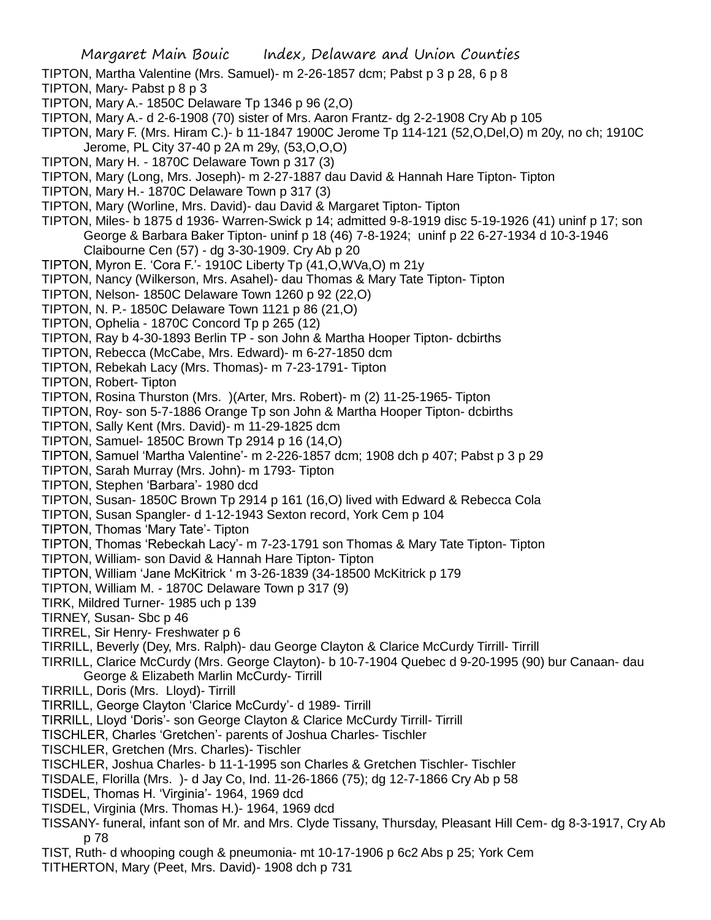TIPTON, Martha Valentine (Mrs. Samuel)- m 2-26-1857 dcm; Pabst p 3 p 28, 6 p 8

- TIPTON, Mary- Pabst p 8 p 3
- TIPTON, Mary A.- 1850C Delaware Tp 1346 p 96 (2,O)
- TIPTON, Mary A.- d 2-6-1908 (70) sister of Mrs. Aaron Frantz- dg 2-2-1908 Cry Ab p 105
- TIPTON, Mary F. (Mrs. Hiram C.)- b 11-1847 1900C Jerome Tp 114-121 (52,O,Del,O) m 20y, no ch; 1910C Jerome, PL City 37-40 p 2A m 29y, (53,O,O,O)
- TIPTON, Mary H. 1870C Delaware Town p 317 (3)
- TIPTON, Mary (Long, Mrs. Joseph)- m 2-27-1887 dau David & Hannah Hare Tipton- Tipton
- TIPTON, Mary H.- 1870C Delaware Town p 317 (3)
- TIPTON, Mary (Worline, Mrs. David)- dau David & Margaret Tipton- Tipton
- TIPTON, Miles- b 1875 d 1936- Warren-Swick p 14; admitted 9-8-1919 disc 5-19-1926 (41) uninf p 17; son George & Barbara Baker Tipton- uninf p 18 (46) 7-8-1924; uninf p 22 6-27-1934 d 10-3-1946 Claibourne Cen (57) - dg 3-30-1909. Cry Ab p 20
- TIPTON, Myron E. 'Cora F.'- 1910C Liberty Tp (41,O,WVa,O) m 21y
- TIPTON, Nancy (Wilkerson, Mrs. Asahel)- dau Thomas & Mary Tate Tipton- Tipton
- TIPTON, Nelson- 1850C Delaware Town 1260 p 92 (22,O)
- TIPTON, N. P.- 1850C Delaware Town 1121 p 86 (21,O)
- TIPTON, Ophelia 1870C Concord Tp p 265 (12)
- TIPTON, Ray b 4-30-1893 Berlin TP son John & Martha Hooper Tipton- dcbirths
- TIPTON, Rebecca (McCabe, Mrs. Edward)- m 6-27-1850 dcm
- TIPTON, Rebekah Lacy (Mrs. Thomas)- m 7-23-1791- Tipton
- TIPTON, Robert- Tipton
- TIPTON, Rosina Thurston (Mrs. )(Arter, Mrs. Robert)- m (2) 11-25-1965- Tipton
- TIPTON, Roy- son 5-7-1886 Orange Tp son John & Martha Hooper Tipton- dcbirths
- TIPTON, Sally Kent (Mrs. David)- m 11-29-1825 dcm
- TIPTON, Samuel- 1850C Brown Tp 2914 p 16 (14,O)
- TIPTON, Samuel 'Martha Valentine'- m 2-226-1857 dcm; 1908 dch p 407; Pabst p 3 p 29
- TIPTON, Sarah Murray (Mrs. John)- m 1793- Tipton
- TIPTON, Stephen 'Barbara'- 1980 dcd
- TIPTON, Susan- 1850C Brown Tp 2914 p 161 (16,O) lived with Edward & Rebecca Cola
- TIPTON, Susan Spangler- d 1-12-1943 Sexton record, York Cem p 104
- TIPTON, Thomas 'Mary Tate'- Tipton
- TIPTON, Thomas 'Rebeckah Lacy'- m 7-23-1791 son Thomas & Mary Tate Tipton- Tipton
- TIPTON, William- son David & Hannah Hare Tipton- Tipton
- TIPTON, William 'Jane McKitrick ' m 3-26-1839 (34-18500 McKitrick p 179
- TIPTON, William M. 1870C Delaware Town p 317 (9)
- TIRK, Mildred Turner- 1985 uch p 139
- TIRNEY, Susan- Sbc p 46
- TIRREL, Sir Henry- Freshwater p 6
- TIRRILL, Beverly (Dey, Mrs. Ralph)- dau George Clayton & Clarice McCurdy Tirrill- Tirrill
- TIRRILL, Clarice McCurdy (Mrs. George Clayton)- b 10-7-1904 Quebec d 9-20-1995 (90) bur Canaan- dau George & Elizabeth Marlin McCurdy- Tirrill
- TIRRILL, Doris (Mrs. Lloyd)- Tirrill
- TIRRILL, George Clayton 'Clarice McCurdy'- d 1989- Tirrill
- TIRRILL, Lloyd 'Doris'- son George Clayton & Clarice McCurdy Tirrill- Tirrill
- TISCHLER, Charles 'Gretchen'- parents of Joshua Charles- Tischler
- TISCHLER, Gretchen (Mrs. Charles)- Tischler
- TISCHLER, Joshua Charles- b 11-1-1995 son Charles & Gretchen Tischler- Tischler
- TISDALE, Florilla (Mrs. )- d Jay Co, Ind. 11-26-1866 (75); dg 12-7-1866 Cry Ab p 58
- TISDEL, Thomas H. 'Virginia'- 1964, 1969 dcd
- TISDEL, Virginia (Mrs. Thomas H.)- 1964, 1969 dcd
- TISSANY- funeral, infant son of Mr. and Mrs. Clyde Tissany, Thursday, Pleasant Hill Cem- dg 8-3-1917, Cry Ab p 78
- TIST, Ruth- d whooping cough & pneumonia- mt 10-17-1906 p 6c2 Abs p 25; York Cem TITHERTON, Mary (Peet, Mrs. David)- 1908 dch p 731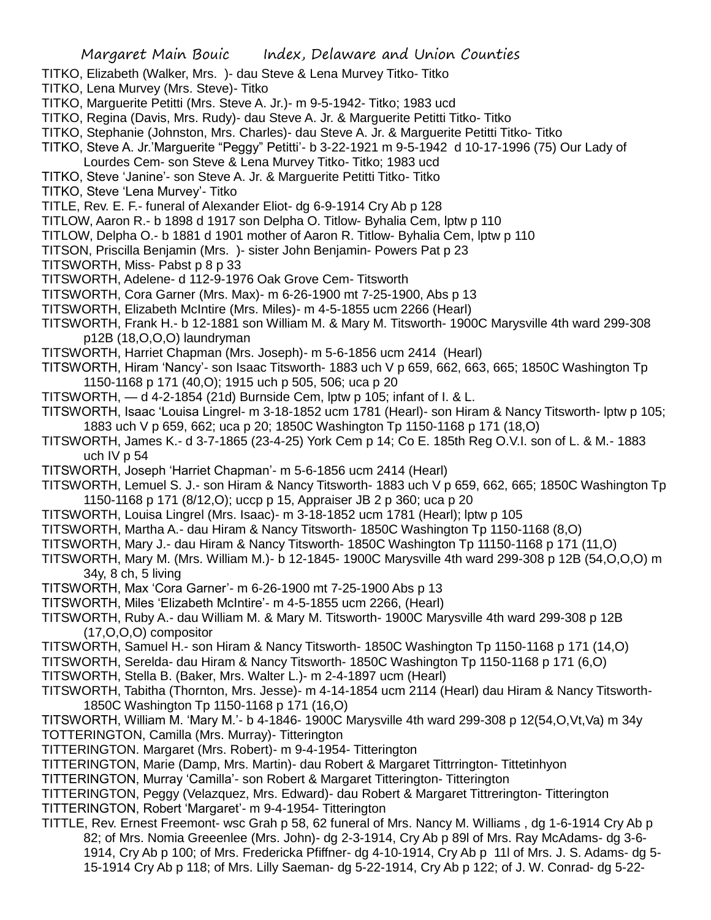- TITKO, Elizabeth (Walker, Mrs. )- dau Steve & Lena Murvey Titko- Titko
- TITKO, Lena Murvey (Mrs. Steve)- Titko
- TITKO, Marguerite Petitti (Mrs. Steve A. Jr.)- m 9-5-1942- Titko; 1983 ucd
- TITKO, Regina (Davis, Mrs. Rudy)- dau Steve A. Jr. & Marguerite Petitti Titko- Titko
- TITKO, Stephanie (Johnston, Mrs. Charles)- dau Steve A. Jr. & Marguerite Petitti Titko- Titko
- TITKO, Steve A. Jr.'Marguerite "Peggy" Petitti'- b 3-22-1921 m 9-5-1942 d 10-17-1996 (75) Our Lady of
- Lourdes Cem- son Steve & Lena Murvey Titko- Titko; 1983 ucd
- TITKO, Steve 'Janine'- son Steve A. Jr. & Marguerite Petitti Titko- Titko
- TITKO, Steve 'Lena Murvey'- Titko
- TITLE, Rev. E. F.- funeral of Alexander Eliot- dg 6-9-1914 Cry Ab p 128
- TITLOW, Aaron R.- b 1898 d 1917 son Delpha O. Titlow- Byhalia Cem, lptw p 110
- TITLOW, Delpha O.- b 1881 d 1901 mother of Aaron R. Titlow- Byhalia Cem, lptw p 110
- TITSON, Priscilla Benjamin (Mrs. )- sister John Benjamin- Powers Pat p 23
- TITSWORTH, Miss- Pabst p 8 p 33
- TITSWORTH, Adelene- d 112-9-1976 Oak Grove Cem- Titsworth
- TITSWORTH, Cora Garner (Mrs. Max)- m 6-26-1900 mt 7-25-1900, Abs p 13
- TITSWORTH, Elizabeth McIntire (Mrs. Miles)- m 4-5-1855 ucm 2266 (Hearl)
- TITSWORTH, Frank H.- b 12-1881 son William M. & Mary M. Titsworth- 1900C Marysville 4th ward 299-308 p12B (18,O,O,O) laundryman
- TITSWORTH, Harriet Chapman (Mrs. Joseph)- m 5-6-1856 ucm 2414 (Hearl)
- TITSWORTH, Hiram 'Nancy'- son Isaac Titsworth- 1883 uch V p 659, 662, 663, 665; 1850C Washington Tp 1150-1168 p 171 (40,O); 1915 uch p 505, 506; uca p 20
- TITSWORTH, d 4-2-1854 (21d) Burnside Cem, lptw p 105; infant of I. & L.
- TITSWORTH, Isaac 'Louisa Lingrel- m 3-18-1852 ucm 1781 (Hearl)- son Hiram & Nancy Titsworth- lptw p 105; 1883 uch V p 659, 662; uca p 20; 1850C Washington Tp 1150-1168 p 171 (18,O)
- TITSWORTH, James K.- d 3-7-1865 (23-4-25) York Cem p 14; Co E. 185th Reg O.V.I. son of L. & M.- 1883 uch IV p 54
- TITSWORTH, Joseph 'Harriet Chapman'- m 5-6-1856 ucm 2414 (Hearl)
- TITSWORTH, Lemuel S. J.- son Hiram & Nancy Titsworth- 1883 uch V p 659, 662, 665; 1850C Washington Tp 1150-1168 p 171 (8/12,O); uccp p 15, Appraiser JB 2 p 360; uca p 20
- TITSWORTH, Louisa Lingrel (Mrs. Isaac)- m 3-18-1852 ucm 1781 (Hearl); lptw p 105
- TITSWORTH, Martha A.- dau Hiram & Nancy Titsworth- 1850C Washington Tp 1150-1168 (8,O)
- TITSWORTH, Mary J.- dau Hiram & Nancy Titsworth- 1850C Washington Tp 11150-1168 p 171 (11,O)
- TITSWORTH, Mary M. (Mrs. William M.)- b 12-1845- 1900C Marysville 4th ward 299-308 p 12B (54,O,O,O) m 34y, 8 ch, 5 living
- TITSWORTH, Max 'Cora Garner'- m 6-26-1900 mt 7-25-1900 Abs p 13
- TITSWORTH, Miles 'Elizabeth McIntire'- m 4-5-1855 ucm 2266, (Hearl)
- TITSWORTH, Ruby A.- dau William M. & Mary M. Titsworth- 1900C Marysville 4th ward 299-308 p 12B (17,O,O,O) compositor
- TITSWORTH, Samuel H.- son Hiram & Nancy Titsworth- 1850C Washington Tp 1150-1168 p 171 (14,O)
- TITSWORTH, Serelda- dau Hiram & Nancy Titsworth- 1850C Washington Tp 1150-1168 p 171 (6,O)
- TITSWORTH, Stella B. (Baker, Mrs. Walter L.)- m 2-4-1897 ucm (Hearl)
- TITSWORTH, Tabitha (Thornton, Mrs. Jesse)- m 4-14-1854 ucm 2114 (Hearl) dau Hiram & Nancy Titsworth-1850C Washington Tp 1150-1168 p 171 (16,O)
- TITSWORTH, William M. 'Mary M.'- b 4-1846- 1900C Marysville 4th ward 299-308 p 12(54,O,Vt,Va) m 34y TOTTERINGTON, Camilla (Mrs. Murray)- Titterington
- TITTERINGTON. Margaret (Mrs. Robert)- m 9-4-1954- Titterington
- TITTERINGTON, Marie (Damp, Mrs. Martin)- dau Robert & Margaret Tittrrington- Tittetinhyon
- TITTERINGTON, Murray 'Camilla'- son Robert & Margaret Titterington- Titterington
- TITTERINGTON, Peggy (Velazquez, Mrs. Edward)- dau Robert & Margaret Tittrerington- Titterington TITTERINGTON, Robert 'Margaret'- m 9-4-1954- Titterington
- TITTLE, Rev. Ernest Freemont- wsc Grah p 58, 62 funeral of Mrs. Nancy M. Williams , dg 1-6-1914 Cry Ab p 82; of Mrs. Nomia Greeenlee (Mrs. John)- dg 2-3-1914, Cry Ab p 89l of Mrs. Ray McAdams- dg 3-6- 1914, Cry Ab p 100; of Mrs. Fredericka Pfiffner- dg 4-10-1914, Cry Ab p 11l of Mrs. J. S. Adams- dg 5- 15-1914 Cry Ab p 118; of Mrs. Lilly Saeman- dg 5-22-1914, Cry Ab p 122; of J. W. Conrad- dg 5-22-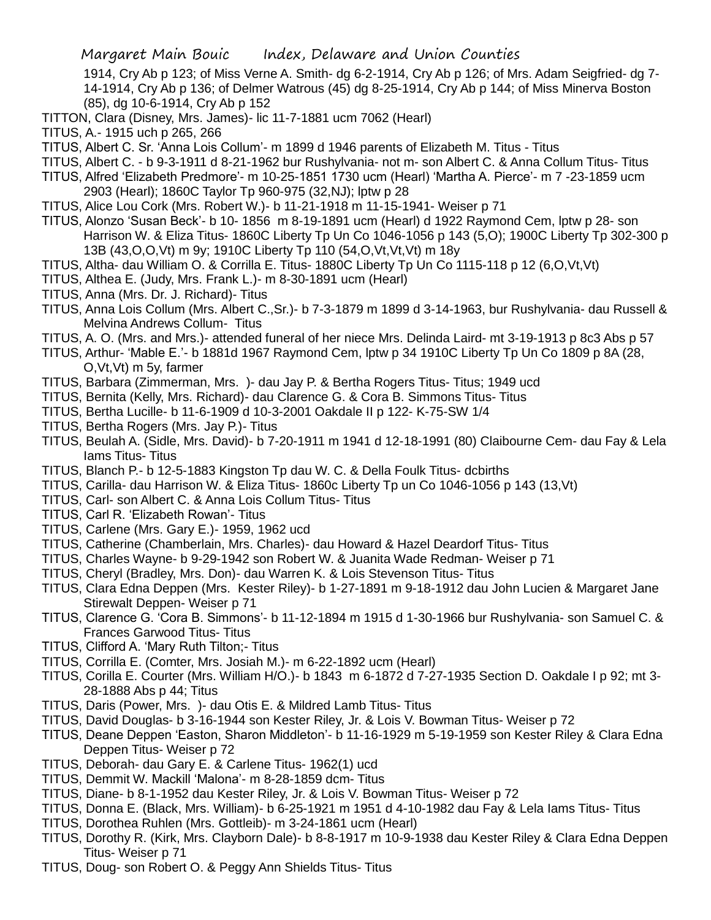1914, Cry Ab p 123; of Miss Verne A. Smith- dg 6-2-1914, Cry Ab p 126; of Mrs. Adam Seigfried- dg 7- 14-1914, Cry Ab p 136; of Delmer Watrous (45) dg 8-25-1914, Cry Ab p 144; of Miss Minerva Boston (85), dg 10-6-1914, Cry Ab p 152

- TITTON, Clara (Disney, Mrs. James)- lic 11-7-1881 ucm 7062 (Hearl)
- TITUS, A.- 1915 uch p 265, 266
- TITUS, Albert C. Sr. 'Anna Lois Collum'- m 1899 d 1946 parents of Elizabeth M. Titus Titus
- TITUS, Albert C. b 9-3-1911 d 8-21-1962 bur Rushylvania- not m- son Albert C. & Anna Collum Titus- Titus
- TITUS, Alfred 'Elizabeth Predmore'- m 10-25-1851 1730 ucm (Hearl) 'Martha A. Pierce'- m 7 -23-1859 ucm
	- 2903 (Hearl); 1860C Taylor Tp 960-975 (32,NJ); lptw p 28
- TITUS, Alice Lou Cork (Mrs. Robert W.)- b 11-21-1918 m 11-15-1941- Weiser p 71
- TITUS, Alonzo 'Susan Beck'- b 10- 1856 m 8-19-1891 ucm (Hearl) d 1922 Raymond Cem, lptw p 28- son Harrison W. & Eliza Titus- 1860C Liberty Tp Un Co 1046-1056 p 143 (5,O); 1900C Liberty Tp 302-300 p 13B (43,O,O,Vt) m 9y; 1910C Liberty Tp 110 (54,O,Vt,Vt,Vt) m 18y
- TITUS, Altha- dau William O. & Corrilla E. Titus- 1880C Liberty Tp Un Co 1115-118 p 12 (6,O,Vt,Vt)
- TITUS, Althea E. (Judy, Mrs. Frank L.)- m 8-30-1891 ucm (Hearl)
- TITUS, Anna (Mrs. Dr. J. Richard)- Titus
- TITUS, Anna Lois Collum (Mrs. Albert C.,Sr.)- b 7-3-1879 m 1899 d 3-14-1963, bur Rushylvania- dau Russell & Melvina Andrews Collum- Titus
- TITUS, A. O. (Mrs. and Mrs.)- attended funeral of her niece Mrs. Delinda Laird- mt 3-19-1913 p 8c3 Abs p 57
- TITUS, Arthur- 'Mable E.'- b 1881d 1967 Raymond Cem, lptw p 34 1910C Liberty Tp Un Co 1809 p 8A (28, O,Vt,Vt) m 5y, farmer
- TITUS, Barbara (Zimmerman, Mrs. )- dau Jay P. & Bertha Rogers Titus- Titus; 1949 ucd
- TITUS, Bernita (Kelly, Mrs. Richard)- dau Clarence G. & Cora B. Simmons Titus- Titus
- TITUS, Bertha Lucille- b 11-6-1909 d 10-3-2001 Oakdale II p 122- K-75-SW 1/4
- TITUS, Bertha Rogers (Mrs. Jay P.)- Titus
- TITUS, Beulah A. (Sidle, Mrs. David)- b 7-20-1911 m 1941 d 12-18-1991 (80) Claibourne Cem- dau Fay & Lela Iams Titus- Titus
- TITUS, Blanch P.- b 12-5-1883 Kingston Tp dau W. C. & Della Foulk Titus- dcbirths
- TITUS, Carilla- dau Harrison W. & Eliza Titus- 1860c Liberty Tp un Co 1046-1056 p 143 (13,Vt)
- TITUS, Carl- son Albert C. & Anna Lois Collum Titus- Titus
- TITUS, Carl R. 'Elizabeth Rowan'- Titus
- TITUS, Carlene (Mrs. Gary E.)- 1959, 1962 ucd
- TITUS, Catherine (Chamberlain, Mrs. Charles)- dau Howard & Hazel Deardorf Titus- Titus
- TITUS, Charles Wayne- b 9-29-1942 son Robert W. & Juanita Wade Redman- Weiser p 71
- TITUS, Cheryl (Bradley, Mrs. Don)- dau Warren K. & Lois Stevenson Titus- Titus
- TITUS, Clara Edna Deppen (Mrs. Kester Riley)- b 1-27-1891 m 9-18-1912 dau John Lucien & Margaret Jane Stirewalt Deppen- Weiser p 71
- TITUS, Clarence G. 'Cora B. Simmons'- b 11-12-1894 m 1915 d 1-30-1966 bur Rushylvania- son Samuel C. & Frances Garwood Titus- Titus
- TITUS, Clifford A. 'Mary Ruth Tilton;- Titus
- TITUS, Corrilla E. (Comter, Mrs. Josiah M.)- m 6-22-1892 ucm (Hearl)
- TITUS, Corilla E. Courter (Mrs. William H/O.)- b 1843 m 6-1872 d 7-27-1935 Section D. Oakdale I p 92; mt 3- 28-1888 Abs p 44; Titus
- TITUS, Daris (Power, Mrs. )- dau Otis E. & Mildred Lamb Titus- Titus
- TITUS, David Douglas- b 3-16-1944 son Kester Riley, Jr. & Lois V. Bowman Titus- Weiser p 72
- TITUS, Deane Deppen 'Easton, Sharon Middleton'- b 11-16-1929 m 5-19-1959 son Kester Riley & Clara Edna Deppen Titus- Weiser p 72
- TITUS, Deborah- dau Gary E. & Carlene Titus- 1962(1) ucd
- TITUS, Demmit W. Mackill 'Malona'- m 8-28-1859 dcm- Titus
- TITUS, Diane- b 8-1-1952 dau Kester Riley, Jr. & Lois V. Bowman Titus- Weiser p 72
- TITUS, Donna E. (Black, Mrs. William)- b 6-25-1921 m 1951 d 4-10-1982 dau Fay & Lela Iams Titus- Titus
- TITUS, Dorothea Ruhlen (Mrs. Gottleib)- m 3-24-1861 ucm (Hearl)
- TITUS, Dorothy R. (Kirk, Mrs. Clayborn Dale)- b 8-8-1917 m 10-9-1938 dau Kester Riley & Clara Edna Deppen Titus- Weiser p 71
- TITUS, Doug- son Robert O. & Peggy Ann Shields Titus- Titus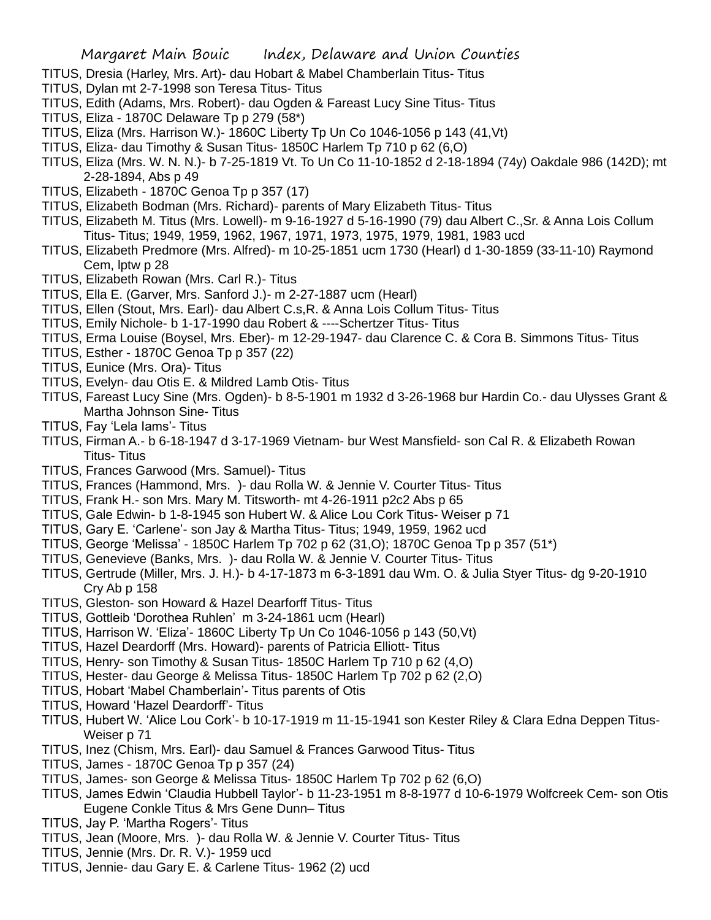- TITUS, Dresia (Harley, Mrs. Art)- dau Hobart & Mabel Chamberlain Titus- Titus
- TITUS, Dylan mt 2-7-1998 son Teresa Titus- Titus
- TITUS, Edith (Adams, Mrs. Robert)- dau Ogden & Fareast Lucy Sine Titus- Titus
- TITUS, Eliza 1870C Delaware Tp p 279 (58\*)
- TITUS, Eliza (Mrs. Harrison W.)- 1860C Liberty Tp Un Co 1046-1056 p 143 (41,Vt)
- TITUS, Eliza- dau Timothy & Susan Titus- 1850C Harlem Tp 710 p 62 (6,O)
- TITUS, Eliza (Mrs. W. N. N.)- b 7-25-1819 Vt. To Un Co 11-10-1852 d 2-18-1894 (74y) Oakdale 986 (142D); mt 2-28-1894, Abs p 49
- TITUS, Elizabeth 1870C Genoa Tp p 357 (17)
- TITUS, Elizabeth Bodman (Mrs. Richard)- parents of Mary Elizabeth Titus- Titus
- TITUS, Elizabeth M. Titus (Mrs. Lowell)- m 9-16-1927 d 5-16-1990 (79) dau Albert C.,Sr. & Anna Lois Collum Titus- Titus; 1949, 1959, 1962, 1967, 1971, 1973, 1975, 1979, 1981, 1983 ucd
- TITUS, Elizabeth Predmore (Mrs. Alfred)- m 10-25-1851 ucm 1730 (Hearl) d 1-30-1859 (33-11-10) Raymond Cem, lptw p 28
- TITUS, Elizabeth Rowan (Mrs. Carl R.)- Titus
- TITUS, Ella E. (Garver, Mrs. Sanford J.)- m 2-27-1887 ucm (Hearl)
- TITUS, Ellen (Stout, Mrs. Earl)- dau Albert C.s,R. & Anna Lois Collum Titus- Titus
- TITUS, Emily Nichole- b 1-17-1990 dau Robert & ----Schertzer Titus- Titus
- TITUS, Erma Louise (Boysel, Mrs. Eber)- m 12-29-1947- dau Clarence C. & Cora B. Simmons Titus- Titus
- TITUS, Esther 1870C Genoa Tp p 357 (22)
- TITUS, Eunice (Mrs. Ora)- Titus
- TITUS, Evelyn- dau Otis E. & Mildred Lamb Otis- Titus
- TITUS, Fareast Lucy Sine (Mrs. Ogden)- b 8-5-1901 m 1932 d 3-26-1968 bur Hardin Co.- dau Ulysses Grant & Martha Johnson Sine- Titus
- TITUS, Fay 'Lela Iams'- Titus
- TITUS, Firman A.- b 6-18-1947 d 3-17-1969 Vietnam- bur West Mansfield- son Cal R. & Elizabeth Rowan Titus- Titus
- TITUS, Frances Garwood (Mrs. Samuel)- Titus
- TITUS, Frances (Hammond, Mrs. )- dau Rolla W. & Jennie V. Courter Titus- Titus
- TITUS, Frank H.- son Mrs. Mary M. Titsworth- mt 4-26-1911 p2c2 Abs p 65
- TITUS, Gale Edwin- b 1-8-1945 son Hubert W. & Alice Lou Cork Titus- Weiser p 71
- TITUS, Gary E. 'Carlene'- son Jay & Martha Titus- Titus; 1949, 1959, 1962 ucd
- TITUS, George 'Melissa' 1850C Harlem Tp 702 p 62 (31,O); 1870C Genoa Tp p 357 (51\*)
- TITUS, Genevieve (Banks, Mrs. )- dau Rolla W. & Jennie V. Courter Titus- Titus
- TITUS, Gertrude (Miller, Mrs. J. H.)- b 4-17-1873 m 6-3-1891 dau Wm. O. & Julia Styer Titus- dg 9-20-1910 Cry Ab p 158
- TITUS, Gleston- son Howard & Hazel Dearforff Titus- Titus
- TITUS, Gottleib 'Dorothea Ruhlen' m 3-24-1861 ucm (Hearl)
- TITUS, Harrison W. 'Eliza'- 1860C Liberty Tp Un Co 1046-1056 p 143 (50,Vt)
- TITUS, Hazel Deardorff (Mrs. Howard)- parents of Patricia Elliott- Titus
- TITUS, Henry- son Timothy & Susan Titus- 1850C Harlem Tp 710 p 62 (4,O)
- TITUS, Hester- dau George & Melissa Titus- 1850C Harlem Tp 702 p 62 (2,O)
- TITUS, Hobart 'Mabel Chamberlain'- Titus parents of Otis
- TITUS, Howard 'Hazel Deardorff'- Titus
- TITUS, Hubert W. 'Alice Lou Cork'- b 10-17-1919 m 11-15-1941 son Kester Riley & Clara Edna Deppen Titus-Weiser p 71
- TITUS, Inez (Chism, Mrs. Earl)- dau Samuel & Frances Garwood Titus- Titus
- TITUS, James 1870C Genoa Tp p 357 (24)
- TITUS, James- son George & Melissa Titus- 1850C Harlem Tp 702 p 62 (6,O)
- TITUS, James Edwin 'Claudia Hubbell Taylor'- b 11-23-1951 m 8-8-1977 d 10-6-1979 Wolfcreek Cem- son Otis Eugene Conkle Titus & Mrs Gene Dunn– Titus
- TITUS, Jay P. 'Martha Rogers'- Titus
- TITUS, Jean (Moore, Mrs. )- dau Rolla W. & Jennie V. Courter Titus- Titus
- TITUS, Jennie (Mrs. Dr. R. V.)- 1959 ucd
- TITUS, Jennie- dau Gary E. & Carlene Titus- 1962 (2) ucd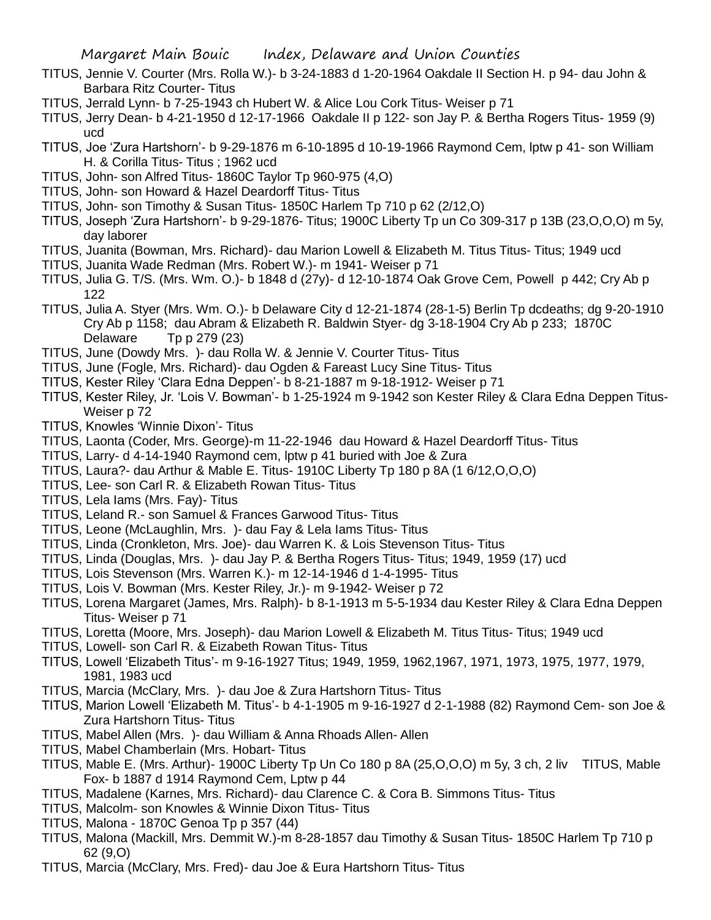- TITUS, Jennie V. Courter (Mrs. Rolla W.)- b 3-24-1883 d 1-20-1964 Oakdale II Section H. p 94- dau John & Barbara Ritz Courter- Titus
- TITUS, Jerrald Lynn- b 7-25-1943 ch Hubert W. & Alice Lou Cork Titus- Weiser p 71
- TITUS, Jerry Dean- b 4-21-1950 d 12-17-1966 Oakdale II p 122- son Jay P. & Bertha Rogers Titus- 1959 (9) ucd
- TITUS, Joe 'Zura Hartshorn'- b 9-29-1876 m 6-10-1895 d 10-19-1966 Raymond Cem, lptw p 41- son William H. & Corilla Titus- Titus ; 1962 ucd
- TITUS, John- son Alfred Titus- 1860C Taylor Tp 960-975 (4,O)
- TITUS, John- son Howard & Hazel Deardorff Titus- Titus
- TITUS, John- son Timothy & Susan Titus- 1850C Harlem Tp 710 p 62 (2/12,O)
- TITUS, Joseph 'Zura Hartshorn'- b 9-29-1876- Titus; 1900C Liberty Tp un Co 309-317 p 13B (23,O,O,O) m 5y, day laborer
- TITUS, Juanita (Bowman, Mrs. Richard)- dau Marion Lowell & Elizabeth M. Titus Titus- Titus; 1949 ucd
- TITUS, Juanita Wade Redman (Mrs. Robert W.)- m 1941- Weiser p 71
- TITUS, Julia G. T/S. (Mrs. Wm. O.)- b 1848 d (27y)- d 12-10-1874 Oak Grove Cem, Powell p 442; Cry Ab p 122
- TITUS, Julia A. Styer (Mrs. Wm. O.)- b Delaware City d 12-21-1874 (28-1-5) Berlin Tp dcdeaths; dg 9-20-1910 Cry Ab p 1158; dau Abram & Elizabeth R. Baldwin Styer- dg 3-18-1904 Cry Ab p 233; 1870C Delaware Tp p 279 (23)
- TITUS, June (Dowdy Mrs. )- dau Rolla W. & Jennie V. Courter Titus- Titus
- TITUS, June (Fogle, Mrs. Richard)- dau Ogden & Fareast Lucy Sine Titus- Titus
- TITUS, Kester Riley 'Clara Edna Deppen'- b 8-21-1887 m 9-18-1912- Weiser p 71
- TITUS, Kester Riley, Jr. 'Lois V. Bowman'- b 1-25-1924 m 9-1942 son Kester Riley & Clara Edna Deppen Titus-Weiser p 72
- TITUS, Knowles 'Winnie Dixon'- Titus
- TITUS, Laonta (Coder, Mrs. George)-m 11-22-1946 dau Howard & Hazel Deardorff Titus- Titus
- TITUS, Larry- d 4-14-1940 Raymond cem, lptw p 41 buried with Joe & Zura
- TITUS, Laura?- dau Arthur & Mable E. Titus- 1910C Liberty Tp 180 p 8A (1 6/12,O,O,O)
- TITUS, Lee- son Carl R. & Elizabeth Rowan Titus- Titus
- TITUS, Lela Iams (Mrs. Fay)- Titus
- TITUS, Leland R.- son Samuel & Frances Garwood Titus- Titus
- TITUS, Leone (McLaughlin, Mrs. )- dau Fay & Lela Iams Titus- Titus
- TITUS, Linda (Cronkleton, Mrs. Joe)- dau Warren K. & Lois Stevenson Titus- Titus
- TITUS, Linda (Douglas, Mrs. )- dau Jay P. & Bertha Rogers Titus- Titus; 1949, 1959 (17) ucd
- TITUS, Lois Stevenson (Mrs. Warren K.)- m 12-14-1946 d 1-4-1995- Titus
- TITUS, Lois V. Bowman (Mrs. Kester Riley, Jr.)- m 9-1942- Weiser p 72
- TITUS, Lorena Margaret (James, Mrs. Ralph)- b 8-1-1913 m 5-5-1934 dau Kester Riley & Clara Edna Deppen Titus- Weiser p 71
- TITUS, Loretta (Moore, Mrs. Joseph)- dau Marion Lowell & Elizabeth M. Titus Titus- Titus; 1949 ucd
- TITUS, Lowell- son Carl R. & Eizabeth Rowan Titus- Titus
- TITUS, Lowell 'Elizabeth Titus'- m 9-16-1927 Titus; 1949, 1959, 1962,1967, 1971, 1973, 1975, 1977, 1979, 1981, 1983 ucd
- TITUS, Marcia (McClary, Mrs. )- dau Joe & Zura Hartshorn Titus- Titus
- TITUS, Marion Lowell 'Elizabeth M. Titus'- b 4-1-1905 m 9-16-1927 d 2-1-1988 (82) Raymond Cem- son Joe & Zura Hartshorn Titus- Titus
- TITUS, Mabel Allen (Mrs. )- dau William & Anna Rhoads Allen- Allen
- TITUS, Mabel Chamberlain (Mrs. Hobart- Titus
- TITUS, Mable E. (Mrs. Arthur)- 1900C Liberty Tp Un Co 180 p 8A (25,O,O,O) m 5y, 3 ch, 2 liv TITUS, Mable Fox- b 1887 d 1914 Raymond Cem, Lptw p 44
- TITUS, Madalene (Karnes, Mrs. Richard)- dau Clarence C. & Cora B. Simmons Titus- Titus
- TITUS, Malcolm- son Knowles & Winnie Dixon Titus- Titus
- TITUS, Malona 1870C Genoa Tp p 357 (44)
- TITUS, Malona (Mackill, Mrs. Demmit W.)-m 8-28-1857 dau Timothy & Susan Titus- 1850C Harlem Tp 710 p 62 (9,O)
- TITUS, Marcia (McClary, Mrs. Fred)- dau Joe & Eura Hartshorn Titus- Titus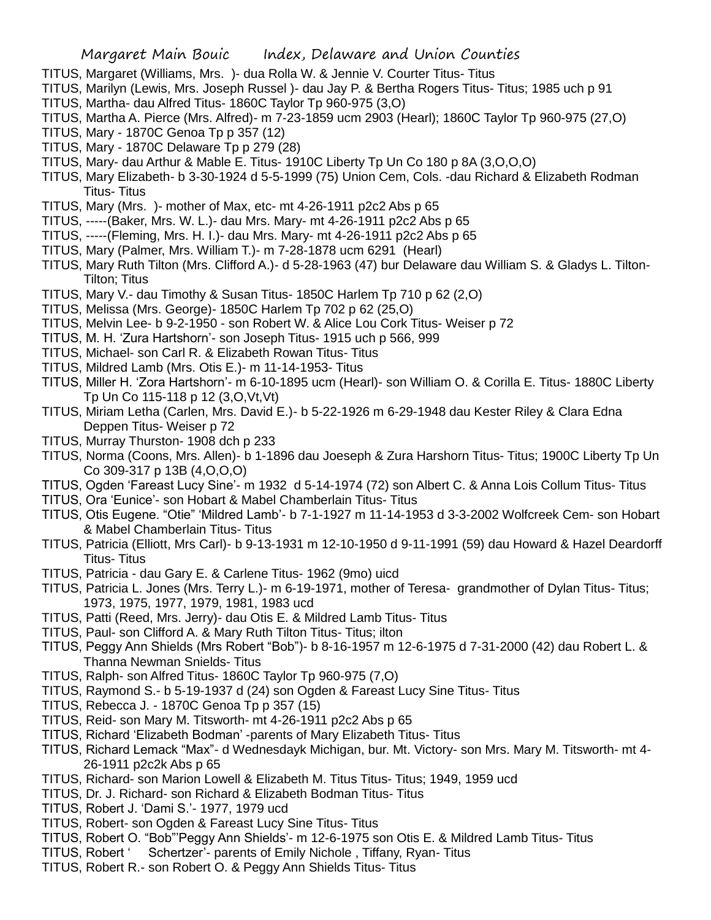- TITUS, Margaret (Williams, Mrs. )- dua Rolla W. & Jennie V. Courter Titus- Titus
- TITUS, Marilyn (Lewis, Mrs. Joseph Russel )- dau Jay P. & Bertha Rogers Titus- Titus; 1985 uch p 91 TITUS, Martha- dau Alfred Titus- 1860C Taylor Tp 960-975 (3,O)
- TITUS, Martha A. Pierce (Mrs. Alfred)- m 7-23-1859 ucm 2903 (Hearl); 1860C Taylor Tp 960-975 (27,O)
- TITUS, Mary 1870C Genoa Tp p 357 (12)
- TITUS, Mary 1870C Delaware Tp p 279 (28)
- TITUS, Mary- dau Arthur & Mable E. Titus- 1910C Liberty Tp Un Co 180 p 8A (3,O,O,O)
- TITUS, Mary Elizabeth- b 3-30-1924 d 5-5-1999 (75) Union Cem, Cols. -dau Richard & Elizabeth Rodman Titus- Titus
- TITUS, Mary (Mrs. )- mother of Max, etc- mt 4-26-1911 p2c2 Abs p 65
- TITUS, -----(Baker, Mrs. W. L.)- dau Mrs. Mary- mt 4-26-1911 p2c2 Abs p 65
- TITUS, -----(Fleming, Mrs. H. I.)- dau Mrs. Mary- mt 4-26-1911 p2c2 Abs p 65
- TITUS, Mary (Palmer, Mrs. William T.)- m 7-28-1878 ucm 6291 (Hearl)
- TITUS, Mary Ruth Tilton (Mrs. Clifford A.)- d 5-28-1963 (47) bur Delaware dau William S. & Gladys L. Tilton-Tilton; Titus
- TITUS, Mary V.- dau Timothy & Susan Titus- 1850C Harlem Tp 710 p 62 (2,O)
- TITUS, Melissa (Mrs. George)- 1850C Harlem Tp 702 p 62 (25,O)
- TITUS, Melvin Lee- b 9-2-1950 son Robert W. & Alice Lou Cork Titus- Weiser p 72
- TITUS, M. H. 'Zura Hartshorn'- son Joseph Titus- 1915 uch p 566, 999
- TITUS, Michael- son Carl R. & Elizabeth Rowan Titus- Titus
- TITUS, Mildred Lamb (Mrs. Otis E.)- m 11-14-1953- Titus
- TITUS, Miller H. 'Zora Hartshorn'- m 6-10-1895 ucm (Hearl)- son William O. & Corilla E. Titus- 1880C Liberty Tp Un Co 115-118 p 12 (3,O,Vt,Vt)
- TITUS, Miriam Letha (Carlen, Mrs. David E.)- b 5-22-1926 m 6-29-1948 dau Kester Riley & Clara Edna Deppen Titus- Weiser p 72
- TITUS, Murray Thurston- 1908 dch p 233
- TITUS, Norma (Coons, Mrs. Allen)- b 1-1896 dau Joeseph & Zura Harshorn Titus- Titus; 1900C Liberty Tp Un Co 309-317 p 13B (4,O,O,O)
- TITUS, Ogden 'Fareast Lucy Sine'- m 1932 d 5-14-1974 (72) son Albert C. & Anna Lois Collum Titus- Titus
- TITUS, Ora 'Eunice'- son Hobart & Mabel Chamberlain Titus- Titus
- TITUS, Otis Eugene. "Otie" 'Mildred Lamb'- b 7-1-1927 m 11-14-1953 d 3-3-2002 Wolfcreek Cem- son Hobart & Mabel Chamberlain Titus- Titus
- TITUS, Patricia (Elliott, Mrs Carl)- b 9-13-1931 m 12-10-1950 d 9-11-1991 (59) dau Howard & Hazel Deardorff Titus- Titus
- TITUS, Patricia dau Gary E. & Carlene Titus- 1962 (9mo) uicd
- TITUS, Patricia L. Jones (Mrs. Terry L.)- m 6-19-1971, mother of Teresa- grandmother of Dylan Titus- Titus; 1973, 1975, 1977, 1979, 1981, 1983 ucd
- TITUS, Patti (Reed, Mrs. Jerry)- dau Otis E. & Mildred Lamb Titus- Titus
- TITUS, Paul- son Clifford A. & Mary Ruth Tilton Titus- Titus; ilton
- TITUS, Peggy Ann Shields (Mrs Robert "Bob")- b 8-16-1957 m 12-6-1975 d 7-31-2000 (42) dau Robert L. & Thanna Newman Snields- Titus
- TITUS, Ralph- son Alfred Titus- 1860C Taylor Tp 960-975 (7,O)
- TITUS, Raymond S.- b 5-19-1937 d (24) son Ogden & Fareast Lucy Sine Titus- Titus
- TITUS, Rebecca J. 1870C Genoa Tp p 357 (15)
- TITUS, Reid- son Mary M. Titsworth- mt 4-26-1911 p2c2 Abs p 65
- TITUS, Richard 'Elizabeth Bodman' -parents of Mary Elizabeth Titus- Titus
- TITUS, Richard Lemack "Max"- d Wednesdayk Michigan, bur. Mt. Victory- son Mrs. Mary M. Titsworth- mt 4- 26-1911 p2c2k Abs p 65
- TITUS, Richard- son Marion Lowell & Elizabeth M. Titus Titus- Titus; 1949, 1959 ucd
- TITUS, Dr. J. Richard- son Richard & Elizabeth Bodman Titus- Titus
- TITUS, Robert J. 'Dami S.'- 1977, 1979 ucd
- TITUS, Robert- son Ogden & Fareast Lucy Sine Titus- Titus
- TITUS, Robert O. "Bob"'Peggy Ann Shields'- m 12-6-1975 son Otis E. & Mildred Lamb Titus- Titus
- TITUS, Robert ' Schertzer'- parents of Emily Nichole , Tiffany, Ryan- Titus
- TITUS, Robert R.- son Robert O. & Peggy Ann Shields Titus- Titus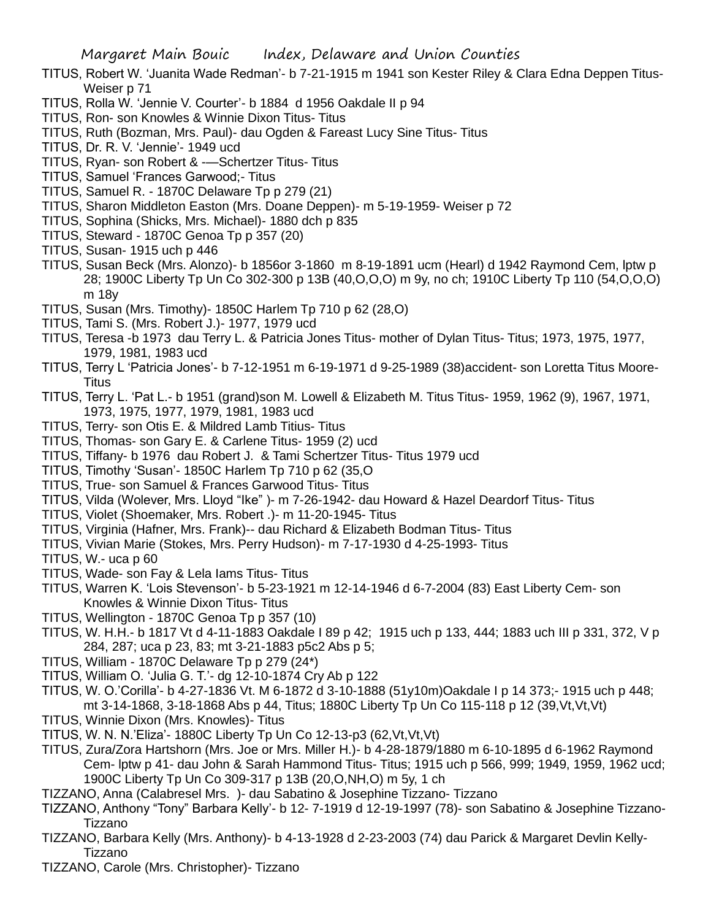- TITUS, Robert W. 'Juanita Wade Redman'- b 7-21-1915 m 1941 son Kester Riley & Clara Edna Deppen Titus-Weiser p 71
- TITUS, Rolla W. 'Jennie V. Courter'- b 1884 d 1956 Oakdale II p 94
- TITUS, Ron- son Knowles & Winnie Dixon Titus- Titus
- TITUS, Ruth (Bozman, Mrs. Paul)- dau Ogden & Fareast Lucy Sine Titus- Titus
- TITUS, Dr. R. V. 'Jennie'- 1949 ucd
- TITUS, Ryan- son Robert & -—Schertzer Titus- Titus
- TITUS, Samuel 'Frances Garwood;- Titus
- TITUS, Samuel R. 1870C Delaware Tp p 279 (21)
- TITUS, Sharon Middleton Easton (Mrs. Doane Deppen)- m 5-19-1959- Weiser p 72
- TITUS, Sophina (Shicks, Mrs. Michael)- 1880 dch p 835
- TITUS, Steward 1870C Genoa Tp p 357 (20)
- TITUS, Susan- 1915 uch p 446
- TITUS, Susan Beck (Mrs. Alonzo)- b 1856or 3-1860 m 8-19-1891 ucm (Hearl) d 1942 Raymond Cem, lptw p 28; 1900C Liberty Tp Un Co 302-300 p 13B (40,O,O,O) m 9y, no ch; 1910C Liberty Tp 110 (54,O,O,O) m 18y
- TITUS, Susan (Mrs. Timothy)- 1850C Harlem Tp 710 p 62 (28,O)
- TITUS, Tami S. (Mrs. Robert J.)- 1977, 1979 ucd
- TITUS, Teresa -b 1973 dau Terry L. & Patricia Jones Titus- mother of Dylan Titus- Titus; 1973, 1975, 1977, 1979, 1981, 1983 ucd
- TITUS, Terry L 'Patricia Jones'- b 7-12-1951 m 6-19-1971 d 9-25-1989 (38)accident- son Loretta Titus Moore-**Titus**
- TITUS, Terry L. 'Pat L.- b 1951 (grand)son M. Lowell & Elizabeth M. Titus Titus- 1959, 1962 (9), 1967, 1971, 1973, 1975, 1977, 1979, 1981, 1983 ucd
- TITUS, Terry- son Otis E. & Mildred Lamb Titius- Titus
- TITUS, Thomas- son Gary E. & Carlene Titus- 1959 (2) ucd
- TITUS, Tiffany- b 1976 dau Robert J. & Tami Schertzer Titus- Titus 1979 ucd
- TITUS, Timothy 'Susan'- 1850C Harlem Tp 710 p 62 (35,O
- TITUS, True- son Samuel & Frances Garwood Titus- Titus
- TITUS, Vilda (Wolever, Mrs. Lloyd "Ike" )- m 7-26-1942- dau Howard & Hazel Deardorf Titus- Titus
- TITUS, Violet (Shoemaker, Mrs. Robert .)- m 11-20-1945- Titus
- TITUS, Virginia (Hafner, Mrs. Frank)-- dau Richard & Elizabeth Bodman Titus- Titus
- TITUS, Vivian Marie (Stokes, Mrs. Perry Hudson)- m 7-17-1930 d 4-25-1993- Titus
- TITUS, W.- uca p 60
- TITUS, Wade- son Fay & Lela Iams Titus- Titus
- TITUS, Warren K. 'Lois Stevenson'- b 5-23-1921 m 12-14-1946 d 6-7-2004 (83) East Liberty Cem- son Knowles & Winnie Dixon Titus- Titus
- TITUS, Wellington 1870C Genoa Tp p 357 (10)
- TITUS, W. H.H.- b 1817 Vt d 4-11-1883 Oakdale I 89 p 42; 1915 uch p 133, 444; 1883 uch III p 331, 372, V p 284, 287; uca p 23, 83; mt 3-21-1883 p5c2 Abs p 5;
- TITUS, William 1870C Delaware Tp p 279 (24\*)
- TITUS, William O. 'Julia G. T.'- dg 12-10-1874 Cry Ab p 122
- TITUS, W. O.'Corilla'- b 4-27-1836 Vt. M 6-1872 d 3-10-1888 (51y10m)Oakdale I p 14 373;- 1915 uch p 448; mt 3-14-1868, 3-18-1868 Abs p 44, Titus; 1880C Liberty Tp Un Co 115-118 p 12 (39,Vt,Vt,Vt)
- TITUS, Winnie Dixon (Mrs. Knowles)- Titus
- TITUS, W. N. N.'Eliza'- 1880C Liberty Tp Un Co 12-13-p3 (62,Vt,Vt,Vt)
- TITUS, Zura/Zora Hartshorn (Mrs. Joe or Mrs. Miller H.)- b 4-28-1879/1880 m 6-10-1895 d 6-1962 Raymond Cem- lptw p 41- dau John & Sarah Hammond Titus- Titus; 1915 uch p 566, 999; 1949, 1959, 1962 ucd; 1900C Liberty Tp Un Co 309-317 p 13B (20,O,NH,O) m 5y, 1 ch
- TIZZANO, Anna (Calabresel Mrs. )- dau Sabatino & Josephine Tizzano- Tizzano
- TIZZANO, Anthony "Tony" Barbara Kelly'- b 12- 7-1919 d 12-19-1997 (78)- son Sabatino & Josephine Tizzano-Tizzano
- TIZZANO, Barbara Kelly (Mrs. Anthony)- b 4-13-1928 d 2-23-2003 (74) dau Parick & Margaret Devlin Kelly-Tizzano
- TIZZANO, Carole (Mrs. Christopher)- Tizzano